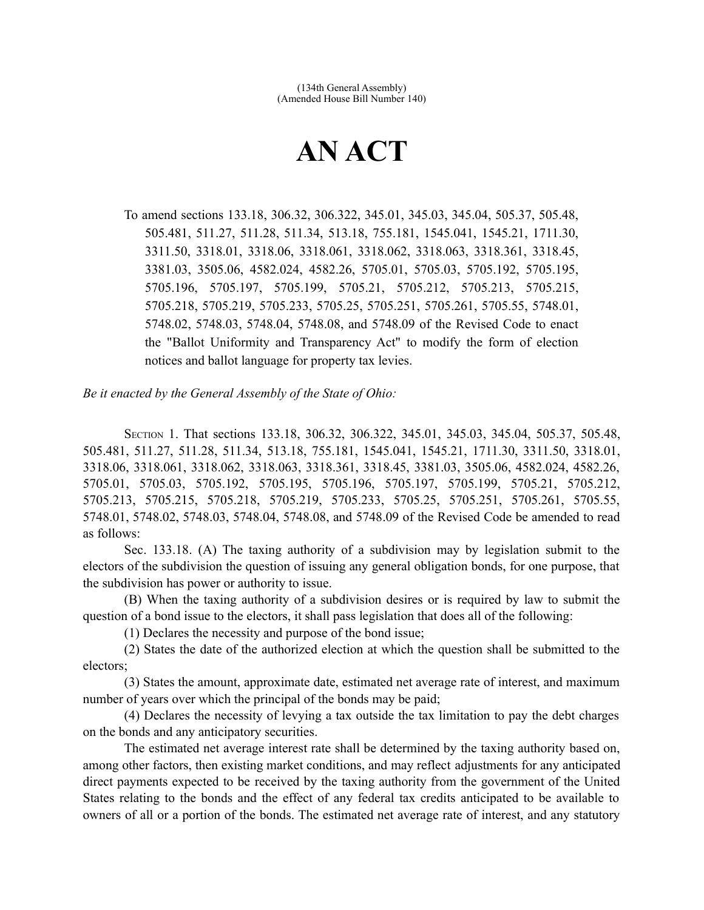# **AN ACT**

To amend sections 133.18, 306.32, 306.322, 345.01, 345.03, 345.04, 505.37, 505.48, 505.481, 511.27, 511.28, 511.34, 513.18, 755.181, 1545.041, 1545.21, 1711.30, 3311.50, 3318.01, 3318.06, 3318.061, 3318.062, 3318.063, 3318.361, 3318.45, 3381.03, 3505.06, 4582.024, 4582.26, 5705.01, 5705.03, 5705.192, 5705.195, 5705.196, 5705.197, 5705.199, 5705.21, 5705.212, 5705.213, 5705.215, 5705.218, 5705.219, 5705.233, 5705.25, 5705.251, 5705.261, 5705.55, 5748.01, 5748.02, 5748.03, 5748.04, 5748.08, and 5748.09 of the Revised Code to enact the "Ballot Uniformity and Transparency Act" to modify the form of election notices and ballot language for property tax levies.

*Be it enacted by the General Assembly of the State of Ohio:*

SECTION 1. That sections 133.18, 306.32, 306.322, 345.01, 345.03, 345.04, 505.37, 505.48, 505.481, 511.27, 511.28, 511.34, 513.18, 755.181, 1545.041, 1545.21, 1711.30, 3311.50, 3318.01, 3318.06, 3318.061, 3318.062, 3318.063, 3318.361, 3318.45, 3381.03, 3505.06, 4582.024, 4582.26, 5705.01, 5705.03, 5705.192, 5705.195, 5705.196, 5705.197, 5705.199, 5705.21, 5705.212, 5705.213, 5705.215, 5705.218, 5705.219, 5705.233, 5705.25, 5705.251, 5705.261, 5705.55, 5748.01, 5748.02, 5748.03, 5748.04, 5748.08, and 5748.09 of the Revised Code be amended to read as follows:

Sec. 133.18. (A) The taxing authority of a subdivision may by legislation submit to the electors of the subdivision the question of issuing any general obligation bonds, for one purpose, that the subdivision has power or authority to issue.

(B) When the taxing authority of a subdivision desires or is required by law to submit the question of a bond issue to the electors, it shall pass legislation that does all of the following:

(1) Declares the necessity and purpose of the bond issue;

(2) States the date of the authorized election at which the question shall be submitted to the electors;

(3) States the amount, approximate date, estimated net average rate of interest, and maximum number of years over which the principal of the bonds may be paid;

(4) Declares the necessity of levying a tax outside the tax limitation to pay the debt charges on the bonds and any anticipatory securities.

The estimated net average interest rate shall be determined by the taxing authority based on, among other factors, then existing market conditions, and may reflect adjustments for any anticipated direct payments expected to be received by the taxing authority from the government of the United States relating to the bonds and the effect of any federal tax credits anticipated to be available to owners of all or a portion of the bonds. The estimated net average rate of interest, and any statutory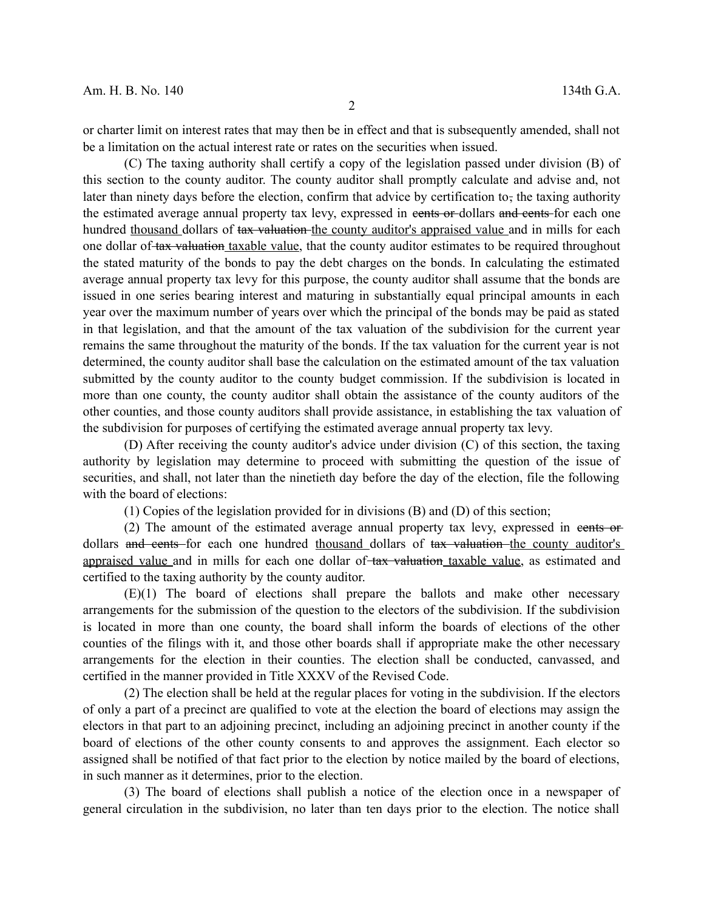or charter limit on interest rates that may then be in effect and that is subsequently amended, shall not be a limitation on the actual interest rate or rates on the securities when issued.

(C) The taxing authority shall certify a copy of the legislation passed under division (B) of this section to the county auditor. The county auditor shall promptly calculate and advise and, not later than ninety days before the election, confirm that advice by certification to, the taxing authority the estimated average annual property tax levy, expressed in example or dollars and cents for each one hundred thousand dollars of tax valuation the county auditor's appraised value and in mills for each one dollar of tax valuation taxable value, that the county auditor estimates to be required throughout the stated maturity of the bonds to pay the debt charges on the bonds. In calculating the estimated average annual property tax levy for this purpose, the county auditor shall assume that the bonds are issued in one series bearing interest and maturing in substantially equal principal amounts in each year over the maximum number of years over which the principal of the bonds may be paid as stated in that legislation, and that the amount of the tax valuation of the subdivision for the current year remains the same throughout the maturity of the bonds. If the tax valuation for the current year is not determined, the county auditor shall base the calculation on the estimated amount of the tax valuation submitted by the county auditor to the county budget commission. If the subdivision is located in more than one county, the county auditor shall obtain the assistance of the county auditors of the other counties, and those county auditors shall provide assistance, in establishing the tax valuation of the subdivision for purposes of certifying the estimated average annual property tax levy.

(D) After receiving the county auditor's advice under division (C) of this section, the taxing authority by legislation may determine to proceed with submitting the question of the issue of securities, and shall, not later than the ninetieth day before the day of the election, file the following with the board of elections:

(1) Copies of the legislation provided for in divisions (B) and (D) of this section;

(2) The amount of the estimated average annual property tax levy, expressed in cents or dollars and cents for each one hundred thousand dollars of tax valuation the county auditor's appraised value and in mills for each one dollar of tax valuation taxable value, as estimated and certified to the taxing authority by the county auditor.

(E)(1) The board of elections shall prepare the ballots and make other necessary arrangements for the submission of the question to the electors of the subdivision. If the subdivision is located in more than one county, the board shall inform the boards of elections of the other counties of the filings with it, and those other boards shall if appropriate make the other necessary arrangements for the election in their counties. The election shall be conducted, canvassed, and certified in the manner provided in Title XXXV of the Revised Code.

(2) The election shall be held at the regular places for voting in the subdivision. If the electors of only a part of a precinct are qualified to vote at the election the board of elections may assign the electors in that part to an adjoining precinct, including an adjoining precinct in another county if the board of elections of the other county consents to and approves the assignment. Each elector so assigned shall be notified of that fact prior to the election by notice mailed by the board of elections, in such manner as it determines, prior to the election.

(3) The board of elections shall publish a notice of the election once in a newspaper of general circulation in the subdivision, no later than ten days prior to the election. The notice shall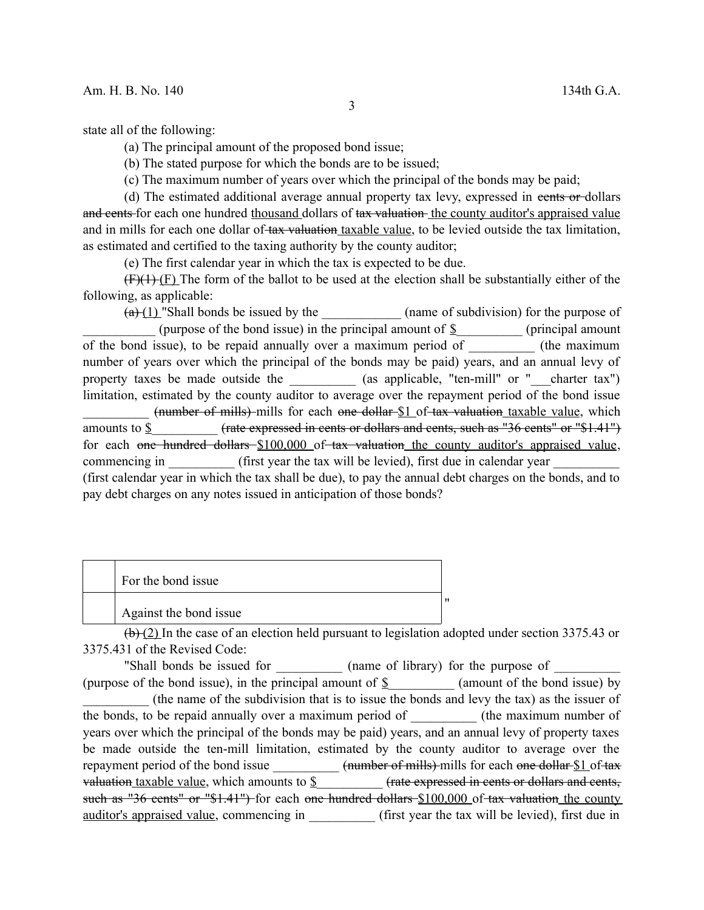state all of the following:

(a) The principal amount of the proposed bond issue;

(b) The stated purpose for which the bonds are to be issued;

(c) The maximum number of years over which the principal of the bonds may be paid;

(d) The estimated additional average annual property tax levy, expressed in cents or dollars and cents for each one hundred thousand dollars of tax valuation the county auditor's appraised value and in mills for each one dollar of tax valuation taxable value, to be levied outside the tax limitation, as estimated and certified to the taxing authority by the county auditor;

(e) The first calendar year in which the tax is expected to be due.

 $(F)(H)(F)$  The form of the ballot to be used at the election shall be substantially either of the following, as applicable:

 $(a)+(a)+(1)$  "Shall bonds be issued by the  $($ name of subdivision) for the purpose of (purpose of the bond issue) in the principal amount of  $\frac{8}{2}$  (principal amount of the bond issue), to be repaid annually over a maximum period of \_\_\_\_\_\_\_\_\_\_ (the maximum number of years over which the principal of the bonds may be paid) years, and an annual levy of property taxes be made outside the  $(as applicable, "ten-mill" or "–charter tax")$ limitation, estimated by the county auditor to average over the repayment period of the bond issue (number of mills) mills for each one dollar \$1 of tax valuation taxable value, which amounts to  $\frac{1}{2}$  (rate expressed in cents or dollars and cents, such as "36 cents" or "\$1.41") for each one hundred dollars  $$100,000$  of tax valuation the county auditor's appraised value, commencing in (first year the tax will be levied), first due in calendar year (first calendar year in which the tax shall be due), to pay the annual debt charges on the bonds, and to pay debt charges on any notes issued in anticipation of those bonds?

| For the bond issue     |  |
|------------------------|--|
| Against the bond issue |  |

 $(b)$  (2) In the case of an election held pursuant to legislation adopted under section 3375.43 or 3375.431 of the Revised Code:

"Shall bonds be issued for \_\_\_\_\_\_\_\_\_\_\_ (name of library) for the purpose of \_\_\_\_\_\_\_\_\_ (purpose of the bond issue), in the principal amount of  $\S$  (amount of the bond issue) by \_\_\_\_\_\_\_\_\_\_ (the name of the subdivision that is to issue the bonds and levy the tax) as the issuer of the bonds, to be repaid annually over a maximum period of (the maximum number of years over which the principal of the bonds may be paid) years, and an annual levy of property taxes be made outside the ten-mill limitation, estimated by the county auditor to average over the repayment period of the bond issue  $\frac{1}{2}$  (number of mills) mills for each one dollar \$1 of tax valuation taxable value, which amounts to  $\mathcal S$  (rate expressed in cents or dollars and cents, such as "36 cents" or "\$1.41") for each one hundred dollars \$100,000 of tax valuation the county auditor's appraised value, commencing in <br>
(first year the tax will be levied), first due in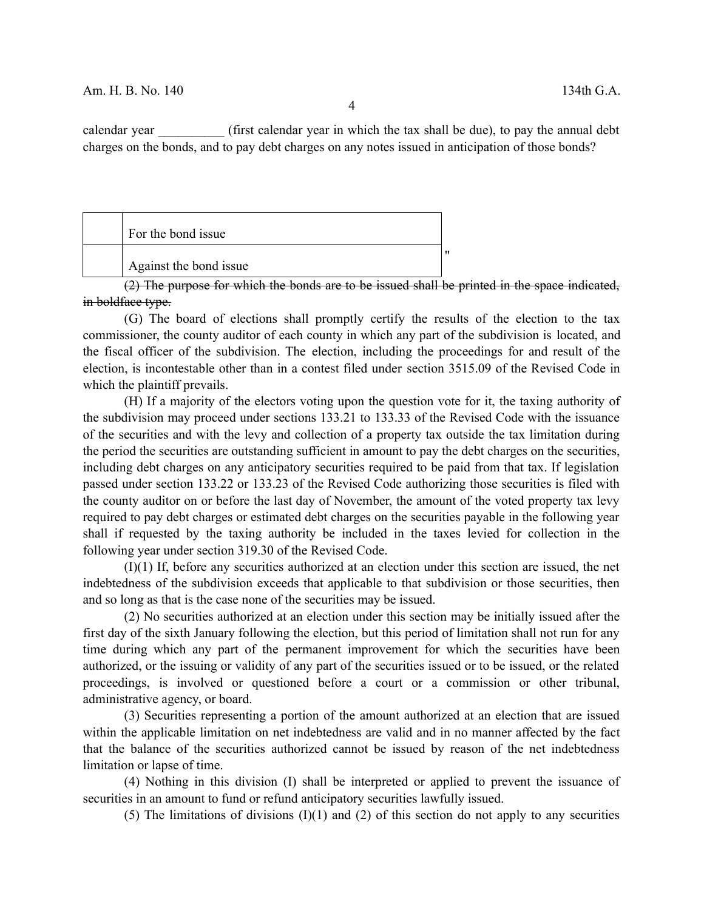calendar year (first calendar year in which the tax shall be due), to pay the annual debt charges on the bonds, and to pay debt charges on any notes issued in anticipation of those bonds?

| For the bond issue     |    |
|------------------------|----|
| Against the bond issue | 11 |

(2) The purpose for which the bonds are to be issued shall be printed in the space indicated, in boldface type.

(G) The board of elections shall promptly certify the results of the election to the tax commissioner, the county auditor of each county in which any part of the subdivision is located, and the fiscal officer of the subdivision. The election, including the proceedings for and result of the election, is incontestable other than in a contest filed under section 3515.09 of the Revised Code in which the plaintiff prevails.

(H) If a majority of the electors voting upon the question vote for it, the taxing authority of the subdivision may proceed under sections 133.21 to 133.33 of the Revised Code with the issuance of the securities and with the levy and collection of a property tax outside the tax limitation during the period the securities are outstanding sufficient in amount to pay the debt charges on the securities, including debt charges on any anticipatory securities required to be paid from that tax. If legislation passed under section 133.22 or 133.23 of the Revised Code authorizing those securities is filed with the county auditor on or before the last day of November, the amount of the voted property tax levy required to pay debt charges or estimated debt charges on the securities payable in the following year shall if requested by the taxing authority be included in the taxes levied for collection in the following year under section 319.30 of the Revised Code.

(I)(1) If, before any securities authorized at an election under this section are issued, the net indebtedness of the subdivision exceeds that applicable to that subdivision or those securities, then and so long as that is the case none of the securities may be issued.

(2) No securities authorized at an election under this section may be initially issued after the first day of the sixth January following the election, but this period of limitation shall not run for any time during which any part of the permanent improvement for which the securities have been authorized, or the issuing or validity of any part of the securities issued or to be issued, or the related proceedings, is involved or questioned before a court or a commission or other tribunal, administrative agency, or board.

(3) Securities representing a portion of the amount authorized at an election that are issued within the applicable limitation on net indebtedness are valid and in no manner affected by the fact that the balance of the securities authorized cannot be issued by reason of the net indebtedness limitation or lapse of time.

(4) Nothing in this division (I) shall be interpreted or applied to prevent the issuance of securities in an amount to fund or refund anticipatory securities lawfully issued.

(5) The limitations of divisions  $(I)(1)$  and  $(I)(2)$  of this section do not apply to any securities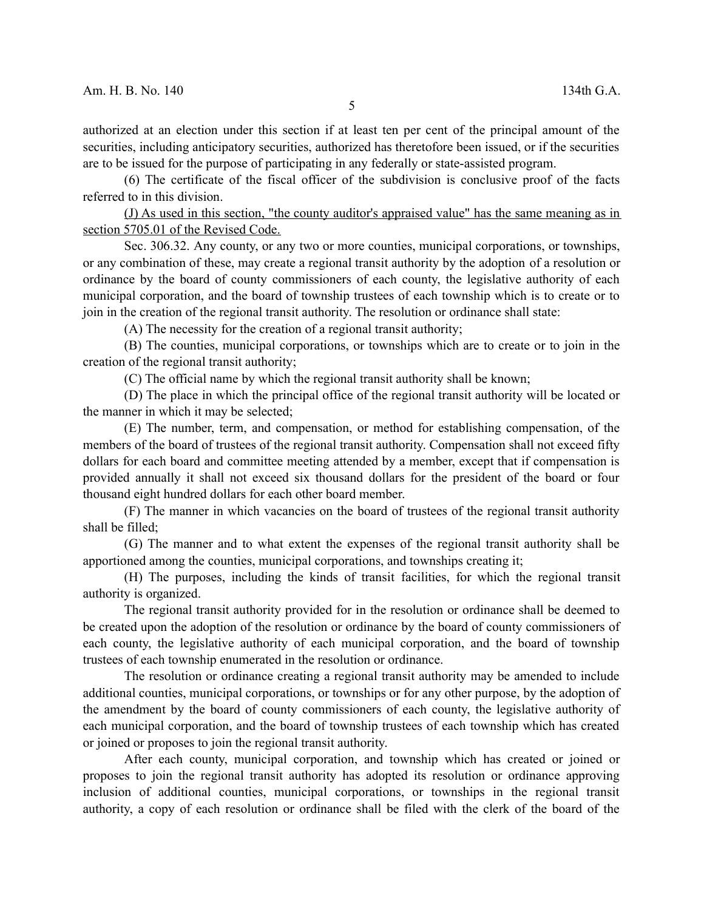authorized at an election under this section if at least ten per cent of the principal amount of the securities, including anticipatory securities, authorized has theretofore been issued, or if the securities are to be issued for the purpose of participating in any federally or state-assisted program.

(6) The certificate of the fiscal officer of the subdivision is conclusive proof of the facts referred to in this division.

(J) As used in this section, "the county auditor's appraised value" has the same meaning as in section 5705.01 of the Revised Code.

Sec. 306.32. Any county, or any two or more counties, municipal corporations, or townships, or any combination of these, may create a regional transit authority by the adoption of a resolution or ordinance by the board of county commissioners of each county, the legislative authority of each municipal corporation, and the board of township trustees of each township which is to create or to join in the creation of the regional transit authority. The resolution or ordinance shall state:

(A) The necessity for the creation of a regional transit authority;

(B) The counties, municipal corporations, or townships which are to create or to join in the creation of the regional transit authority;

(C) The official name by which the regional transit authority shall be known;

(D) The place in which the principal office of the regional transit authority will be located or the manner in which it may be selected;

(E) The number, term, and compensation, or method for establishing compensation, of the members of the board of trustees of the regional transit authority. Compensation shall not exceed fifty dollars for each board and committee meeting attended by a member, except that if compensation is provided annually it shall not exceed six thousand dollars for the president of the board or four thousand eight hundred dollars for each other board member.

(F) The manner in which vacancies on the board of trustees of the regional transit authority shall be filled;

(G) The manner and to what extent the expenses of the regional transit authority shall be apportioned among the counties, municipal corporations, and townships creating it;

(H) The purposes, including the kinds of transit facilities, for which the regional transit authority is organized.

The regional transit authority provided for in the resolution or ordinance shall be deemed to be created upon the adoption of the resolution or ordinance by the board of county commissioners of each county, the legislative authority of each municipal corporation, and the board of township trustees of each township enumerated in the resolution or ordinance.

The resolution or ordinance creating a regional transit authority may be amended to include additional counties, municipal corporations, or townships or for any other purpose, by the adoption of the amendment by the board of county commissioners of each county, the legislative authority of each municipal corporation, and the board of township trustees of each township which has created or joined or proposes to join the regional transit authority.

After each county, municipal corporation, and township which has created or joined or proposes to join the regional transit authority has adopted its resolution or ordinance approving inclusion of additional counties, municipal corporations, or townships in the regional transit authority, a copy of each resolution or ordinance shall be filed with the clerk of the board of the

5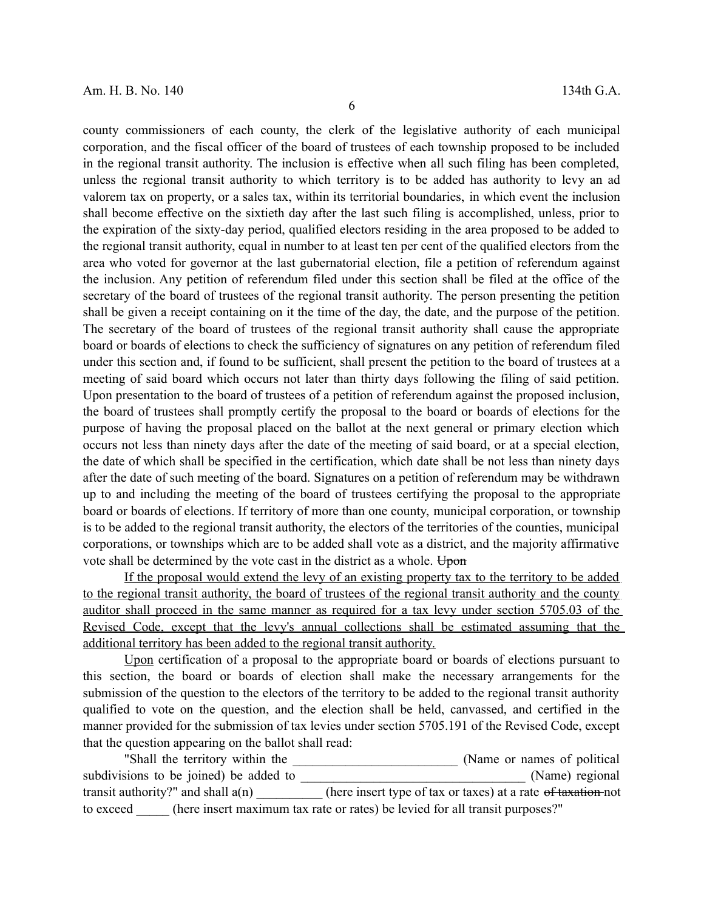county commissioners of each county, the clerk of the legislative authority of each municipal corporation, and the fiscal officer of the board of trustees of each township proposed to be included in the regional transit authority. The inclusion is effective when all such filing has been completed, unless the regional transit authority to which territory is to be added has authority to levy an ad valorem tax on property, or a sales tax, within its territorial boundaries, in which event the inclusion shall become effective on the sixtieth day after the last such filing is accomplished, unless, prior to the expiration of the sixty-day period, qualified electors residing in the area proposed to be added to the regional transit authority, equal in number to at least ten per cent of the qualified electors from the area who voted for governor at the last gubernatorial election, file a petition of referendum against the inclusion. Any petition of referendum filed under this section shall be filed at the office of the secretary of the board of trustees of the regional transit authority. The person presenting the petition shall be given a receipt containing on it the time of the day, the date, and the purpose of the petition. The secretary of the board of trustees of the regional transit authority shall cause the appropriate board or boards of elections to check the sufficiency of signatures on any petition of referendum filed under this section and, if found to be sufficient, shall present the petition to the board of trustees at a meeting of said board which occurs not later than thirty days following the filing of said petition. Upon presentation to the board of trustees of a petition of referendum against the proposed inclusion, the board of trustees shall promptly certify the proposal to the board or boards of elections for the purpose of having the proposal placed on the ballot at the next general or primary election which occurs not less than ninety days after the date of the meeting of said board, or at a special election, the date of which shall be specified in the certification, which date shall be not less than ninety days after the date of such meeting of the board. Signatures on a petition of referendum may be withdrawn up to and including the meeting of the board of trustees certifying the proposal to the appropriate board or boards of elections. If territory of more than one county, municipal corporation, or township is to be added to the regional transit authority, the electors of the territories of the counties, municipal corporations, or townships which are to be added shall vote as a district, and the majority affirmative vote shall be determined by the vote cast in the district as a whole. Upon

If the proposal would extend the levy of an existing property tax to the territory to be added to the regional transit authority, the board of trustees of the regional transit authority and the county auditor shall proceed in the same manner as required for a tax levy under section 5705.03 of the Revised Code, except that the levy's annual collections shall be estimated assuming that the additional territory has been added to the regional transit authority.

Upon certification of a proposal to the appropriate board or boards of elections pursuant to this section, the board or boards of election shall make the necessary arrangements for the submission of the question to the electors of the territory to be added to the regional transit authority qualified to vote on the question, and the election shall be held, canvassed, and certified in the manner provided for the submission of tax levies under section 5705.191 of the Revised Code, except that the question appearing on the ballot shall read:

"Shall the territory within the \_\_\_\_\_\_\_\_\_\_\_\_\_\_\_\_\_\_\_\_\_\_\_\_\_ (Name or names of political subdivisions to be joined) be added to \_\_\_\_\_\_\_\_\_\_\_\_\_\_\_\_\_\_\_\_\_\_\_\_\_\_\_\_\_\_\_\_\_\_ (Name) regional transit authority?" and shall a(n)  $\qquad \qquad$  (here insert type of tax or taxes) at a rate <del>of taxation</del> not to exceed (here insert maximum tax rate or rates) be levied for all transit purposes?"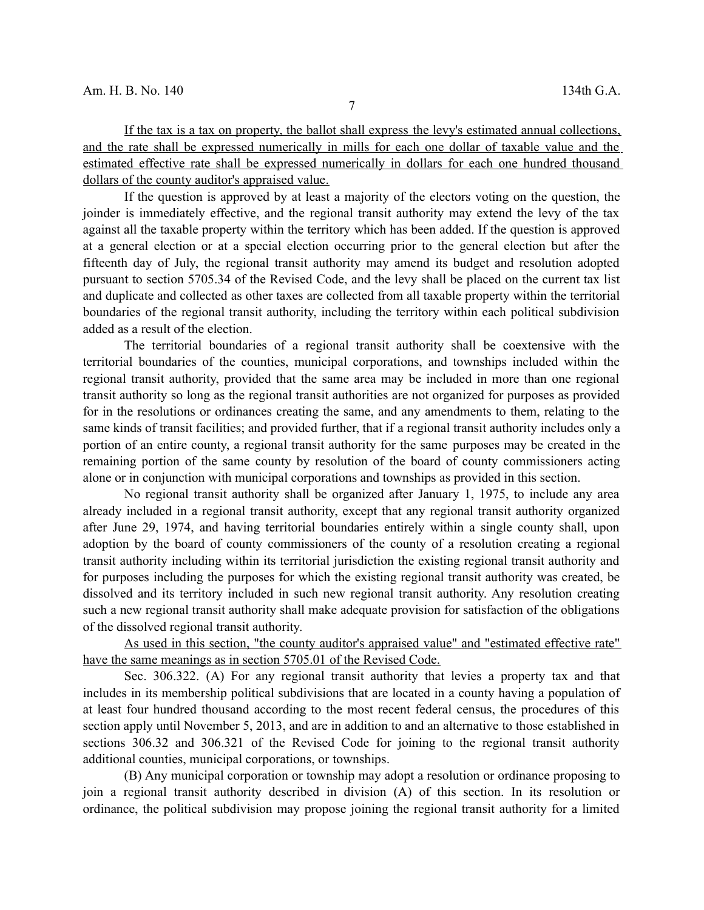If the tax is a tax on property, the ballot shall express the levy's estimated annual collections, and the rate shall be expressed numerically in mills for each one dollar of taxable value and the estimated effective rate shall be expressed numerically in dollars for each one hundred thousand dollars of the county auditor's appraised value.

If the question is approved by at least a majority of the electors voting on the question, the joinder is immediately effective, and the regional transit authority may extend the levy of the tax against all the taxable property within the territory which has been added. If the question is approved at a general election or at a special election occurring prior to the general election but after the fifteenth day of July, the regional transit authority may amend its budget and resolution adopted pursuant to section 5705.34 of the Revised Code, and the levy shall be placed on the current tax list and duplicate and collected as other taxes are collected from all taxable property within the territorial boundaries of the regional transit authority, including the territory within each political subdivision added as a result of the election.

The territorial boundaries of a regional transit authority shall be coextensive with the territorial boundaries of the counties, municipal corporations, and townships included within the regional transit authority, provided that the same area may be included in more than one regional transit authority so long as the regional transit authorities are not organized for purposes as provided for in the resolutions or ordinances creating the same, and any amendments to them, relating to the same kinds of transit facilities; and provided further, that if a regional transit authority includes only a portion of an entire county, a regional transit authority for the same purposes may be created in the remaining portion of the same county by resolution of the board of county commissioners acting alone or in conjunction with municipal corporations and townships as provided in this section.

No regional transit authority shall be organized after January 1, 1975, to include any area already included in a regional transit authority, except that any regional transit authority organized after June 29, 1974, and having territorial boundaries entirely within a single county shall, upon adoption by the board of county commissioners of the county of a resolution creating a regional transit authority including within its territorial jurisdiction the existing regional transit authority and for purposes including the purposes for which the existing regional transit authority was created, be dissolved and its territory included in such new regional transit authority. Any resolution creating such a new regional transit authority shall make adequate provision for satisfaction of the obligations of the dissolved regional transit authority.

As used in this section, "the county auditor's appraised value" and "estimated effective rate" have the same meanings as in section 5705.01 of the Revised Code.

Sec. 306.322. (A) For any regional transit authority that levies a property tax and that includes in its membership political subdivisions that are located in a county having a population of at least four hundred thousand according to the most recent federal census, the procedures of this section apply until November 5, 2013, and are in addition to and an alternative to those established in sections 306.32 and 306.321 of the Revised Code for joining to the regional transit authority additional counties, municipal corporations, or townships.

(B) Any municipal corporation or township may adopt a resolution or ordinance proposing to join a regional transit authority described in division (A) of this section. In its resolution or ordinance, the political subdivision may propose joining the regional transit authority for a limited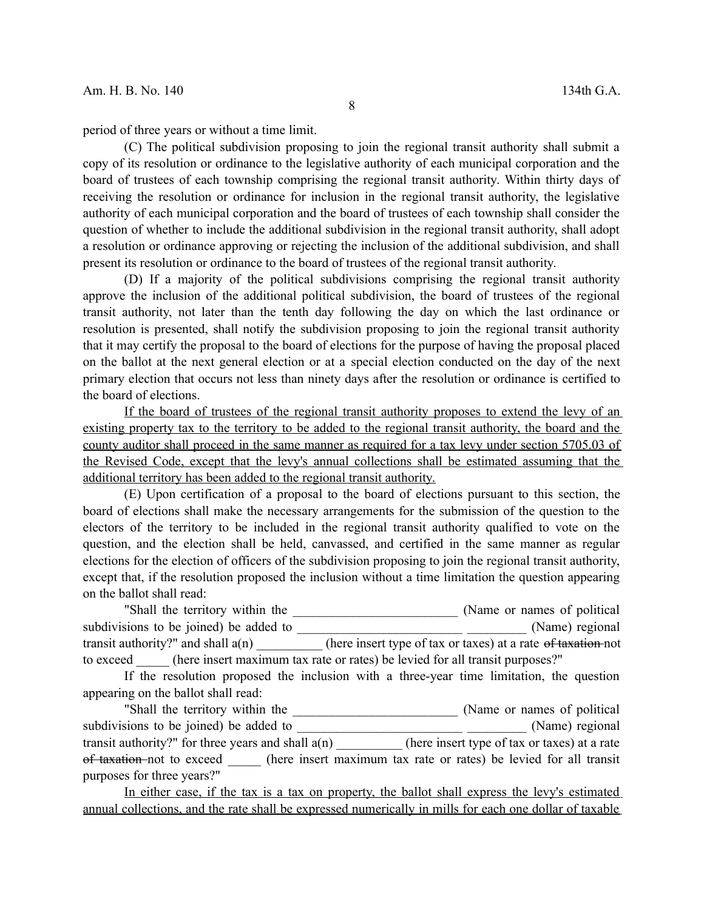period of three years or without a time limit.

(C) The political subdivision proposing to join the regional transit authority shall submit a copy of its resolution or ordinance to the legislative authority of each municipal corporation and the board of trustees of each township comprising the regional transit authority. Within thirty days of receiving the resolution or ordinance for inclusion in the regional transit authority, the legislative authority of each municipal corporation and the board of trustees of each township shall consider the question of whether to include the additional subdivision in the regional transit authority, shall adopt a resolution or ordinance approving or rejecting the inclusion of the additional subdivision, and shall present its resolution or ordinance to the board of trustees of the regional transit authority.

(D) If a majority of the political subdivisions comprising the regional transit authority approve the inclusion of the additional political subdivision, the board of trustees of the regional transit authority, not later than the tenth day following the day on which the last ordinance or resolution is presented, shall notify the subdivision proposing to join the regional transit authority that it may certify the proposal to the board of elections for the purpose of having the proposal placed on the ballot at the next general election or at a special election conducted on the day of the next primary election that occurs not less than ninety days after the resolution or ordinance is certified to the board of elections.

If the board of trustees of the regional transit authority proposes to extend the levy of an existing property tax to the territory to be added to the regional transit authority, the board and the county auditor shall proceed in the same manner as required for a tax levy under section 5705.03 of the Revised Code, except that the levy's annual collections shall be estimated assuming that the additional territory has been added to the regional transit authority.

(E) Upon certification of a proposal to the board of elections pursuant to this section, the board of elections shall make the necessary arrangements for the submission of the question to the electors of the territory to be included in the regional transit authority qualified to vote on the question, and the election shall be held, canvassed, and certified in the same manner as regular elections for the election of officers of the subdivision proposing to join the regional transit authority, except that, if the resolution proposed the inclusion without a time limitation the question appearing on the ballot shall read:

"Shall the territory within the \_\_\_\_\_\_\_\_\_\_\_\_\_\_\_\_\_\_\_\_\_\_\_\_\_\_\_\_\_\_\_\_ (Name or names of political subdivisions to be joined) be added to \_\_\_\_\_\_\_\_\_\_\_\_\_\_\_\_\_\_\_\_\_\_\_\_\_ \_\_\_\_\_\_\_\_\_ (Name) regional transit authority?" and shall a(n) \_\_\_\_\_\_\_\_\_\_ (here insert type of tax or taxes) at a rate of taxation not to exceed (here insert maximum tax rate or rates) be levied for all transit purposes?"

If the resolution proposed the inclusion with a three-year time limitation, the question appearing on the ballot shall read:

"Shall the territory within the \_\_\_\_\_\_\_\_\_\_\_\_\_\_\_\_\_\_\_\_\_\_\_\_\_ (Name or names of political subdivisions to be joined) be added to  $(Name)$  regional transit authority?" for three years and shall a(n) \_\_\_\_\_\_\_\_\_\_ (here insert type of tax or taxes) at a rate of taxation not to exceed (here insert maximum tax rate or rates) be levied for all transit purposes for three years?"

In either case, if the tax is a tax on property, the ballot shall express the levy's estimated annual collections, and the rate shall be expressed numerically in mills for each one dollar of taxable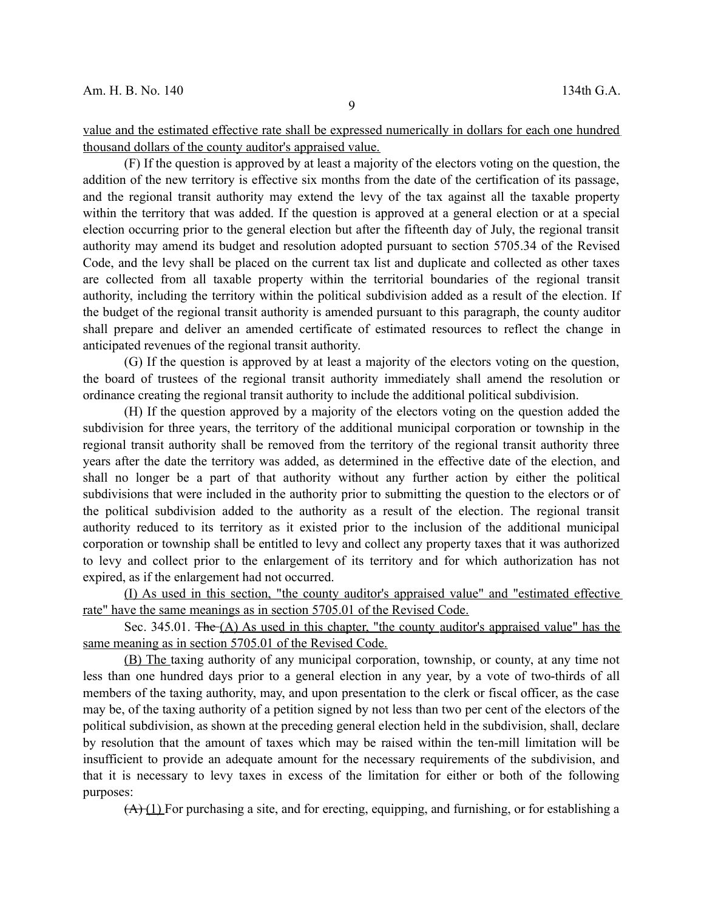value and the estimated effective rate shall be expressed numerically in dollars for each one hundred thousand dollars of the county auditor's appraised value.

(F) If the question is approved by at least a majority of the electors voting on the question, the addition of the new territory is effective six months from the date of the certification of its passage, and the regional transit authority may extend the levy of the tax against all the taxable property within the territory that was added. If the question is approved at a general election or at a special election occurring prior to the general election but after the fifteenth day of July, the regional transit authority may amend its budget and resolution adopted pursuant to section 5705.34 of the Revised Code, and the levy shall be placed on the current tax list and duplicate and collected as other taxes are collected from all taxable property within the territorial boundaries of the regional transit authority, including the territory within the political subdivision added as a result of the election. If the budget of the regional transit authority is amended pursuant to this paragraph, the county auditor shall prepare and deliver an amended certificate of estimated resources to reflect the change in anticipated revenues of the regional transit authority.

(G) If the question is approved by at least a majority of the electors voting on the question, the board of trustees of the regional transit authority immediately shall amend the resolution or ordinance creating the regional transit authority to include the additional political subdivision.

(H) If the question approved by a majority of the electors voting on the question added the subdivision for three years, the territory of the additional municipal corporation or township in the regional transit authority shall be removed from the territory of the regional transit authority three years after the date the territory was added, as determined in the effective date of the election, and shall no longer be a part of that authority without any further action by either the political subdivisions that were included in the authority prior to submitting the question to the electors or of the political subdivision added to the authority as a result of the election. The regional transit authority reduced to its territory as it existed prior to the inclusion of the additional municipal corporation or township shall be entitled to levy and collect any property taxes that it was authorized to levy and collect prior to the enlargement of its territory and for which authorization has not expired, as if the enlargement had not occurred.

(I) As used in this section, "the county auditor's appraised value" and "estimated effective rate" have the same meanings as in section 5705.01 of the Revised Code.

Sec. 345.01. The  $(A)$  As used in this chapter, "the county auditor's appraised value" has the same meaning as in section 5705.01 of the Revised Code.

(B) The taxing authority of any municipal corporation, township, or county, at any time not less than one hundred days prior to a general election in any year, by a vote of two-thirds of all members of the taxing authority, may, and upon presentation to the clerk or fiscal officer, as the case may be, of the taxing authority of a petition signed by not less than two per cent of the electors of the political subdivision, as shown at the preceding general election held in the subdivision, shall, declare by resolution that the amount of taxes which may be raised within the ten-mill limitation will be insufficient to provide an adequate amount for the necessary requirements of the subdivision, and that it is necessary to levy taxes in excess of the limitation for either or both of the following purposes:

 $(A)$  (1) For purchasing a site, and for erecting, equipping, and furnishing, or for establishing a

9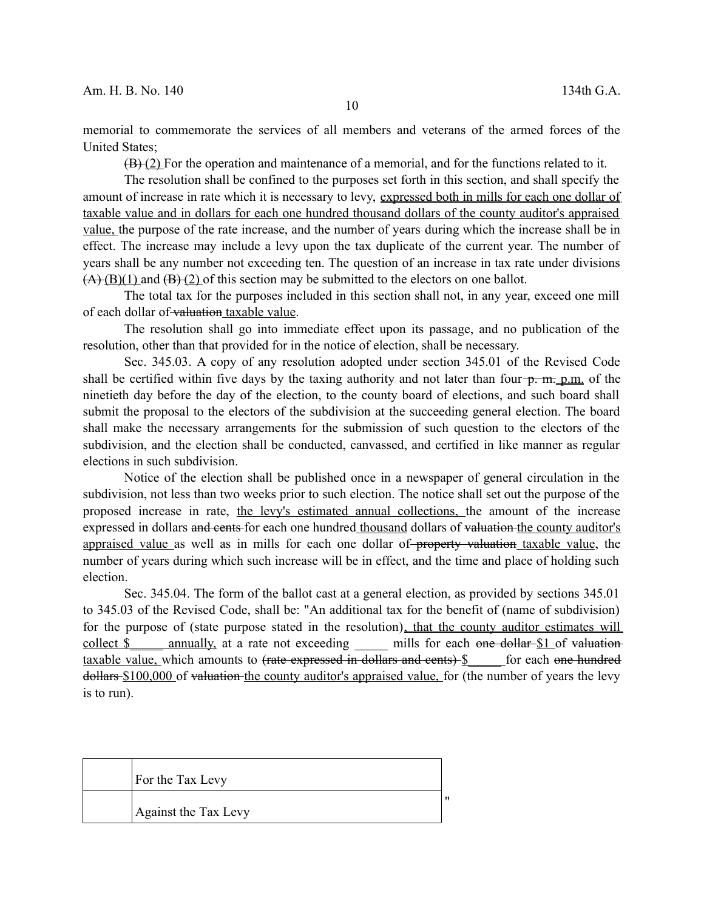memorial to commemorate the services of all members and veterans of the armed forces of the United States;

 $(B)(2)$  For the operation and maintenance of a memorial, and for the functions related to it.

The resolution shall be confined to the purposes set forth in this section, and shall specify the amount of increase in rate which it is necessary to levy, expressed both in mills for each one dollar of taxable value and in dollars for each one hundred thousand dollars of the county auditor's appraised value, the purpose of the rate increase, and the number of years during which the increase shall be in effect. The increase may include a levy upon the tax duplicate of the current year. The number of years shall be any number not exceeding ten. The question of an increase in tax rate under divisions  $(A)(B)(1)$  and  $(B)(2)$  of this section may be submitted to the electors on one ballot.

The total tax for the purposes included in this section shall not, in any year, exceed one mill of each dollar of valuation taxable value.

The resolution shall go into immediate effect upon its passage, and no publication of the resolution, other than that provided for in the notice of election, shall be necessary.

Sec. 345.03. A copy of any resolution adopted under section 345.01 of the Revised Code shall be certified within five days by the taxing authority and not later than four  $\frac{1}{2}$ . m. p.m. of the ninetieth day before the day of the election, to the county board of elections, and such board shall submit the proposal to the electors of the subdivision at the succeeding general election. The board shall make the necessary arrangements for the submission of such question to the electors of the subdivision, and the election shall be conducted, canvassed, and certified in like manner as regular elections in such subdivision.

Notice of the election shall be published once in a newspaper of general circulation in the subdivision, not less than two weeks prior to such election. The notice shall set out the purpose of the proposed increase in rate, the levy's estimated annual collections, the amount of the increase expressed in dollars and cents for each one hundred thousand dollars of valuation the county auditor's appraised value as well as in mills for each one dollar of property valuation taxable value, the number of years during which such increase will be in effect, and the time and place of holding such election.

Sec. 345.04. The form of the ballot cast at a general election, as provided by sections 345.01 to 345.03 of the Revised Code, shall be: "An additional tax for the benefit of (name of subdivision) for the purpose of (state purpose stated in the resolution), that the county auditor estimates will collect \$ annually, at a rate not exceeding mills for each one dollar \$1 of valuation taxable value, which amounts to <del>(rate expressed in dollars and cents)</del> \$ \_\_\_\_ for each <del>one hundred</del> dollars \$100,000 of valuation the county auditor's appraised value, for (the number of years the levy is to run).

| For the Tax Levy     |  |
|----------------------|--|
| Against the Tax Levy |  |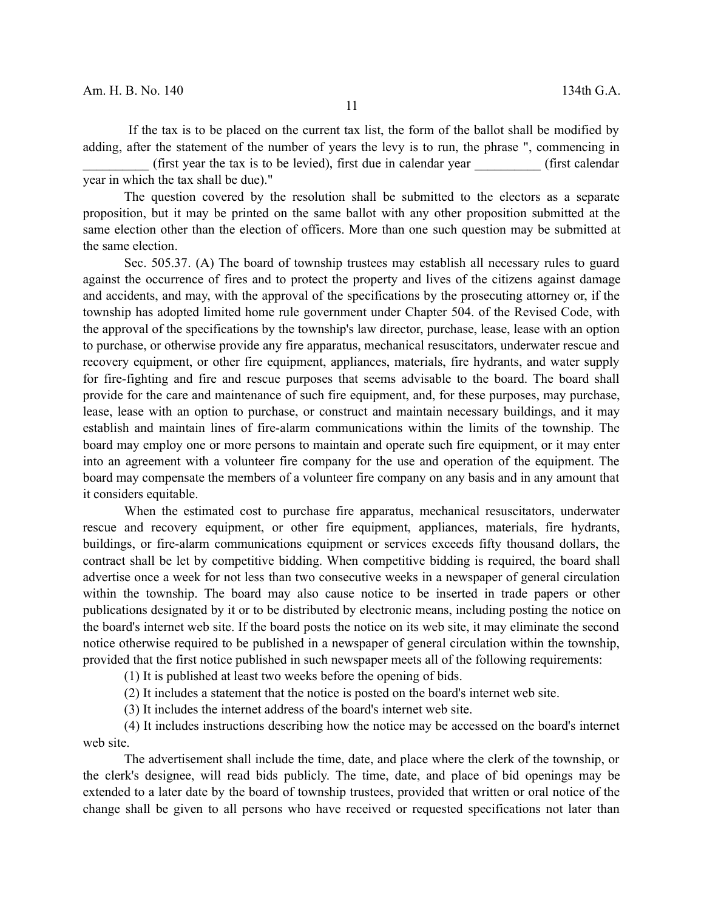If the tax is to be placed on the current tax list, the form of the ballot shall be modified by adding, after the statement of the number of years the levy is to run, the phrase ", commencing in

 $(first \text{ year the tax is to be levied}),$  first due in calendar year  $(first \text{ calendar})$ year in which the tax shall be due)."

The question covered by the resolution shall be submitted to the electors as a separate proposition, but it may be printed on the same ballot with any other proposition submitted at the same election other than the election of officers. More than one such question may be submitted at the same election.

Sec. 505.37. (A) The board of township trustees may establish all necessary rules to guard against the occurrence of fires and to protect the property and lives of the citizens against damage and accidents, and may, with the approval of the specifications by the prosecuting attorney or, if the township has adopted limited home rule government under Chapter 504. of the Revised Code, with the approval of the specifications by the township's law director, purchase, lease, lease with an option to purchase, or otherwise provide any fire apparatus, mechanical resuscitators, underwater rescue and recovery equipment, or other fire equipment, appliances, materials, fire hydrants, and water supply for fire-fighting and fire and rescue purposes that seems advisable to the board. The board shall provide for the care and maintenance of such fire equipment, and, for these purposes, may purchase, lease, lease with an option to purchase, or construct and maintain necessary buildings, and it may establish and maintain lines of fire-alarm communications within the limits of the township. The board may employ one or more persons to maintain and operate such fire equipment, or it may enter into an agreement with a volunteer fire company for the use and operation of the equipment. The board may compensate the members of a volunteer fire company on any basis and in any amount that it considers equitable.

When the estimated cost to purchase fire apparatus, mechanical resuscitators, underwater rescue and recovery equipment, or other fire equipment, appliances, materials, fire hydrants, buildings, or fire-alarm communications equipment or services exceeds fifty thousand dollars, the contract shall be let by competitive bidding. When competitive bidding is required, the board shall advertise once a week for not less than two consecutive weeks in a newspaper of general circulation within the township. The board may also cause notice to be inserted in trade papers or other publications designated by it or to be distributed by electronic means, including posting the notice on the board's internet web site. If the board posts the notice on its web site, it may eliminate the second notice otherwise required to be published in a newspaper of general circulation within the township, provided that the first notice published in such newspaper meets all of the following requirements:

(1) It is published at least two weeks before the opening of bids.

(2) It includes a statement that the notice is posted on the board's internet web site.

(3) It includes the internet address of the board's internet web site.

(4) It includes instructions describing how the notice may be accessed on the board's internet web site.

The advertisement shall include the time, date, and place where the clerk of the township, or the clerk's designee, will read bids publicly. The time, date, and place of bid openings may be extended to a later date by the board of township trustees, provided that written or oral notice of the change shall be given to all persons who have received or requested specifications not later than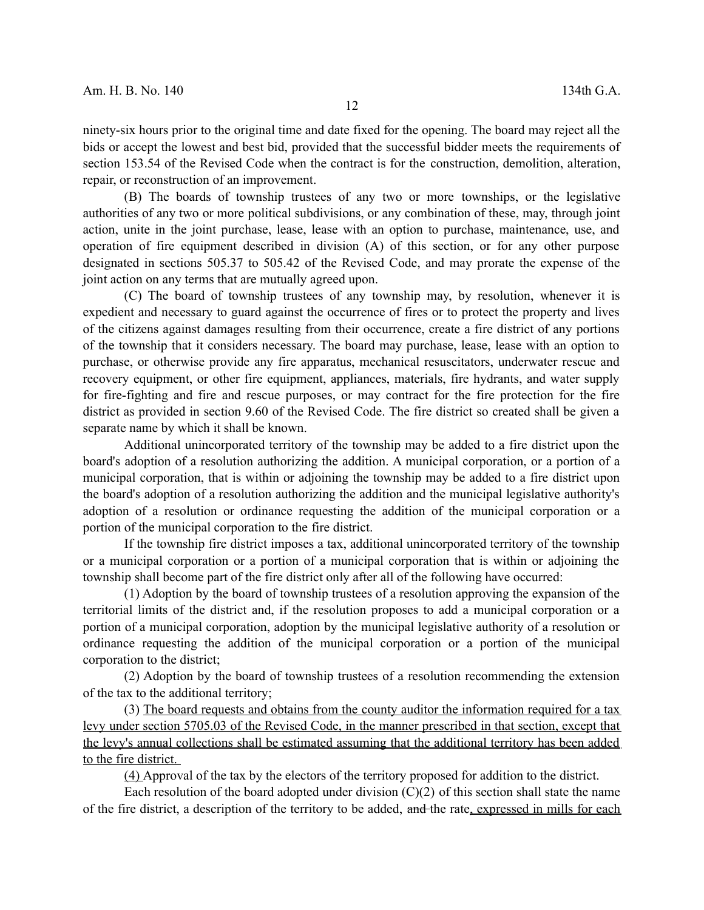ninety-six hours prior to the original time and date fixed for the opening. The board may reject all the bids or accept the lowest and best bid, provided that the successful bidder meets the requirements of section 153.54 of the Revised Code when the contract is for the construction, demolition, alteration, repair, or reconstruction of an improvement.

(B) The boards of township trustees of any two or more townships, or the legislative authorities of any two or more political subdivisions, or any combination of these, may, through joint action, unite in the joint purchase, lease, lease with an option to purchase, maintenance, use, and operation of fire equipment described in division (A) of this section, or for any other purpose designated in sections 505.37 to 505.42 of the Revised Code, and may prorate the expense of the joint action on any terms that are mutually agreed upon.

(C) The board of township trustees of any township may, by resolution, whenever it is expedient and necessary to guard against the occurrence of fires or to protect the property and lives of the citizens against damages resulting from their occurrence, create a fire district of any portions of the township that it considers necessary. The board may purchase, lease, lease with an option to purchase, or otherwise provide any fire apparatus, mechanical resuscitators, underwater rescue and recovery equipment, or other fire equipment, appliances, materials, fire hydrants, and water supply for fire-fighting and fire and rescue purposes, or may contract for the fire protection for the fire district as provided in section 9.60 of the Revised Code. The fire district so created shall be given a separate name by which it shall be known.

Additional unincorporated territory of the township may be added to a fire district upon the board's adoption of a resolution authorizing the addition. A municipal corporation, or a portion of a municipal corporation, that is within or adjoining the township may be added to a fire district upon the board's adoption of a resolution authorizing the addition and the municipal legislative authority's adoption of a resolution or ordinance requesting the addition of the municipal corporation or a portion of the municipal corporation to the fire district.

If the township fire district imposes a tax, additional unincorporated territory of the township or a municipal corporation or a portion of a municipal corporation that is within or adjoining the township shall become part of the fire district only after all of the following have occurred:

(1) Adoption by the board of township trustees of a resolution approving the expansion of the territorial limits of the district and, if the resolution proposes to add a municipal corporation or a portion of a municipal corporation, adoption by the municipal legislative authority of a resolution or ordinance requesting the addition of the municipal corporation or a portion of the municipal corporation to the district;

(2) Adoption by the board of township trustees of a resolution recommending the extension of the tax to the additional territory;

(3) The board requests and obtains from the county auditor the information required for a tax levy under section 5705.03 of the Revised Code, in the manner prescribed in that section, except that the levy's annual collections shall be estimated assuming that the additional territory has been added to the fire district.

(4) Approval of the tax by the electors of the territory proposed for addition to the district.

Each resolution of the board adopted under division  $(C)(2)$  of this section shall state the name of the fire district, a description of the territory to be added, and the rate, expressed in mills for each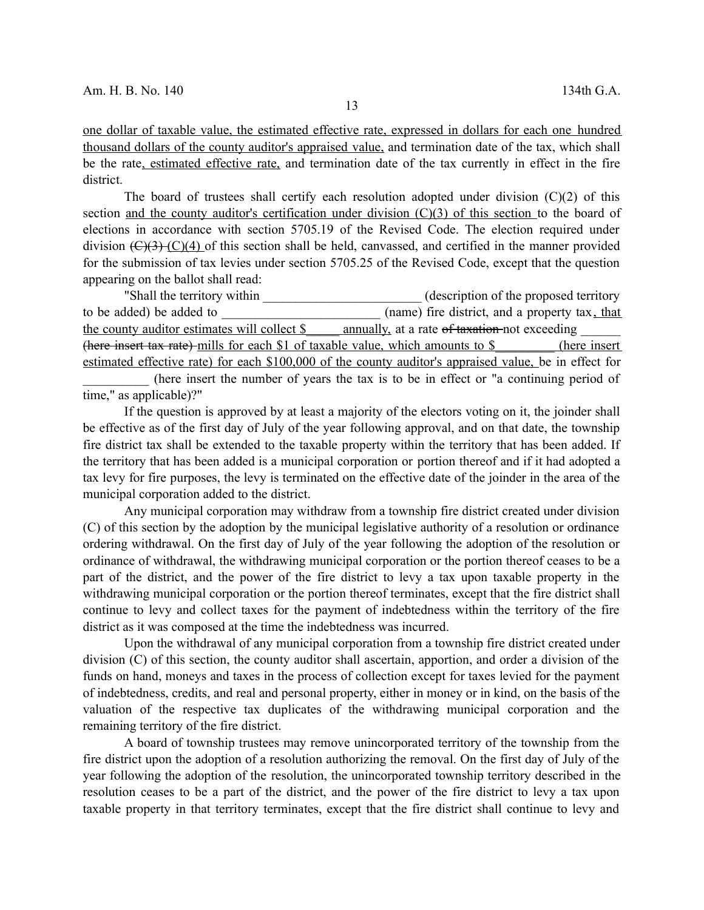one dollar of taxable value, the estimated effective rate, expressed in dollars for each one hundred thousand dollars of the county auditor's appraised value, and termination date of the tax, which shall be the rate, estimated effective rate, and termination date of the tax currently in effect in the fire district.

The board of trustees shall certify each resolution adopted under division  $(C)(2)$  of this section and the county auditor's certification under division (C)(3) of this section to the board of elections in accordance with section 5705.19 of the Revised Code. The election required under division  $(\mathcal{C})(3)$  (C)(4) of this section shall be held, canvassed, and certified in the manner provided for the submission of tax levies under section 5705.25 of the Revised Code, except that the question appearing on the ballot shall read:

"Shall the territory within (description of the proposed territory to be added) be added to  $(name)$  fire district, and a property tax, that the county auditor estimates will collect \$ \_\_\_\_ annually, at a rate of taxation not exceeding (here insert tax rate) mills for each \$1 of taxable value, which amounts to \$\_\_\_\_\_\_\_\_\_ (here insert estimated effective rate) for each \$100,000 of the county auditor's appraised value, be in effect for

(here insert the number of years the tax is to be in effect or "a continuing period of time," as applicable)?"

If the question is approved by at least a majority of the electors voting on it, the joinder shall be effective as of the first day of July of the year following approval, and on that date, the township fire district tax shall be extended to the taxable property within the territory that has been added. If the territory that has been added is a municipal corporation or portion thereof and if it had adopted a tax levy for fire purposes, the levy is terminated on the effective date of the joinder in the area of the municipal corporation added to the district.

Any municipal corporation may withdraw from a township fire district created under division (C) of this section by the adoption by the municipal legislative authority of a resolution or ordinance ordering withdrawal. On the first day of July of the year following the adoption of the resolution or ordinance of withdrawal, the withdrawing municipal corporation or the portion thereof ceases to be a part of the district, and the power of the fire district to levy a tax upon taxable property in the withdrawing municipal corporation or the portion thereof terminates, except that the fire district shall continue to levy and collect taxes for the payment of indebtedness within the territory of the fire district as it was composed at the time the indebtedness was incurred.

Upon the withdrawal of any municipal corporation from a township fire district created under division (C) of this section, the county auditor shall ascertain, apportion, and order a division of the funds on hand, moneys and taxes in the process of collection except for taxes levied for the payment of indebtedness, credits, and real and personal property, either in money or in kind, on the basis of the valuation of the respective tax duplicates of the withdrawing municipal corporation and the remaining territory of the fire district.

A board of township trustees may remove unincorporated territory of the township from the fire district upon the adoption of a resolution authorizing the removal. On the first day of July of the year following the adoption of the resolution, the unincorporated township territory described in the resolution ceases to be a part of the district, and the power of the fire district to levy a tax upon taxable property in that territory terminates, except that the fire district shall continue to levy and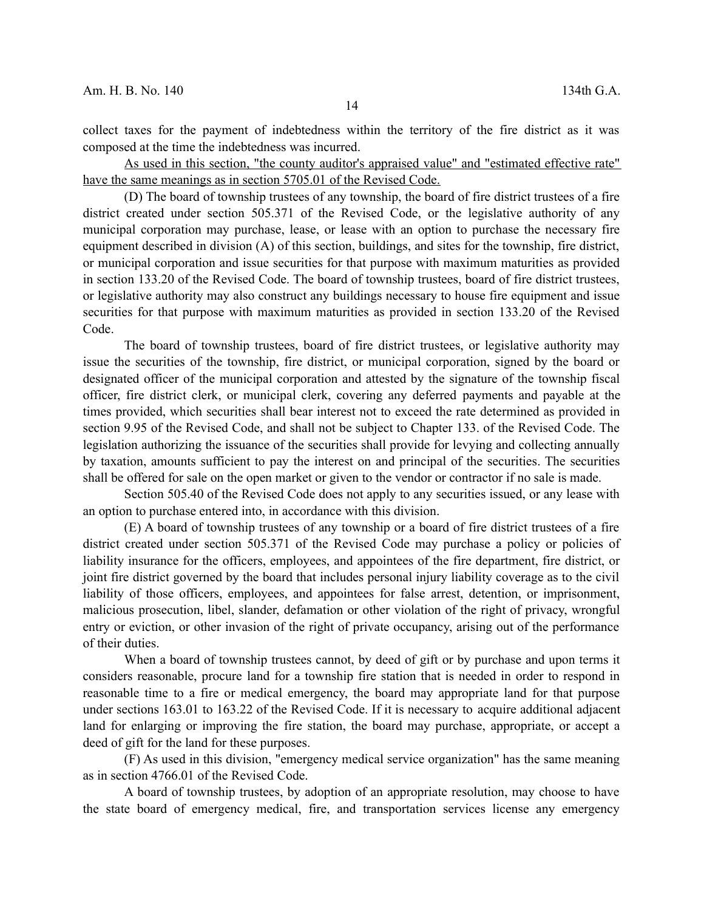collect taxes for the payment of indebtedness within the territory of the fire district as it was composed at the time the indebtedness was incurred.

As used in this section, "the county auditor's appraised value" and "estimated effective rate" have the same meanings as in section 5705.01 of the Revised Code.

(D) The board of township trustees of any township, the board of fire district trustees of a fire district created under section 505.371 of the Revised Code, or the legislative authority of any municipal corporation may purchase, lease, or lease with an option to purchase the necessary fire equipment described in division (A) of this section, buildings, and sites for the township, fire district, or municipal corporation and issue securities for that purpose with maximum maturities as provided in section 133.20 of the Revised Code. The board of township trustees, board of fire district trustees, or legislative authority may also construct any buildings necessary to house fire equipment and issue securities for that purpose with maximum maturities as provided in section 133.20 of the Revised Code.

The board of township trustees, board of fire district trustees, or legislative authority may issue the securities of the township, fire district, or municipal corporation, signed by the board or designated officer of the municipal corporation and attested by the signature of the township fiscal officer, fire district clerk, or municipal clerk, covering any deferred payments and payable at the times provided, which securities shall bear interest not to exceed the rate determined as provided in section 9.95 of the Revised Code, and shall not be subject to Chapter 133. of the Revised Code. The legislation authorizing the issuance of the securities shall provide for levying and collecting annually by taxation, amounts sufficient to pay the interest on and principal of the securities. The securities shall be offered for sale on the open market or given to the vendor or contractor if no sale is made.

Section 505.40 of the Revised Code does not apply to any securities issued, or any lease with an option to purchase entered into, in accordance with this division.

(E) A board of township trustees of any township or a board of fire district trustees of a fire district created under section 505.371 of the Revised Code may purchase a policy or policies of liability insurance for the officers, employees, and appointees of the fire department, fire district, or joint fire district governed by the board that includes personal injury liability coverage as to the civil liability of those officers, employees, and appointees for false arrest, detention, or imprisonment, malicious prosecution, libel, slander, defamation or other violation of the right of privacy, wrongful entry or eviction, or other invasion of the right of private occupancy, arising out of the performance of their duties.

When a board of township trustees cannot, by deed of gift or by purchase and upon terms it considers reasonable, procure land for a township fire station that is needed in order to respond in reasonable time to a fire or medical emergency, the board may appropriate land for that purpose under sections 163.01 to 163.22 of the Revised Code. If it is necessary to acquire additional adjacent land for enlarging or improving the fire station, the board may purchase, appropriate, or accept a deed of gift for the land for these purposes.

(F) As used in this division, "emergency medical service organization" has the same meaning as in section 4766.01 of the Revised Code.

A board of township trustees, by adoption of an appropriate resolution, may choose to have the state board of emergency medical, fire, and transportation services license any emergency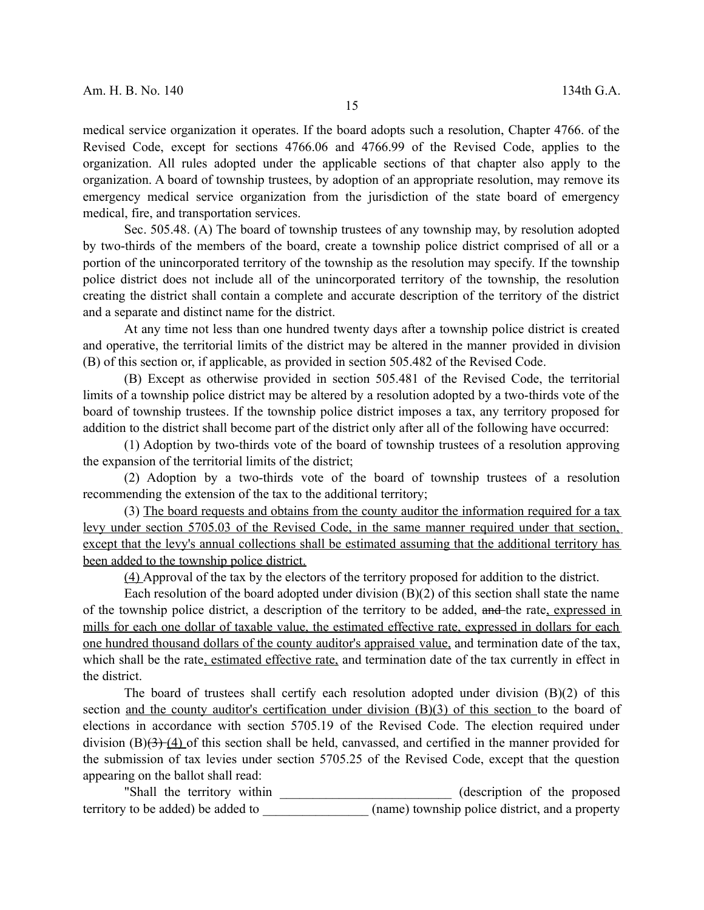medical service organization it operates. If the board adopts such a resolution, Chapter 4766. of the Revised Code, except for sections 4766.06 and 4766.99 of the Revised Code, applies to the organization. All rules adopted under the applicable sections of that chapter also apply to the organization. A board of township trustees, by adoption of an appropriate resolution, may remove its emergency medical service organization from the jurisdiction of the state board of emergency medical, fire, and transportation services.

Sec. 505.48. (A) The board of township trustees of any township may, by resolution adopted by two-thirds of the members of the board, create a township police district comprised of all or a portion of the unincorporated territory of the township as the resolution may specify. If the township police district does not include all of the unincorporated territory of the township, the resolution creating the district shall contain a complete and accurate description of the territory of the district and a separate and distinct name for the district.

At any time not less than one hundred twenty days after a township police district is created and operative, the territorial limits of the district may be altered in the manner provided in division (B) of this section or, if applicable, as provided in section 505.482 of the Revised Code.

(B) Except as otherwise provided in section 505.481 of the Revised Code, the territorial limits of a township police district may be altered by a resolution adopted by a two-thirds vote of the board of township trustees. If the township police district imposes a tax, any territory proposed for addition to the district shall become part of the district only after all of the following have occurred:

(1) Adoption by two-thirds vote of the board of township trustees of a resolution approving the expansion of the territorial limits of the district;

(2) Adoption by a two-thirds vote of the board of township trustees of a resolution recommending the extension of the tax to the additional territory;

(3) The board requests and obtains from the county auditor the information required for a tax levy under section 5705.03 of the Revised Code, in the same manner required under that section, except that the levy's annual collections shall be estimated assuming that the additional territory has been added to the township police district.

(4) Approval of the tax by the electors of the territory proposed for addition to the district.

Each resolution of the board adopted under division (B)(2) of this section shall state the name of the township police district, a description of the territory to be added, and the rate, expressed in mills for each one dollar of taxable value, the estimated effective rate, expressed in dollars for each one hundred thousand dollars of the county auditor's appraised value, and termination date of the tax, which shall be the rate, estimated effective rate, and termination date of the tax currently in effect in the district.

The board of trustees shall certify each resolution adopted under division (B)(2) of this section and the county auditor's certification under division (B)(3) of this section to the board of elections in accordance with section 5705.19 of the Revised Code. The election required under division  $(B)(3)$  (4) of this section shall be held, canvassed, and certified in the manner provided for the submission of tax levies under section 5705.25 of the Revised Code, except that the question appearing on the ballot shall read:

"Shall the territory within \_\_\_\_\_\_\_\_\_\_\_\_\_\_\_\_\_\_\_\_\_\_\_\_\_\_ (description of the proposed territory to be added) be added to  $(name)$  (name) township police district, and a property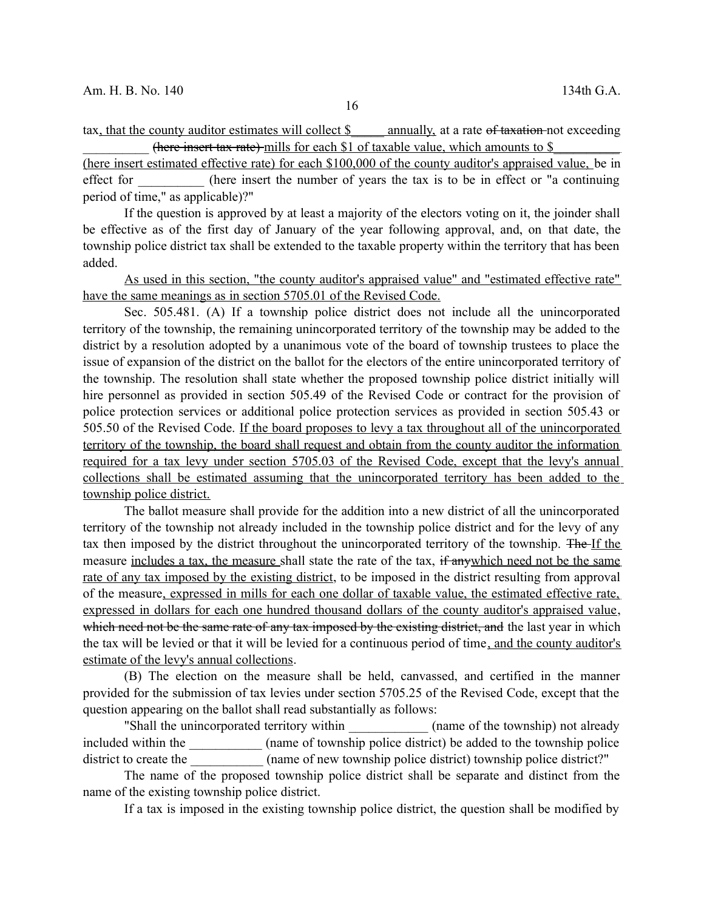tax, that the county auditor estimates will collect \$ annually, at a rate of taxation not exceeding (here insert tax rate) mills for each \$1 of taxable value, which amounts to \$

(here insert estimated effective rate) for each \$100,000 of the county auditor's appraised value, be in effect for (here insert the number of years the tax is to be in effect or "a continuing period of time," as applicable)?"

If the question is approved by at least a majority of the electors voting on it, the joinder shall be effective as of the first day of January of the year following approval, and, on that date, the township police district tax shall be extended to the taxable property within the territory that has been added.

As used in this section, "the county auditor's appraised value" and "estimated effective rate" have the same meanings as in section 5705.01 of the Revised Code.

Sec. 505.481. (A) If a township police district does not include all the unincorporated territory of the township, the remaining unincorporated territory of the township may be added to the district by a resolution adopted by a unanimous vote of the board of township trustees to place the issue of expansion of the district on the ballot for the electors of the entire unincorporated territory of the township. The resolution shall state whether the proposed township police district initially will hire personnel as provided in section 505.49 of the Revised Code or contract for the provision of police protection services or additional police protection services as provided in section 505.43 or 505.50 of the Revised Code. If the board proposes to levy a tax throughout all of the unincorporated territory of the township, the board shall request and obtain from the county auditor the information required for a tax levy under section 5705.03 of the Revised Code, except that the levy's annual collections shall be estimated assuming that the unincorporated territory has been added to the township police district.

The ballot measure shall provide for the addition into a new district of all the unincorporated territory of the township not already included in the township police district and for the levy of any tax then imposed by the district throughout the unincorporated territory of the township. The If the measure includes a tax, the measure shall state the rate of the tax, if anywhich need not be the same rate of any tax imposed by the existing district, to be imposed in the district resulting from approval of the measure, expressed in mills for each one dollar of taxable value, the estimated effective rate, expressed in dollars for each one hundred thousand dollars of the county auditor's appraised value, which need not be the same rate of any tax imposed by the existing district, and the last year in which the tax will be levied or that it will be levied for a continuous period of time, and the county auditor's estimate of the levy's annual collections.

(B) The election on the measure shall be held, canvassed, and certified in the manner provided for the submission of tax levies under section 5705.25 of the Revised Code, except that the question appearing on the ballot shall read substantially as follows:

"Shall the unincorporated territory within (name of the township) not already included within the  $($ name of township police district) be added to the township police district to create the  $\qquad \qquad$  (name of new township police district) township police district?"

The name of the proposed township police district shall be separate and distinct from the name of the existing township police district.

If a tax is imposed in the existing township police district, the question shall be modified by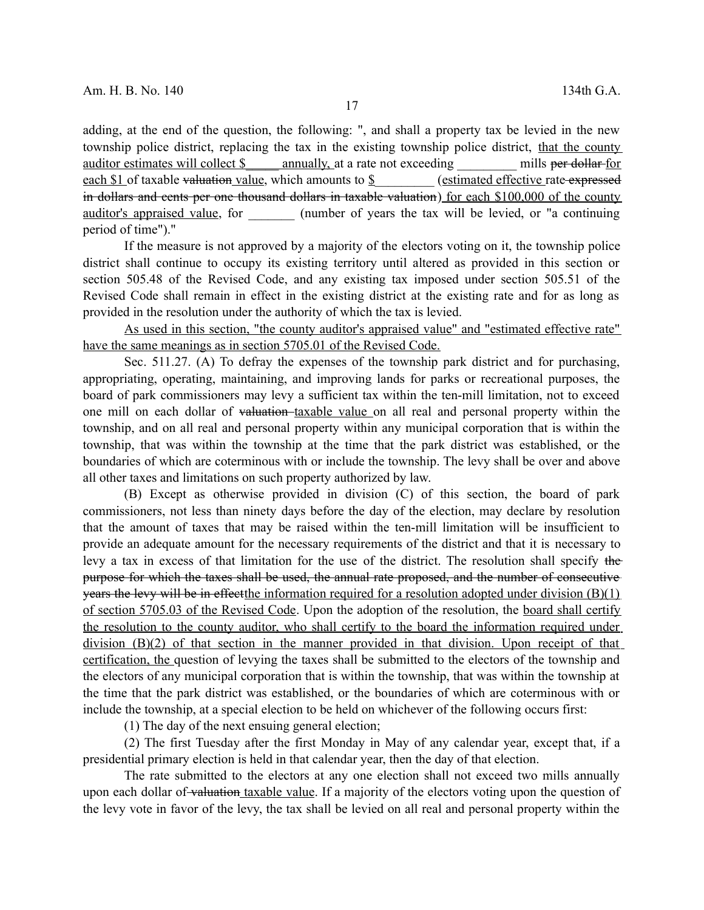adding, at the end of the question, the following: ", and shall a property tax be levied in the new township police district, replacing the tax in the existing township police district, that the county auditor estimates will collect \$ annually, at a rate not exceeding mills per dollar for each \$1 of taxable valuation value, which amounts to \$  $(estimated effective rate -*expressed*)$ in dollars and cents per one thousand dollars in taxable valuation) for each \$100,000 of the county auditor's appraised value, for (number of years the tax will be levied, or "a continuing period of time")."

If the measure is not approved by a majority of the electors voting on it, the township police district shall continue to occupy its existing territory until altered as provided in this section or section 505.48 of the Revised Code, and any existing tax imposed under section 505.51 of the Revised Code shall remain in effect in the existing district at the existing rate and for as long as provided in the resolution under the authority of which the tax is levied.

As used in this section, "the county auditor's appraised value" and "estimated effective rate" have the same meanings as in section 5705.01 of the Revised Code.

Sec. 511.27. (A) To defray the expenses of the township park district and for purchasing, appropriating, operating, maintaining, and improving lands for parks or recreational purposes, the board of park commissioners may levy a sufficient tax within the ten-mill limitation, not to exceed one mill on each dollar of valuation-taxable value on all real and personal property within the township, and on all real and personal property within any municipal corporation that is within the township, that was within the township at the time that the park district was established, or the boundaries of which are coterminous with or include the township. The levy shall be over and above all other taxes and limitations on such property authorized by law.

(B) Except as otherwise provided in division (C) of this section, the board of park commissioners, not less than ninety days before the day of the election, may declare by resolution that the amount of taxes that may be raised within the ten-mill limitation will be insufficient to provide an adequate amount for the necessary requirements of the district and that it is necessary to levy a tax in excess of that limitation for the use of the district. The resolution shall specify the purpose for which the taxes shall be used, the annual rate proposed, and the number of consecutive years the levy will be in effect the information required for a resolution adopted under division (B)(1) of section 5705.03 of the Revised Code. Upon the adoption of the resolution, the board shall certify the resolution to the county auditor, who shall certify to the board the information required under division (B)(2) of that section in the manner provided in that division. Upon receipt of that certification, the question of levying the taxes shall be submitted to the electors of the township and the electors of any municipal corporation that is within the township, that was within the township at the time that the park district was established, or the boundaries of which are coterminous with or include the township, at a special election to be held on whichever of the following occurs first:

(1) The day of the next ensuing general election;

(2) The first Tuesday after the first Monday in May of any calendar year, except that, if a presidential primary election is held in that calendar year, then the day of that election.

The rate submitted to the electors at any one election shall not exceed two mills annually upon each dollar of valuation taxable value. If a majority of the electors voting upon the question of the levy vote in favor of the levy, the tax shall be levied on all real and personal property within the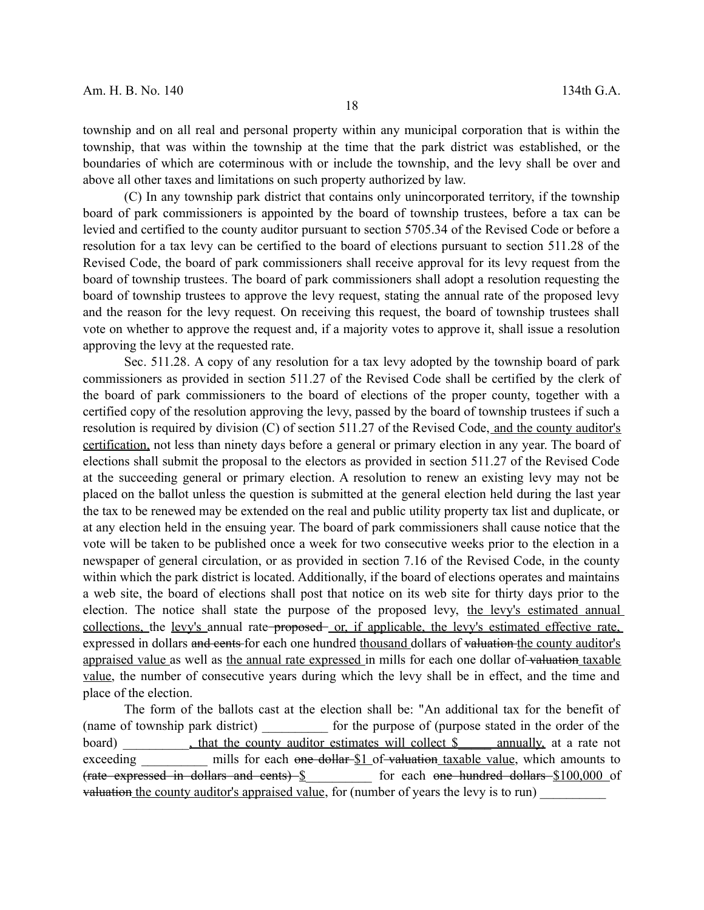township and on all real and personal property within any municipal corporation that is within the township, that was within the township at the time that the park district was established, or the boundaries of which are coterminous with or include the township, and the levy shall be over and above all other taxes and limitations on such property authorized by law.

(C) In any township park district that contains only unincorporated territory, if the township board of park commissioners is appointed by the board of township trustees, before a tax can be levied and certified to the county auditor pursuant to section 5705.34 of the Revised Code or before a resolution for a tax levy can be certified to the board of elections pursuant to section 511.28 of the Revised Code, the board of park commissioners shall receive approval for its levy request from the board of township trustees. The board of park commissioners shall adopt a resolution requesting the board of township trustees to approve the levy request, stating the annual rate of the proposed levy and the reason for the levy request. On receiving this request, the board of township trustees shall vote on whether to approve the request and, if a majority votes to approve it, shall issue a resolution approving the levy at the requested rate.

Sec. 511.28. A copy of any resolution for a tax levy adopted by the township board of park commissioners as provided in section 511.27 of the Revised Code shall be certified by the clerk of the board of park commissioners to the board of elections of the proper county, together with a certified copy of the resolution approving the levy, passed by the board of township trustees if such a resolution is required by division (C) of section 511.27 of the Revised Code, and the county auditor's certification, not less than ninety days before a general or primary election in any year. The board of elections shall submit the proposal to the electors as provided in section 511.27 of the Revised Code at the succeeding general or primary election. A resolution to renew an existing levy may not be placed on the ballot unless the question is submitted at the general election held during the last year the tax to be renewed may be extended on the real and public utility property tax list and duplicate, or at any election held in the ensuing year. The board of park commissioners shall cause notice that the vote will be taken to be published once a week for two consecutive weeks prior to the election in a newspaper of general circulation, or as provided in section 7.16 of the Revised Code, in the county within which the park district is located. Additionally, if the board of elections operates and maintains a web site, the board of elections shall post that notice on its web site for thirty days prior to the election. The notice shall state the purpose of the proposed levy, the levy's estimated annual collections, the levy's annual rate proposed or, if applicable, the levy's estimated effective rate, expressed in dollars and cents for each one hundred thousand dollars of valuation the county auditor's appraised value as well as the annual rate expressed in mills for each one dollar of valuation taxable value, the number of consecutive years during which the levy shall be in effect, and the time and place of the election.

The form of the ballots cast at the election shall be: "An additional tax for the benefit of (name of township park district) \_\_\_\_\_\_\_\_\_\_ for the purpose of (purpose stated in the order of the board) that the county auditor estimates will collect \$ annually, at a rate not exceeding mills for each one dollar \$1 of valuation taxable value, which amounts to (rate expressed in dollars and cents) \  $\sim$  for each one hundred dollars \$100,000 of valuation the county auditor's appraised value, for (number of years the levy is to run)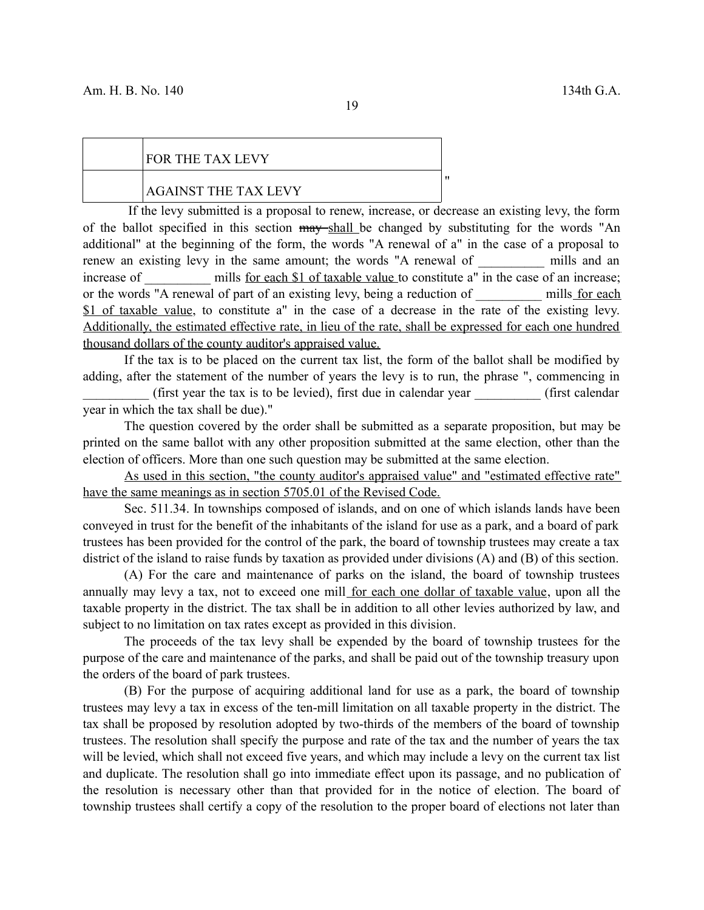## FOR THE TAX LEVY

#### AGAINST THE TAX LEVY

If the levy submitted is a proposal to renew, increase, or decrease an existing levy, the form of the ballot specified in this section may shall be changed by substituting for the words "An additional" at the beginning of the form, the words "A renewal of a" in the case of a proposal to renew an existing levy in the same amount; the words "A renewal of \_\_\_\_\_\_\_ mills and an increase of mills for each \$1 of taxable value to constitute a" in the case of an increase; or the words "A renewal of part of an existing levy, being a reduction of mills for each \$1 of taxable value, to constitute a" in the case of a decrease in the rate of the existing levy. Additionally, the estimated effective rate, in lieu of the rate, shall be expressed for each one hundred thousand dollars of the county auditor's appraised value.

If the tax is to be placed on the current tax list, the form of the ballot shall be modified by adding, after the statement of the number of years the levy is to run, the phrase ", commencing in

 $(first \text{ year the tax is to be levied})$ , first due in calendar year  $(first \text{ calendar})$ year in which the tax shall be due)."

The question covered by the order shall be submitted as a separate proposition, but may be printed on the same ballot with any other proposition submitted at the same election, other than the election of officers. More than one such question may be submitted at the same election.

As used in this section, "the county auditor's appraised value" and "estimated effective rate" have the same meanings as in section 5705.01 of the Revised Code.

Sec. 511.34. In townships composed of islands, and on one of which islands lands have been conveyed in trust for the benefit of the inhabitants of the island for use as a park, and a board of park trustees has been provided for the control of the park, the board of township trustees may create a tax district of the island to raise funds by taxation as provided under divisions (A) and (B) of this section.

(A) For the care and maintenance of parks on the island, the board of township trustees annually may levy a tax, not to exceed one mill for each one dollar of taxable value, upon all the taxable property in the district. The tax shall be in addition to all other levies authorized by law, and subject to no limitation on tax rates except as provided in this division.

The proceeds of the tax levy shall be expended by the board of township trustees for the purpose of the care and maintenance of the parks, and shall be paid out of the township treasury upon the orders of the board of park trustees.

(B) For the purpose of acquiring additional land for use as a park, the board of township trustees may levy a tax in excess of the ten-mill limitation on all taxable property in the district. The tax shall be proposed by resolution adopted by two-thirds of the members of the board of township trustees. The resolution shall specify the purpose and rate of the tax and the number of years the tax will be levied, which shall not exceed five years, and which may include a levy on the current tax list and duplicate. The resolution shall go into immediate effect upon its passage, and no publication of the resolution is necessary other than that provided for in the notice of election. The board of township trustees shall certify a copy of the resolution to the proper board of elections not later than

"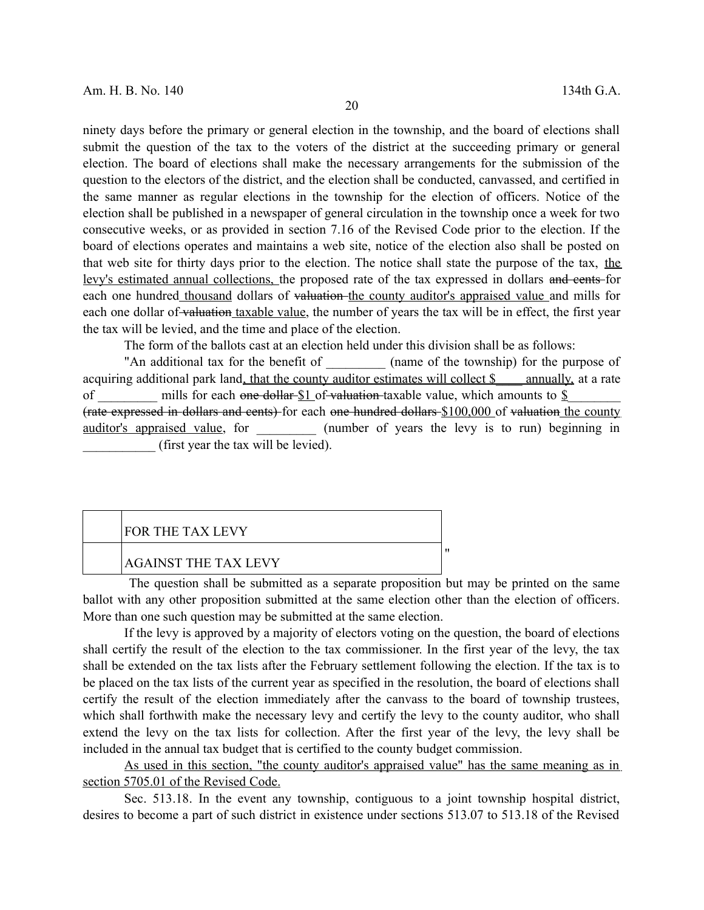ninety days before the primary or general election in the township, and the board of elections shall submit the question of the tax to the voters of the district at the succeeding primary or general election. The board of elections shall make the necessary arrangements for the submission of the question to the electors of the district, and the election shall be conducted, canvassed, and certified in the same manner as regular elections in the township for the election of officers. Notice of the election shall be published in a newspaper of general circulation in the township once a week for two consecutive weeks, or as provided in section 7.16 of the Revised Code prior to the election. If the board of elections operates and maintains a web site, notice of the election also shall be posted on that web site for thirty days prior to the election. The notice shall state the purpose of the tax, the levy's estimated annual collections, the proposed rate of the tax expressed in dollars and cents for each one hundred thousand dollars of valuation the county auditor's appraised value and mills for each one dollar of valuation taxable value, the number of years the tax will be in effect, the first year the tax will be levied, and the time and place of the election.

The form of the ballots cast at an election held under this division shall be as follows:

"An additional tax for the benefit of  $\qquad$  (name of the township) for the purpose of acquiring additional park land, that the county auditor estimates will collect \$ \_\_\_ annually, at a rate of mills for each one dollar  $$1$  of valuation taxable value, which amounts to  $$$ (rate expressed in dollars and cents) for each one hundred dollars \$100,000 of valuation the county auditor's appraised value, for  $(number of years the levy is to run) beginning in$ \_\_\_\_\_\_\_\_\_\_\_ (first year the tax will be levied).

| FOR THE TAX LEVY     |  |
|----------------------|--|
| AGAINST THE TAX LEVY |  |

The question shall be submitted as a separate proposition but may be printed on the same ballot with any other proposition submitted at the same election other than the election of officers. More than one such question may be submitted at the same election.

If the levy is approved by a majority of electors voting on the question, the board of elections shall certify the result of the election to the tax commissioner. In the first year of the levy, the tax shall be extended on the tax lists after the February settlement following the election. If the tax is to be placed on the tax lists of the current year as specified in the resolution, the board of elections shall certify the result of the election immediately after the canvass to the board of township trustees, which shall forthwith make the necessary levy and certify the levy to the county auditor, who shall extend the levy on the tax lists for collection. After the first year of the levy, the levy shall be included in the annual tax budget that is certified to the county budget commission.

As used in this section, "the county auditor's appraised value" has the same meaning as in section 5705.01 of the Revised Code.

Sec. 513.18. In the event any township, contiguous to a joint township hospital district, desires to become a part of such district in existence under sections 513.07 to 513.18 of the Revised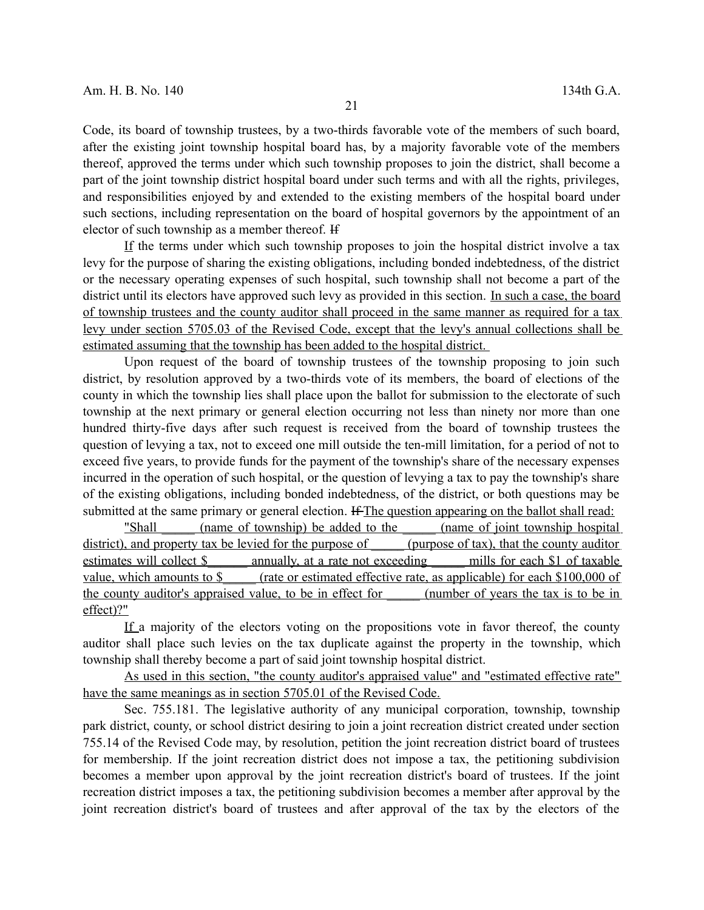Code, its board of township trustees, by a two-thirds favorable vote of the members of such board, after the existing joint township hospital board has, by a majority favorable vote of the members thereof, approved the terms under which such township proposes to join the district, shall become a part of the joint township district hospital board under such terms and with all the rights, privileges, and responsibilities enjoyed by and extended to the existing members of the hospital board under such sections, including representation on the board of hospital governors by the appointment of an elector of such township as a member thereof. If

If the terms under which such township proposes to join the hospital district involve a tax levy for the purpose of sharing the existing obligations, including bonded indebtedness, of the district or the necessary operating expenses of such hospital, such township shall not become a part of the district until its electors have approved such levy as provided in this section. In such a case, the board of township trustees and the county auditor shall proceed in the same manner as required for a tax levy under section 5705.03 of the Revised Code, except that the levy's annual collections shall be estimated assuming that the township has been added to the hospital district.

Upon request of the board of township trustees of the township proposing to join such district, by resolution approved by a two-thirds vote of its members, the board of elections of the county in which the township lies shall place upon the ballot for submission to the electorate of such township at the next primary or general election occurring not less than ninety nor more than one hundred thirty-five days after such request is received from the board of township trustees the question of levying a tax, not to exceed one mill outside the ten-mill limitation, for a period of not to exceed five years, to provide funds for the payment of the township's share of the necessary expenses incurred in the operation of such hospital, or the question of levying a tax to pay the township's share of the existing obligations, including bonded indebtedness, of the district, or both questions may be submitted at the same primary or general election. If The question appearing on the ballot shall read:

"Shall (name of township) be added to the (name of joint township hospital district), and property tax be levied for the purpose of  $\Box$  (purpose of tax), that the county auditor estimates will collect \$ annually, at a rate not exceeding mills for each \$1 of taxable value, which amounts to \$ (rate or estimated effective rate, as applicable) for each \$100,000 of the county auditor's appraised value, to be in effect for (number of years the tax is to be in effect)?"

If a majority of the electors voting on the propositions vote in favor thereof, the county auditor shall place such levies on the tax duplicate against the property in the township, which township shall thereby become a part of said joint township hospital district.

As used in this section, "the county auditor's appraised value" and "estimated effective rate" have the same meanings as in section 5705.01 of the Revised Code.

Sec. 755.181. The legislative authority of any municipal corporation, township, township park district, county, or school district desiring to join a joint recreation district created under section 755.14 of the Revised Code may, by resolution, petition the joint recreation district board of trustees for membership. If the joint recreation district does not impose a tax, the petitioning subdivision becomes a member upon approval by the joint recreation district's board of trustees. If the joint recreation district imposes a tax, the petitioning subdivision becomes a member after approval by the joint recreation district's board of trustees and after approval of the tax by the electors of the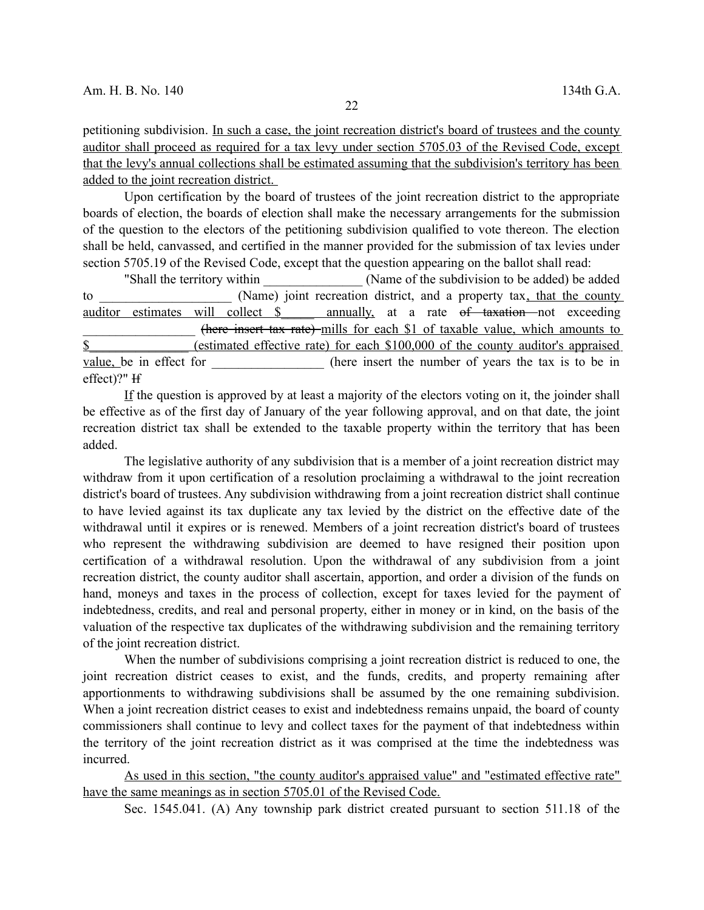petitioning subdivision. In such a case, the joint recreation district's board of trustees and the county auditor shall proceed as required for a tax levy under section 5705.03 of the Revised Code, except that the levy's annual collections shall be estimated assuming that the subdivision's territory has been added to the joint recreation district.

Upon certification by the board of trustees of the joint recreation district to the appropriate boards of election, the boards of election shall make the necessary arrangements for the submission of the question to the electors of the petitioning subdivision qualified to vote thereon. The election shall be held, canvassed, and certified in the manner provided for the submission of tax levies under section 5705.19 of the Revised Code, except that the question appearing on the ballot shall read:

"Shall the territory within \_\_\_\_\_\_\_\_\_\_\_\_\_\_\_ (Name of the subdivision to be added) be added to (Name) joint recreation district, and a property tax, that the county auditor estimates will collect \$ annually, at a rate <del>of taxation</del> not exceeding \_\_\_\_\_\_\_\_\_\_\_\_\_\_\_\_\_ (here insert tax rate) mills for each \$1 of taxable value, which amounts to \$ (estimated effective rate) for each \$100,000 of the county auditor's appraised value, be in effect for the number of years the tax is to be in effect)?" H

If the question is approved by at least a majority of the electors voting on it, the joinder shall be effective as of the first day of January of the year following approval, and on that date, the joint recreation district tax shall be extended to the taxable property within the territory that has been added.

The legislative authority of any subdivision that is a member of a joint recreation district may withdraw from it upon certification of a resolution proclaiming a withdrawal to the joint recreation district's board of trustees. Any subdivision withdrawing from a joint recreation district shall continue to have levied against its tax duplicate any tax levied by the district on the effective date of the withdrawal until it expires or is renewed. Members of a joint recreation district's board of trustees who represent the withdrawing subdivision are deemed to have resigned their position upon certification of a withdrawal resolution. Upon the withdrawal of any subdivision from a joint recreation district, the county auditor shall ascertain, apportion, and order a division of the funds on hand, moneys and taxes in the process of collection, except for taxes levied for the payment of indebtedness, credits, and real and personal property, either in money or in kind, on the basis of the valuation of the respective tax duplicates of the withdrawing subdivision and the remaining territory of the joint recreation district.

When the number of subdivisions comprising a joint recreation district is reduced to one, the joint recreation district ceases to exist, and the funds, credits, and property remaining after apportionments to withdrawing subdivisions shall be assumed by the one remaining subdivision. When a joint recreation district ceases to exist and indebtedness remains unpaid, the board of county commissioners shall continue to levy and collect taxes for the payment of that indebtedness within the territory of the joint recreation district as it was comprised at the time the indebtedness was incurred.

As used in this section, "the county auditor's appraised value" and "estimated effective rate" have the same meanings as in section 5705.01 of the Revised Code.

Sec. 1545.041. (A) Any township park district created pursuant to section 511.18 of the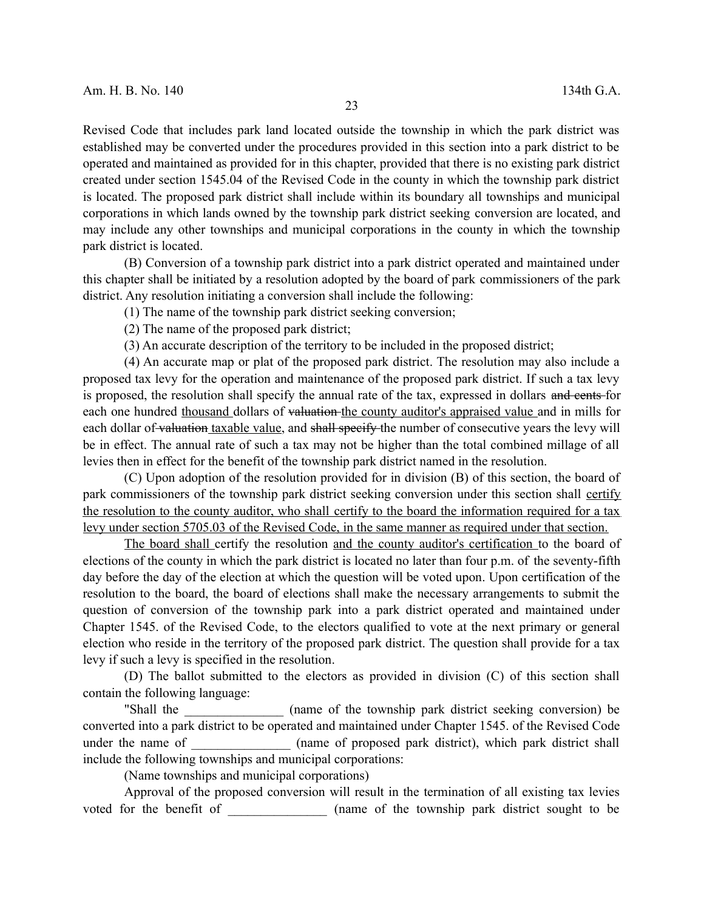Revised Code that includes park land located outside the township in which the park district was established may be converted under the procedures provided in this section into a park district to be operated and maintained as provided for in this chapter, provided that there is no existing park district created under section 1545.04 of the Revised Code in the county in which the township park district is located. The proposed park district shall include within its boundary all townships and municipal corporations in which lands owned by the township park district seeking conversion are located, and may include any other townships and municipal corporations in the county in which the township park district is located.

(B) Conversion of a township park district into a park district operated and maintained under this chapter shall be initiated by a resolution adopted by the board of park commissioners of the park district. Any resolution initiating a conversion shall include the following:

(1) The name of the township park district seeking conversion;

(2) The name of the proposed park district;

(3) An accurate description of the territory to be included in the proposed district;

(4) An accurate map or plat of the proposed park district. The resolution may also include a proposed tax levy for the operation and maintenance of the proposed park district. If such a tax levy is proposed, the resolution shall specify the annual rate of the tax, expressed in dollars and cents for each one hundred thousand dollars of valuation the county auditor's appraised value and in mills for each dollar of valuation taxable value, and shall specify the number of consecutive years the levy will be in effect. The annual rate of such a tax may not be higher than the total combined millage of all levies then in effect for the benefit of the township park district named in the resolution.

(C) Upon adoption of the resolution provided for in division (B) of this section, the board of park commissioners of the township park district seeking conversion under this section shall certify the resolution to the county auditor, who shall certify to the board the information required for a tax levy under section 5705.03 of the Revised Code, in the same manner as required under that section.

The board shall certify the resolution and the county auditor's certification to the board of elections of the county in which the park district is located no later than four p.m. of the seventy-fifth day before the day of the election at which the question will be voted upon. Upon certification of the resolution to the board, the board of elections shall make the necessary arrangements to submit the question of conversion of the township park into a park district operated and maintained under Chapter 1545. of the Revised Code, to the electors qualified to vote at the next primary or general election who reside in the territory of the proposed park district. The question shall provide for a tax levy if such a levy is specified in the resolution.

(D) The ballot submitted to the electors as provided in division (C) of this section shall contain the following language:

"Shall the \_\_\_\_\_\_\_\_\_\_\_\_\_\_\_ (name of the township park district seeking conversion) be converted into a park district to be operated and maintained under Chapter 1545. of the Revised Code under the name of  $\qquad \qquad$  (name of proposed park district), which park district shall include the following townships and municipal corporations:

(Name townships and municipal corporations)

Approval of the proposed conversion will result in the termination of all existing tax levies voted for the benefit of  $\qquad \qquad$  (name of the township park district sought to be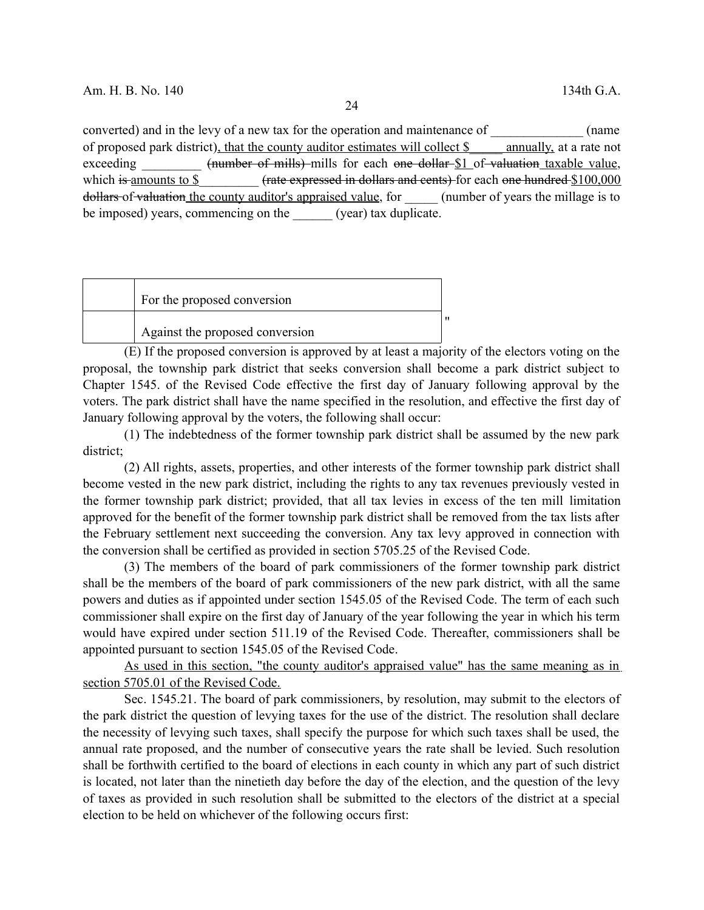converted) and in the levy of a new tax for the operation and maintenance of  $\qquad \qquad$  (name of proposed park district), that the county auditor estimates will collect \$\_\_\_\_\_ annually, at a rate not exceeding (number of mills) mills for each one dollar \$1 of valuation taxable value, which is amounts to \$\_\_\_\_\_\_\_\_\_ (rate expressed in dollars and cents) for each one hundred \$100,000 dollars of valuation the county auditor's appraised value, for  $\qquad$  (number of years the millage is to be imposed) years, commencing on the (year) tax duplicate.

For the proposed conversion Against the proposed conversion "

(E) If the proposed conversion is approved by at least a majority of the electors voting on the proposal, the township park district that seeks conversion shall become a park district subject to Chapter 1545. of the Revised Code effective the first day of January following approval by the voters. The park district shall have the name specified in the resolution, and effective the first day of January following approval by the voters, the following shall occur:

(1) The indebtedness of the former township park district shall be assumed by the new park district;

(2) All rights, assets, properties, and other interests of the former township park district shall become vested in the new park district, including the rights to any tax revenues previously vested in the former township park district; provided, that all tax levies in excess of the ten mill limitation approved for the benefit of the former township park district shall be removed from the tax lists after the February settlement next succeeding the conversion. Any tax levy approved in connection with the conversion shall be certified as provided in section 5705.25 of the Revised Code.

(3) The members of the board of park commissioners of the former township park district shall be the members of the board of park commissioners of the new park district, with all the same powers and duties as if appointed under section 1545.05 of the Revised Code. The term of each such commissioner shall expire on the first day of January of the year following the year in which his term would have expired under section 511.19 of the Revised Code. Thereafter, commissioners shall be appointed pursuant to section 1545.05 of the Revised Code.

As used in this section, "the county auditor's appraised value" has the same meaning as in section 5705.01 of the Revised Code.

Sec. 1545.21. The board of park commissioners, by resolution, may submit to the electors of the park district the question of levying taxes for the use of the district. The resolution shall declare the necessity of levying such taxes, shall specify the purpose for which such taxes shall be used, the annual rate proposed, and the number of consecutive years the rate shall be levied. Such resolution shall be forthwith certified to the board of elections in each county in which any part of such district is located, not later than the ninetieth day before the day of the election, and the question of the levy of taxes as provided in such resolution shall be submitted to the electors of the district at a special election to be held on whichever of the following occurs first: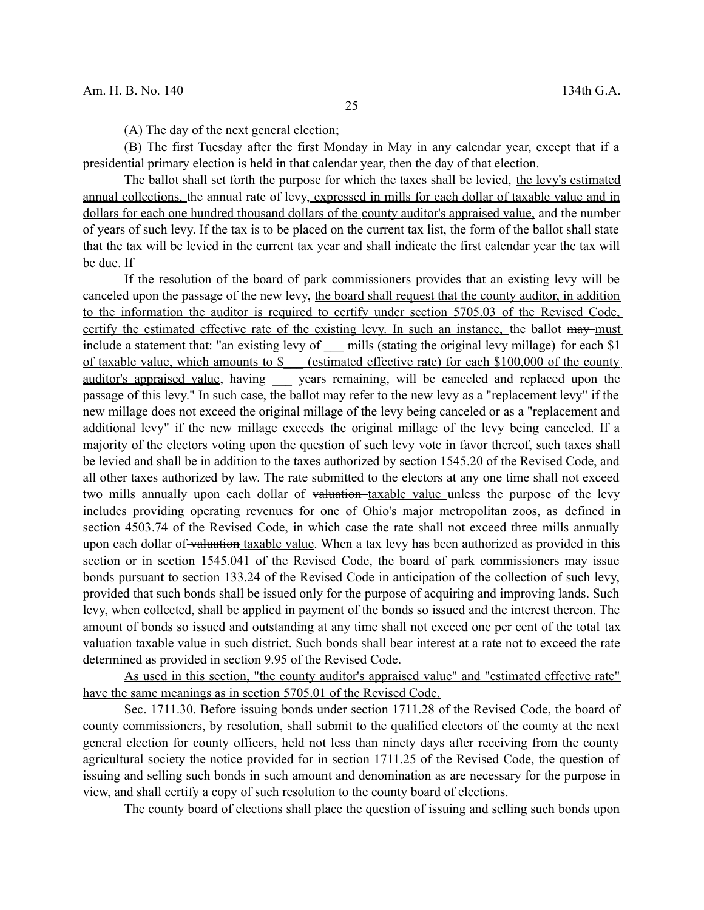(A) The day of the next general election;

(B) The first Tuesday after the first Monday in May in any calendar year, except that if a presidential primary election is held in that calendar year, then the day of that election.

The ballot shall set forth the purpose for which the taxes shall be levied, the levy's estimated annual collections, the annual rate of levy, expressed in mills for each dollar of taxable value and in dollars for each one hundred thousand dollars of the county auditor's appraised value, and the number of years of such levy. If the tax is to be placed on the current tax list, the form of the ballot shall state that the tax will be levied in the current tax year and shall indicate the first calendar year the tax will be due. If

If the resolution of the board of park commissioners provides that an existing levy will be canceled upon the passage of the new levy, the board shall request that the county auditor, in addition to the information the auditor is required to certify under section 5705.03 of the Revised Code, certify the estimated effective rate of the existing levy. In such an instance, the ballot may must include a statement that: "an existing levy of \_\_\_ mills (stating the original levy millage) for each \$1 of taxable value, which amounts to \$ (estimated effective rate) for each \$100,000 of the county auditor's appraised value, having years remaining, will be canceled and replaced upon the passage of this levy." In such case, the ballot may refer to the new levy as a "replacement levy" if the new millage does not exceed the original millage of the levy being canceled or as a "replacement and additional levy" if the new millage exceeds the original millage of the levy being canceled. If a majority of the electors voting upon the question of such levy vote in favor thereof, such taxes shall be levied and shall be in addition to the taxes authorized by section 1545.20 of the Revised Code, and all other taxes authorized by law. The rate submitted to the electors at any one time shall not exceed two mills annually upon each dollar of valuation taxable value unless the purpose of the levy includes providing operating revenues for one of Ohio's major metropolitan zoos, as defined in section 4503.74 of the Revised Code, in which case the rate shall not exceed three mills annually upon each dollar of valuation taxable value. When a tax levy has been authorized as provided in this section or in section 1545.041 of the Revised Code, the board of park commissioners may issue bonds pursuant to section 133.24 of the Revised Code in anticipation of the collection of such levy, provided that such bonds shall be issued only for the purpose of acquiring and improving lands. Such levy, when collected, shall be applied in payment of the bonds so issued and the interest thereon. The amount of bonds so issued and outstanding at any time shall not exceed one per cent of the total tax valuation taxable value in such district. Such bonds shall bear interest at a rate not to exceed the rate determined as provided in section 9.95 of the Revised Code.

As used in this section, "the county auditor's appraised value" and "estimated effective rate" have the same meanings as in section 5705.01 of the Revised Code.

Sec. 1711.30. Before issuing bonds under section 1711.28 of the Revised Code, the board of county commissioners, by resolution, shall submit to the qualified electors of the county at the next general election for county officers, held not less than ninety days after receiving from the county agricultural society the notice provided for in section 1711.25 of the Revised Code, the question of issuing and selling such bonds in such amount and denomination as are necessary for the purpose in view, and shall certify a copy of such resolution to the county board of elections.

The county board of elections shall place the question of issuing and selling such bonds upon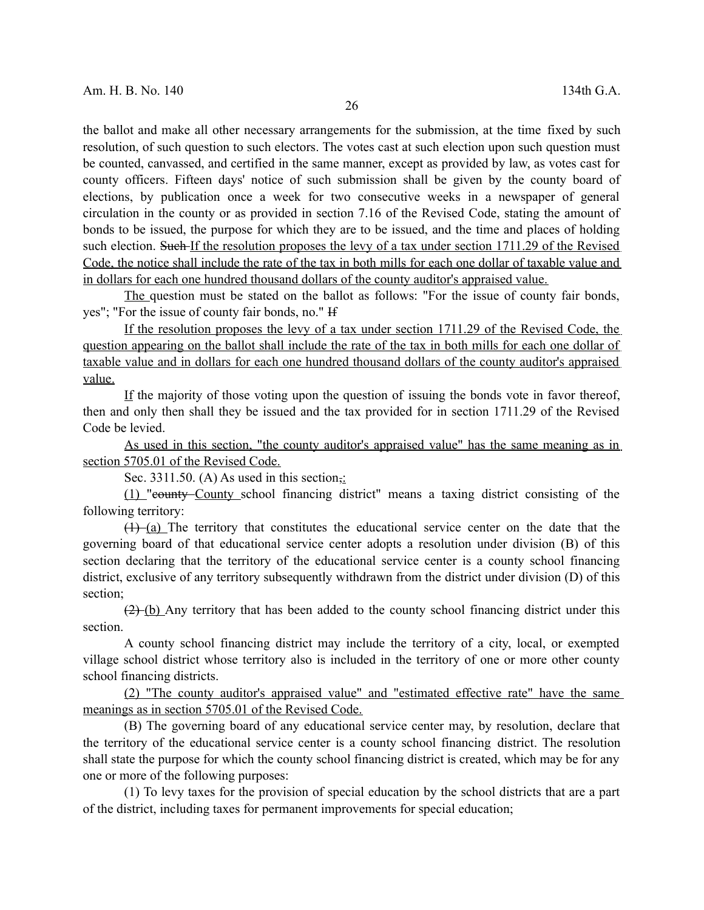the ballot and make all other necessary arrangements for the submission, at the time fixed by such resolution, of such question to such electors. The votes cast at such election upon such question must be counted, canvassed, and certified in the same manner, except as provided by law, as votes cast for county officers. Fifteen days' notice of such submission shall be given by the county board of elections, by publication once a week for two consecutive weeks in a newspaper of general circulation in the county or as provided in section 7.16 of the Revised Code, stating the amount of bonds to be issued, the purpose for which they are to be issued, and the time and places of holding such election. Such If the resolution proposes the levy of a tax under section 1711.29 of the Revised Code, the notice shall include the rate of the tax in both mills for each one dollar of taxable value and in dollars for each one hundred thousand dollars of the county auditor's appraised value.

The question must be stated on the ballot as follows: "For the issue of county fair bonds, yes"; "For the issue of county fair bonds, no." If

If the resolution proposes the levy of a tax under section 1711.29 of the Revised Code, the question appearing on the ballot shall include the rate of the tax in both mills for each one dollar of taxable value and in dollars for each one hundred thousand dollars of the county auditor's appraised value.

If the majority of those voting upon the question of issuing the bonds vote in favor thereof, then and only then shall they be issued and the tax provided for in section 1711.29 of the Revised Code be levied.

As used in this section, "the county auditor's appraised value" has the same meaning as in section 5705.01 of the Revised Code.

Sec. 3311.50. (A) As used in this section,:

(1) "county County school financing district" means a taxing district consisting of the following territory:

 $(1)$  (a) The territory that constitutes the educational service center on the date that the governing board of that educational service center adopts a resolution under division (B) of this section declaring that the territory of the educational service center is a county school financing district, exclusive of any territory subsequently withdrawn from the district under division (D) of this section;

 $(2)$  (b) Any territory that has been added to the county school financing district under this section.

A county school financing district may include the territory of a city, local, or exempted village school district whose territory also is included in the territory of one or more other county school financing districts.

(2) "The county auditor's appraised value" and "estimated effective rate" have the same meanings as in section 5705.01 of the Revised Code.

(B) The governing board of any educational service center may, by resolution, declare that the territory of the educational service center is a county school financing district. The resolution shall state the purpose for which the county school financing district is created, which may be for any one or more of the following purposes:

(1) To levy taxes for the provision of special education by the school districts that are a part of the district, including taxes for permanent improvements for special education;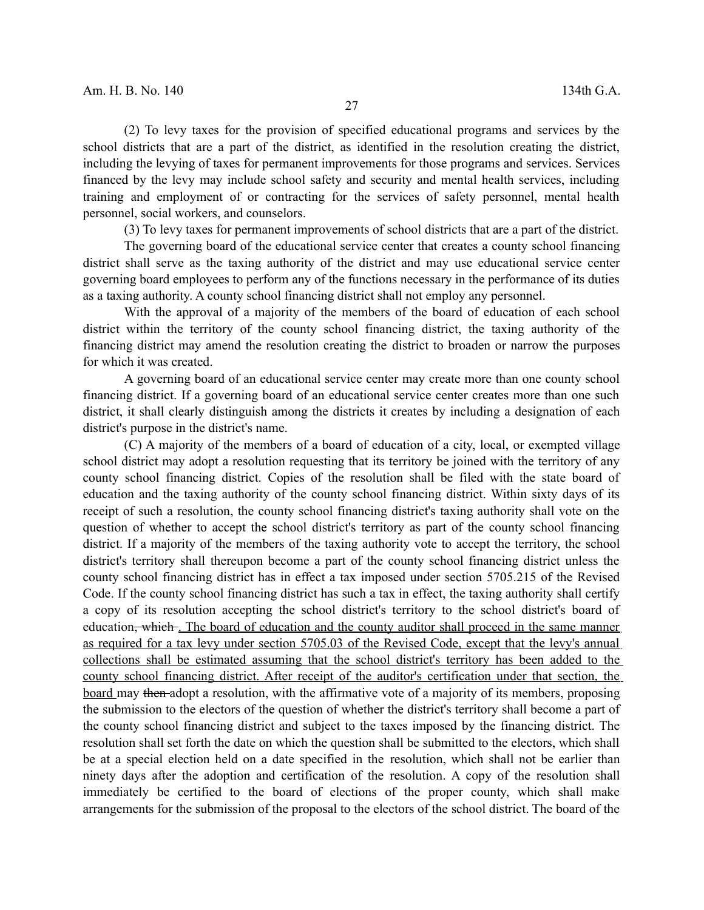(2) To levy taxes for the provision of specified educational programs and services by the school districts that are a part of the district, as identified in the resolution creating the district, including the levying of taxes for permanent improvements for those programs and services. Services financed by the levy may include school safety and security and mental health services, including training and employment of or contracting for the services of safety personnel, mental health personnel, social workers, and counselors.

(3) To levy taxes for permanent improvements of school districts that are a part of the district.

The governing board of the educational service center that creates a county school financing district shall serve as the taxing authority of the district and may use educational service center governing board employees to perform any of the functions necessary in the performance of its duties as a taxing authority. A county school financing district shall not employ any personnel.

With the approval of a majority of the members of the board of education of each school district within the territory of the county school financing district, the taxing authority of the financing district may amend the resolution creating the district to broaden or narrow the purposes for which it was created.

A governing board of an educational service center may create more than one county school financing district. If a governing board of an educational service center creates more than one such district, it shall clearly distinguish among the districts it creates by including a designation of each district's purpose in the district's name.

(C) A majority of the members of a board of education of a city, local, or exempted village school district may adopt a resolution requesting that its territory be joined with the territory of any county school financing district. Copies of the resolution shall be filed with the state board of education and the taxing authority of the county school financing district. Within sixty days of its receipt of such a resolution, the county school financing district's taxing authority shall vote on the question of whether to accept the school district's territory as part of the county school financing district. If a majority of the members of the taxing authority vote to accept the territory, the school district's territory shall thereupon become a part of the county school financing district unless the county school financing district has in effect a tax imposed under section 5705.215 of the Revised Code. If the county school financing district has such a tax in effect, the taxing authority shall certify a copy of its resolution accepting the school district's territory to the school district's board of education, which. The board of education and the county auditor shall proceed in the same manner as required for a tax levy under section 5705.03 of the Revised Code, except that the levy's annual collections shall be estimated assuming that the school district's territory has been added to the county school financing district. After receipt of the auditor's certification under that section, the board may then adopt a resolution, with the affirmative vote of a majority of its members, proposing the submission to the electors of the question of whether the district's territory shall become a part of the county school financing district and subject to the taxes imposed by the financing district. The resolution shall set forth the date on which the question shall be submitted to the electors, which shall be at a special election held on a date specified in the resolution, which shall not be earlier than ninety days after the adoption and certification of the resolution. A copy of the resolution shall immediately be certified to the board of elections of the proper county, which shall make arrangements for the submission of the proposal to the electors of the school district. The board of the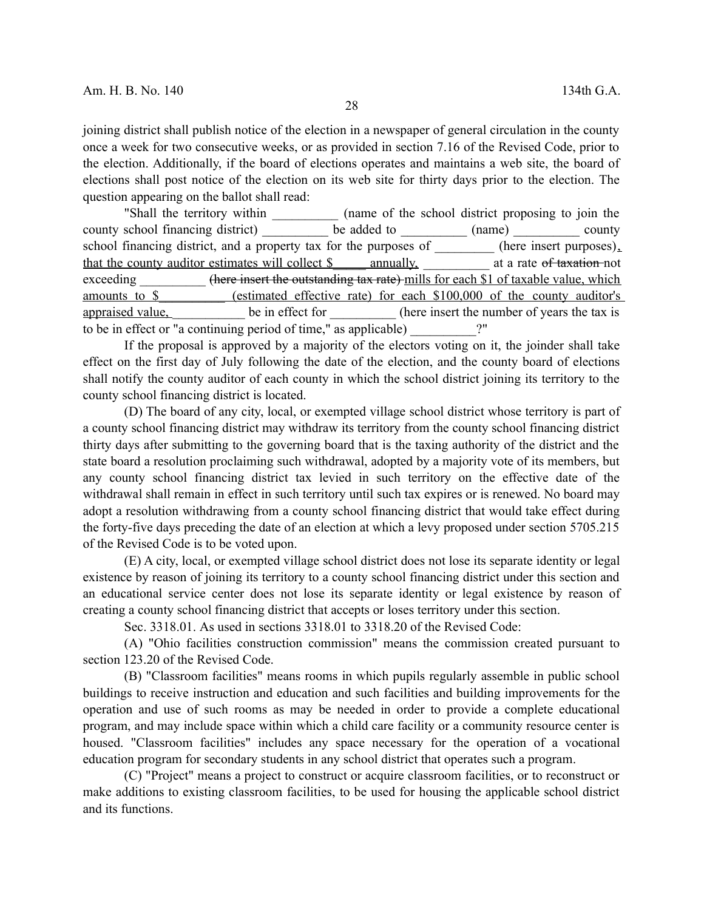joining district shall publish notice of the election in a newspaper of general circulation in the county once a week for two consecutive weeks, or as provided in section 7.16 of the Revised Code, prior to the election. Additionally, if the board of elections operates and maintains a web site, the board of elections shall post notice of the election on its web site for thirty days prior to the election. The question appearing on the ballot shall read:

"Shall the territory within \_\_\_\_\_\_\_\_\_\_\_ (name of the school district proposing to join the county school financing district) be added to (name) county school financing district, and a property tax for the purposes of  $\overline{\hspace{1cm}}$  (here insert purposes). that the county auditor estimates will collect \$ annually, annually at a rate of taxation not exceeding (here insert the outstanding tax rate) mills for each \$1 of taxable value, which amounts to \$\_\_\_\_\_\_\_\_\_\_ (estimated effective rate) for each \$100,000 of the county auditor's appraised value, be in effect for the insert the number of years the tax is to be in effect or "a continuing period of time," as applicable) \_\_\_\_\_\_\_\_\_\_?"

If the proposal is approved by a majority of the electors voting on it, the joinder shall take effect on the first day of July following the date of the election, and the county board of elections shall notify the county auditor of each county in which the school district joining its territory to the county school financing district is located.

(D) The board of any city, local, or exempted village school district whose territory is part of a county school financing district may withdraw its territory from the county school financing district thirty days after submitting to the governing board that is the taxing authority of the district and the state board a resolution proclaiming such withdrawal, adopted by a majority vote of its members, but any county school financing district tax levied in such territory on the effective date of the withdrawal shall remain in effect in such territory until such tax expires or is renewed. No board may adopt a resolution withdrawing from a county school financing district that would take effect during the forty-five days preceding the date of an election at which a levy proposed under section 5705.215 of the Revised Code is to be voted upon.

(E) A city, local, or exempted village school district does not lose its separate identity or legal existence by reason of joining its territory to a county school financing district under this section and an educational service center does not lose its separate identity or legal existence by reason of creating a county school financing district that accepts or loses territory under this section.

Sec. 3318.01. As used in sections 3318.01 to 3318.20 of the Revised Code:

(A) "Ohio facilities construction commission" means the commission created pursuant to section 123.20 of the Revised Code.

(B) "Classroom facilities" means rooms in which pupils regularly assemble in public school buildings to receive instruction and education and such facilities and building improvements for the operation and use of such rooms as may be needed in order to provide a complete educational program, and may include space within which a child care facility or a community resource center is housed. "Classroom facilities" includes any space necessary for the operation of a vocational education program for secondary students in any school district that operates such a program.

(C) "Project" means a project to construct or acquire classroom facilities, or to reconstruct or make additions to existing classroom facilities, to be used for housing the applicable school district and its functions.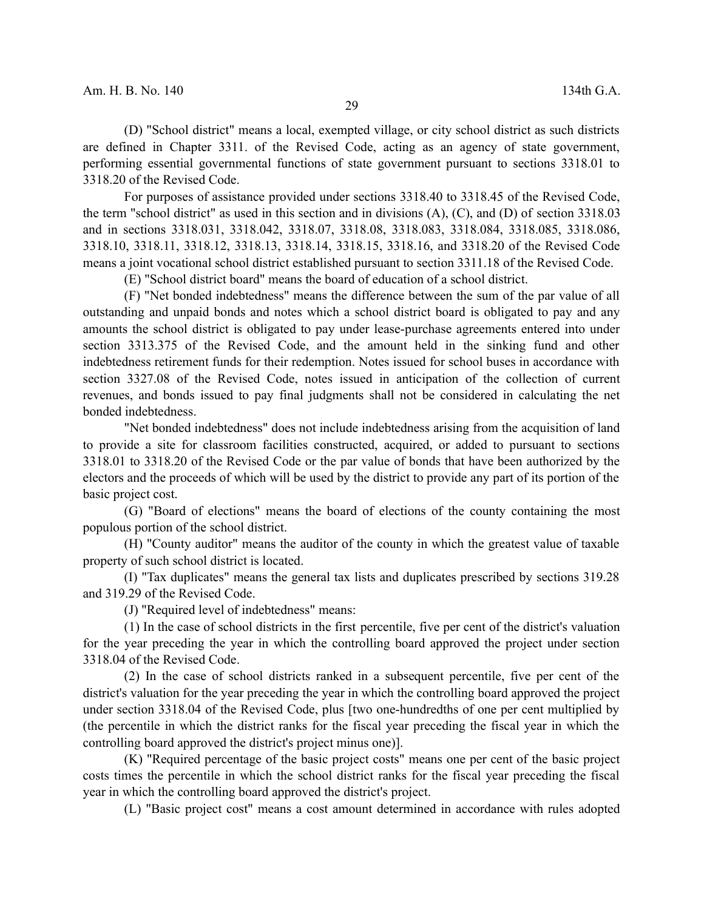(D) "School district" means a local, exempted village, or city school district as such districts are defined in Chapter 3311. of the Revised Code, acting as an agency of state government, performing essential governmental functions of state government pursuant to sections 3318.01 to 3318.20 of the Revised Code.

For purposes of assistance provided under sections 3318.40 to 3318.45 of the Revised Code, the term "school district" as used in this section and in divisions (A), (C), and (D) of section 3318.03 and in sections 3318.031, 3318.042, 3318.07, 3318.08, 3318.083, 3318.084, 3318.085, 3318.086, 3318.10, 3318.11, 3318.12, 3318.13, 3318.14, 3318.15, 3318.16, and 3318.20 of the Revised Code means a joint vocational school district established pursuant to section 3311.18 of the Revised Code.

(E) "School district board" means the board of education of a school district.

(F) "Net bonded indebtedness" means the difference between the sum of the par value of all outstanding and unpaid bonds and notes which a school district board is obligated to pay and any amounts the school district is obligated to pay under lease-purchase agreements entered into under section 3313.375 of the Revised Code, and the amount held in the sinking fund and other indebtedness retirement funds for their redemption. Notes issued for school buses in accordance with section 3327.08 of the Revised Code, notes issued in anticipation of the collection of current revenues, and bonds issued to pay final judgments shall not be considered in calculating the net bonded indebtedness.

"Net bonded indebtedness" does not include indebtedness arising from the acquisition of land to provide a site for classroom facilities constructed, acquired, or added to pursuant to sections 3318.01 to 3318.20 of the Revised Code or the par value of bonds that have been authorized by the electors and the proceeds of which will be used by the district to provide any part of its portion of the basic project cost.

(G) "Board of elections" means the board of elections of the county containing the most populous portion of the school district.

(H) "County auditor" means the auditor of the county in which the greatest value of taxable property of such school district is located.

(I) "Tax duplicates" means the general tax lists and duplicates prescribed by sections 319.28 and 319.29 of the Revised Code.

(J) "Required level of indebtedness" means:

(1) In the case of school districts in the first percentile, five per cent of the district's valuation for the year preceding the year in which the controlling board approved the project under section 3318.04 of the Revised Code.

(2) In the case of school districts ranked in a subsequent percentile, five per cent of the district's valuation for the year preceding the year in which the controlling board approved the project under section 3318.04 of the Revised Code, plus [two one-hundredths of one per cent multiplied by (the percentile in which the district ranks for the fiscal year preceding the fiscal year in which the controlling board approved the district's project minus one)].

(K) "Required percentage of the basic project costs" means one per cent of the basic project costs times the percentile in which the school district ranks for the fiscal year preceding the fiscal year in which the controlling board approved the district's project.

(L) "Basic project cost" means a cost amount determined in accordance with rules adopted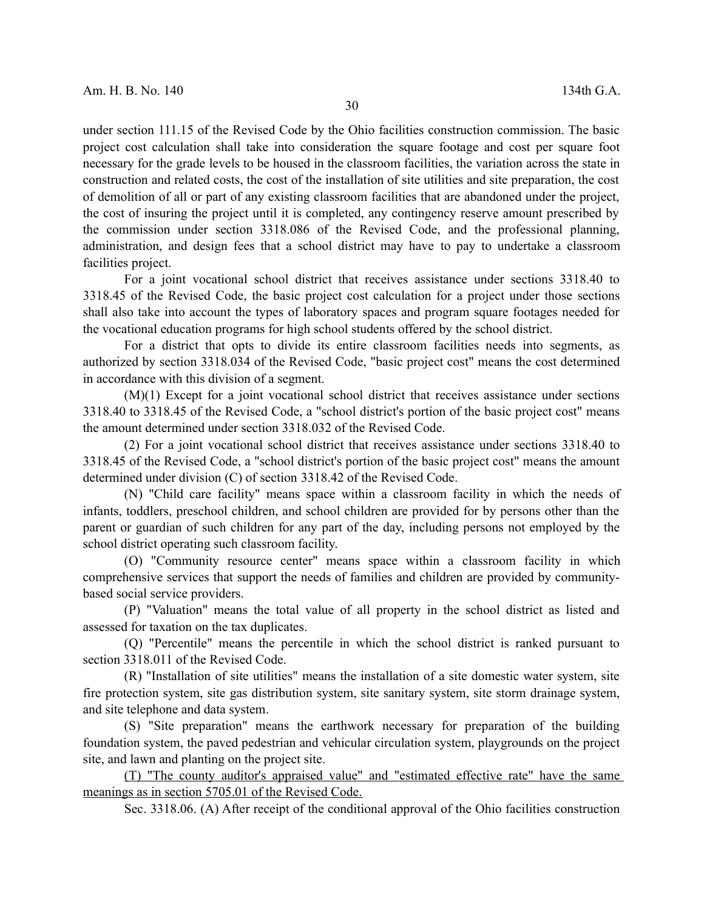under section 111.15 of the Revised Code by the Ohio facilities construction commission. The basic project cost calculation shall take into consideration the square footage and cost per square foot necessary for the grade levels to be housed in the classroom facilities, the variation across the state in construction and related costs, the cost of the installation of site utilities and site preparation, the cost of demolition of all or part of any existing classroom facilities that are abandoned under the project, the cost of insuring the project until it is completed, any contingency reserve amount prescribed by the commission under section 3318.086 of the Revised Code, and the professional planning, administration, and design fees that a school district may have to pay to undertake a classroom facilities project.

For a joint vocational school district that receives assistance under sections 3318.40 to 3318.45 of the Revised Code, the basic project cost calculation for a project under those sections shall also take into account the types of laboratory spaces and program square footages needed for the vocational education programs for high school students offered by the school district.

For a district that opts to divide its entire classroom facilities needs into segments, as authorized by section 3318.034 of the Revised Code, "basic project cost" means the cost determined in accordance with this division of a segment.

(M)(1) Except for a joint vocational school district that receives assistance under sections 3318.40 to 3318.45 of the Revised Code, a "school district's portion of the basic project cost" means the amount determined under section 3318.032 of the Revised Code.

(2) For a joint vocational school district that receives assistance under sections 3318.40 to 3318.45 of the Revised Code, a "school district's portion of the basic project cost" means the amount determined under division (C) of section 3318.42 of the Revised Code.

(N) "Child care facility" means space within a classroom facility in which the needs of infants, toddlers, preschool children, and school children are provided for by persons other than the parent or guardian of such children for any part of the day, including persons not employed by the school district operating such classroom facility.

(O) "Community resource center" means space within a classroom facility in which comprehensive services that support the needs of families and children are provided by communitybased social service providers.

(P) "Valuation" means the total value of all property in the school district as listed and assessed for taxation on the tax duplicates.

(Q) "Percentile" means the percentile in which the school district is ranked pursuant to section 3318.011 of the Revised Code.

(R) "Installation of site utilities" means the installation of a site domestic water system, site fire protection system, site gas distribution system, site sanitary system, site storm drainage system, and site telephone and data system.

(S) "Site preparation" means the earthwork necessary for preparation of the building foundation system, the paved pedestrian and vehicular circulation system, playgrounds on the project site, and lawn and planting on the project site.

(T) "The county auditor's appraised value" and "estimated effective rate" have the same meanings as in section 5705.01 of the Revised Code.

Sec. 3318.06. (A) After receipt of the conditional approval of the Ohio facilities construction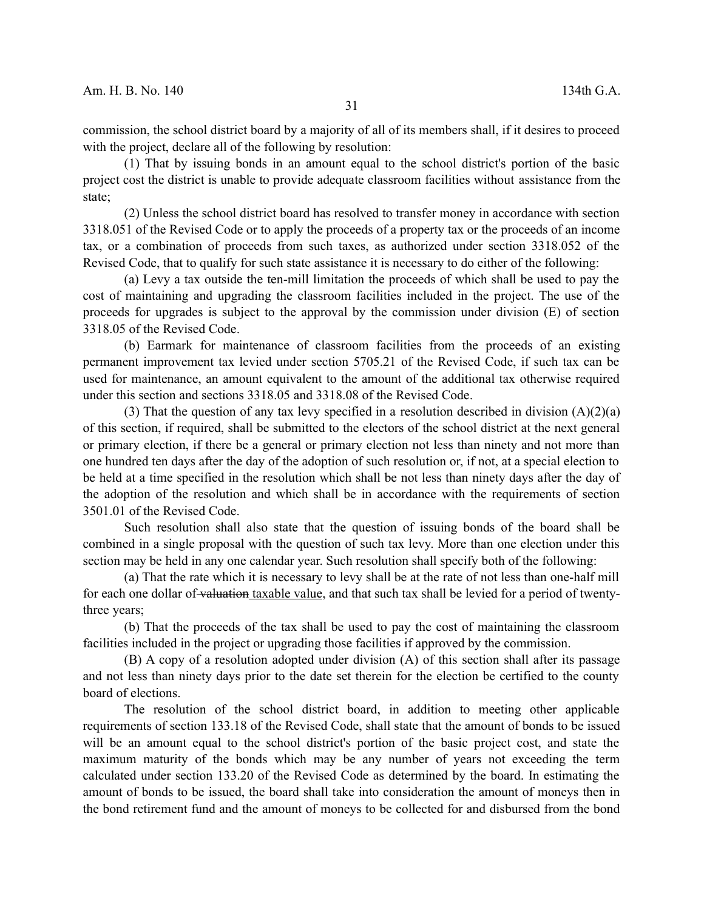commission, the school district board by a majority of all of its members shall, if it desires to proceed with the project, declare all of the following by resolution:

(1) That by issuing bonds in an amount equal to the school district's portion of the basic project cost the district is unable to provide adequate classroom facilities without assistance from the state;

(2) Unless the school district board has resolved to transfer money in accordance with section 3318.051 of the Revised Code or to apply the proceeds of a property tax or the proceeds of an income tax, or a combination of proceeds from such taxes, as authorized under section 3318.052 of the Revised Code, that to qualify for such state assistance it is necessary to do either of the following:

(a) Levy a tax outside the ten-mill limitation the proceeds of which shall be used to pay the cost of maintaining and upgrading the classroom facilities included in the project. The use of the proceeds for upgrades is subject to the approval by the commission under division (E) of section 3318.05 of the Revised Code.

(b) Earmark for maintenance of classroom facilities from the proceeds of an existing permanent improvement tax levied under section 5705.21 of the Revised Code, if such tax can be used for maintenance, an amount equivalent to the amount of the additional tax otherwise required under this section and sections 3318.05 and 3318.08 of the Revised Code.

(3) That the question of any tax levy specified in a resolution described in division  $(A)(2)(a)$ of this section, if required, shall be submitted to the electors of the school district at the next general or primary election, if there be a general or primary election not less than ninety and not more than one hundred ten days after the day of the adoption of such resolution or, if not, at a special election to be held at a time specified in the resolution which shall be not less than ninety days after the day of the adoption of the resolution and which shall be in accordance with the requirements of section 3501.01 of the Revised Code.

Such resolution shall also state that the question of issuing bonds of the board shall be combined in a single proposal with the question of such tax levy. More than one election under this section may be held in any one calendar year. Such resolution shall specify both of the following:

(a) That the rate which it is necessary to levy shall be at the rate of not less than one-half mill for each one dollar of valuation taxable value, and that such tax shall be levied for a period of twentythree years;

(b) That the proceeds of the tax shall be used to pay the cost of maintaining the classroom facilities included in the project or upgrading those facilities if approved by the commission.

(B) A copy of a resolution adopted under division (A) of this section shall after its passage and not less than ninety days prior to the date set therein for the election be certified to the county board of elections.

The resolution of the school district board, in addition to meeting other applicable requirements of section 133.18 of the Revised Code, shall state that the amount of bonds to be issued will be an amount equal to the school district's portion of the basic project cost, and state the maximum maturity of the bonds which may be any number of years not exceeding the term calculated under section 133.20 of the Revised Code as determined by the board. In estimating the amount of bonds to be issued, the board shall take into consideration the amount of moneys then in the bond retirement fund and the amount of moneys to be collected for and disbursed from the bond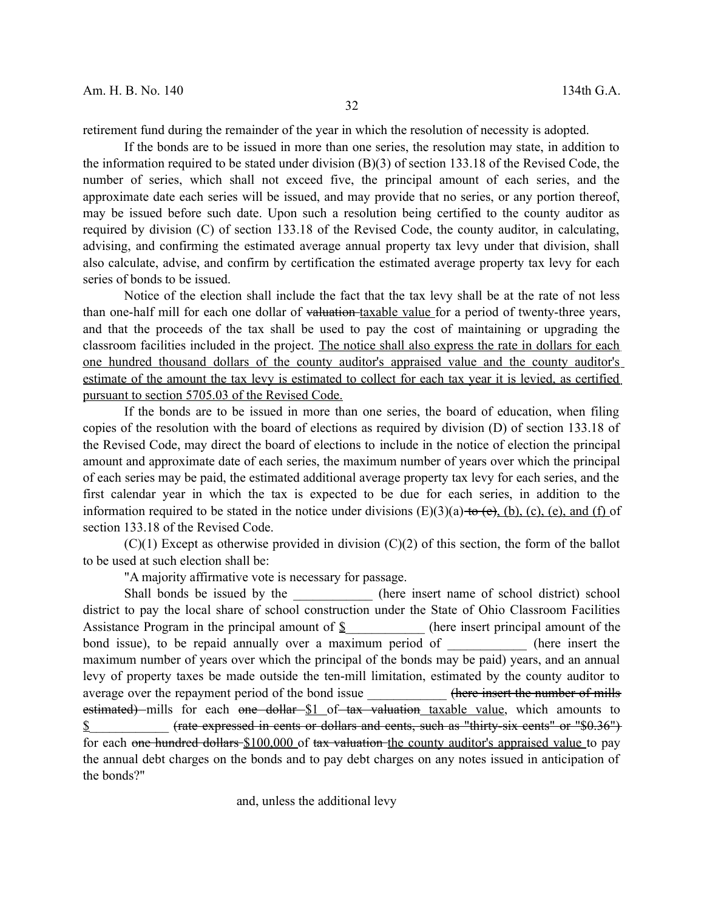retirement fund during the remainder of the year in which the resolution of necessity is adopted.

If the bonds are to be issued in more than one series, the resolution may state, in addition to the information required to be stated under division (B)(3) of section 133.18 of the Revised Code, the number of series, which shall not exceed five, the principal amount of each series, and the approximate date each series will be issued, and may provide that no series, or any portion thereof, may be issued before such date. Upon such a resolution being certified to the county auditor as required by division (C) of section 133.18 of the Revised Code, the county auditor, in calculating, advising, and confirming the estimated average annual property tax levy under that division, shall also calculate, advise, and confirm by certification the estimated average property tax levy for each series of bonds to be issued.

Notice of the election shall include the fact that the tax levy shall be at the rate of not less than one-half mill for each one dollar of valuation taxable value for a period of twenty-three years, and that the proceeds of the tax shall be used to pay the cost of maintaining or upgrading the classroom facilities included in the project. The notice shall also express the rate in dollars for each one hundred thousand dollars of the county auditor's appraised value and the county auditor's estimate of the amount the tax levy is estimated to collect for each tax year it is levied, as certified pursuant to section 5705.03 of the Revised Code.

If the bonds are to be issued in more than one series, the board of education, when filing copies of the resolution with the board of elections as required by division (D) of section 133.18 of the Revised Code, may direct the board of elections to include in the notice of election the principal amount and approximate date of each series, the maximum number of years over which the principal of each series may be paid, the estimated additional average property tax levy for each series, and the first calendar year in which the tax is expected to be due for each series, in addition to the information required to be stated in the notice under divisions  $(E)(3)(a)$  to  $(e)$ ,  $(b)$ ,  $(c)$ ,  $(e)$ , and  $(f)$  of section 133.18 of the Revised Code.

 $(C)(1)$  Except as otherwise provided in division  $(C)(2)$  of this section, the form of the ballot to be used at such election shall be:

"A majority affirmative vote is necessary for passage.

Shall bonds be issued by the \_\_\_\_\_\_\_\_\_\_\_\_\_\_\_ (here insert name of school district) school district to pay the local share of school construction under the State of Ohio Classroom Facilities Assistance Program in the principal amount of \$ (here insert principal amount of the bond issue), to be repaid annually over a maximum period of (here insert the maximum number of years over which the principal of the bonds may be paid) years, and an annual levy of property taxes be made outside the ten-mill limitation, estimated by the county auditor to average over the repayment period of the bond issue **the example of mills** (here insert the number of mills estimated) mills for each one dollar \$1 of tax valuation taxable value, which amounts to  $\frac{1}{2}$  (rate expressed in cents or dollars and cents, such as "thirty-six cents" or "\$0.36") for each one hundred dollars \$100,000 of tax valuation the county auditor's appraised value to pay the annual debt charges on the bonds and to pay debt charges on any notes issued in anticipation of the bonds?"

and, unless the additional levy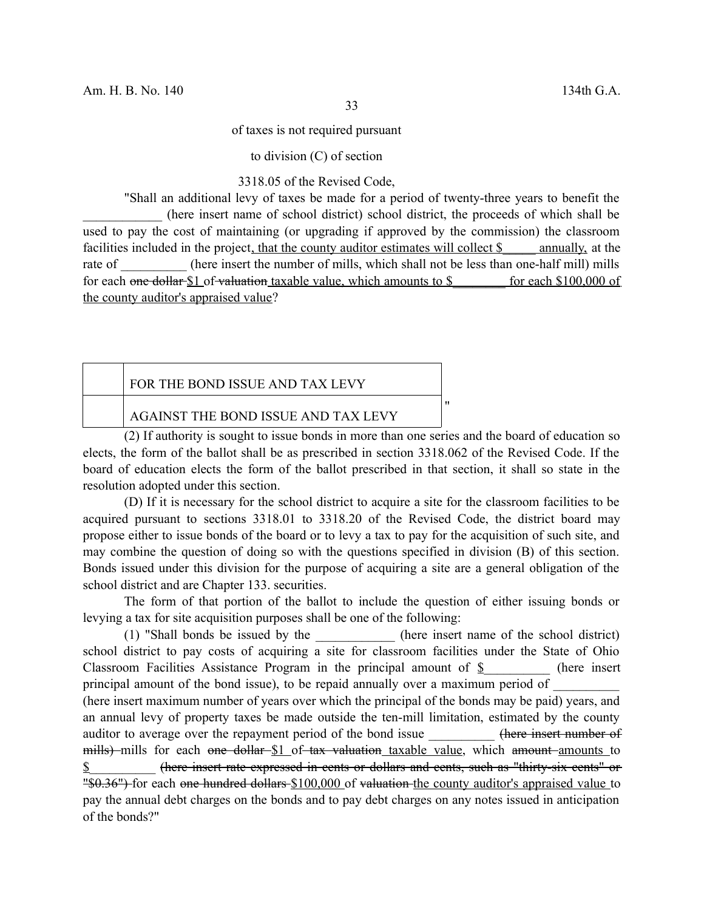of taxes is not required pursuant

to division (C) of section

3318.05 of the Revised Code,

"Shall an additional levy of taxes be made for a period of twenty-three years to benefit the \_\_\_\_\_\_\_\_\_\_\_\_ (here insert name of school district) school district, the proceeds of which shall be used to pay the cost of maintaining (or upgrading if approved by the commission) the classroom facilities included in the project, that the county auditor estimates will collect \$ annually, at the rate of  $\qquad \qquad$  (here insert the number of mills, which shall not be less than one-half mill) mills for each one dollar \$1 of valuation taxable value, which amounts to \$ for each \$100,000 of the county auditor's appraised value?

|                                     | FOR THE BOND ISSUE AND TAX LEVY |  |
|-------------------------------------|---------------------------------|--|
| AGAINST THE BOND ISSUE AND TAX LEVY |                                 |  |

(2) If authority is sought to issue bonds in more than one series and the board of education so elects, the form of the ballot shall be as prescribed in section 3318.062 of the Revised Code. If the board of education elects the form of the ballot prescribed in that section, it shall so state in the resolution adopted under this section.

(D) If it is necessary for the school district to acquire a site for the classroom facilities to be acquired pursuant to sections 3318.01 to 3318.20 of the Revised Code, the district board may propose either to issue bonds of the board or to levy a tax to pay for the acquisition of such site, and may combine the question of doing so with the questions specified in division (B) of this section. Bonds issued under this division for the purpose of acquiring a site are a general obligation of the school district and are Chapter 133. securities.

The form of that portion of the ballot to include the question of either issuing bonds or levying a tax for site acquisition purposes shall be one of the following:

(1) "Shall bonds be issued by the (here insert name of the school district) school district to pay costs of acquiring a site for classroom facilities under the State of Ohio Classroom Facilities Assistance Program in the principal amount of  $\S$  (here insert principal amount of the bond issue), to be repaid annually over a maximum period of (here insert maximum number of years over which the principal of the bonds may be paid) years, and an annual levy of property taxes be made outside the ten-mill limitation, estimated by the county auditor to average over the repayment period of the bond issue (here insert number of mills) mills for each one dollar \$1 of tax valuation taxable value, which amount amounts to \$\_\_\_\_\_\_\_\_\_\_ (here insert rate expressed in cents or dollars and cents, such as "thirty-six cents" or "\$0.36") for each one hundred dollars \$100,000 of valuation the county auditor's appraised value to pay the annual debt charges on the bonds and to pay debt charges on any notes issued in anticipation of the bonds?"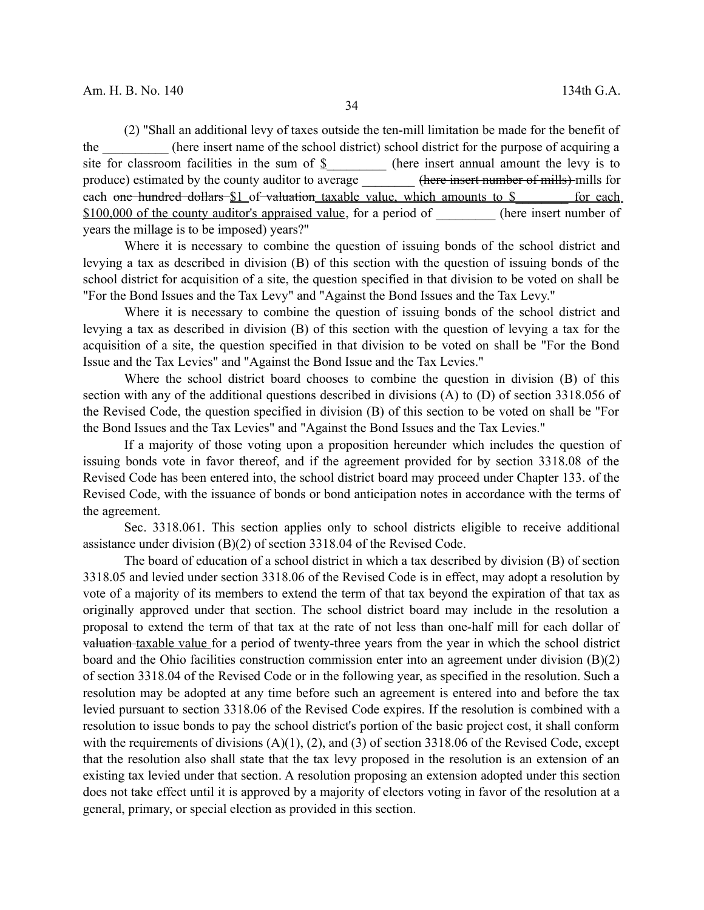(2) "Shall an additional levy of taxes outside the ten-mill limitation be made for the benefit of the \_\_\_\_\_\_\_\_\_\_ (here insert name of the school district) school district for the purpose of acquiring a site for classroom facilities in the sum of  $\frac{1}{2}$  (here insert annual amount the levy is to produce) estimated by the county auditor to average  $\qquad \qquad$  (here insert number of mills) mills for each one hundred dollars \$1 of valuation taxable value, which amounts to \$ \_\_\_\_\_\_ for each \$100,000 of the county auditor's appraised value, for a period of (here insert number of years the millage is to be imposed) years?"

Where it is necessary to combine the question of issuing bonds of the school district and levying a tax as described in division (B) of this section with the question of issuing bonds of the school district for acquisition of a site, the question specified in that division to be voted on shall be "For the Bond Issues and the Tax Levy" and "Against the Bond Issues and the Tax Levy."

Where it is necessary to combine the question of issuing bonds of the school district and levying a tax as described in division (B) of this section with the question of levying a tax for the acquisition of a site, the question specified in that division to be voted on shall be "For the Bond Issue and the Tax Levies" and "Against the Bond Issue and the Tax Levies."

Where the school district board chooses to combine the question in division (B) of this section with any of the additional questions described in divisions (A) to (D) of section 3318.056 of the Revised Code, the question specified in division (B) of this section to be voted on shall be "For the Bond Issues and the Tax Levies" and "Against the Bond Issues and the Tax Levies."

If a majority of those voting upon a proposition hereunder which includes the question of issuing bonds vote in favor thereof, and if the agreement provided for by section 3318.08 of the Revised Code has been entered into, the school district board may proceed under Chapter 133. of the Revised Code, with the issuance of bonds or bond anticipation notes in accordance with the terms of the agreement.

Sec. 3318.061. This section applies only to school districts eligible to receive additional assistance under division (B)(2) of section 3318.04 of the Revised Code.

The board of education of a school district in which a tax described by division (B) of section 3318.05 and levied under section 3318.06 of the Revised Code is in effect, may adopt a resolution by vote of a majority of its members to extend the term of that tax beyond the expiration of that tax as originally approved under that section. The school district board may include in the resolution a proposal to extend the term of that tax at the rate of not less than one-half mill for each dollar of valuation taxable value for a period of twenty-three years from the year in which the school district board and the Ohio facilities construction commission enter into an agreement under division (B)(2) of section 3318.04 of the Revised Code or in the following year, as specified in the resolution. Such a resolution may be adopted at any time before such an agreement is entered into and before the tax levied pursuant to section 3318.06 of the Revised Code expires. If the resolution is combined with a resolution to issue bonds to pay the school district's portion of the basic project cost, it shall conform with the requirements of divisions  $(A)(1)$ ,  $(2)$ , and  $(3)$  of section 3318.06 of the Revised Code, except that the resolution also shall state that the tax levy proposed in the resolution is an extension of an existing tax levied under that section. A resolution proposing an extension adopted under this section does not take effect until it is approved by a majority of electors voting in favor of the resolution at a general, primary, or special election as provided in this section.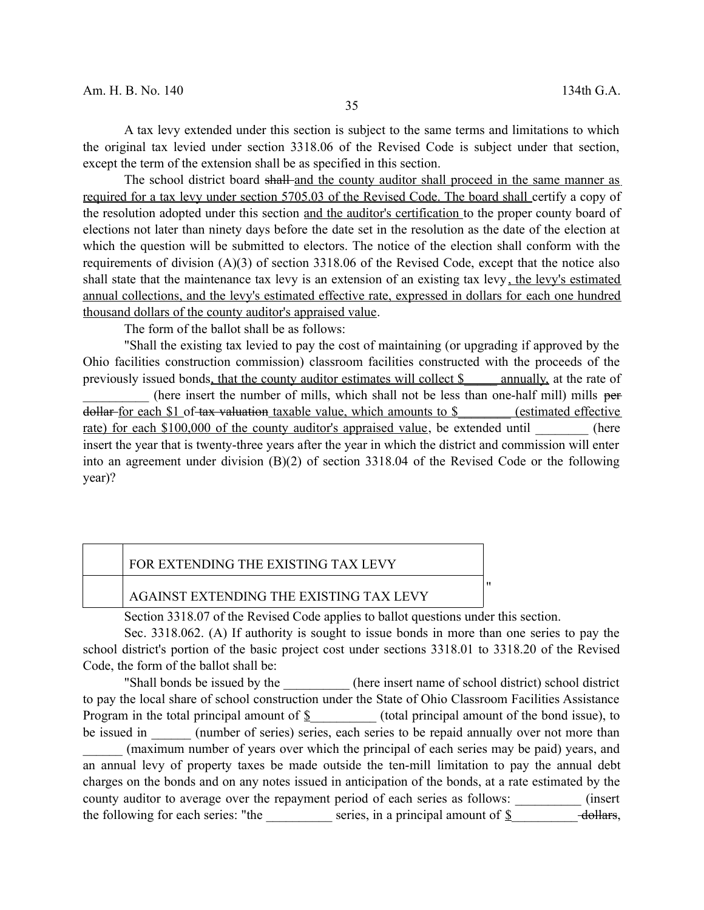A tax levy extended under this section is subject to the same terms and limitations to which the original tax levied under section 3318.06 of the Revised Code is subject under that section, except the term of the extension shall be as specified in this section.

The school district board shall and the county auditor shall proceed in the same manner as required for a tax levy under section 5705.03 of the Revised Code. The board shall certify a copy of the resolution adopted under this section and the auditor's certification to the proper county board of elections not later than ninety days before the date set in the resolution as the date of the election at which the question will be submitted to electors. The notice of the election shall conform with the requirements of division  $(A)(3)$  of section 3318.06 of the Revised Code, except that the notice also shall state that the maintenance tax levy is an extension of an existing tax levy, the levy's estimated annual collections, and the levy's estimated effective rate, expressed in dollars for each one hundred thousand dollars of the county auditor's appraised value.

The form of the ballot shall be as follows:

"Shall the existing tax levied to pay the cost of maintaining (or upgrading if approved by the Ohio facilities construction commission) classroom facilities constructed with the proceeds of the previously issued bonds, that the county auditor estimates will collect \$\_\_\_\_\_ annually, at the rate of

(here insert the number of mills, which shall not be less than one-half mill) mills per dollar for each \$1 of tax valuation taxable value, which amounts to \$ (estimated effective rate) for each \$100,000 of the county auditor's appraised value, be extended until (here insert the year that is twenty-three years after the year in which the district and commission will enter into an agreement under division (B)(2) of section 3318.04 of the Revised Code or the following year)?

### FOR EXTENDING THE EXISTING TAX LEVY

#### AGAINST EXTENDING THE EXISTING TAX LEVY

Section 3318.07 of the Revised Code applies to ballot questions under this section.

Sec. 3318.062. (A) If authority is sought to issue bonds in more than one series to pay the school district's portion of the basic project cost under sections 3318.01 to 3318.20 of the Revised Code, the form of the ballot shall be:

"

"Shall bonds be issued by the (here insert name of school district) school district to pay the local share of school construction under the State of Ohio Classroom Facilities Assistance Program in the total principal amount of  $\S$  (total principal amount of the bond issue), to be issued in \_\_\_\_\_\_\_ (number of series) series, each series to be repaid annually over not more than \_\_\_\_\_\_ (maximum number of years over which the principal of each series may be paid) years, and an annual levy of property taxes be made outside the ten-mill limitation to pay the annual debt charges on the bonds and on any notes issued in anticipation of the bonds, at a rate estimated by the county auditor to average over the repayment period of each series as follows:  $(insert \cdot \cdot \cdot)$ the following for each series: "the \_\_\_\_\_\_\_\_\_\_\_ series, in a principal amount of  $\S$  \_\_\_\_\_\_\_\_\_ dollars,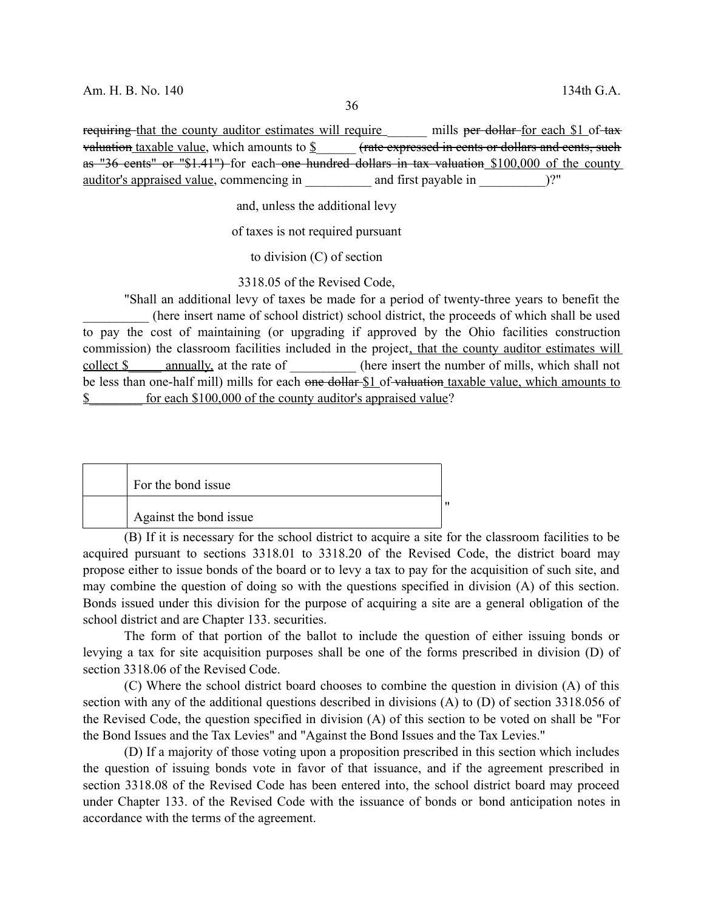requiring that the county auditor estimates will require mills per dollar for each \$1 of tax valuation taxable value, which amounts to  $\mathcal S$  (rate expressed in cents or dollars and cents, such as "36 cents" or "\$1.41") for each one hundred dollars in tax valuation \$100,000 of the county auditor's appraised value, commencing in and first payable in  $\Box$ ?"

and, unless the additional levy

of taxes is not required pursuant

to division (C) of section

3318.05 of the Revised Code,

"Shall an additional levy of taxes be made for a period of twenty-three years to benefit the \_\_\_\_\_\_\_\_\_\_ (here insert name of school district) school district, the proceeds of which shall be used to pay the cost of maintaining (or upgrading if approved by the Ohio facilities construction commission) the classroom facilities included in the project, that the county auditor estimates will collect \$ annually, at the rate of (here insert the number of mills, which shall not be less than one-half mill) mills for each one dollar \$1 of valuation taxable value, which amounts to \$ for each \$100,000 of the county auditor's appraised value?

| For the bond issue     |  |
|------------------------|--|
| Against the bond issue |  |

(B) If it is necessary for the school district to acquire a site for the classroom facilities to be acquired pursuant to sections 3318.01 to 3318.20 of the Revised Code, the district board may propose either to issue bonds of the board or to levy a tax to pay for the acquisition of such site, and may combine the question of doing so with the questions specified in division (A) of this section. Bonds issued under this division for the purpose of acquiring a site are a general obligation of the school district and are Chapter 133. securities.

The form of that portion of the ballot to include the question of either issuing bonds or levying a tax for site acquisition purposes shall be one of the forms prescribed in division (D) of section 3318.06 of the Revised Code.

(C) Where the school district board chooses to combine the question in division (A) of this section with any of the additional questions described in divisions (A) to (D) of section 3318.056 of the Revised Code, the question specified in division (A) of this section to be voted on shall be "For the Bond Issues and the Tax Levies" and "Against the Bond Issues and the Tax Levies."

(D) If a majority of those voting upon a proposition prescribed in this section which includes the question of issuing bonds vote in favor of that issuance, and if the agreement prescribed in section 3318.08 of the Revised Code has been entered into, the school district board may proceed under Chapter 133. of the Revised Code with the issuance of bonds or bond anticipation notes in accordance with the terms of the agreement.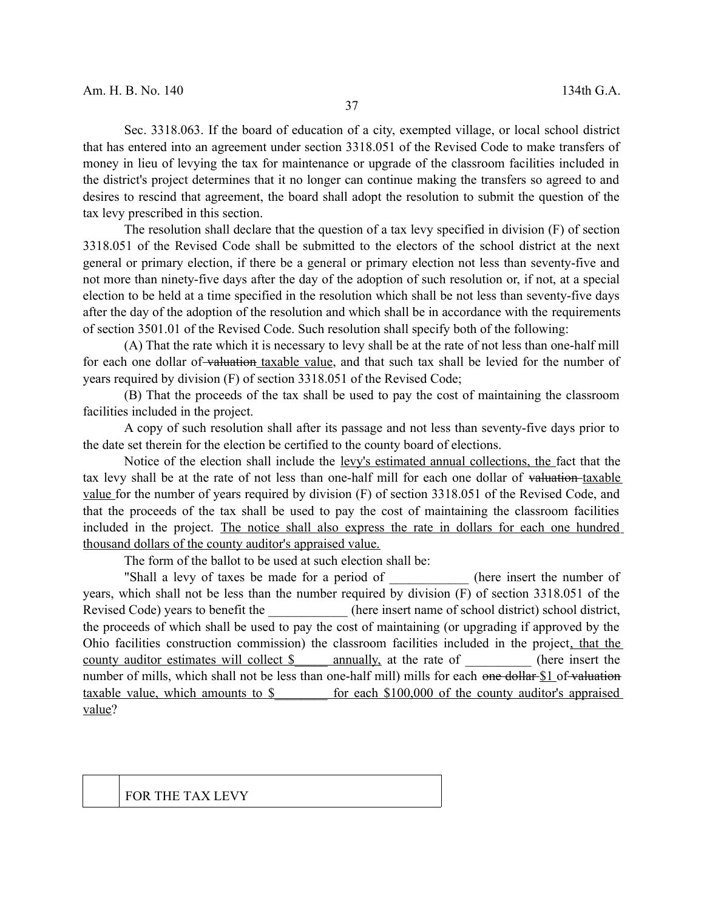Sec. 3318.063. If the board of education of a city, exempted village, or local school district that has entered into an agreement under section 3318.051 of the Revised Code to make transfers of money in lieu of levying the tax for maintenance or upgrade of the classroom facilities included in the district's project determines that it no longer can continue making the transfers so agreed to and desires to rescind that agreement, the board shall adopt the resolution to submit the question of the tax levy prescribed in this section.

The resolution shall declare that the question of a tax levy specified in division (F) of section 3318.051 of the Revised Code shall be submitted to the electors of the school district at the next general or primary election, if there be a general or primary election not less than seventy-five and not more than ninety-five days after the day of the adoption of such resolution or, if not, at a special election to be held at a time specified in the resolution which shall be not less than seventy-five days after the day of the adoption of the resolution and which shall be in accordance with the requirements of section 3501.01 of the Revised Code. Such resolution shall specify both of the following:

(A) That the rate which it is necessary to levy shall be at the rate of not less than one-half mill for each one dollar of valuation taxable value, and that such tax shall be levied for the number of years required by division (F) of section 3318.051 of the Revised Code;

(B) That the proceeds of the tax shall be used to pay the cost of maintaining the classroom facilities included in the project.

A copy of such resolution shall after its passage and not less than seventy-five days prior to the date set therein for the election be certified to the county board of elections.

Notice of the election shall include the levy's estimated annual collections, the fact that the tax levy shall be at the rate of not less than one-half mill for each one dollar of valuation taxable value for the number of years required by division (F) of section 3318.051 of the Revised Code, and that the proceeds of the tax shall be used to pay the cost of maintaining the classroom facilities included in the project. The notice shall also express the rate in dollars for each one hundred thousand dollars of the county auditor's appraised value.

The form of the ballot to be used at such election shall be:

"Shall a levy of taxes be made for a period of the insert the number of years, which shall not be less than the number required by division (F) of section 3318.051 of the Revised Code) years to benefit the  $\qquad \qquad$  (here insert name of school district) school district, the proceeds of which shall be used to pay the cost of maintaining (or upgrading if approved by the Ohio facilities construction commission) the classroom facilities included in the project, that the county auditor estimates will collect \$\_\_\_\_\_\_ annually, at the rate of \_\_\_\_\_\_\_\_\_\_ (here insert the number of mills, which shall not be less than one-half mill) mills for each one dollar \$1 of valuation taxable value, which amounts to \$  $\qquad$  for each \$100,000 of the county auditor's appraised value?

FOR THE TAX LEVY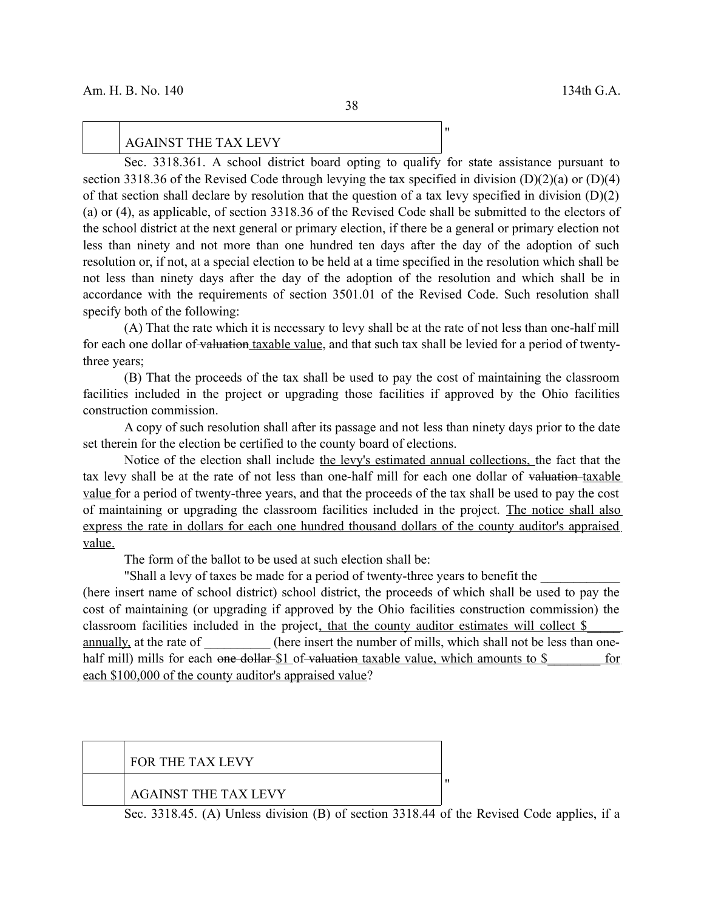### AGAINST THE TAX LEVY

Sec. 3318.361. A school district board opting to qualify for state assistance pursuant to section 3318.36 of the Revised Code through levying the tax specified in division (D)(2)(a) or (D)(4) of that section shall declare by resolution that the question of a tax levy specified in division (D)(2) (a) or (4), as applicable, of section 3318.36 of the Revised Code shall be submitted to the electors of the school district at the next general or primary election, if there be a general or primary election not less than ninety and not more than one hundred ten days after the day of the adoption of such resolution or, if not, at a special election to be held at a time specified in the resolution which shall be not less than ninety days after the day of the adoption of the resolution and which shall be in accordance with the requirements of section 3501.01 of the Revised Code. Such resolution shall specify both of the following:

(A) That the rate which it is necessary to levy shall be at the rate of not less than one-half mill for each one dollar of valuation taxable value, and that such tax shall be levied for a period of twentythree years;

(B) That the proceeds of the tax shall be used to pay the cost of maintaining the classroom facilities included in the project or upgrading those facilities if approved by the Ohio facilities construction commission.

A copy of such resolution shall after its passage and not less than ninety days prior to the date set therein for the election be certified to the county board of elections.

Notice of the election shall include the levy's estimated annual collections, the fact that the tax levy shall be at the rate of not less than one-half mill for each one dollar of valuation-taxable value for a period of twenty-three years, and that the proceeds of the tax shall be used to pay the cost of maintaining or upgrading the classroom facilities included in the project. The notice shall also express the rate in dollars for each one hundred thousand dollars of the county auditor's appraised value.

The form of the ballot to be used at such election shall be:

"Shall a levy of taxes be made for a period of twenty-three years to benefit the

(here insert name of school district) school district, the proceeds of which shall be used to pay the cost of maintaining (or upgrading if approved by the Ohio facilities construction commission) the classroom facilities included in the project, that the county auditor estimates will collect \$ annually, at the rate of  $\qquad \qquad$  (here insert the number of mills, which shall not be less than onehalf mill) mills for each <del>one dollar \$1</del> of valuation taxable value, which amounts to \$ for each \$100,000 of the county auditor's appraised value?

|  | <b>FOR THE TAX LEVY</b>     |  |
|--|-----------------------------|--|
|  | <b>AGAINST THE TAX LEVY</b> |  |

Sec. 3318.45. (A) Unless division (B) of section 3318.44 of the Revised Code applies, if a

"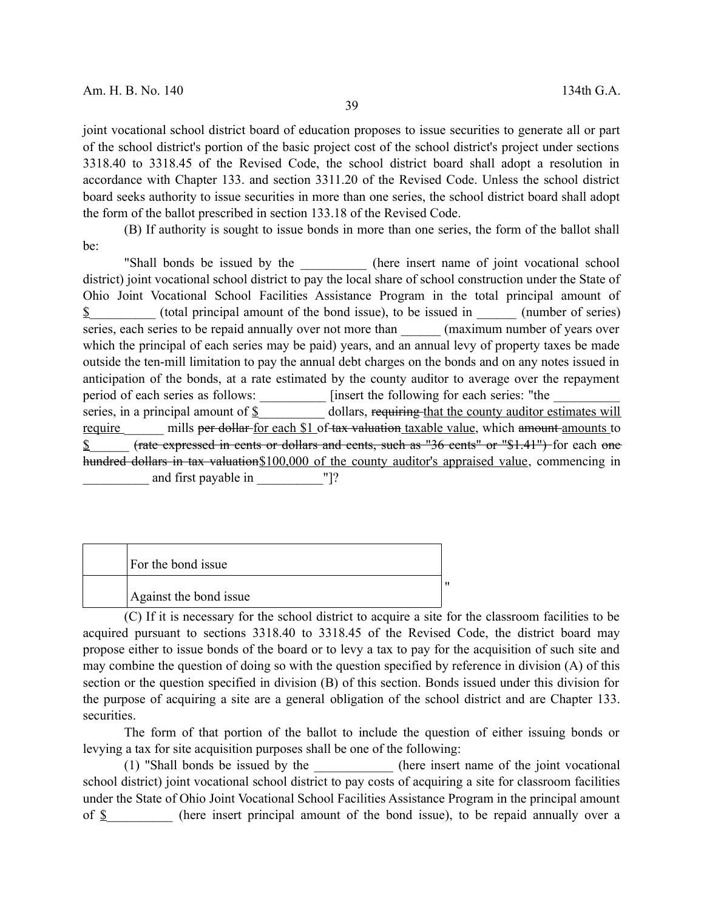joint vocational school district board of education proposes to issue securities to generate all or part of the school district's portion of the basic project cost of the school district's project under sections 3318.40 to 3318.45 of the Revised Code, the school district board shall adopt a resolution in accordance with Chapter 133. and section 3311.20 of the Revised Code. Unless the school district board seeks authority to issue securities in more than one series, the school district board shall adopt the form of the ballot prescribed in section 133.18 of the Revised Code.

(B) If authority is sought to issue bonds in more than one series, the form of the ballot shall be:

"Shall bonds be issued by the the there insert name of joint vocational school district) joint vocational school district to pay the local share of school construction under the State of Ohio Joint Vocational School Facilities Assistance Program in the total principal amount of  $\$\$  (total principal amount of the bond issue), to be issued in (number of series) series, each series to be repaid annually over not more than  $($ maximum number of years over which the principal of each series may be paid) years, and an annual levy of property taxes be made outside the ten-mill limitation to pay the annual debt charges on the bonds and on any notes issued in anticipation of the bonds, at a rate estimated by the county auditor to average over the repayment period of each series as follows: \_\_\_\_\_\_\_\_\_\_\_\_ [insert the following for each series: "the \_ series, in a principal amount of  $\underline{\S}$  dollars, requiring that the county auditor estimates will require mills per dollar for each \$1 of tax valuation taxable value, which amount amounts to \$  $\epsilon$  (rate expressed in cents or dollars and cents, such as "36 cents" or "\$1.41") for each one hundred dollars in tax valuation \$100,000 of the county auditor's appraised value, commencing in and first payable in  $"$  !?

| For the bond issue     |  |
|------------------------|--|
| Against the bond issue |  |

(C) If it is necessary for the school district to acquire a site for the classroom facilities to be acquired pursuant to sections 3318.40 to 3318.45 of the Revised Code, the district board may propose either to issue bonds of the board or to levy a tax to pay for the acquisition of such site and may combine the question of doing so with the question specified by reference in division (A) of this section or the question specified in division (B) of this section. Bonds issued under this division for the purpose of acquiring a site are a general obligation of the school district and are Chapter 133. securities.

The form of that portion of the ballot to include the question of either issuing bonds or levying a tax for site acquisition purposes shall be one of the following:

(1) "Shall bonds be issued by the  $\qquad$  (here insert name of the joint vocational school district) joint vocational school district to pay costs of acquiring a site for classroom facilities under the State of Ohio Joint Vocational School Facilities Assistance Program in the principal amount of  $\S$  (here insert principal amount of the bond issue), to be repaid annually over a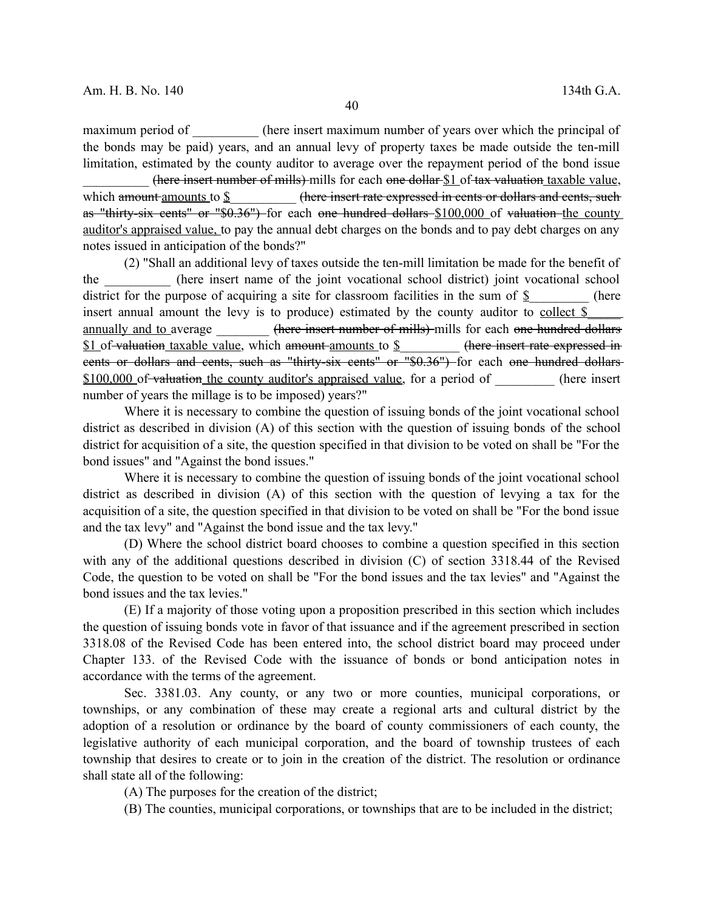maximum period of (here insert maximum number of years over which the principal of the bonds may be paid) years, and an annual levy of property taxes be made outside the ten-mill limitation, estimated by the county auditor to average over the repayment period of the bond issue

\_\_\_\_\_\_\_\_\_\_ (here insert number of mills) mills for each one dollar \$1 of tax valuation taxable value, which amount amounts to \$ (here insert rate expressed in cents or dollars and cents, such as "thirty-six cents" or "\$0.36") for each one hundred dollars \$100,000 of valuation the county auditor's appraised value, to pay the annual debt charges on the bonds and to pay debt charges on any notes issued in anticipation of the bonds?"

(2) "Shall an additional levy of taxes outside the ten-mill limitation be made for the benefit of the \_\_\_\_\_\_\_\_\_\_ (here insert name of the joint vocational school district) joint vocational school district for the purpose of acquiring a site for classroom facilities in the sum of  $\S$  (here insert annual amount the levy is to produce) estimated by the county auditor to collect \$ annually and to average **there insert number of mills)** mills for each one hundred dollars \$1 of valuation taxable value, which amount amounts to \$\_\_\_\_\_\_\_\_\_\_ (here insert rate expressed in eents or dollars and cents, such as "thirty-six cents" or "\$0.36") for each one hundred dollars \$100,000 of valuation the county auditor's appraised value, for a period of (here insert number of years the millage is to be imposed) years?"

Where it is necessary to combine the question of issuing bonds of the joint vocational school district as described in division (A) of this section with the question of issuing bonds of the school district for acquisition of a site, the question specified in that division to be voted on shall be "For the bond issues" and "Against the bond issues."

Where it is necessary to combine the question of issuing bonds of the joint vocational school district as described in division (A) of this section with the question of levying a tax for the acquisition of a site, the question specified in that division to be voted on shall be "For the bond issue and the tax levy" and "Against the bond issue and the tax levy."

(D) Where the school district board chooses to combine a question specified in this section with any of the additional questions described in division (C) of section 3318.44 of the Revised Code, the question to be voted on shall be "For the bond issues and the tax levies" and "Against the bond issues and the tax levies."

(E) If a majority of those voting upon a proposition prescribed in this section which includes the question of issuing bonds vote in favor of that issuance and if the agreement prescribed in section 3318.08 of the Revised Code has been entered into, the school district board may proceed under Chapter 133. of the Revised Code with the issuance of bonds or bond anticipation notes in accordance with the terms of the agreement.

Sec. 3381.03. Any county, or any two or more counties, municipal corporations, or townships, or any combination of these may create a regional arts and cultural district by the adoption of a resolution or ordinance by the board of county commissioners of each county, the legislative authority of each municipal corporation, and the board of township trustees of each township that desires to create or to join in the creation of the district. The resolution or ordinance shall state all of the following:

(A) The purposes for the creation of the district;

(B) The counties, municipal corporations, or townships that are to be included in the district;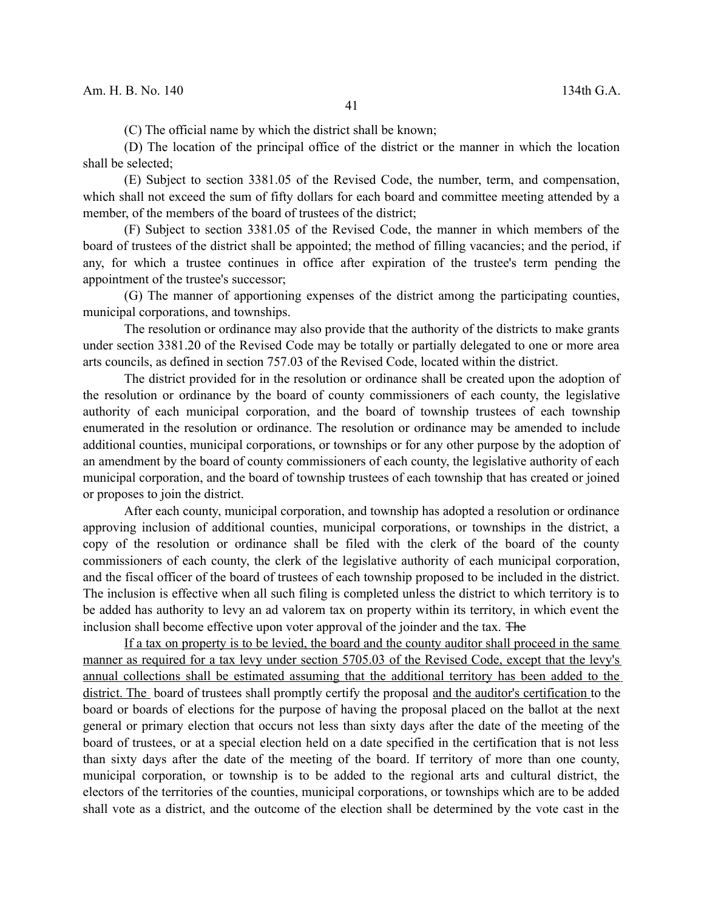(C) The official name by which the district shall be known;

(D) The location of the principal office of the district or the manner in which the location shall be selected;

(E) Subject to section 3381.05 of the Revised Code, the number, term, and compensation, which shall not exceed the sum of fifty dollars for each board and committee meeting attended by a member, of the members of the board of trustees of the district;

(F) Subject to section 3381.05 of the Revised Code, the manner in which members of the board of trustees of the district shall be appointed; the method of filling vacancies; and the period, if any, for which a trustee continues in office after expiration of the trustee's term pending the appointment of the trustee's successor;

(G) The manner of apportioning expenses of the district among the participating counties, municipal corporations, and townships.

The resolution or ordinance may also provide that the authority of the districts to make grants under section 3381.20 of the Revised Code may be totally or partially delegated to one or more area arts councils, as defined in section 757.03 of the Revised Code, located within the district.

The district provided for in the resolution or ordinance shall be created upon the adoption of the resolution or ordinance by the board of county commissioners of each county, the legislative authority of each municipal corporation, and the board of township trustees of each township enumerated in the resolution or ordinance. The resolution or ordinance may be amended to include additional counties, municipal corporations, or townships or for any other purpose by the adoption of an amendment by the board of county commissioners of each county, the legislative authority of each municipal corporation, and the board of township trustees of each township that has created or joined or proposes to join the district.

After each county, municipal corporation, and township has adopted a resolution or ordinance approving inclusion of additional counties, municipal corporations, or townships in the district, a copy of the resolution or ordinance shall be filed with the clerk of the board of the county commissioners of each county, the clerk of the legislative authority of each municipal corporation, and the fiscal officer of the board of trustees of each township proposed to be included in the district. The inclusion is effective when all such filing is completed unless the district to which territory is to be added has authority to levy an ad valorem tax on property within its territory, in which event the inclusion shall become effective upon voter approval of the joinder and the tax. The

If a tax on property is to be levied, the board and the county auditor shall proceed in the same manner as required for a tax levy under section 5705.03 of the Revised Code, except that the levy's annual collections shall be estimated assuming that the additional territory has been added to the district. The board of trustees shall promptly certify the proposal and the auditor's certification to the board or boards of elections for the purpose of having the proposal placed on the ballot at the next general or primary election that occurs not less than sixty days after the date of the meeting of the board of trustees, or at a special election held on a date specified in the certification that is not less than sixty days after the date of the meeting of the board. If territory of more than one county, municipal corporation, or township is to be added to the regional arts and cultural district, the electors of the territories of the counties, municipal corporations, or townships which are to be added shall vote as a district, and the outcome of the election shall be determined by the vote cast in the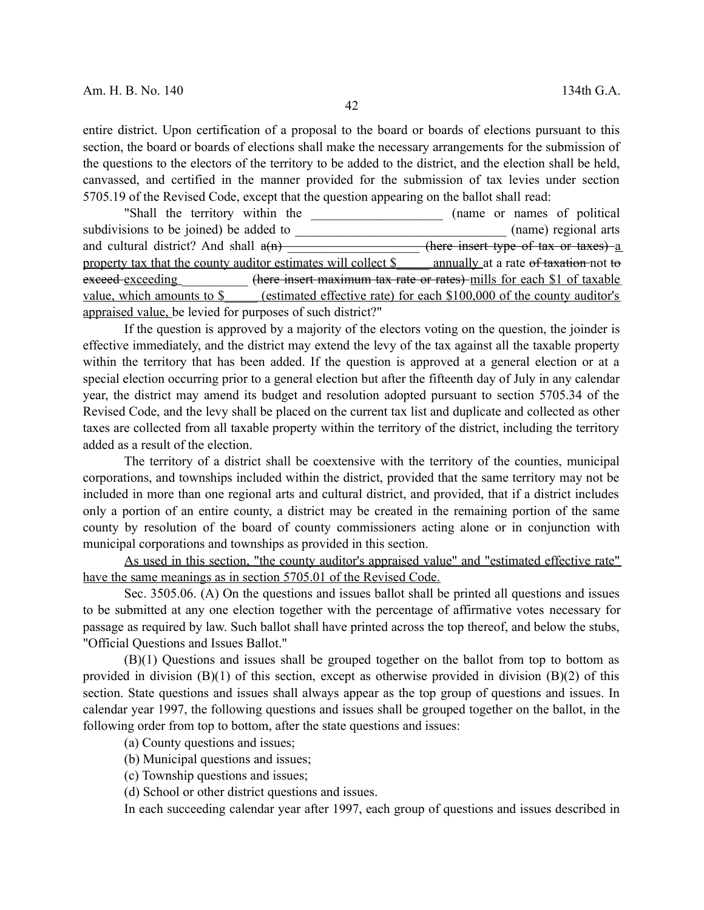entire district. Upon certification of a proposal to the board or boards of elections pursuant to this section, the board or boards of elections shall make the necessary arrangements for the submission of the questions to the electors of the territory to be added to the district, and the election shall be held, canvassed, and certified in the manner provided for the submission of tax levies under section 5705.19 of the Revised Code, except that the question appearing on the ballot shall read:

"Shall the territory within the  $(name \space or \space names \space of \space political$ subdivisions to be joined) be added to \_\_\_\_\_\_\_\_\_\_\_\_\_\_\_\_\_\_\_\_\_\_\_\_\_\_\_\_\_\_\_\_ (name) regional arts and cultural district? And shall  $a(n)$  \_\_\_\_\_\_\_\_\_\_\_\_\_\_\_\_\_\_\_(here insert type of tax or taxes) a property tax that the county auditor estimates will collect \$ annually at a rate of taxation not to exceed exceeding (here insert maximum tax rate or rates) mills for each \$1 of taxable value, which amounts to \$ (estimated effective rate) for each \$100,000 of the county auditor's appraised value, be levied for purposes of such district?"

If the question is approved by a majority of the electors voting on the question, the joinder is effective immediately, and the district may extend the levy of the tax against all the taxable property within the territory that has been added. If the question is approved at a general election or at a special election occurring prior to a general election but after the fifteenth day of July in any calendar year, the district may amend its budget and resolution adopted pursuant to section 5705.34 of the Revised Code, and the levy shall be placed on the current tax list and duplicate and collected as other taxes are collected from all taxable property within the territory of the district, including the territory added as a result of the election.

The territory of a district shall be coextensive with the territory of the counties, municipal corporations, and townships included within the district, provided that the same territory may not be included in more than one regional arts and cultural district, and provided, that if a district includes only a portion of an entire county, a district may be created in the remaining portion of the same county by resolution of the board of county commissioners acting alone or in conjunction with municipal corporations and townships as provided in this section.

As used in this section, "the county auditor's appraised value" and "estimated effective rate" have the same meanings as in section 5705.01 of the Revised Code.

Sec. 3505.06. (A) On the questions and issues ballot shall be printed all questions and issues to be submitted at any one election together with the percentage of affirmative votes necessary for passage as required by law. Such ballot shall have printed across the top thereof, and below the stubs, "Official Questions and Issues Ballot."

(B)(1) Questions and issues shall be grouped together on the ballot from top to bottom as provided in division  $(B)(1)$  of this section, except as otherwise provided in division  $(B)(2)$  of this section. State questions and issues shall always appear as the top group of questions and issues. In calendar year 1997, the following questions and issues shall be grouped together on the ballot, in the following order from top to bottom, after the state questions and issues:

(a) County questions and issues;

(b) Municipal questions and issues;

(c) Township questions and issues;

(d) School or other district questions and issues.

In each succeeding calendar year after 1997, each group of questions and issues described in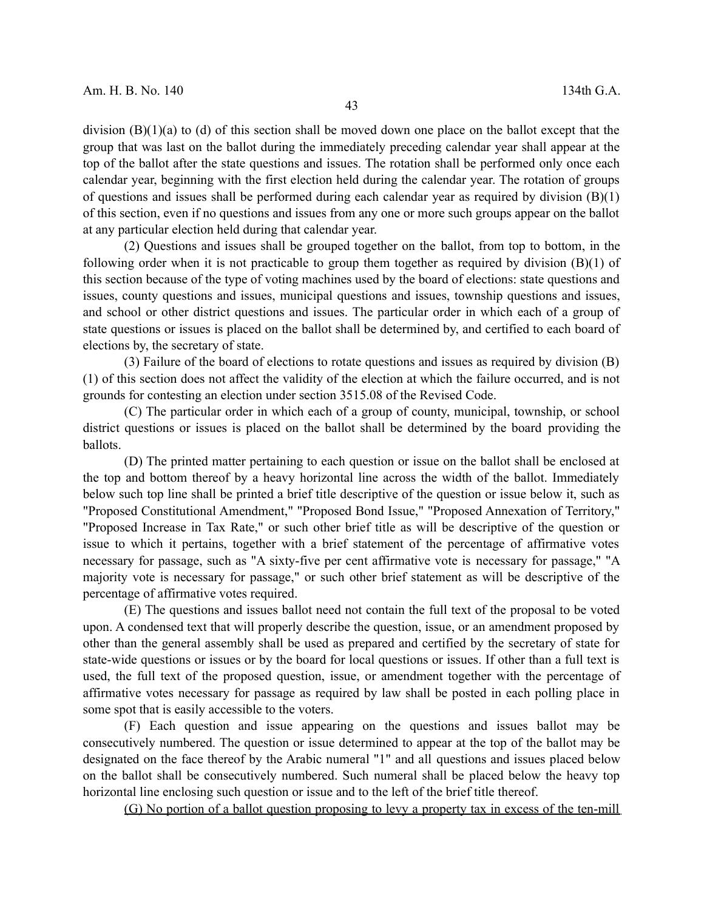division (B)(1)(a) to (d) of this section shall be moved down one place on the ballot except that the group that was last on the ballot during the immediately preceding calendar year shall appear at the top of the ballot after the state questions and issues. The rotation shall be performed only once each calendar year, beginning with the first election held during the calendar year. The rotation of groups of questions and issues shall be performed during each calendar year as required by division (B)(1) of this section, even if no questions and issues from any one or more such groups appear on the ballot at any particular election held during that calendar year.

(2) Questions and issues shall be grouped together on the ballot, from top to bottom, in the following order when it is not practicable to group them together as required by division  $(B)(1)$  of this section because of the type of voting machines used by the board of elections: state questions and issues, county questions and issues, municipal questions and issues, township questions and issues, and school or other district questions and issues. The particular order in which each of a group of state questions or issues is placed on the ballot shall be determined by, and certified to each board of elections by, the secretary of state.

(3) Failure of the board of elections to rotate questions and issues as required by division (B) (1) of this section does not affect the validity of the election at which the failure occurred, and is not grounds for contesting an election under section 3515.08 of the Revised Code.

(C) The particular order in which each of a group of county, municipal, township, or school district questions or issues is placed on the ballot shall be determined by the board providing the ballots.

(D) The printed matter pertaining to each question or issue on the ballot shall be enclosed at the top and bottom thereof by a heavy horizontal line across the width of the ballot. Immediately below such top line shall be printed a brief title descriptive of the question or issue below it, such as "Proposed Constitutional Amendment," "Proposed Bond Issue," "Proposed Annexation of Territory," "Proposed Increase in Tax Rate," or such other brief title as will be descriptive of the question or issue to which it pertains, together with a brief statement of the percentage of affirmative votes necessary for passage, such as "A sixty-five per cent affirmative vote is necessary for passage," "A majority vote is necessary for passage," or such other brief statement as will be descriptive of the percentage of affirmative votes required.

(E) The questions and issues ballot need not contain the full text of the proposal to be voted upon. A condensed text that will properly describe the question, issue, or an amendment proposed by other than the general assembly shall be used as prepared and certified by the secretary of state for state-wide questions or issues or by the board for local questions or issues. If other than a full text is used, the full text of the proposed question, issue, or amendment together with the percentage of affirmative votes necessary for passage as required by law shall be posted in each polling place in some spot that is easily accessible to the voters.

(F) Each question and issue appearing on the questions and issues ballot may be consecutively numbered. The question or issue determined to appear at the top of the ballot may be designated on the face thereof by the Arabic numeral "1" and all questions and issues placed below on the ballot shall be consecutively numbered. Such numeral shall be placed below the heavy top horizontal line enclosing such question or issue and to the left of the brief title thereof.

(G) No portion of a ballot question proposing to levy a property tax in excess of the ten-mill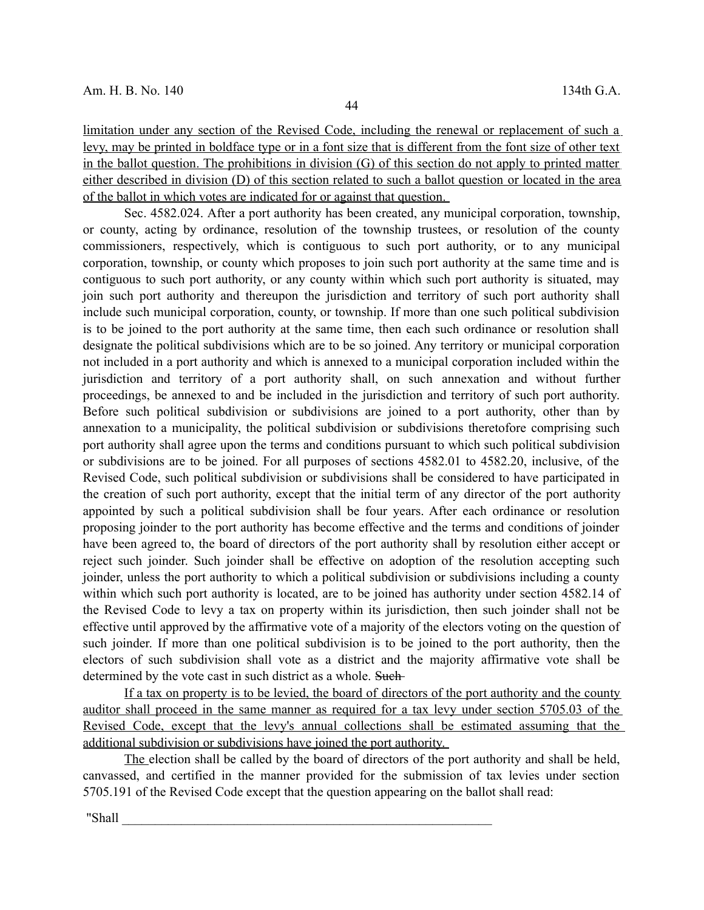limitation under any section of the Revised Code, including the renewal or replacement of such a levy, may be printed in boldface type or in a font size that is different from the font size of other text in the ballot question. The prohibitions in division  $(G)$  of this section do not apply to printed matter either described in division (D) of this section related to such a ballot question or located in the area of the ballot in which votes are indicated for or against that question.

Sec. 4582.024. After a port authority has been created, any municipal corporation, township, or county, acting by ordinance, resolution of the township trustees, or resolution of the county commissioners, respectively, which is contiguous to such port authority, or to any municipal corporation, township, or county which proposes to join such port authority at the same time and is contiguous to such port authority, or any county within which such port authority is situated, may join such port authority and thereupon the jurisdiction and territory of such port authority shall include such municipal corporation, county, or township. If more than one such political subdivision is to be joined to the port authority at the same time, then each such ordinance or resolution shall designate the political subdivisions which are to be so joined. Any territory or municipal corporation not included in a port authority and which is annexed to a municipal corporation included within the jurisdiction and territory of a port authority shall, on such annexation and without further proceedings, be annexed to and be included in the jurisdiction and territory of such port authority. Before such political subdivision or subdivisions are joined to a port authority, other than by annexation to a municipality, the political subdivision or subdivisions theretofore comprising such port authority shall agree upon the terms and conditions pursuant to which such political subdivision or subdivisions are to be joined. For all purposes of sections 4582.01 to 4582.20, inclusive, of the Revised Code, such political subdivision or subdivisions shall be considered to have participated in the creation of such port authority, except that the initial term of any director of the port authority appointed by such a political subdivision shall be four years. After each ordinance or resolution proposing joinder to the port authority has become effective and the terms and conditions of joinder have been agreed to, the board of directors of the port authority shall by resolution either accept or reject such joinder. Such joinder shall be effective on adoption of the resolution accepting such joinder, unless the port authority to which a political subdivision or subdivisions including a county within which such port authority is located, are to be joined has authority under section 4582.14 of the Revised Code to levy a tax on property within its jurisdiction, then such joinder shall not be effective until approved by the affirmative vote of a majority of the electors voting on the question of such joinder. If more than one political subdivision is to be joined to the port authority, then the electors of such subdivision shall vote as a district and the majority affirmative vote shall be determined by the vote cast in such district as a whole. Such-

 If a tax on property is to be levied, the board of directors of the port authority and the county auditor shall proceed in the same manner as required for a tax levy under section 5705.03 of the Revised Code, except that the levy's annual collections shall be estimated assuming that the additional subdivision or subdivisions have joined the port authority.

The election shall be called by the board of directors of the port authority and shall be held, canvassed, and certified in the manner provided for the submission of tax levies under section 5705.191 of the Revised Code except that the question appearing on the ballot shall read:

"Shall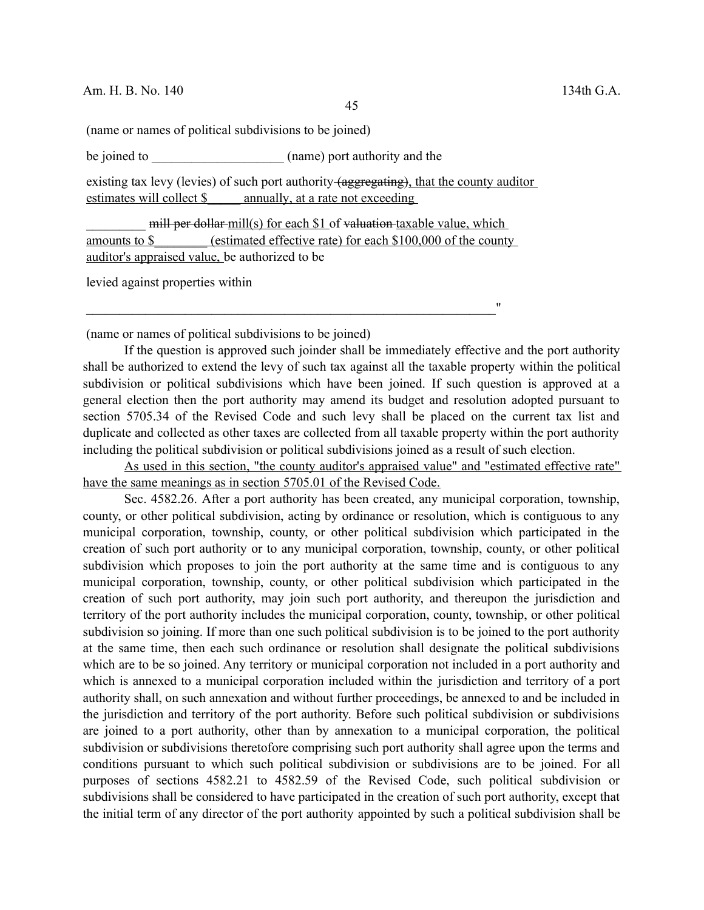(name or names of political subdivisions to be joined)

be joined to  $(name)$  port authority and the

existing tax levy (levies) of such port authority (aggregating), that the county auditor estimates will collect \$ annually, at a rate not exceeding

mill per dollar mill(s) for each \$1 of valuation taxable value, which amounts to \$\_\_\_\_\_\_\_\_ (estimated effective rate) for each \$100,000 of the county auditor's appraised value, be authorized to be

 $\mathcal{L}_\text{max} = \frac{1}{2} \sum_{i=1}^{n} \frac{1}{2} \sum_{i=1}^{n} \frac{1}{2} \sum_{i=1}^{n} \frac{1}{2} \sum_{i=1}^{n} \frac{1}{2} \sum_{i=1}^{n} \frac{1}{2} \sum_{i=1}^{n} \frac{1}{2} \sum_{i=1}^{n} \frac{1}{2} \sum_{i=1}^{n} \frac{1}{2} \sum_{i=1}^{n} \frac{1}{2} \sum_{i=1}^{n} \frac{1}{2} \sum_{i=1}^{n} \frac{1}{2} \sum_{i=1}^{n} \frac{1$ 

levied against properties within

(name or names of political subdivisions to be joined)

If the question is approved such joinder shall be immediately effective and the port authority shall be authorized to extend the levy of such tax against all the taxable property within the political subdivision or political subdivisions which have been joined. If such question is approved at a general election then the port authority may amend its budget and resolution adopted pursuant to section 5705.34 of the Revised Code and such levy shall be placed on the current tax list and duplicate and collected as other taxes are collected from all taxable property within the port authority including the political subdivision or political subdivisions joined as a result of such election.

As used in this section, "the county auditor's appraised value" and "estimated effective rate" have the same meanings as in section 5705.01 of the Revised Code.

Sec. 4582.26. After a port authority has been created, any municipal corporation, township, county, or other political subdivision, acting by ordinance or resolution, which is contiguous to any municipal corporation, township, county, or other political subdivision which participated in the creation of such port authority or to any municipal corporation, township, county, or other political subdivision which proposes to join the port authority at the same time and is contiguous to any municipal corporation, township, county, or other political subdivision which participated in the creation of such port authority, may join such port authority, and thereupon the jurisdiction and territory of the port authority includes the municipal corporation, county, township, or other political subdivision so joining. If more than one such political subdivision is to be joined to the port authority at the same time, then each such ordinance or resolution shall designate the political subdivisions which are to be so joined. Any territory or municipal corporation not included in a port authority and which is annexed to a municipal corporation included within the jurisdiction and territory of a port authority shall, on such annexation and without further proceedings, be annexed to and be included in the jurisdiction and territory of the port authority. Before such political subdivision or subdivisions are joined to a port authority, other than by annexation to a municipal corporation, the political subdivision or subdivisions theretofore comprising such port authority shall agree upon the terms and conditions pursuant to which such political subdivision or subdivisions are to be joined. For all purposes of sections 4582.21 to 4582.59 of the Revised Code, such political subdivision or subdivisions shall be considered to have participated in the creation of such port authority, except that the initial term of any director of the port authority appointed by such a political subdivision shall be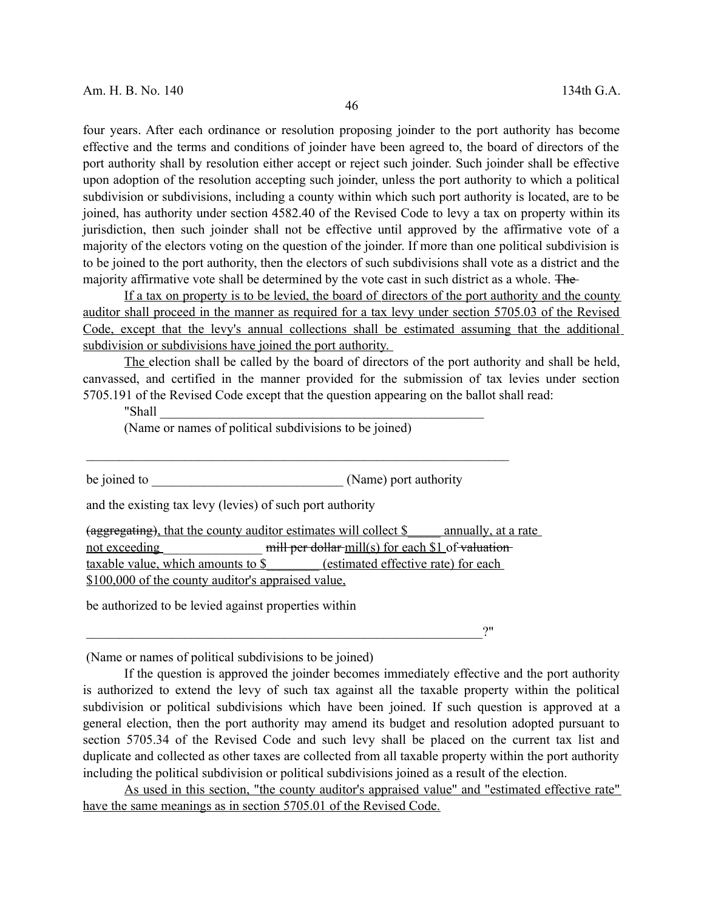four years. After each ordinance or resolution proposing joinder to the port authority has become effective and the terms and conditions of joinder have been agreed to, the board of directors of the port authority shall by resolution either accept or reject such joinder. Such joinder shall be effective upon adoption of the resolution accepting such joinder, unless the port authority to which a political subdivision or subdivisions, including a county within which such port authority is located, are to be joined, has authority under section 4582.40 of the Revised Code to levy a tax on property within its jurisdiction, then such joinder shall not be effective until approved by the affirmative vote of a majority of the electors voting on the question of the joinder. If more than one political subdivision is to be joined to the port authority, then the electors of such subdivisions shall vote as a district and the majority affirmative vote shall be determined by the vote cast in such district as a whole. The

If a tax on property is to be levied, the board of directors of the port authority and the county auditor shall proceed in the manner as required for a tax levy under section 5705.03 of the Revised Code, except that the levy's annual collections shall be estimated assuming that the additional subdivision or subdivisions have joined the port authority.

The election shall be called by the board of directors of the port authority and shall be held, canvassed, and certified in the manner provided for the submission of tax levies under section 5705.191 of the Revised Code except that the question appearing on the ballot shall read:

"Shall \_\_\_\_\_\_\_\_\_\_\_\_\_\_\_\_\_\_\_\_\_\_\_\_\_\_\_\_\_\_\_\_\_\_\_\_\_\_\_\_\_\_\_\_\_\_\_\_\_

(Name or names of political subdivisions to be joined)

be joined to  $(Name)$  port authority

 $\mathcal{L}_\text{max}$  , and the contract of the contract of the contract of the contract of the contract of the contract of the contract of the contract of the contract of the contract of the contract of the contract of the contr

and the existing tax levy (levies) of such port authority

(aggregating), that the county auditor estimates will collect \$ \_\_\_\_ annually, at a rate not exceeding mill per dollar mill(s) for each \$1 of valuationtaxable value, which amounts to \$ (estimated effective rate) for each \$100,000 of the county auditor's appraised value,

be authorized to be levied against properties within

 $\cdot$ ?"

(Name or names of political subdivisions to be joined)

If the question is approved the joinder becomes immediately effective and the port authority is authorized to extend the levy of such tax against all the taxable property within the political subdivision or political subdivisions which have been joined. If such question is approved at a general election, then the port authority may amend its budget and resolution adopted pursuant to section 5705.34 of the Revised Code and such levy shall be placed on the current tax list and duplicate and collected as other taxes are collected from all taxable property within the port authority including the political subdivision or political subdivisions joined as a result of the election.

As used in this section, "the county auditor's appraised value" and "estimated effective rate" have the same meanings as in section 5705.01 of the Revised Code.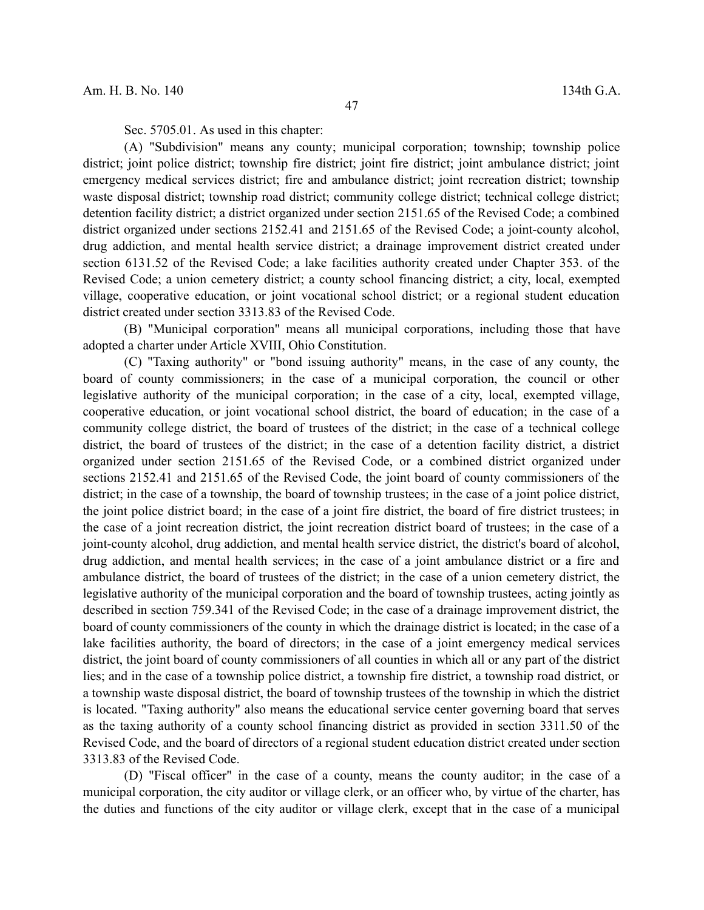Sec. 5705.01. As used in this chapter:

(A) "Subdivision" means any county; municipal corporation; township; township police district; joint police district; township fire district; joint fire district; joint ambulance district; joint emergency medical services district; fire and ambulance district; joint recreation district; township waste disposal district; township road district; community college district; technical college district; detention facility district; a district organized under section 2151.65 of the Revised Code; a combined district organized under sections 2152.41 and 2151.65 of the Revised Code; a joint-county alcohol, drug addiction, and mental health service district; a drainage improvement district created under section 6131.52 of the Revised Code; a lake facilities authority created under Chapter 353. of the Revised Code; a union cemetery district; a county school financing district; a city, local, exempted village, cooperative education, or joint vocational school district; or a regional student education district created under section 3313.83 of the Revised Code.

(B) "Municipal corporation" means all municipal corporations, including those that have adopted a charter under Article XVIII, Ohio Constitution.

(C) "Taxing authority" or "bond issuing authority" means, in the case of any county, the board of county commissioners; in the case of a municipal corporation, the council or other legislative authority of the municipal corporation; in the case of a city, local, exempted village, cooperative education, or joint vocational school district, the board of education; in the case of a community college district, the board of trustees of the district; in the case of a technical college district, the board of trustees of the district; in the case of a detention facility district, a district organized under section 2151.65 of the Revised Code, or a combined district organized under sections 2152.41 and 2151.65 of the Revised Code, the joint board of county commissioners of the district; in the case of a township, the board of township trustees; in the case of a joint police district, the joint police district board; in the case of a joint fire district, the board of fire district trustees; in the case of a joint recreation district, the joint recreation district board of trustees; in the case of a joint-county alcohol, drug addiction, and mental health service district, the district's board of alcohol, drug addiction, and mental health services; in the case of a joint ambulance district or a fire and ambulance district, the board of trustees of the district; in the case of a union cemetery district, the legislative authority of the municipal corporation and the board of township trustees, acting jointly as described in section 759.341 of the Revised Code; in the case of a drainage improvement district, the board of county commissioners of the county in which the drainage district is located; in the case of a lake facilities authority, the board of directors; in the case of a joint emergency medical services district, the joint board of county commissioners of all counties in which all or any part of the district lies; and in the case of a township police district, a township fire district, a township road district, or a township waste disposal district, the board of township trustees of the township in which the district is located. "Taxing authority" also means the educational service center governing board that serves as the taxing authority of a county school financing district as provided in section 3311.50 of the Revised Code, and the board of directors of a regional student education district created under section 3313.83 of the Revised Code.

(D) "Fiscal officer" in the case of a county, means the county auditor; in the case of a municipal corporation, the city auditor or village clerk, or an officer who, by virtue of the charter, has the duties and functions of the city auditor or village clerk, except that in the case of a municipal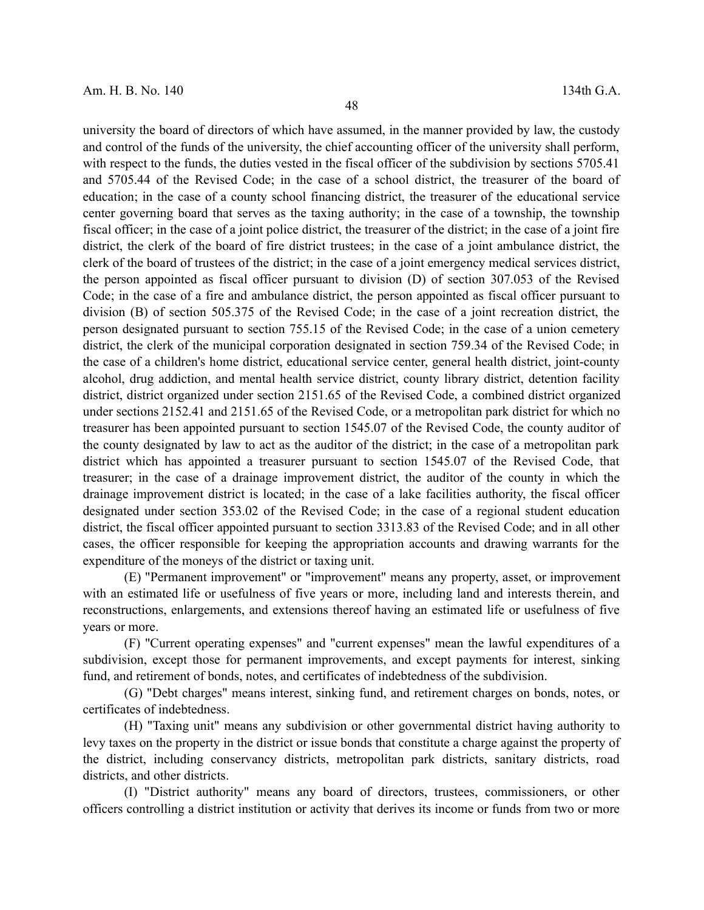university the board of directors of which have assumed, in the manner provided by law, the custody and control of the funds of the university, the chief accounting officer of the university shall perform, with respect to the funds, the duties vested in the fiscal officer of the subdivision by sections 5705.41 and 5705.44 of the Revised Code; in the case of a school district, the treasurer of the board of education; in the case of a county school financing district, the treasurer of the educational service center governing board that serves as the taxing authority; in the case of a township, the township fiscal officer; in the case of a joint police district, the treasurer of the district; in the case of a joint fire district, the clerk of the board of fire district trustees; in the case of a joint ambulance district, the clerk of the board of trustees of the district; in the case of a joint emergency medical services district, the person appointed as fiscal officer pursuant to division (D) of section 307.053 of the Revised Code; in the case of a fire and ambulance district, the person appointed as fiscal officer pursuant to division (B) of section 505.375 of the Revised Code; in the case of a joint recreation district, the person designated pursuant to section 755.15 of the Revised Code; in the case of a union cemetery district, the clerk of the municipal corporation designated in section 759.34 of the Revised Code; in the case of a children's home district, educational service center, general health district, joint-county alcohol, drug addiction, and mental health service district, county library district, detention facility district, district organized under section 2151.65 of the Revised Code, a combined district organized under sections 2152.41 and 2151.65 of the Revised Code, or a metropolitan park district for which no treasurer has been appointed pursuant to section 1545.07 of the Revised Code, the county auditor of the county designated by law to act as the auditor of the district; in the case of a metropolitan park district which has appointed a treasurer pursuant to section 1545.07 of the Revised Code, that treasurer; in the case of a drainage improvement district, the auditor of the county in which the drainage improvement district is located; in the case of a lake facilities authority, the fiscal officer designated under section 353.02 of the Revised Code; in the case of a regional student education district, the fiscal officer appointed pursuant to section 3313.83 of the Revised Code; and in all other cases, the officer responsible for keeping the appropriation accounts and drawing warrants for the expenditure of the moneys of the district or taxing unit.

(E) "Permanent improvement" or "improvement" means any property, asset, or improvement with an estimated life or usefulness of five years or more, including land and interests therein, and reconstructions, enlargements, and extensions thereof having an estimated life or usefulness of five years or more.

(F) "Current operating expenses" and "current expenses" mean the lawful expenditures of a subdivision, except those for permanent improvements, and except payments for interest, sinking fund, and retirement of bonds, notes, and certificates of indebtedness of the subdivision.

(G) "Debt charges" means interest, sinking fund, and retirement charges on bonds, notes, or certificates of indebtedness.

(H) "Taxing unit" means any subdivision or other governmental district having authority to levy taxes on the property in the district or issue bonds that constitute a charge against the property of the district, including conservancy districts, metropolitan park districts, sanitary districts, road districts, and other districts.

(I) "District authority" means any board of directors, trustees, commissioners, or other officers controlling a district institution or activity that derives its income or funds from two or more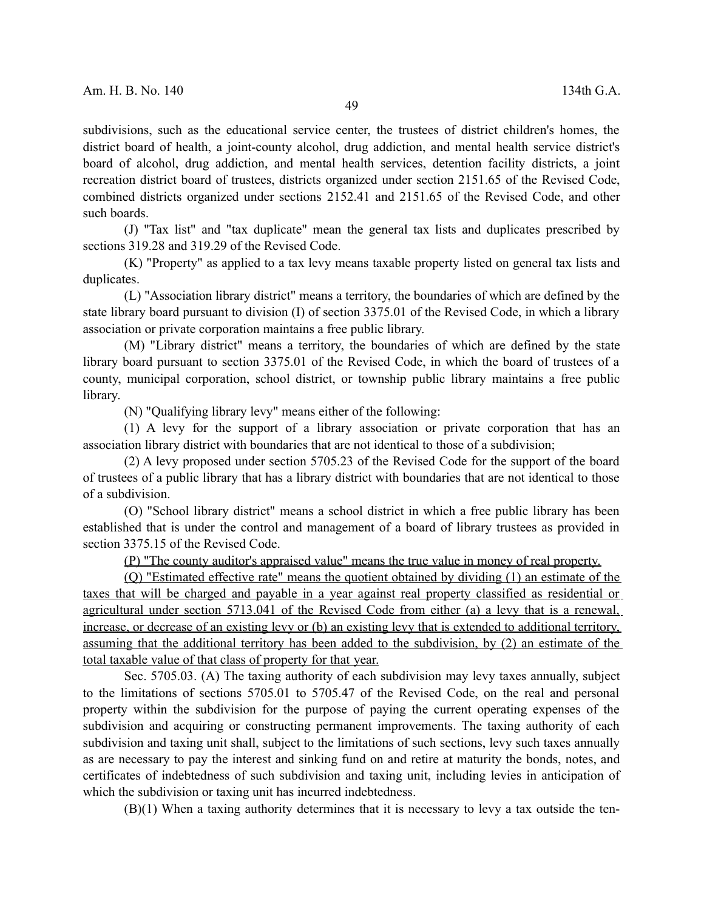subdivisions, such as the educational service center, the trustees of district children's homes, the district board of health, a joint-county alcohol, drug addiction, and mental health service district's board of alcohol, drug addiction, and mental health services, detention facility districts, a joint recreation district board of trustees, districts organized under section 2151.65 of the Revised Code, combined districts organized under sections 2152.41 and 2151.65 of the Revised Code, and other such boards.

(J) "Tax list" and "tax duplicate" mean the general tax lists and duplicates prescribed by sections 319.28 and 319.29 of the Revised Code.

(K) "Property" as applied to a tax levy means taxable property listed on general tax lists and duplicates.

(L) "Association library district" means a territory, the boundaries of which are defined by the state library board pursuant to division (I) of section 3375.01 of the Revised Code, in which a library association or private corporation maintains a free public library.

(M) "Library district" means a territory, the boundaries of which are defined by the state library board pursuant to section 3375.01 of the Revised Code, in which the board of trustees of a county, municipal corporation, school district, or township public library maintains a free public library.

(N) "Qualifying library levy" means either of the following:

(1) A levy for the support of a library association or private corporation that has an association library district with boundaries that are not identical to those of a subdivision;

(2) A levy proposed under section 5705.23 of the Revised Code for the support of the board of trustees of a public library that has a library district with boundaries that are not identical to those of a subdivision.

(O) "School library district" means a school district in which a free public library has been established that is under the control and management of a board of library trustees as provided in section 3375.15 of the Revised Code.

(P) "The county auditor's appraised value" means the true value in money of real property.

(Q) "Estimated effective rate" means the quotient obtained by dividing (1) an estimate of the taxes that will be charged and payable in a year against real property classified as residential or agricultural under section 5713.041 of the Revised Code from either (a) a levy that is a renewal, increase, or decrease of an existing levy or (b) an existing levy that is extended to additional territory, assuming that the additional territory has been added to the subdivision, by (2) an estimate of the total taxable value of that class of property for that year.

Sec. 5705.03. (A) The taxing authority of each subdivision may levy taxes annually, subject to the limitations of sections 5705.01 to 5705.47 of the Revised Code, on the real and personal property within the subdivision for the purpose of paying the current operating expenses of the subdivision and acquiring or constructing permanent improvements. The taxing authority of each subdivision and taxing unit shall, subject to the limitations of such sections, levy such taxes annually as are necessary to pay the interest and sinking fund on and retire at maturity the bonds, notes, and certificates of indebtedness of such subdivision and taxing unit, including levies in anticipation of which the subdivision or taxing unit has incurred indebtedness.

(B)(1) When a taxing authority determines that it is necessary to levy a tax outside the ten-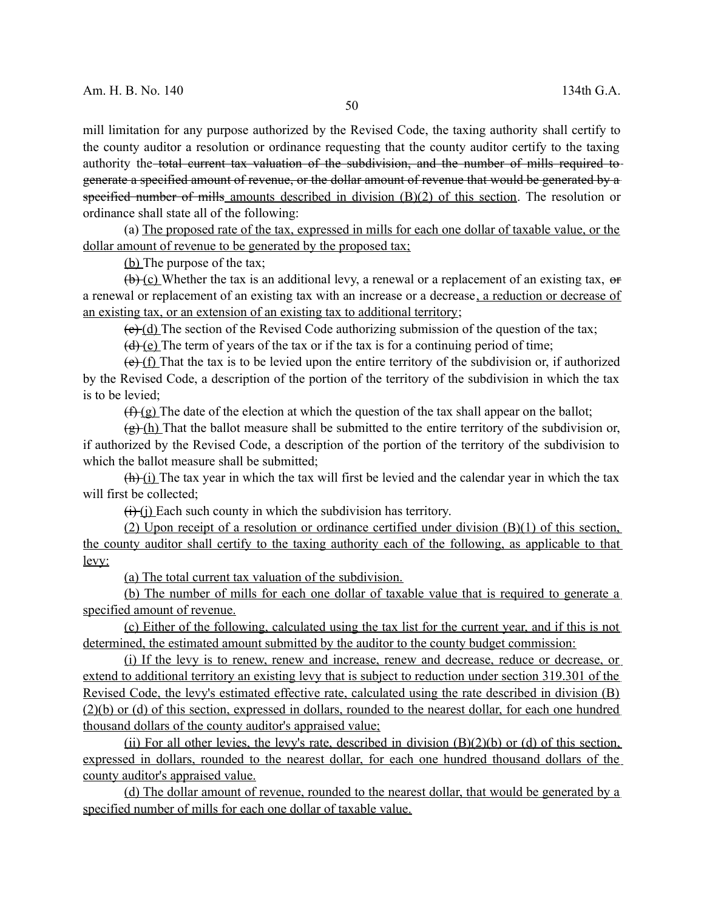mill limitation for any purpose authorized by the Revised Code, the taxing authority shall certify to the county auditor a resolution or ordinance requesting that the county auditor certify to the taxing authority the total current tax valuation of the subdivision, and the number of mills required togenerate a specified amount of revenue, or the dollar amount of revenue that would be generated by a specified number of mills amounts described in division (B)(2) of this section. The resolution or ordinance shall state all of the following:

(a) The proposed rate of the tax, expressed in mills for each one dollar of taxable value, or the dollar amount of revenue to be generated by the proposed tax;

(b) The purpose of the tax;

 $(b)$  (c) Whether the tax is an additional levy, a renewal or a replacement of an existing tax, or a renewal or replacement of an existing tax with an increase or a decrease, a reduction or decrease of an existing tax, or an extension of an existing tax to additional territory;

 $(e)$  (d) The section of the Revised Code authorizing submission of the question of the tax;

 $(d)$  (e) The term of years of the tax or if the tax is for a continuing period of time;

 $(e)$  (f) That the tax is to be levied upon the entire territory of the subdivision or, if authorized by the Revised Code, a description of the portion of the territory of the subdivision in which the tax is to be levied;

 $(f<sub>1</sub>(g)$  The date of the election at which the question of the tax shall appear on the ballot;

 $(g)$  (h) That the ballot measure shall be submitted to the entire territory of the subdivision or, if authorized by the Revised Code, a description of the portion of the territory of the subdivision to which the ballot measure shall be submitted;

 $(h)$  (i) The tax year in which the tax will first be levied and the calendar year in which the tax will first be collected;

 $(i)$  (i) Each such county in which the subdivision has territory.

(2) Upon receipt of a resolution or ordinance certified under division (B)(1) of this section, the county auditor shall certify to the taxing authority each of the following, as applicable to that levy:

(a) The total current tax valuation of the subdivision.

(b) The number of mills for each one dollar of taxable value that is required to generate a specified amount of revenue.

(c) Either of the following, calculated using the tax list for the current year, and if this is not determined, the estimated amount submitted by the auditor to the county budget commission:

(i) If the levy is to renew, renew and increase, renew and decrease, reduce or decrease, or extend to additional territory an existing levy that is subject to reduction under section 319.301 of the Revised Code, the levy's estimated effective rate, calculated using the rate described in division (B) (2)(b) or (d) of this section, expressed in dollars, rounded to the nearest dollar, for each one hundred thousand dollars of the county auditor's appraised value;

(ii) For all other levies, the levy's rate, described in division  $(B)(2)(b)$  or (d) of this section, expressed in dollars, rounded to the nearest dollar, for each one hundred thousand dollars of the county auditor's appraised value.

(d) The dollar amount of revenue, rounded to the nearest dollar, that would be generated by a specified number of mills for each one dollar of taxable value.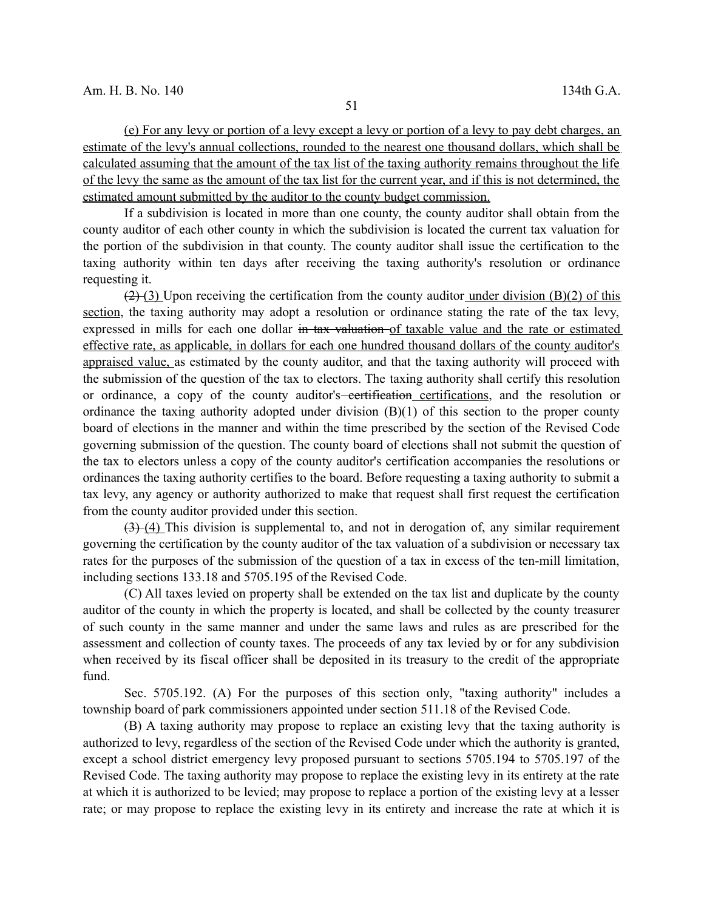(e) For any levy or portion of a levy except a levy or portion of a levy to pay debt charges, an estimate of the levy's annual collections, rounded to the nearest one thousand dollars, which shall be calculated assuming that the amount of the tax list of the taxing authority remains throughout the life of the levy the same as the amount of the tax list for the current year, and if this is not determined, the estimated amount submitted by the auditor to the county budget commission.

If a subdivision is located in more than one county, the county auditor shall obtain from the county auditor of each other county in which the subdivision is located the current tax valuation for the portion of the subdivision in that county. The county auditor shall issue the certification to the taxing authority within ten days after receiving the taxing authority's resolution or ordinance requesting it.

 $(2)$  (3) Upon receiving the certification from the county auditor under division (B)(2) of this section, the taxing authority may adopt a resolution or ordinance stating the rate of the tax levy, expressed in mills for each one dollar in tax valuation of taxable value and the rate or estimated effective rate, as applicable, in dollars for each one hundred thousand dollars of the county auditor's appraised value, as estimated by the county auditor, and that the taxing authority will proceed with the submission of the question of the tax to electors. The taxing authority shall certify this resolution or ordinance, a copy of the county auditor's<del> certification</del> certifications, and the resolution or ordinance the taxing authority adopted under division (B)(1) of this section to the proper county board of elections in the manner and within the time prescribed by the section of the Revised Code governing submission of the question. The county board of elections shall not submit the question of the tax to electors unless a copy of the county auditor's certification accompanies the resolutions or ordinances the taxing authority certifies to the board. Before requesting a taxing authority to submit a tax levy, any agency or authority authorized to make that request shall first request the certification from the county auditor provided under this section.

 $(3)$  (4) This division is supplemental to, and not in derogation of, any similar requirement governing the certification by the county auditor of the tax valuation of a subdivision or necessary tax rates for the purposes of the submission of the question of a tax in excess of the ten-mill limitation, including sections 133.18 and 5705.195 of the Revised Code.

(C) All taxes levied on property shall be extended on the tax list and duplicate by the county auditor of the county in which the property is located, and shall be collected by the county treasurer of such county in the same manner and under the same laws and rules as are prescribed for the assessment and collection of county taxes. The proceeds of any tax levied by or for any subdivision when received by its fiscal officer shall be deposited in its treasury to the credit of the appropriate fund.

Sec. 5705.192. (A) For the purposes of this section only, "taxing authority" includes a township board of park commissioners appointed under section 511.18 of the Revised Code.

(B) A taxing authority may propose to replace an existing levy that the taxing authority is authorized to levy, regardless of the section of the Revised Code under which the authority is granted, except a school district emergency levy proposed pursuant to sections 5705.194 to 5705.197 of the Revised Code. The taxing authority may propose to replace the existing levy in its entirety at the rate at which it is authorized to be levied; may propose to replace a portion of the existing levy at a lesser rate; or may propose to replace the existing levy in its entirety and increase the rate at which it is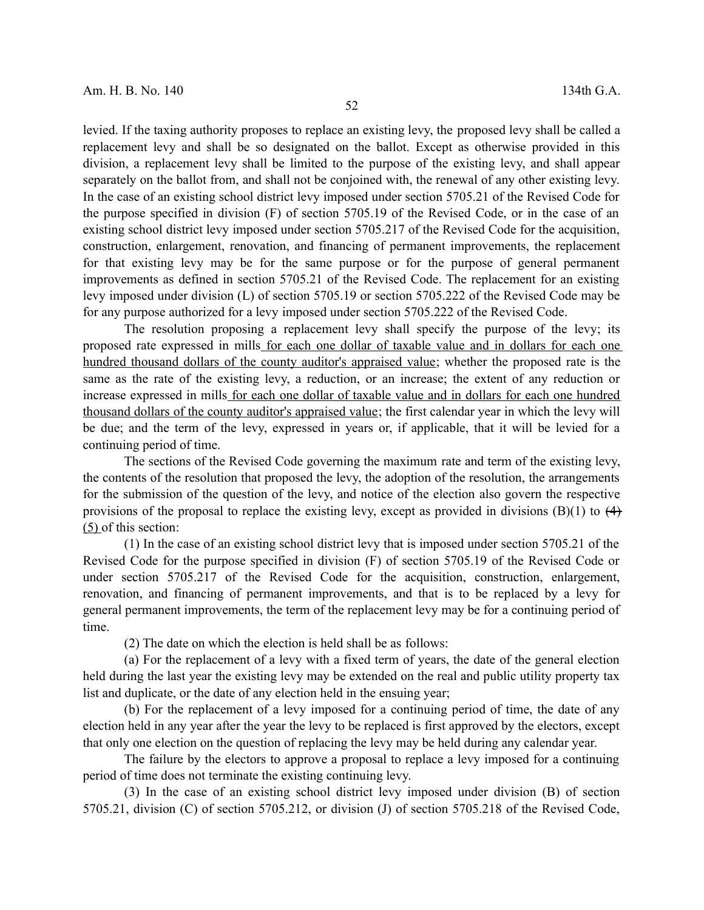levied. If the taxing authority proposes to replace an existing levy, the proposed levy shall be called a replacement levy and shall be so designated on the ballot. Except as otherwise provided in this division, a replacement levy shall be limited to the purpose of the existing levy, and shall appear separately on the ballot from, and shall not be conjoined with, the renewal of any other existing levy. In the case of an existing school district levy imposed under section 5705.21 of the Revised Code for the purpose specified in division (F) of section 5705.19 of the Revised Code, or in the case of an existing school district levy imposed under section 5705.217 of the Revised Code for the acquisition, construction, enlargement, renovation, and financing of permanent improvements, the replacement for that existing levy may be for the same purpose or for the purpose of general permanent improvements as defined in section 5705.21 of the Revised Code. The replacement for an existing levy imposed under division (L) of section 5705.19 or section 5705.222 of the Revised Code may be for any purpose authorized for a levy imposed under section 5705.222 of the Revised Code.

The resolution proposing a replacement levy shall specify the purpose of the levy; its proposed rate expressed in mills for each one dollar of taxable value and in dollars for each one hundred thousand dollars of the county auditor's appraised value; whether the proposed rate is the same as the rate of the existing levy, a reduction, or an increase; the extent of any reduction or increase expressed in mills for each one dollar of taxable value and in dollars for each one hundred thousand dollars of the county auditor's appraised value; the first calendar year in which the levy will be due; and the term of the levy, expressed in years or, if applicable, that it will be levied for a continuing period of time.

The sections of the Revised Code governing the maximum rate and term of the existing levy, the contents of the resolution that proposed the levy, the adoption of the resolution, the arrangements for the submission of the question of the levy, and notice of the election also govern the respective provisions of the proposal to replace the existing levy, except as provided in divisions  $(B)(1)$  to  $(4)$ (5) of this section:

(1) In the case of an existing school district levy that is imposed under section 5705.21 of the Revised Code for the purpose specified in division (F) of section 5705.19 of the Revised Code or under section 5705.217 of the Revised Code for the acquisition, construction, enlargement, renovation, and financing of permanent improvements, and that is to be replaced by a levy for general permanent improvements, the term of the replacement levy may be for a continuing period of time.

(2) The date on which the election is held shall be as follows:

(a) For the replacement of a levy with a fixed term of years, the date of the general election held during the last year the existing levy may be extended on the real and public utility property tax list and duplicate, or the date of any election held in the ensuing year;

(b) For the replacement of a levy imposed for a continuing period of time, the date of any election held in any year after the year the levy to be replaced is first approved by the electors, except that only one election on the question of replacing the levy may be held during any calendar year.

The failure by the electors to approve a proposal to replace a levy imposed for a continuing period of time does not terminate the existing continuing levy.

(3) In the case of an existing school district levy imposed under division (B) of section 5705.21, division (C) of section 5705.212, or division (J) of section 5705.218 of the Revised Code,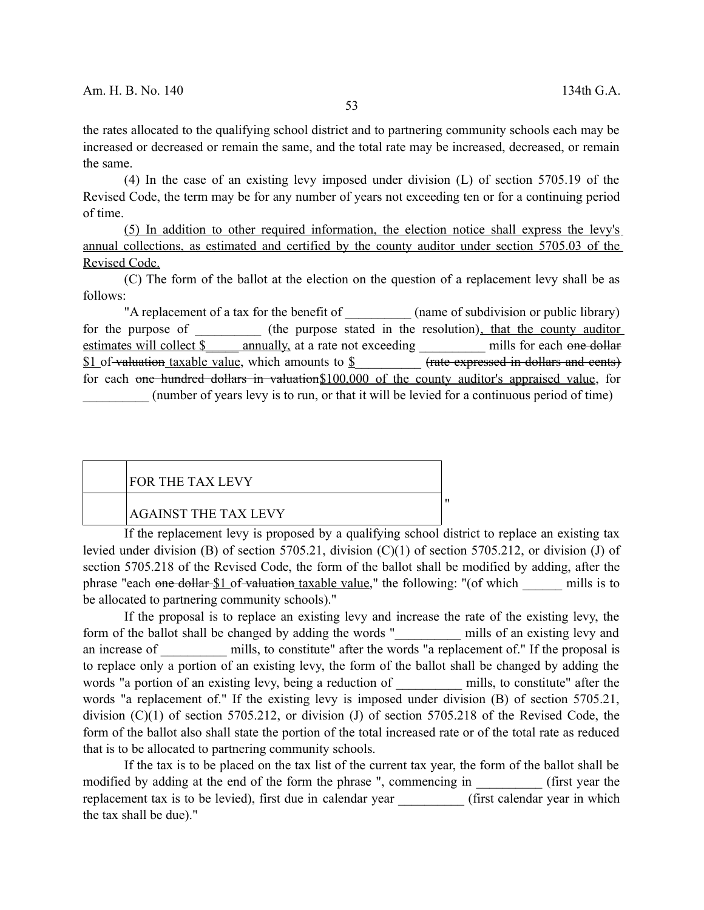the rates allocated to the qualifying school district and to partnering community schools each may be increased or decreased or remain the same, and the total rate may be increased, decreased, or remain the same.

(4) In the case of an existing levy imposed under division (L) of section 5705.19 of the Revised Code, the term may be for any number of years not exceeding ten or for a continuing period of time.

(5) In addition to other required information, the election notice shall express the levy's annual collections, as estimated and certified by the county auditor under section 5705.03 of the Revised Code.

(C) The form of the ballot at the election on the question of a replacement levy shall be as follows:

"A replacement of a tax for the benefit of  $\qquad \qquad$  (name of subdivision or public library) for the purpose of  $($ the purpose stated in the resolution), that the county auditor estimates will collect \$ \_\_\_\_\_ annually, at a rate not exceeding \_\_\_\_\_\_\_\_\_\_ mills for each one dollar \$1 of valuation taxable value, which amounts to \$\_\_\_\_\_\_\_\_\_\_ (rate expressed in dollars and cents) for each one hundred dollars in valuation\$100,000 of the county auditor's appraised value, for \_\_\_\_\_\_\_\_\_\_ (number of years levy is to run, or that it will be levied for a continuous period of time)

| FOR THE TAX LEVY!           |  |
|-----------------------------|--|
| <b>AGAINST THE TAX LEVY</b> |  |

If the replacement levy is proposed by a qualifying school district to replace an existing tax levied under division (B) of section 5705.21, division (C)(1) of section 5705.212, or division (J) of section 5705.218 of the Revised Code, the form of the ballot shall be modified by adding, after the phrase "each one dollar \$1 of valuation taxable value," the following: "(of which mills is to be allocated to partnering community schools)."

If the proposal is to replace an existing levy and increase the rate of the existing levy, the form of the ballot shall be changed by adding the words " mills of an existing levy and an increase of mills, to constitute" after the words "a replacement of." If the proposal is to replace only a portion of an existing levy, the form of the ballot shall be changed by adding the words "a portion of an existing levy, being a reduction of mills, to constitute" after the words "a replacement of." If the existing levy is imposed under division (B) of section 5705.21, division (C)(1) of section 5705.212, or division (J) of section 5705.218 of the Revised Code, the form of the ballot also shall state the portion of the total increased rate or of the total rate as reduced that is to be allocated to partnering community schools.

If the tax is to be placed on the tax list of the current tax year, the form of the ballot shall be modified by adding at the end of the form the phrase ", commencing in (first year the replacement tax is to be levied), first due in calendar year \_\_\_\_\_\_\_\_\_\_ (first calendar year in which the tax shall be due)."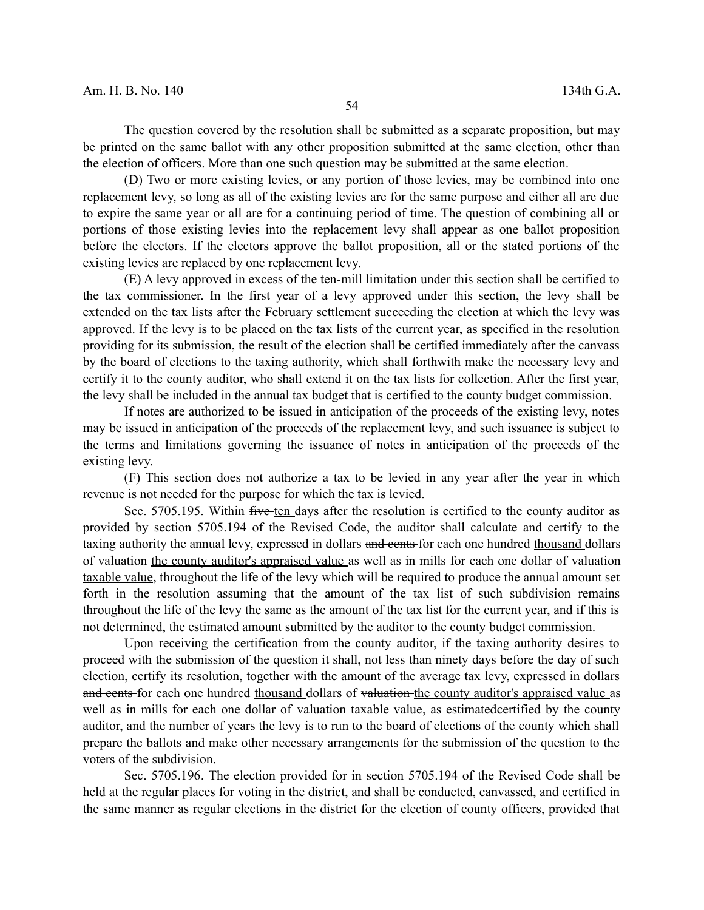The question covered by the resolution shall be submitted as a separate proposition, but may be printed on the same ballot with any other proposition submitted at the same election, other than the election of officers. More than one such question may be submitted at the same election.

(D) Two or more existing levies, or any portion of those levies, may be combined into one replacement levy, so long as all of the existing levies are for the same purpose and either all are due to expire the same year or all are for a continuing period of time. The question of combining all or portions of those existing levies into the replacement levy shall appear as one ballot proposition before the electors. If the electors approve the ballot proposition, all or the stated portions of the existing levies are replaced by one replacement levy.

(E) A levy approved in excess of the ten-mill limitation under this section shall be certified to the tax commissioner. In the first year of a levy approved under this section, the levy shall be extended on the tax lists after the February settlement succeeding the election at which the levy was approved. If the levy is to be placed on the tax lists of the current year, as specified in the resolution providing for its submission, the result of the election shall be certified immediately after the canvass by the board of elections to the taxing authority, which shall forthwith make the necessary levy and certify it to the county auditor, who shall extend it on the tax lists for collection. After the first year, the levy shall be included in the annual tax budget that is certified to the county budget commission.

If notes are authorized to be issued in anticipation of the proceeds of the existing levy, notes may be issued in anticipation of the proceeds of the replacement levy, and such issuance is subject to the terms and limitations governing the issuance of notes in anticipation of the proceeds of the existing levy.

(F) This section does not authorize a tax to be levied in any year after the year in which revenue is not needed for the purpose for which the tax is levied.

Sec. 5705.195. Within five ten days after the resolution is certified to the county auditor as provided by section 5705.194 of the Revised Code, the auditor shall calculate and certify to the taxing authority the annual levy, expressed in dollars and cents for each one hundred thousand dollars of valuation the county auditor's appraised value as well as in mills for each one dollar of valuation taxable value, throughout the life of the levy which will be required to produce the annual amount set forth in the resolution assuming that the amount of the tax list of such subdivision remains throughout the life of the levy the same as the amount of the tax list for the current year, and if this is not determined, the estimated amount submitted by the auditor to the county budget commission.

Upon receiving the certification from the county auditor, if the taxing authority desires to proceed with the submission of the question it shall, not less than ninety days before the day of such election, certify its resolution, together with the amount of the average tax levy, expressed in dollars and cents for each one hundred thousand dollars of valuation the county auditor's appraised value as well as in mills for each one dollar of valuation taxable value, as estimated certified by the county auditor, and the number of years the levy is to run to the board of elections of the county which shall prepare the ballots and make other necessary arrangements for the submission of the question to the voters of the subdivision.

Sec. 5705.196. The election provided for in section 5705.194 of the Revised Code shall be held at the regular places for voting in the district, and shall be conducted, canvassed, and certified in the same manner as regular elections in the district for the election of county officers, provided that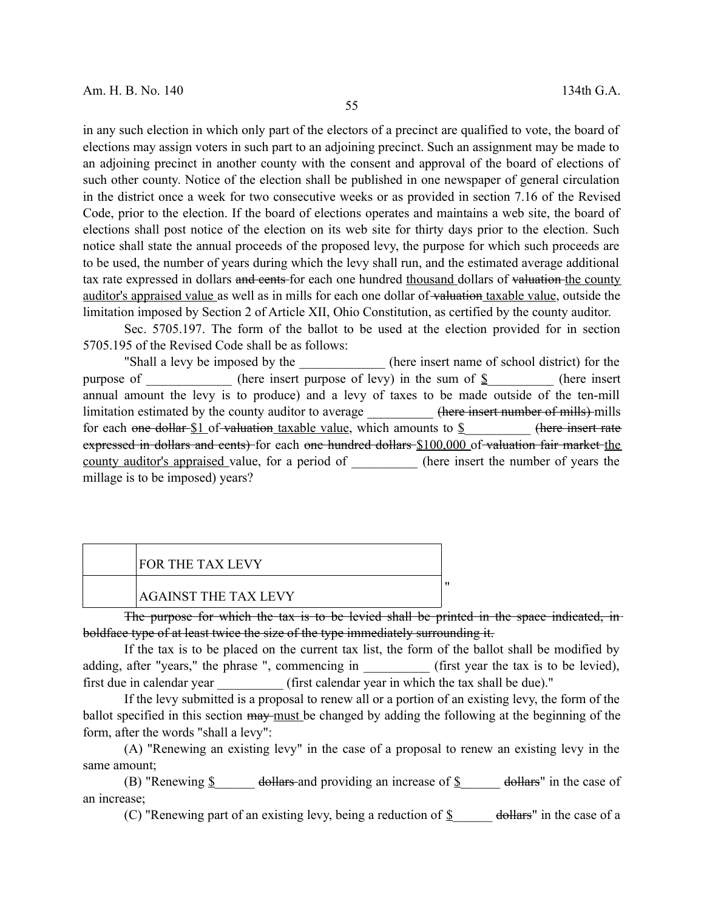in any such election in which only part of the electors of a precinct are qualified to vote, the board of elections may assign voters in such part to an adjoining precinct. Such an assignment may be made to an adjoining precinct in another county with the consent and approval of the board of elections of such other county. Notice of the election shall be published in one newspaper of general circulation in the district once a week for two consecutive weeks or as provided in section 7.16 of the Revised Code, prior to the election. If the board of elections operates and maintains a web site, the board of elections shall post notice of the election on its web site for thirty days prior to the election. Such notice shall state the annual proceeds of the proposed levy, the purpose for which such proceeds are to be used, the number of years during which the levy shall run, and the estimated average additional tax rate expressed in dollars and cents for each one hundred thousand dollars of valuation the county auditor's appraised value as well as in mills for each one dollar of valuation taxable value, outside the limitation imposed by Section 2 of Article XII, Ohio Constitution, as certified by the county auditor.

Sec. 5705.197. The form of the ballot to be used at the election provided for in section 5705.195 of the Revised Code shall be as follows:

"Shall a levy be imposed by the \_\_\_\_\_\_\_\_\_\_\_\_\_\_ (here insert name of school district) for the purpose of \_\_\_\_\_\_\_\_\_\_\_\_\_\_ (here insert purpose of levy) in the sum of  $\frac{8}{2}$  (here insert annual amount the levy is to produce) and a levy of taxes to be made outside of the ten-mill limitation estimated by the county auditor to average  $\qquad \qquad$  (here insert number of mills) mills for each one dollar  $$1$  of valuation taxable value, which amounts to  $$$  (here insert rate expressed in dollars and cents) for each one hundred dollars \$100,000 of valuation fair market the county auditor's appraised value, for a period of (here insert the number of years the millage is to be imposed) years?

# FOR THE TAX LEVY

## AGAINST THE TAX LEVY

The purpose for which the tax is to be levied shall be printed in the space indicated, inboldface type of at least twice the size of the type immediately surrounding it.

"

If the tax is to be placed on the current tax list, the form of the ballot shall be modified by adding, after "years," the phrase ", commencing in (first year the tax is to be levied), first due in calendar year (first calendar year in which the tax shall be due)."

If the levy submitted is a proposal to renew all or a portion of an existing levy, the form of the ballot specified in this section may must be changed by adding the following at the beginning of the form, after the words "shall a levy":

(A) "Renewing an existing levy" in the case of a proposal to renew an existing levy in the same amount;

(B) "Renewing  $\oint$  dollars and providing an increase of  $\oint$  dollars" in the case of an increase;

(C) "Renewing part of an existing levy, being a reduction of  $\S$  dollars" in the case of a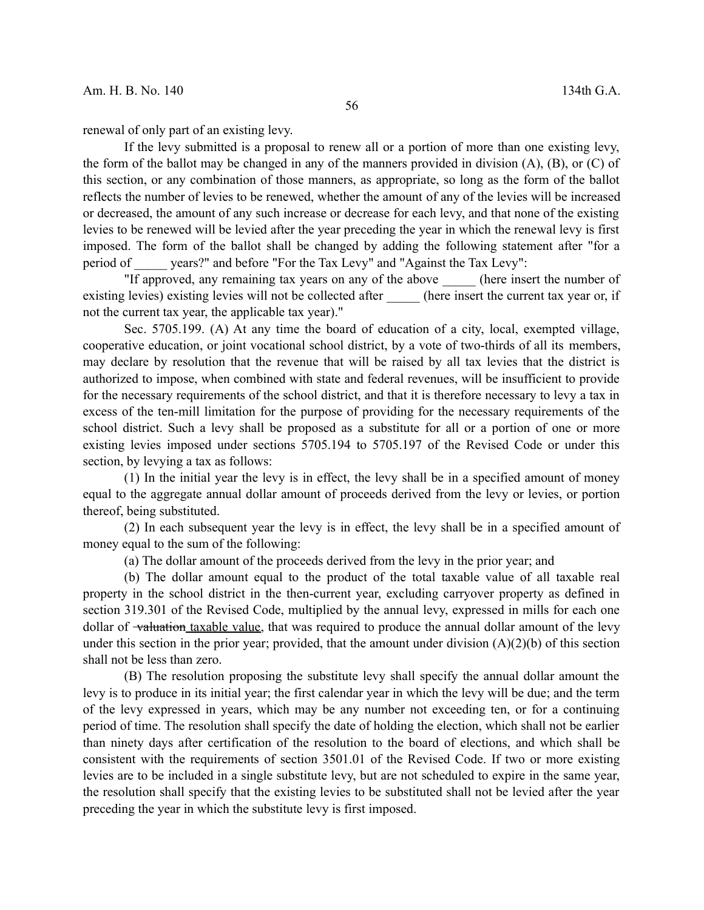renewal of only part of an existing levy.

If the levy submitted is a proposal to renew all or a portion of more than one existing levy, the form of the ballot may be changed in any of the manners provided in division (A), (B), or (C) of this section, or any combination of those manners, as appropriate, so long as the form of the ballot reflects the number of levies to be renewed, whether the amount of any of the levies will be increased or decreased, the amount of any such increase or decrease for each levy, and that none of the existing levies to be renewed will be levied after the year preceding the year in which the renewal levy is first imposed. The form of the ballot shall be changed by adding the following statement after "for a period of vears?" and before "For the Tax Levy" and "Against the Tax Levy":

"If approved, any remaining tax years on any of the above \_\_\_\_\_ (here insert the number of existing levies) existing levies will not be collected after (here insert the current tax year or, if not the current tax year, the applicable tax year)."

Sec. 5705.199. (A) At any time the board of education of a city, local, exempted village, cooperative education, or joint vocational school district, by a vote of two-thirds of all its members, may declare by resolution that the revenue that will be raised by all tax levies that the district is authorized to impose, when combined with state and federal revenues, will be insufficient to provide for the necessary requirements of the school district, and that it is therefore necessary to levy a tax in excess of the ten-mill limitation for the purpose of providing for the necessary requirements of the school district. Such a levy shall be proposed as a substitute for all or a portion of one or more existing levies imposed under sections 5705.194 to 5705.197 of the Revised Code or under this section, by levying a tax as follows:

(1) In the initial year the levy is in effect, the levy shall be in a specified amount of money equal to the aggregate annual dollar amount of proceeds derived from the levy or levies, or portion thereof, being substituted.

(2) In each subsequent year the levy is in effect, the levy shall be in a specified amount of money equal to the sum of the following:

(a) The dollar amount of the proceeds derived from the levy in the prior year; and

(b) The dollar amount equal to the product of the total taxable value of all taxable real property in the school district in the then-current year, excluding carryover property as defined in section 319.301 of the Revised Code, multiplied by the annual levy, expressed in mills for each one dollar of <del>valuation</del> taxable value, that was required to produce the annual dollar amount of the levy under this section in the prior year; provided, that the amount under division  $(A)(2)(b)$  of this section shall not be less than zero.

(B) The resolution proposing the substitute levy shall specify the annual dollar amount the levy is to produce in its initial year; the first calendar year in which the levy will be due; and the term of the levy expressed in years, which may be any number not exceeding ten, or for a continuing period of time. The resolution shall specify the date of holding the election, which shall not be earlier than ninety days after certification of the resolution to the board of elections, and which shall be consistent with the requirements of section 3501.01 of the Revised Code. If two or more existing levies are to be included in a single substitute levy, but are not scheduled to expire in the same year, the resolution shall specify that the existing levies to be substituted shall not be levied after the year preceding the year in which the substitute levy is first imposed.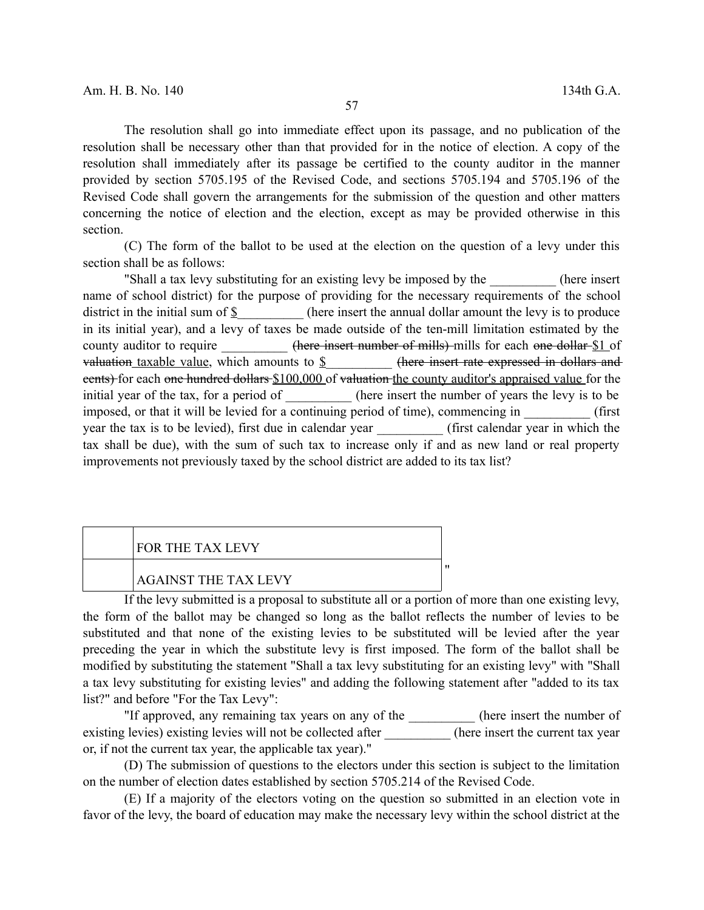The resolution shall go into immediate effect upon its passage, and no publication of the resolution shall be necessary other than that provided for in the notice of election. A copy of the resolution shall immediately after its passage be certified to the county auditor in the manner provided by section 5705.195 of the Revised Code, and sections 5705.194 and 5705.196 of the Revised Code shall govern the arrangements for the submission of the question and other matters concerning the notice of election and the election, except as may be provided otherwise in this section.

(C) The form of the ballot to be used at the election on the question of a levy under this section shall be as follows:

"Shall a tax levy substituting for an existing levy be imposed by the (here insert name of school district) for the purpose of providing for the necessary requirements of the school district in the initial sum of  $\S$  (here insert the annual dollar amount the levy is to produce in its initial year), and a levy of taxes be made outside of the ten-mill limitation estimated by the county auditor to require \_\_\_\_\_\_\_\_\_\_\_\_ (here insert number of mills) mills for each one dollar \$1 of valuation taxable value, which amounts to  $\S$  (here insert rate expressed in dollars and eents) for each one hundred dollars \$100,000 of valuation the county auditor's appraised value for the initial year of the tax, for a period of (here insert the number of years the levy is to be imposed, or that it will be levied for a continuing period of time), commencing in  $($ first year the tax is to be levied), first due in calendar year \_\_\_\_\_\_\_\_\_\_ (first calendar year in which the tax shall be due), with the sum of such tax to increase only if and as new land or real property improvements not previously taxed by the school district are added to its tax list?

| FOR THE TAX LEVY            |  |
|-----------------------------|--|
| <b>AGAINST THE TAX LEVY</b> |  |

If the levy submitted is a proposal to substitute all or a portion of more than one existing levy, the form of the ballot may be changed so long as the ballot reflects the number of levies to be substituted and that none of the existing levies to be substituted will be levied after the year preceding the year in which the substitute levy is first imposed. The form of the ballot shall be modified by substituting the statement "Shall a tax levy substituting for an existing levy" with "Shall a tax levy substituting for existing levies" and adding the following statement after "added to its tax list?" and before "For the Tax Levy":

"If approved, any remaining tax years on any of the the insert the number of existing levies) existing levies will not be collected after \_\_\_\_\_\_\_\_\_\_\_ (here insert the current tax year or, if not the current tax year, the applicable tax year)."

(D) The submission of questions to the electors under this section is subject to the limitation on the number of election dates established by section 5705.214 of the Revised Code.

(E) If a majority of the electors voting on the question so submitted in an election vote in favor of the levy, the board of education may make the necessary levy within the school district at the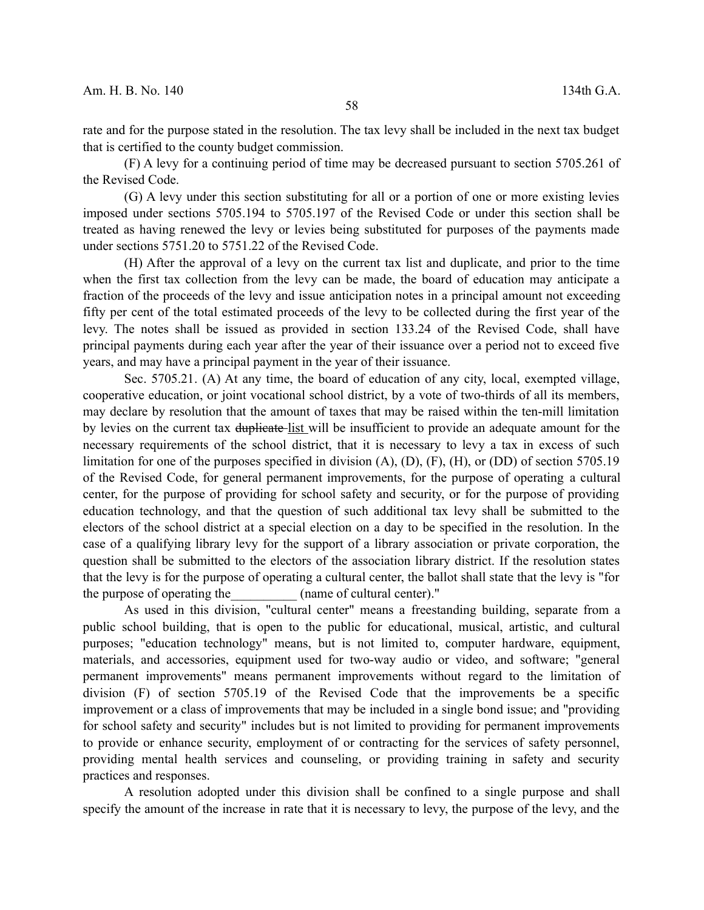rate and for the purpose stated in the resolution. The tax levy shall be included in the next tax budget that is certified to the county budget commission.

(F) A levy for a continuing period of time may be decreased pursuant to section 5705.261 of the Revised Code.

(G) A levy under this section substituting for all or a portion of one or more existing levies imposed under sections 5705.194 to 5705.197 of the Revised Code or under this section shall be treated as having renewed the levy or levies being substituted for purposes of the payments made under sections 5751.20 to 5751.22 of the Revised Code.

(H) After the approval of a levy on the current tax list and duplicate, and prior to the time when the first tax collection from the levy can be made, the board of education may anticipate a fraction of the proceeds of the levy and issue anticipation notes in a principal amount not exceeding fifty per cent of the total estimated proceeds of the levy to be collected during the first year of the levy. The notes shall be issued as provided in section 133.24 of the Revised Code, shall have principal payments during each year after the year of their issuance over a period not to exceed five years, and may have a principal payment in the year of their issuance.

Sec. 5705.21. (A) At any time, the board of education of any city, local, exempted village, cooperative education, or joint vocational school district, by a vote of two-thirds of all its members, may declare by resolution that the amount of taxes that may be raised within the ten-mill limitation by levies on the current tax duplicate-list will be insufficient to provide an adequate amount for the necessary requirements of the school district, that it is necessary to levy a tax in excess of such limitation for one of the purposes specified in division (A), (D), (F), (H), or (DD) of section 5705.19 of the Revised Code, for general permanent improvements, for the purpose of operating a cultural center, for the purpose of providing for school safety and security, or for the purpose of providing education technology, and that the question of such additional tax levy shall be submitted to the electors of the school district at a special election on a day to be specified in the resolution. In the case of a qualifying library levy for the support of a library association or private corporation, the question shall be submitted to the electors of the association library district. If the resolution states that the levy is for the purpose of operating a cultural center, the ballot shall state that the levy is "for the purpose of operating the (name of cultural center)."

As used in this division, "cultural center" means a freestanding building, separate from a public school building, that is open to the public for educational, musical, artistic, and cultural purposes; "education technology" means, but is not limited to, computer hardware, equipment, materials, and accessories, equipment used for two-way audio or video, and software; "general permanent improvements" means permanent improvements without regard to the limitation of division (F) of section 5705.19 of the Revised Code that the improvements be a specific improvement or a class of improvements that may be included in a single bond issue; and "providing for school safety and security" includes but is not limited to providing for permanent improvements to provide or enhance security, employment of or contracting for the services of safety personnel, providing mental health services and counseling, or providing training in safety and security practices and responses.

A resolution adopted under this division shall be confined to a single purpose and shall specify the amount of the increase in rate that it is necessary to levy, the purpose of the levy, and the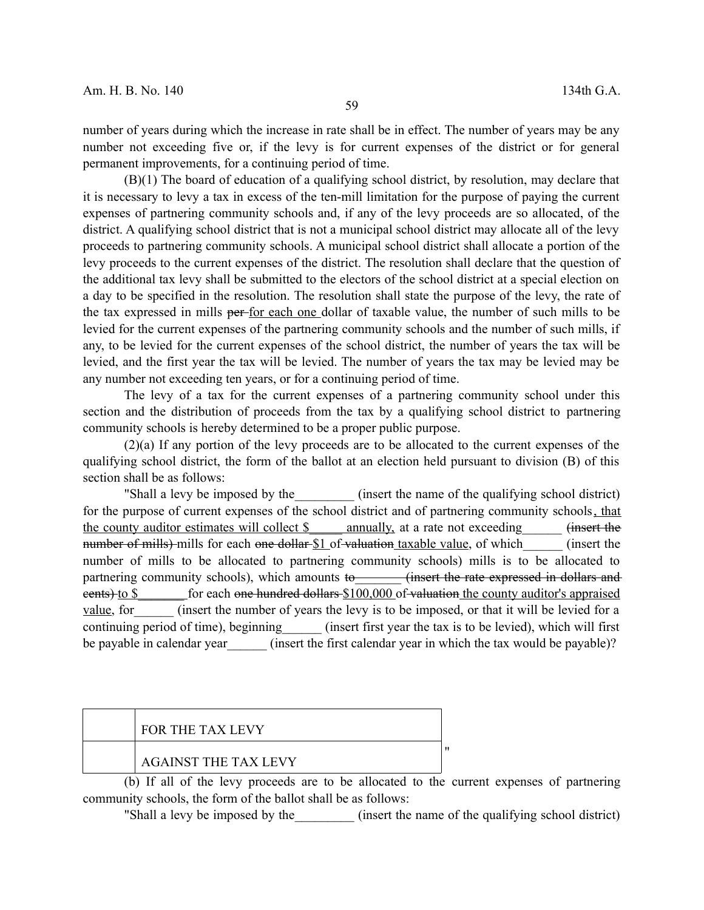number of years during which the increase in rate shall be in effect. The number of years may be any number not exceeding five or, if the levy is for current expenses of the district or for general permanent improvements, for a continuing period of time.

(B)(1) The board of education of a qualifying school district, by resolution, may declare that it is necessary to levy a tax in excess of the ten-mill limitation for the purpose of paying the current expenses of partnering community schools and, if any of the levy proceeds are so allocated, of the district. A qualifying school district that is not a municipal school district may allocate all of the levy proceeds to partnering community schools. A municipal school district shall allocate a portion of the levy proceeds to the current expenses of the district. The resolution shall declare that the question of the additional tax levy shall be submitted to the electors of the school district at a special election on a day to be specified in the resolution. The resolution shall state the purpose of the levy, the rate of the tax expressed in mills per for each one dollar of taxable value, the number of such mills to be levied for the current expenses of the partnering community schools and the number of such mills, if any, to be levied for the current expenses of the school district, the number of years the tax will be levied, and the first year the tax will be levied. The number of years the tax may be levied may be any number not exceeding ten years, or for a continuing period of time.

The levy of a tax for the current expenses of a partnering community school under this section and the distribution of proceeds from the tax by a qualifying school district to partnering community schools is hereby determined to be a proper public purpose.

(2)(a) If any portion of the levy proceeds are to be allocated to the current expenses of the qualifying school district, the form of the ballot at an election held pursuant to division (B) of this section shall be as follows:

"Shall a levy be imposed by the container the name of the qualifying school district) for the purpose of current expenses of the school district and of partnering community schools, that the county auditor estimates will collect \$\_\_\_\_\_\_ annually, at a rate not exceeding\_\_\_\_\_\_\_ (insert the number of mills) mills for each one dollar \$1 of valuation taxable value, of which (insert the number of mills to be allocated to partnering community schools) mills is to be allocated to partnering community schools), which amounts to (insert the rate expressed in dollars and eents) to \$ \_\_\_\_\_ for each one hundred dollars \$100,000 of valuation the county auditor's appraised value, for consert the number of years the levy is to be imposed, or that it will be levied for a continuing period of time), beginning (insert first year the tax is to be levied), which will first be payable in calendar year (insert the first calendar year in which the tax would be payable)?

| <b>FOR THE TAX LEVY</b>     |  |
|-----------------------------|--|
| <b>AGAINST THE TAX LEVY</b> |  |

(b) If all of the levy proceeds are to be allocated to the current expenses of partnering community schools, the form of the ballot shall be as follows:

"Shall a levy be imposed by the (insert the name of the qualifying school district)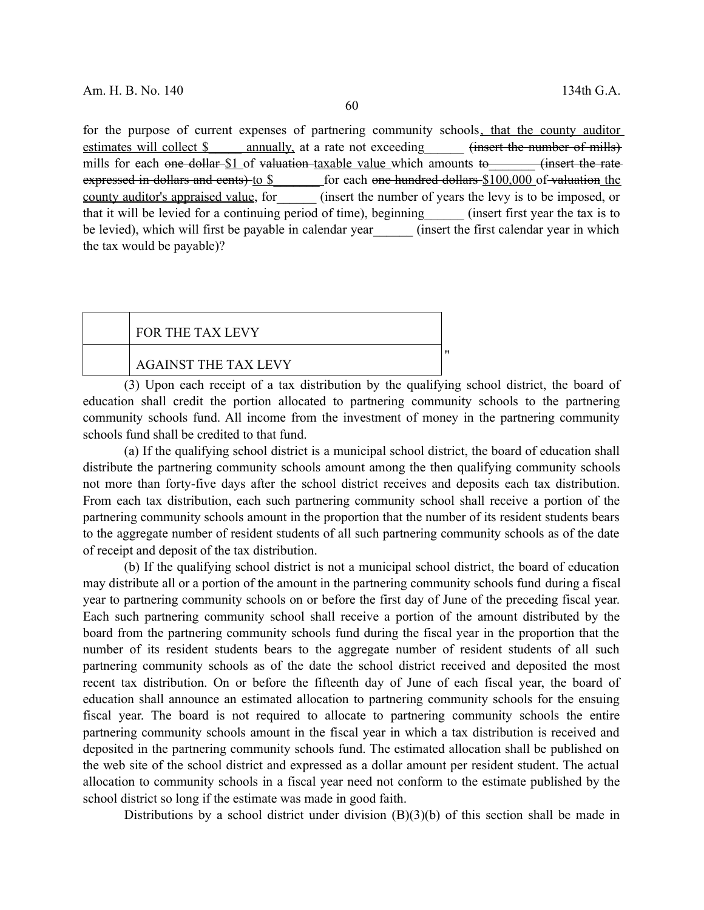for the purpose of current expenses of partnering community schools, that the county auditor estimates will collect \$ annually, at a rate not exceeding (insert the number of mills) mills for each one dollar  $$1$  of valuation taxable value which amounts to (insert the rate expressed in dollars and cents) to \$\_\_\_\_\_\_\_ for each one hundred dollars \$100,000 of valuation the county auditor's appraised value, for (insert the number of years the levy is to be imposed, or that it will be levied for a continuing period of time), beginning (insert first year the tax is to be levied), which will first be payable in calendar year (insert the first calendar year in which the tax would be payable)?

| <b>FOR THE TAX LEVY</b>     |  |
|-----------------------------|--|
| <b>AGAINST THE TAX LEVY</b> |  |

(3) Upon each receipt of a tax distribution by the qualifying school district, the board of education shall credit the portion allocated to partnering community schools to the partnering community schools fund. All income from the investment of money in the partnering community schools fund shall be credited to that fund.

(a) If the qualifying school district is a municipal school district, the board of education shall distribute the partnering community schools amount among the then qualifying community schools not more than forty-five days after the school district receives and deposits each tax distribution. From each tax distribution, each such partnering community school shall receive a portion of the partnering community schools amount in the proportion that the number of its resident students bears to the aggregate number of resident students of all such partnering community schools as of the date of receipt and deposit of the tax distribution.

(b) If the qualifying school district is not a municipal school district, the board of education may distribute all or a portion of the amount in the partnering community schools fund during a fiscal year to partnering community schools on or before the first day of June of the preceding fiscal year. Each such partnering community school shall receive a portion of the amount distributed by the board from the partnering community schools fund during the fiscal year in the proportion that the number of its resident students bears to the aggregate number of resident students of all such partnering community schools as of the date the school district received and deposited the most recent tax distribution. On or before the fifteenth day of June of each fiscal year, the board of education shall announce an estimated allocation to partnering community schools for the ensuing fiscal year. The board is not required to allocate to partnering community schools the entire partnering community schools amount in the fiscal year in which a tax distribution is received and deposited in the partnering community schools fund. The estimated allocation shall be published on the web site of the school district and expressed as a dollar amount per resident student. The actual allocation to community schools in a fiscal year need not conform to the estimate published by the school district so long if the estimate was made in good faith.

Distributions by a school district under division (B)(3)(b) of this section shall be made in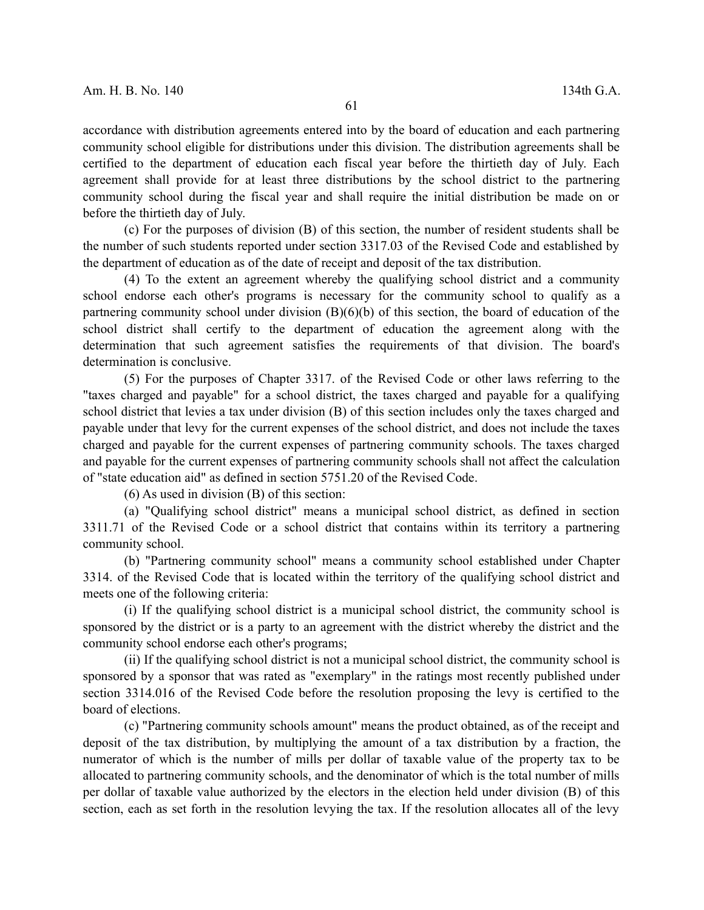accordance with distribution agreements entered into by the board of education and each partnering community school eligible for distributions under this division. The distribution agreements shall be certified to the department of education each fiscal year before the thirtieth day of July. Each agreement shall provide for at least three distributions by the school district to the partnering community school during the fiscal year and shall require the initial distribution be made on or before the thirtieth day of July.

(c) For the purposes of division (B) of this section, the number of resident students shall be the number of such students reported under section 3317.03 of the Revised Code and established by the department of education as of the date of receipt and deposit of the tax distribution.

(4) To the extent an agreement whereby the qualifying school district and a community school endorse each other's programs is necessary for the community school to qualify as a partnering community school under division (B)(6)(b) of this section, the board of education of the school district shall certify to the department of education the agreement along with the determination that such agreement satisfies the requirements of that division. The board's determination is conclusive.

(5) For the purposes of Chapter 3317. of the Revised Code or other laws referring to the "taxes charged and payable" for a school district, the taxes charged and payable for a qualifying school district that levies a tax under division (B) of this section includes only the taxes charged and payable under that levy for the current expenses of the school district, and does not include the taxes charged and payable for the current expenses of partnering community schools. The taxes charged and payable for the current expenses of partnering community schools shall not affect the calculation of "state education aid" as defined in section 5751.20 of the Revised Code.

(6) As used in division (B) of this section:

(a) "Qualifying school district" means a municipal school district, as defined in section 3311.71 of the Revised Code or a school district that contains within its territory a partnering community school.

(b) "Partnering community school" means a community school established under Chapter 3314. of the Revised Code that is located within the territory of the qualifying school district and meets one of the following criteria:

(i) If the qualifying school district is a municipal school district, the community school is sponsored by the district or is a party to an agreement with the district whereby the district and the community school endorse each other's programs;

(ii) If the qualifying school district is not a municipal school district, the community school is sponsored by a sponsor that was rated as "exemplary" in the ratings most recently published under section 3314.016 of the Revised Code before the resolution proposing the levy is certified to the board of elections.

(c) "Partnering community schools amount" means the product obtained, as of the receipt and deposit of the tax distribution, by multiplying the amount of a tax distribution by a fraction, the numerator of which is the number of mills per dollar of taxable value of the property tax to be allocated to partnering community schools, and the denominator of which is the total number of mills per dollar of taxable value authorized by the electors in the election held under division (B) of this section, each as set forth in the resolution levying the tax. If the resolution allocates all of the levy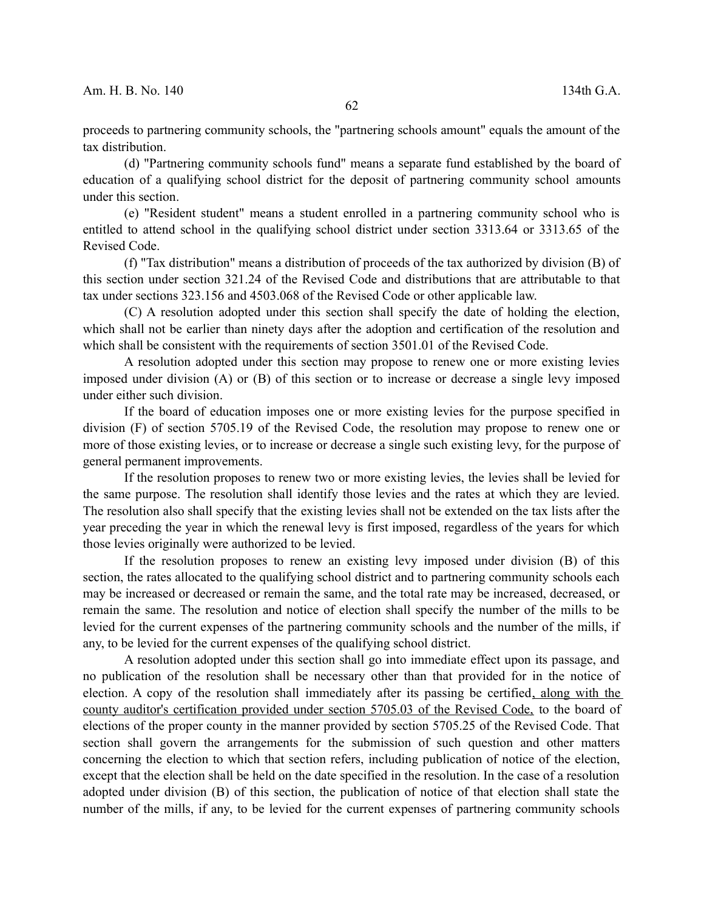proceeds to partnering community schools, the "partnering schools amount" equals the amount of the tax distribution.

(d) "Partnering community schools fund" means a separate fund established by the board of education of a qualifying school district for the deposit of partnering community school amounts under this section.

(e) "Resident student" means a student enrolled in a partnering community school who is entitled to attend school in the qualifying school district under section 3313.64 or 3313.65 of the Revised Code.

(f) "Tax distribution" means a distribution of proceeds of the tax authorized by division (B) of this section under section 321.24 of the Revised Code and distributions that are attributable to that tax under sections 323.156 and 4503.068 of the Revised Code or other applicable law.

(C) A resolution adopted under this section shall specify the date of holding the election, which shall not be earlier than ninety days after the adoption and certification of the resolution and which shall be consistent with the requirements of section 3501.01 of the Revised Code.

A resolution adopted under this section may propose to renew one or more existing levies imposed under division (A) or (B) of this section or to increase or decrease a single levy imposed under either such division.

If the board of education imposes one or more existing levies for the purpose specified in division (F) of section 5705.19 of the Revised Code, the resolution may propose to renew one or more of those existing levies, or to increase or decrease a single such existing levy, for the purpose of general permanent improvements.

If the resolution proposes to renew two or more existing levies, the levies shall be levied for the same purpose. The resolution shall identify those levies and the rates at which they are levied. The resolution also shall specify that the existing levies shall not be extended on the tax lists after the year preceding the year in which the renewal levy is first imposed, regardless of the years for which those levies originally were authorized to be levied.

If the resolution proposes to renew an existing levy imposed under division (B) of this section, the rates allocated to the qualifying school district and to partnering community schools each may be increased or decreased or remain the same, and the total rate may be increased, decreased, or remain the same. The resolution and notice of election shall specify the number of the mills to be levied for the current expenses of the partnering community schools and the number of the mills, if any, to be levied for the current expenses of the qualifying school district.

A resolution adopted under this section shall go into immediate effect upon its passage, and no publication of the resolution shall be necessary other than that provided for in the notice of election. A copy of the resolution shall immediately after its passing be certified, along with the county auditor's certification provided under section 5705.03 of the Revised Code, to the board of elections of the proper county in the manner provided by section 5705.25 of the Revised Code. That section shall govern the arrangements for the submission of such question and other matters concerning the election to which that section refers, including publication of notice of the election, except that the election shall be held on the date specified in the resolution. In the case of a resolution adopted under division (B) of this section, the publication of notice of that election shall state the number of the mills, if any, to be levied for the current expenses of partnering community schools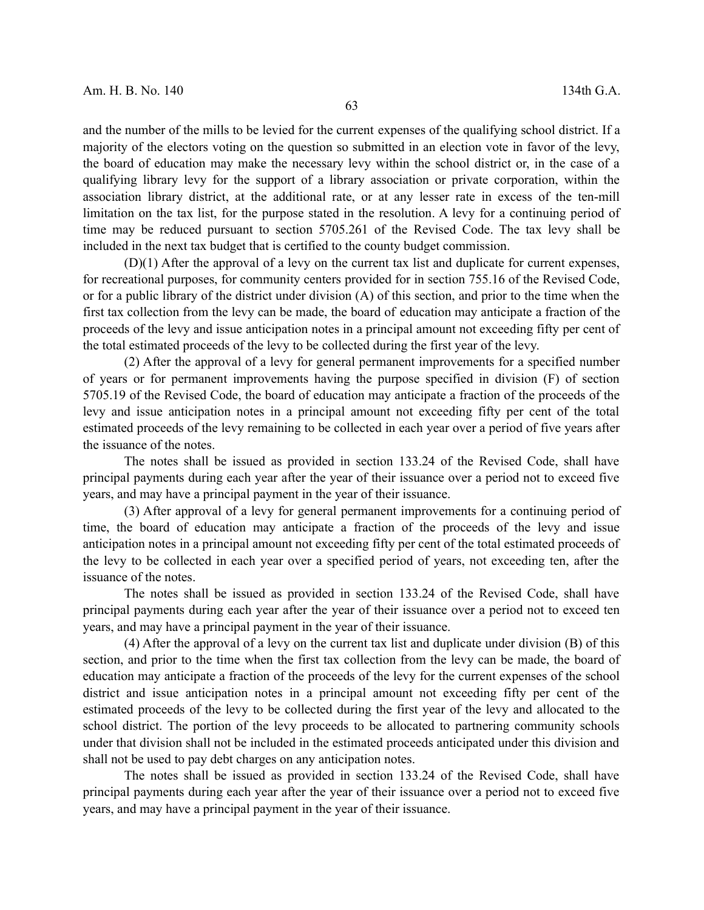and the number of the mills to be levied for the current expenses of the qualifying school district. If a majority of the electors voting on the question so submitted in an election vote in favor of the levy, the board of education may make the necessary levy within the school district or, in the case of a qualifying library levy for the support of a library association or private corporation, within the association library district, at the additional rate, or at any lesser rate in excess of the ten-mill limitation on the tax list, for the purpose stated in the resolution. A levy for a continuing period of time may be reduced pursuant to section 5705.261 of the Revised Code. The tax levy shall be included in the next tax budget that is certified to the county budget commission.

(D)(1) After the approval of a levy on the current tax list and duplicate for current expenses, for recreational purposes, for community centers provided for in section 755.16 of the Revised Code, or for a public library of the district under division (A) of this section, and prior to the time when the first tax collection from the levy can be made, the board of education may anticipate a fraction of the proceeds of the levy and issue anticipation notes in a principal amount not exceeding fifty per cent of the total estimated proceeds of the levy to be collected during the first year of the levy.

(2) After the approval of a levy for general permanent improvements for a specified number of years or for permanent improvements having the purpose specified in division (F) of section 5705.19 of the Revised Code, the board of education may anticipate a fraction of the proceeds of the levy and issue anticipation notes in a principal amount not exceeding fifty per cent of the total estimated proceeds of the levy remaining to be collected in each year over a period of five years after the issuance of the notes.

The notes shall be issued as provided in section 133.24 of the Revised Code, shall have principal payments during each year after the year of their issuance over a period not to exceed five years, and may have a principal payment in the year of their issuance.

(3) After approval of a levy for general permanent improvements for a continuing period of time, the board of education may anticipate a fraction of the proceeds of the levy and issue anticipation notes in a principal amount not exceeding fifty per cent of the total estimated proceeds of the levy to be collected in each year over a specified period of years, not exceeding ten, after the issuance of the notes.

The notes shall be issued as provided in section 133.24 of the Revised Code, shall have principal payments during each year after the year of their issuance over a period not to exceed ten years, and may have a principal payment in the year of their issuance.

(4) After the approval of a levy on the current tax list and duplicate under division (B) of this section, and prior to the time when the first tax collection from the levy can be made, the board of education may anticipate a fraction of the proceeds of the levy for the current expenses of the school district and issue anticipation notes in a principal amount not exceeding fifty per cent of the estimated proceeds of the levy to be collected during the first year of the levy and allocated to the school district. The portion of the levy proceeds to be allocated to partnering community schools under that division shall not be included in the estimated proceeds anticipated under this division and shall not be used to pay debt charges on any anticipation notes.

The notes shall be issued as provided in section 133.24 of the Revised Code, shall have principal payments during each year after the year of their issuance over a period not to exceed five years, and may have a principal payment in the year of their issuance.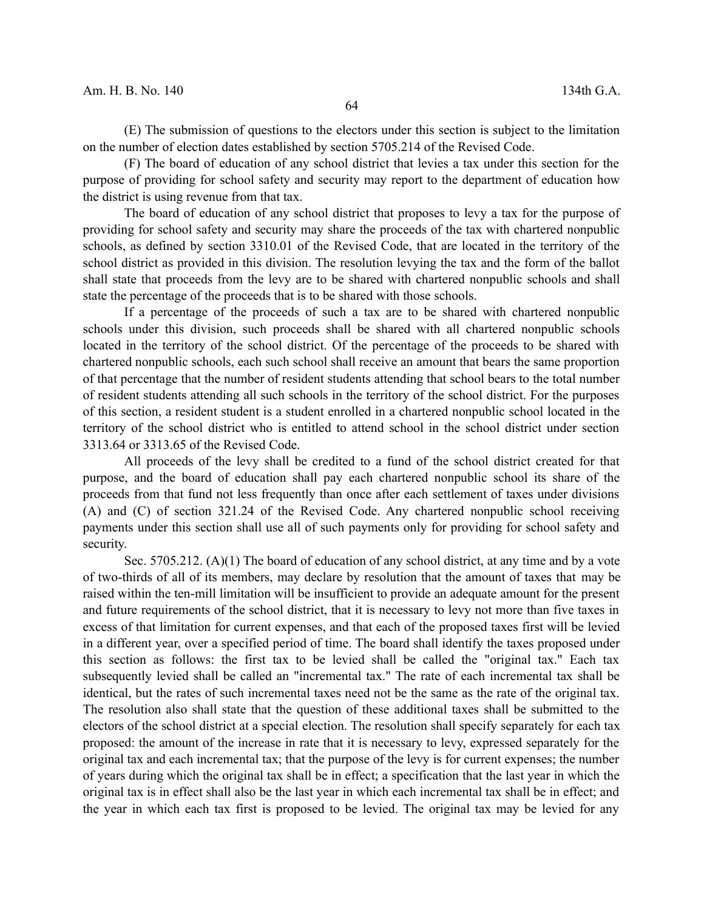(E) The submission of questions to the electors under this section is subject to the limitation on the number of election dates established by section 5705.214 of the Revised Code.

(F) The board of education of any school district that levies a tax under this section for the purpose of providing for school safety and security may report to the department of education how the district is using revenue from that tax.

The board of education of any school district that proposes to levy a tax for the purpose of providing for school safety and security may share the proceeds of the tax with chartered nonpublic schools, as defined by section 3310.01 of the Revised Code, that are located in the territory of the school district as provided in this division. The resolution levying the tax and the form of the ballot shall state that proceeds from the levy are to be shared with chartered nonpublic schools and shall state the percentage of the proceeds that is to be shared with those schools.

If a percentage of the proceeds of such a tax are to be shared with chartered nonpublic schools under this division, such proceeds shall be shared with all chartered nonpublic schools located in the territory of the school district. Of the percentage of the proceeds to be shared with chartered nonpublic schools, each such school shall receive an amount that bears the same proportion of that percentage that the number of resident students attending that school bears to the total number of resident students attending all such schools in the territory of the school district. For the purposes of this section, a resident student is a student enrolled in a chartered nonpublic school located in the territory of the school district who is entitled to attend school in the school district under section 3313.64 or 3313.65 of the Revised Code.

All proceeds of the levy shall be credited to a fund of the school district created for that purpose, and the board of education shall pay each chartered nonpublic school its share of the proceeds from that fund not less frequently than once after each settlement of taxes under divisions (A) and (C) of section 321.24 of the Revised Code. Any chartered nonpublic school receiving payments under this section shall use all of such payments only for providing for school safety and security.

Sec. 5705.212. (A)(1) The board of education of any school district, at any time and by a vote of two-thirds of all of its members, may declare by resolution that the amount of taxes that may be raised within the ten-mill limitation will be insufficient to provide an adequate amount for the present and future requirements of the school district, that it is necessary to levy not more than five taxes in excess of that limitation for current expenses, and that each of the proposed taxes first will be levied in a different year, over a specified period of time. The board shall identify the taxes proposed under this section as follows: the first tax to be levied shall be called the "original tax." Each tax subsequently levied shall be called an "incremental tax." The rate of each incremental tax shall be identical, but the rates of such incremental taxes need not be the same as the rate of the original tax. The resolution also shall state that the question of these additional taxes shall be submitted to the electors of the school district at a special election. The resolution shall specify separately for each tax proposed: the amount of the increase in rate that it is necessary to levy, expressed separately for the original tax and each incremental tax; that the purpose of the levy is for current expenses; the number of years during which the original tax shall be in effect; a specification that the last year in which the original tax is in effect shall also be the last year in which each incremental tax shall be in effect; and the year in which each tax first is proposed to be levied. The original tax may be levied for any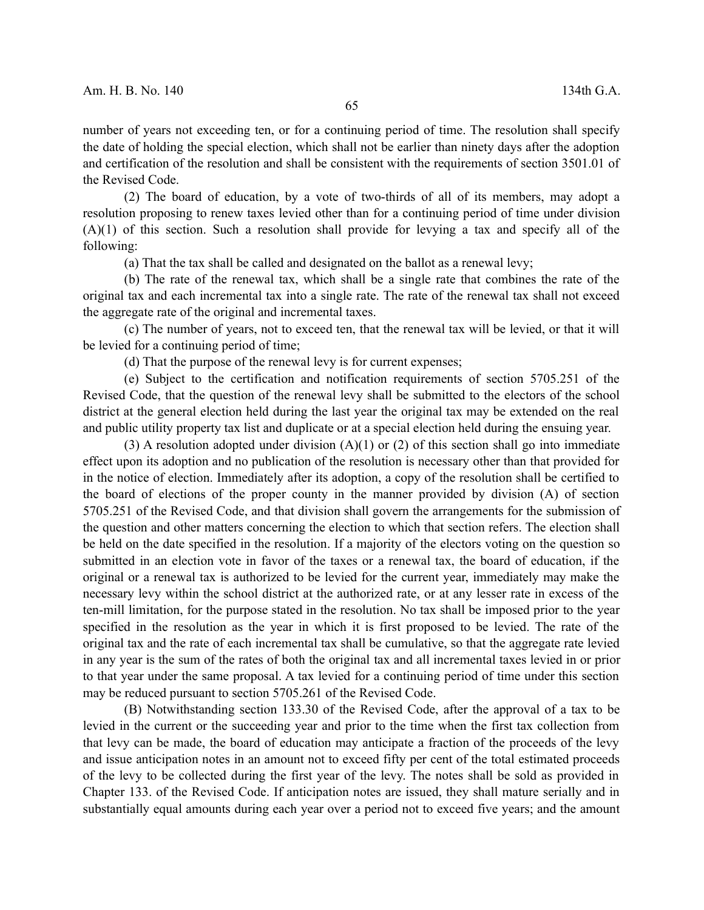number of years not exceeding ten, or for a continuing period of time. The resolution shall specify the date of holding the special election, which shall not be earlier than ninety days after the adoption and certification of the resolution and shall be consistent with the requirements of section 3501.01 of the Revised Code.

(2) The board of education, by a vote of two-thirds of all of its members, may adopt a resolution proposing to renew taxes levied other than for a continuing period of time under division (A)(1) of this section. Such a resolution shall provide for levying a tax and specify all of the following:

(a) That the tax shall be called and designated on the ballot as a renewal levy;

(b) The rate of the renewal tax, which shall be a single rate that combines the rate of the original tax and each incremental tax into a single rate. The rate of the renewal tax shall not exceed the aggregate rate of the original and incremental taxes.

(c) The number of years, not to exceed ten, that the renewal tax will be levied, or that it will be levied for a continuing period of time;

(d) That the purpose of the renewal levy is for current expenses;

(e) Subject to the certification and notification requirements of section 5705.251 of the Revised Code, that the question of the renewal levy shall be submitted to the electors of the school district at the general election held during the last year the original tax may be extended on the real and public utility property tax list and duplicate or at a special election held during the ensuing year.

(3) A resolution adopted under division  $(A)(1)$  or (2) of this section shall go into immediate effect upon its adoption and no publication of the resolution is necessary other than that provided for in the notice of election. Immediately after its adoption, a copy of the resolution shall be certified to the board of elections of the proper county in the manner provided by division (A) of section 5705.251 of the Revised Code, and that division shall govern the arrangements for the submission of the question and other matters concerning the election to which that section refers. The election shall be held on the date specified in the resolution. If a majority of the electors voting on the question so submitted in an election vote in favor of the taxes or a renewal tax, the board of education, if the original or a renewal tax is authorized to be levied for the current year, immediately may make the necessary levy within the school district at the authorized rate, or at any lesser rate in excess of the ten-mill limitation, for the purpose stated in the resolution. No tax shall be imposed prior to the year specified in the resolution as the year in which it is first proposed to be levied. The rate of the original tax and the rate of each incremental tax shall be cumulative, so that the aggregate rate levied in any year is the sum of the rates of both the original tax and all incremental taxes levied in or prior to that year under the same proposal. A tax levied for a continuing period of time under this section may be reduced pursuant to section 5705.261 of the Revised Code.

(B) Notwithstanding section 133.30 of the Revised Code, after the approval of a tax to be levied in the current or the succeeding year and prior to the time when the first tax collection from that levy can be made, the board of education may anticipate a fraction of the proceeds of the levy and issue anticipation notes in an amount not to exceed fifty per cent of the total estimated proceeds of the levy to be collected during the first year of the levy. The notes shall be sold as provided in Chapter 133. of the Revised Code. If anticipation notes are issued, they shall mature serially and in substantially equal amounts during each year over a period not to exceed five years; and the amount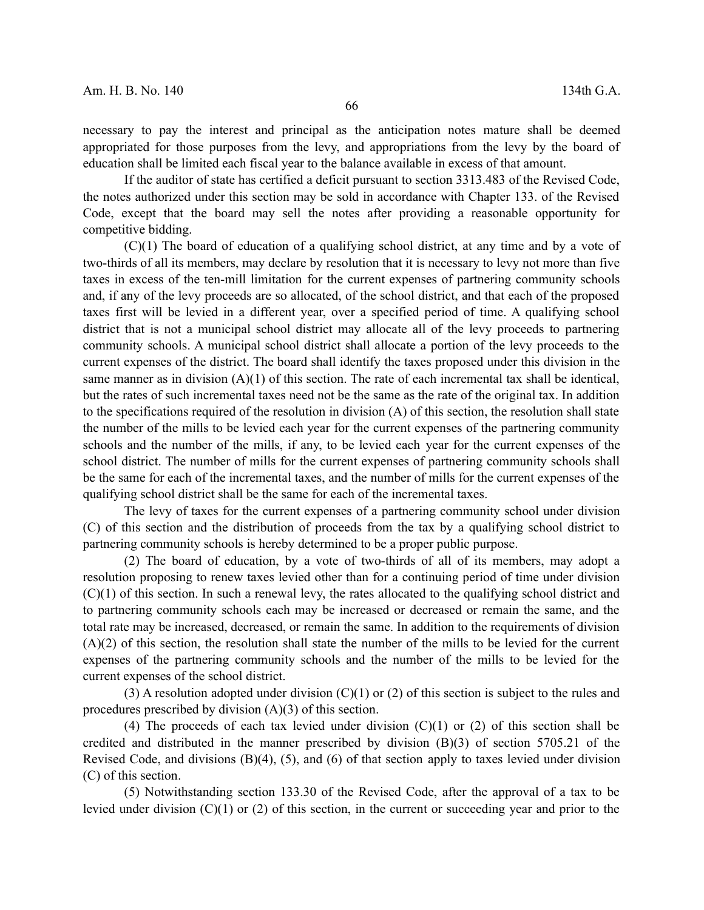necessary to pay the interest and principal as the anticipation notes mature shall be deemed appropriated for those purposes from the levy, and appropriations from the levy by the board of education shall be limited each fiscal year to the balance available in excess of that amount.

If the auditor of state has certified a deficit pursuant to section 3313.483 of the Revised Code, the notes authorized under this section may be sold in accordance with Chapter 133. of the Revised Code, except that the board may sell the notes after providing a reasonable opportunity for competitive bidding.

(C)(1) The board of education of a qualifying school district, at any time and by a vote of two-thirds of all its members, may declare by resolution that it is necessary to levy not more than five taxes in excess of the ten-mill limitation for the current expenses of partnering community schools and, if any of the levy proceeds are so allocated, of the school district, and that each of the proposed taxes first will be levied in a different year, over a specified period of time. A qualifying school district that is not a municipal school district may allocate all of the levy proceeds to partnering community schools. A municipal school district shall allocate a portion of the levy proceeds to the current expenses of the district. The board shall identify the taxes proposed under this division in the same manner as in division (A)(1) of this section. The rate of each incremental tax shall be identical, but the rates of such incremental taxes need not be the same as the rate of the original tax. In addition to the specifications required of the resolution in division (A) of this section, the resolution shall state the number of the mills to be levied each year for the current expenses of the partnering community schools and the number of the mills, if any, to be levied each year for the current expenses of the school district. The number of mills for the current expenses of partnering community schools shall be the same for each of the incremental taxes, and the number of mills for the current expenses of the qualifying school district shall be the same for each of the incremental taxes.

The levy of taxes for the current expenses of a partnering community school under division (C) of this section and the distribution of proceeds from the tax by a qualifying school district to partnering community schools is hereby determined to be a proper public purpose.

(2) The board of education, by a vote of two-thirds of all of its members, may adopt a resolution proposing to renew taxes levied other than for a continuing period of time under division (C)(1) of this section. In such a renewal levy, the rates allocated to the qualifying school district and to partnering community schools each may be increased or decreased or remain the same, and the total rate may be increased, decreased, or remain the same. In addition to the requirements of division (A)(2) of this section, the resolution shall state the number of the mills to be levied for the current expenses of the partnering community schools and the number of the mills to be levied for the current expenses of the school district.

(3) A resolution adopted under division (C)(1) or (2) of this section is subject to the rules and procedures prescribed by division (A)(3) of this section.

(4) The proceeds of each tax levied under division  $(C)(1)$  or  $(2)$  of this section shall be credited and distributed in the manner prescribed by division (B)(3) of section 5705.21 of the Revised Code, and divisions (B)(4), (5), and (6) of that section apply to taxes levied under division (C) of this section.

(5) Notwithstanding section 133.30 of the Revised Code, after the approval of a tax to be levied under division (C)(1) or (2) of this section, in the current or succeeding year and prior to the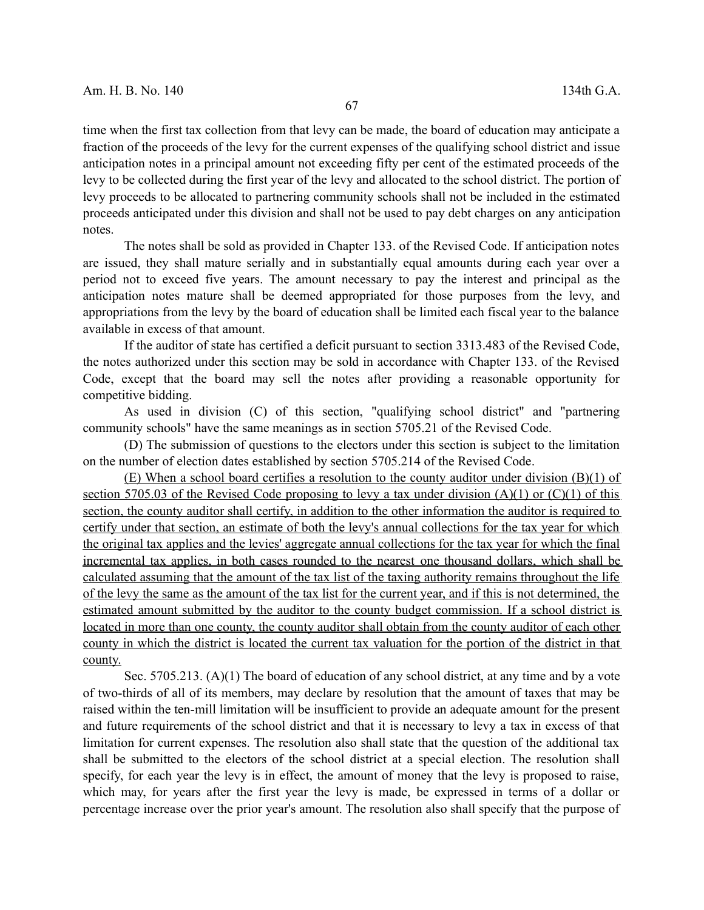time when the first tax collection from that levy can be made, the board of education may anticipate a fraction of the proceeds of the levy for the current expenses of the qualifying school district and issue anticipation notes in a principal amount not exceeding fifty per cent of the estimated proceeds of the levy to be collected during the first year of the levy and allocated to the school district. The portion of levy proceeds to be allocated to partnering community schools shall not be included in the estimated proceeds anticipated under this division and shall not be used to pay debt charges on any anticipation notes.

The notes shall be sold as provided in Chapter 133. of the Revised Code. If anticipation notes are issued, they shall mature serially and in substantially equal amounts during each year over a period not to exceed five years. The amount necessary to pay the interest and principal as the anticipation notes mature shall be deemed appropriated for those purposes from the levy, and appropriations from the levy by the board of education shall be limited each fiscal year to the balance available in excess of that amount.

If the auditor of state has certified a deficit pursuant to section 3313.483 of the Revised Code, the notes authorized under this section may be sold in accordance with Chapter 133. of the Revised Code, except that the board may sell the notes after providing a reasonable opportunity for competitive bidding.

As used in division (C) of this section, "qualifying school district" and "partnering community schools" have the same meanings as in section 5705.21 of the Revised Code.

(D) The submission of questions to the electors under this section is subject to the limitation on the number of election dates established by section 5705.214 of the Revised Code.

(E) When a school board certifies a resolution to the county auditor under division (B)(1) of section 5705.03 of the Revised Code proposing to levy a tax under division (A)(1) or (C)(1) of this section, the county auditor shall certify, in addition to the other information the auditor is required to certify under that section, an estimate of both the levy's annual collections for the tax year for which the original tax applies and the levies' aggregate annual collections for the tax year for which the final incremental tax applies, in both cases rounded to the nearest one thousand dollars, which shall be calculated assuming that the amount of the tax list of the taxing authority remains throughout the life of the levy the same as the amount of the tax list for the current year, and if this is not determined, the estimated amount submitted by the auditor to the county budget commission. If a school district is located in more than one county, the county auditor shall obtain from the county auditor of each other county in which the district is located the current tax valuation for the portion of the district in that county.

Sec. 5705.213. (A)(1) The board of education of any school district, at any time and by a vote of two-thirds of all of its members, may declare by resolution that the amount of taxes that may be raised within the ten-mill limitation will be insufficient to provide an adequate amount for the present and future requirements of the school district and that it is necessary to levy a tax in excess of that limitation for current expenses. The resolution also shall state that the question of the additional tax shall be submitted to the electors of the school district at a special election. The resolution shall specify, for each year the levy is in effect, the amount of money that the levy is proposed to raise, which may, for years after the first year the levy is made, be expressed in terms of a dollar or percentage increase over the prior year's amount. The resolution also shall specify that the purpose of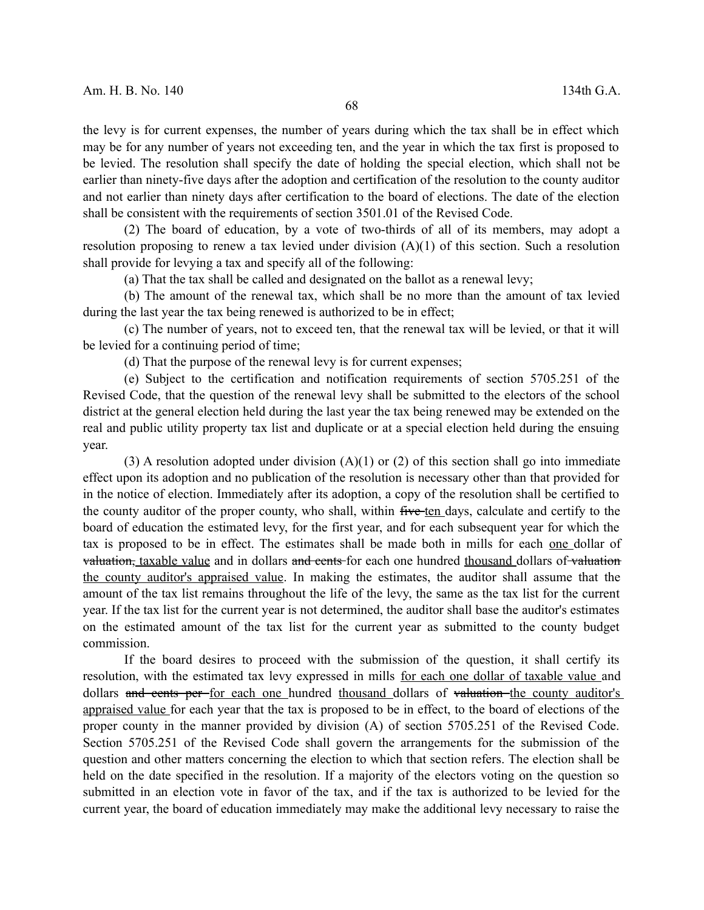the levy is for current expenses, the number of years during which the tax shall be in effect which may be for any number of years not exceeding ten, and the year in which the tax first is proposed to be levied. The resolution shall specify the date of holding the special election, which shall not be earlier than ninety-five days after the adoption and certification of the resolution to the county auditor and not earlier than ninety days after certification to the board of elections. The date of the election shall be consistent with the requirements of section 3501.01 of the Revised Code.

(2) The board of education, by a vote of two-thirds of all of its members, may adopt a resolution proposing to renew a tax levied under division (A)(1) of this section. Such a resolution shall provide for levying a tax and specify all of the following:

(a) That the tax shall be called and designated on the ballot as a renewal levy;

(b) The amount of the renewal tax, which shall be no more than the amount of tax levied during the last year the tax being renewed is authorized to be in effect;

(c) The number of years, not to exceed ten, that the renewal tax will be levied, or that it will be levied for a continuing period of time;

(d) That the purpose of the renewal levy is for current expenses;

(e) Subject to the certification and notification requirements of section 5705.251 of the Revised Code, that the question of the renewal levy shall be submitted to the electors of the school district at the general election held during the last year the tax being renewed may be extended on the real and public utility property tax list and duplicate or at a special election held during the ensuing year.

(3) A resolution adopted under division  $(A)(1)$  or (2) of this section shall go into immediate effect upon its adoption and no publication of the resolution is necessary other than that provided for in the notice of election. Immediately after its adoption, a copy of the resolution shall be certified to the county auditor of the proper county, who shall, within five ten days, calculate and certify to the board of education the estimated levy, for the first year, and for each subsequent year for which the tax is proposed to be in effect. The estimates shall be made both in mills for each one dollar of valuation, taxable value and in dollars and cents for each one hundred thousand dollars of valuation the county auditor's appraised value. In making the estimates, the auditor shall assume that the amount of the tax list remains throughout the life of the levy, the same as the tax list for the current year. If the tax list for the current year is not determined, the auditor shall base the auditor's estimates on the estimated amount of the tax list for the current year as submitted to the county budget commission.

If the board desires to proceed with the submission of the question, it shall certify its resolution, with the estimated tax levy expressed in mills for each one dollar of taxable value and dollars and cents per for each one hundred thousand dollars of valuation the county auditor's appraised value for each year that the tax is proposed to be in effect, to the board of elections of the proper county in the manner provided by division (A) of section 5705.251 of the Revised Code. Section 5705.251 of the Revised Code shall govern the arrangements for the submission of the question and other matters concerning the election to which that section refers. The election shall be held on the date specified in the resolution. If a majority of the electors voting on the question so submitted in an election vote in favor of the tax, and if the tax is authorized to be levied for the current year, the board of education immediately may make the additional levy necessary to raise the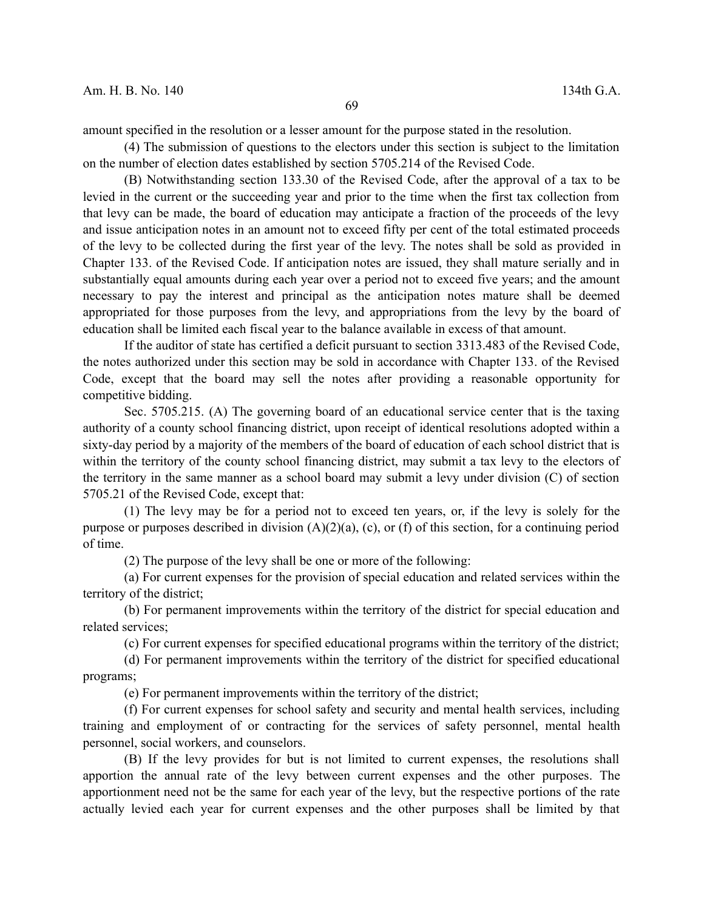amount specified in the resolution or a lesser amount for the purpose stated in the resolution.

(4) The submission of questions to the electors under this section is subject to the limitation on the number of election dates established by section 5705.214 of the Revised Code.

(B) Notwithstanding section 133.30 of the Revised Code, after the approval of a tax to be levied in the current or the succeeding year and prior to the time when the first tax collection from that levy can be made, the board of education may anticipate a fraction of the proceeds of the levy and issue anticipation notes in an amount not to exceed fifty per cent of the total estimated proceeds of the levy to be collected during the first year of the levy. The notes shall be sold as provided in Chapter 133. of the Revised Code. If anticipation notes are issued, they shall mature serially and in substantially equal amounts during each year over a period not to exceed five years; and the amount necessary to pay the interest and principal as the anticipation notes mature shall be deemed appropriated for those purposes from the levy, and appropriations from the levy by the board of education shall be limited each fiscal year to the balance available in excess of that amount.

If the auditor of state has certified a deficit pursuant to section 3313.483 of the Revised Code, the notes authorized under this section may be sold in accordance with Chapter 133. of the Revised Code, except that the board may sell the notes after providing a reasonable opportunity for competitive bidding.

Sec. 5705.215. (A) The governing board of an educational service center that is the taxing authority of a county school financing district, upon receipt of identical resolutions adopted within a sixty-day period by a majority of the members of the board of education of each school district that is within the territory of the county school financing district, may submit a tax levy to the electors of the territory in the same manner as a school board may submit a levy under division (C) of section 5705.21 of the Revised Code, except that:

(1) The levy may be for a period not to exceed ten years, or, if the levy is solely for the purpose or purposes described in division (A)(2)(a), (c), or (f) of this section, for a continuing period of time.

(2) The purpose of the levy shall be one or more of the following:

(a) For current expenses for the provision of special education and related services within the territory of the district;

(b) For permanent improvements within the territory of the district for special education and related services;

(c) For current expenses for specified educational programs within the territory of the district;

(d) For permanent improvements within the territory of the district for specified educational programs;

(e) For permanent improvements within the territory of the district;

(f) For current expenses for school safety and security and mental health services, including training and employment of or contracting for the services of safety personnel, mental health personnel, social workers, and counselors.

(B) If the levy provides for but is not limited to current expenses, the resolutions shall apportion the annual rate of the levy between current expenses and the other purposes. The apportionment need not be the same for each year of the levy, but the respective portions of the rate actually levied each year for current expenses and the other purposes shall be limited by that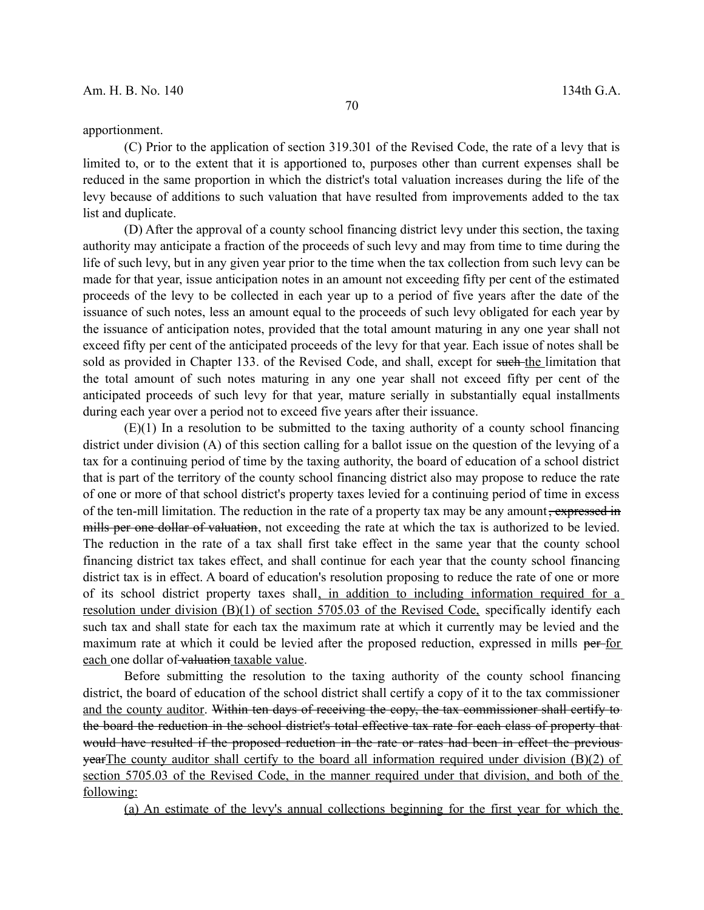### apportionment.

(C) Prior to the application of section 319.301 of the Revised Code, the rate of a levy that is limited to, or to the extent that it is apportioned to, purposes other than current expenses shall be reduced in the same proportion in which the district's total valuation increases during the life of the levy because of additions to such valuation that have resulted from improvements added to the tax list and duplicate.

(D) After the approval of a county school financing district levy under this section, the taxing authority may anticipate a fraction of the proceeds of such levy and may from time to time during the life of such levy, but in any given year prior to the time when the tax collection from such levy can be made for that year, issue anticipation notes in an amount not exceeding fifty per cent of the estimated proceeds of the levy to be collected in each year up to a period of five years after the date of the issuance of such notes, less an amount equal to the proceeds of such levy obligated for each year by the issuance of anticipation notes, provided that the total amount maturing in any one year shall not exceed fifty per cent of the anticipated proceeds of the levy for that year. Each issue of notes shall be sold as provided in Chapter 133. of the Revised Code, and shall, except for such the limitation that the total amount of such notes maturing in any one year shall not exceed fifty per cent of the anticipated proceeds of such levy for that year, mature serially in substantially equal installments during each year over a period not to exceed five years after their issuance.

 $(E)(1)$  In a resolution to be submitted to the taxing authority of a county school financing district under division (A) of this section calling for a ballot issue on the question of the levying of a tax for a continuing period of time by the taxing authority, the board of education of a school district that is part of the territory of the county school financing district also may propose to reduce the rate of one or more of that school district's property taxes levied for a continuing period of time in excess of the ten-mill limitation. The reduction in the rate of a property tax may be any amount, expressed in mills per one dollar of valuation, not exceeding the rate at which the tax is authorized to be levied. The reduction in the rate of a tax shall first take effect in the same year that the county school financing district tax takes effect, and shall continue for each year that the county school financing district tax is in effect. A board of education's resolution proposing to reduce the rate of one or more of its school district property taxes shall, in addition to including information required for a resolution under division  $(B)(1)$  of section 5705.03 of the Revised Code, specifically identify each such tax and shall state for each tax the maximum rate at which it currently may be levied and the maximum rate at which it could be levied after the proposed reduction, expressed in mills per-for each one dollar of valuation taxable value.

Before submitting the resolution to the taxing authority of the county school financing district, the board of education of the school district shall certify a copy of it to the tax commissioner and the county auditor. Within ten days of receiving the copy, the tax commissioner shall certify to the board the reduction in the school district's total effective tax rate for each class of property that would have resulted if the proposed reduction in the rate or rates had been in effect the previous yearThe county auditor shall certify to the board all information required under division (B)(2) of section 5705.03 of the Revised Code, in the manner required under that division, and both of the following:

(a) An estimate of the levy's annual collections beginning for the first year for which the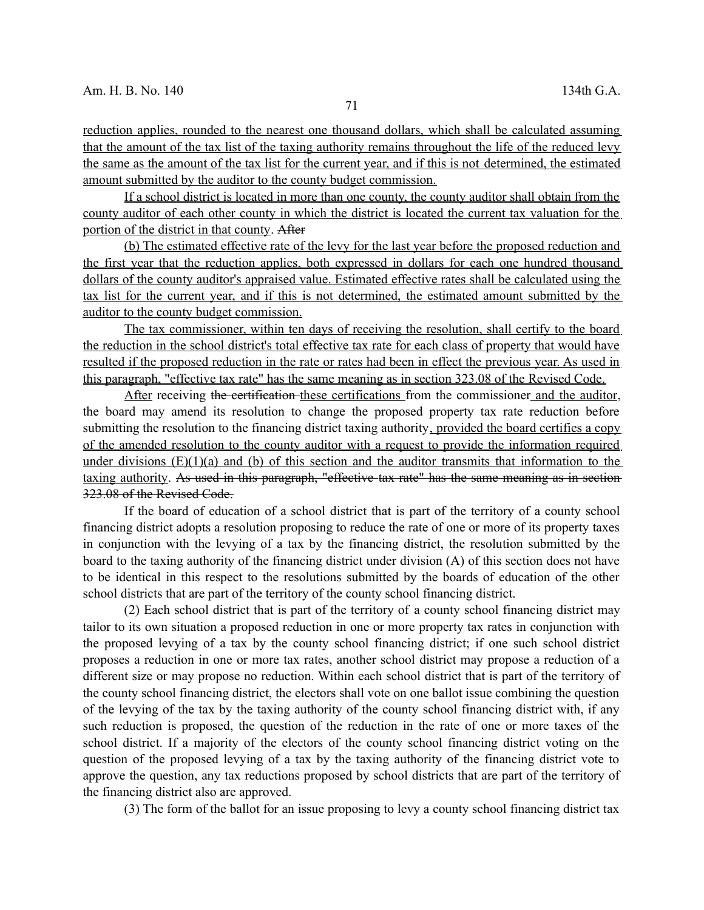reduction applies, rounded to the nearest one thousand dollars, which shall be calculated assuming that the amount of the tax list of the taxing authority remains throughout the life of the reduced levy the same as the amount of the tax list for the current year, and if this is not determined, the estimated amount submitted by the auditor to the county budget commission.

If a school district is located in more than one county, the county auditor shall obtain from the county auditor of each other county in which the district is located the current tax valuation for the portion of the district in that county. After

(b) The estimated effective rate of the levy for the last year before the proposed reduction and the first year that the reduction applies, both expressed in dollars for each one hundred thousand dollars of the county auditor's appraised value. Estimated effective rates shall be calculated using the tax list for the current year, and if this is not determined, the estimated amount submitted by the auditor to the county budget commission.

The tax commissioner, within ten days of receiving the resolution, shall certify to the board the reduction in the school district's total effective tax rate for each class of property that would have resulted if the proposed reduction in the rate or rates had been in effect the previous year. As used in this paragraph, "effective tax rate" has the same meaning as in section 323.08 of the Revised Code.

After receiving the certification these certifications from the commissioner and the auditor, the board may amend its resolution to change the proposed property tax rate reduction before submitting the resolution to the financing district taxing authority, provided the board certifies a copy of the amended resolution to the county auditor with a request to provide the information required under divisions  $(E)(1)(a)$  and (b) of this section and the auditor transmits that information to the taxing authority. As used in this paragraph, "effective tax rate" has the same meaning as in section 323.08 of the Revised Code.

If the board of education of a school district that is part of the territory of a county school financing district adopts a resolution proposing to reduce the rate of one or more of its property taxes in conjunction with the levying of a tax by the financing district, the resolution submitted by the board to the taxing authority of the financing district under division (A) of this section does not have to be identical in this respect to the resolutions submitted by the boards of education of the other school districts that are part of the territory of the county school financing district.

(2) Each school district that is part of the territory of a county school financing district may tailor to its own situation a proposed reduction in one or more property tax rates in conjunction with the proposed levying of a tax by the county school financing district; if one such school district proposes a reduction in one or more tax rates, another school district may propose a reduction of a different size or may propose no reduction. Within each school district that is part of the territory of the county school financing district, the electors shall vote on one ballot issue combining the question of the levying of the tax by the taxing authority of the county school financing district with, if any such reduction is proposed, the question of the reduction in the rate of one or more taxes of the school district. If a majority of the electors of the county school financing district voting on the question of the proposed levying of a tax by the taxing authority of the financing district vote to approve the question, any tax reductions proposed by school districts that are part of the territory of the financing district also are approved.

(3) The form of the ballot for an issue proposing to levy a county school financing district tax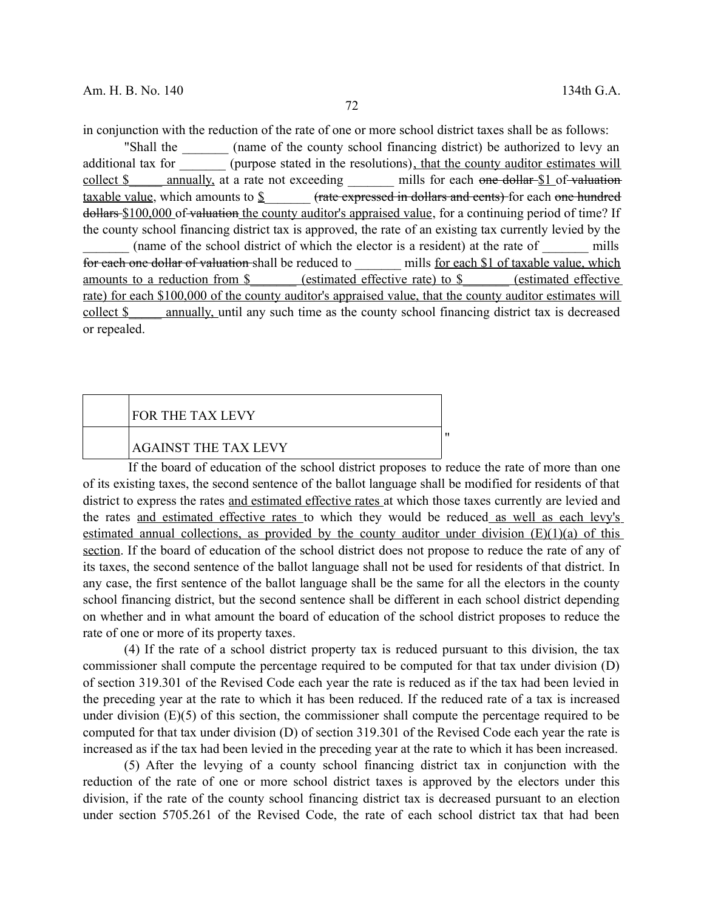in conjunction with the reduction of the rate of one or more school district taxes shall be as follows:

"Shall the caunce of the county school financing district) be authorized to levy an additional tax for \_\_\_\_\_\_\_ (purpose stated in the resolutions), that the county auditor estimates will collect  $\$\$  annually, at a rate not exceeding  $\$\$  mills for each one dollar  $\$\$ 1 of valuation taxable value, which amounts to \$  $\qquad \qquad$  (rate expressed in dollars and cents) for each one hundred dollars \$100,000 of valuation the county auditor's appraised value, for a continuing period of time? If the county school financing district tax is approved, the rate of an existing tax currently levied by the (name of the school district of which the elector is a resident) at the rate of mills for each one dollar of valuation shall be reduced to each \$1 of taxable value, which amounts to a reduction from \$ (estimated effective rate) to \$ (estimated effective rate) for each \$100,000 of the county auditor's appraised value, that the county auditor estimates will collect \$ annually, until any such time as the county school financing district tax is decreased or repealed.

# FOR THE TAX LEVY AGAINST THE TAX LEVY

If the board of education of the school district proposes to reduce the rate of more than one of its existing taxes, the second sentence of the ballot language shall be modified for residents of that district to express the rates and estimated effective rates at which those taxes currently are levied and the rates and estimated effective rates to which they would be reduced as well as each levy's estimated annual collections, as provided by the county auditor under division  $(E)(1)(a)$  of this section. If the board of education of the school district does not propose to reduce the rate of any of its taxes, the second sentence of the ballot language shall not be used for residents of that district. In any case, the first sentence of the ballot language shall be the same for all the electors in the county school financing district, but the second sentence shall be different in each school district depending on whether and in what amount the board of education of the school district proposes to reduce the rate of one or more of its property taxes.

"

(4) If the rate of a school district property tax is reduced pursuant to this division, the tax commissioner shall compute the percentage required to be computed for that tax under division (D) of section 319.301 of the Revised Code each year the rate is reduced as if the tax had been levied in the preceding year at the rate to which it has been reduced. If the reduced rate of a tax is increased under division (E)(5) of this section, the commissioner shall compute the percentage required to be computed for that tax under division (D) of section 319.301 of the Revised Code each year the rate is increased as if the tax had been levied in the preceding year at the rate to which it has been increased.

(5) After the levying of a county school financing district tax in conjunction with the reduction of the rate of one or more school district taxes is approved by the electors under this division, if the rate of the county school financing district tax is decreased pursuant to an election under section 5705.261 of the Revised Code, the rate of each school district tax that had been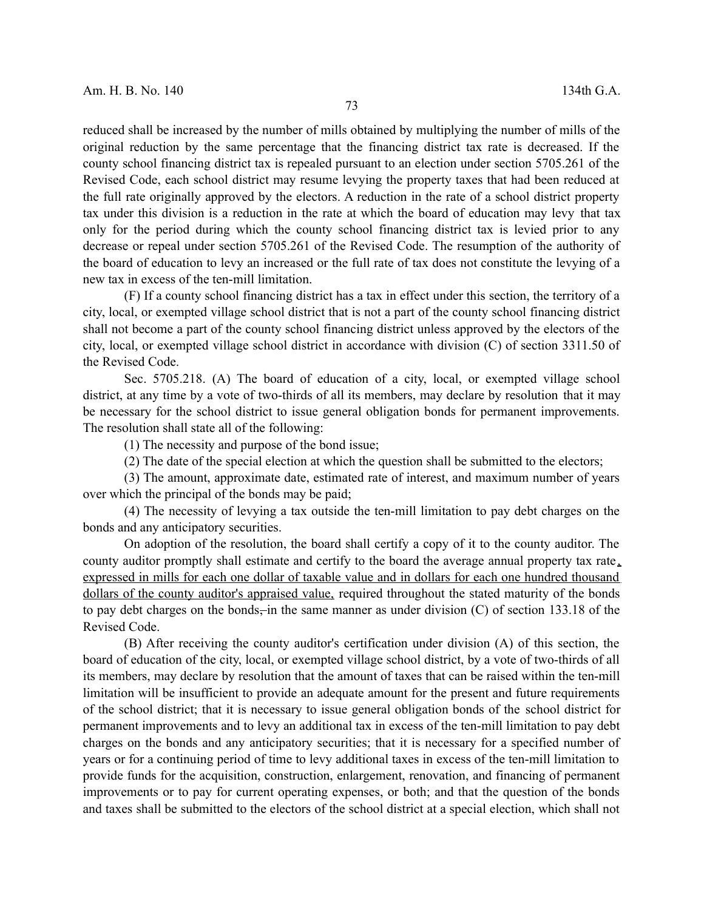reduced shall be increased by the number of mills obtained by multiplying the number of mills of the original reduction by the same percentage that the financing district tax rate is decreased. If the county school financing district tax is repealed pursuant to an election under section 5705.261 of the Revised Code, each school district may resume levying the property taxes that had been reduced at the full rate originally approved by the electors. A reduction in the rate of a school district property tax under this division is a reduction in the rate at which the board of education may levy that tax only for the period during which the county school financing district tax is levied prior to any decrease or repeal under section 5705.261 of the Revised Code. The resumption of the authority of the board of education to levy an increased or the full rate of tax does not constitute the levying of a new tax in excess of the ten-mill limitation.

(F) If a county school financing district has a tax in effect under this section, the territory of a city, local, or exempted village school district that is not a part of the county school financing district shall not become a part of the county school financing district unless approved by the electors of the city, local, or exempted village school district in accordance with division (C) of section 3311.50 of the Revised Code.

Sec. 5705.218. (A) The board of education of a city, local, or exempted village school district, at any time by a vote of two-thirds of all its members, may declare by resolution that it may be necessary for the school district to issue general obligation bonds for permanent improvements. The resolution shall state all of the following:

(1) The necessity and purpose of the bond issue;

(2) The date of the special election at which the question shall be submitted to the electors;

(3) The amount, approximate date, estimated rate of interest, and maximum number of years over which the principal of the bonds may be paid;

(4) The necessity of levying a tax outside the ten-mill limitation to pay debt charges on the bonds and any anticipatory securities.

On adoption of the resolution, the board shall certify a copy of it to the county auditor. The county auditor promptly shall estimate and certify to the board the average annual property tax rate , expressed in mills for each one dollar of taxable value and in dollars for each one hundred thousand dollars of the county auditor's appraised value, required throughout the stated maturity of the bonds to pay debt charges on the bonds, in the same manner as under division  $(C)$  of section 133.18 of the Revised Code.

(B) After receiving the county auditor's certification under division (A) of this section, the board of education of the city, local, or exempted village school district, by a vote of two-thirds of all its members, may declare by resolution that the amount of taxes that can be raised within the ten-mill limitation will be insufficient to provide an adequate amount for the present and future requirements of the school district; that it is necessary to issue general obligation bonds of the school district for permanent improvements and to levy an additional tax in excess of the ten-mill limitation to pay debt charges on the bonds and any anticipatory securities; that it is necessary for a specified number of years or for a continuing period of time to levy additional taxes in excess of the ten-mill limitation to provide funds for the acquisition, construction, enlargement, renovation, and financing of permanent improvements or to pay for current operating expenses, or both; and that the question of the bonds and taxes shall be submitted to the electors of the school district at a special election, which shall not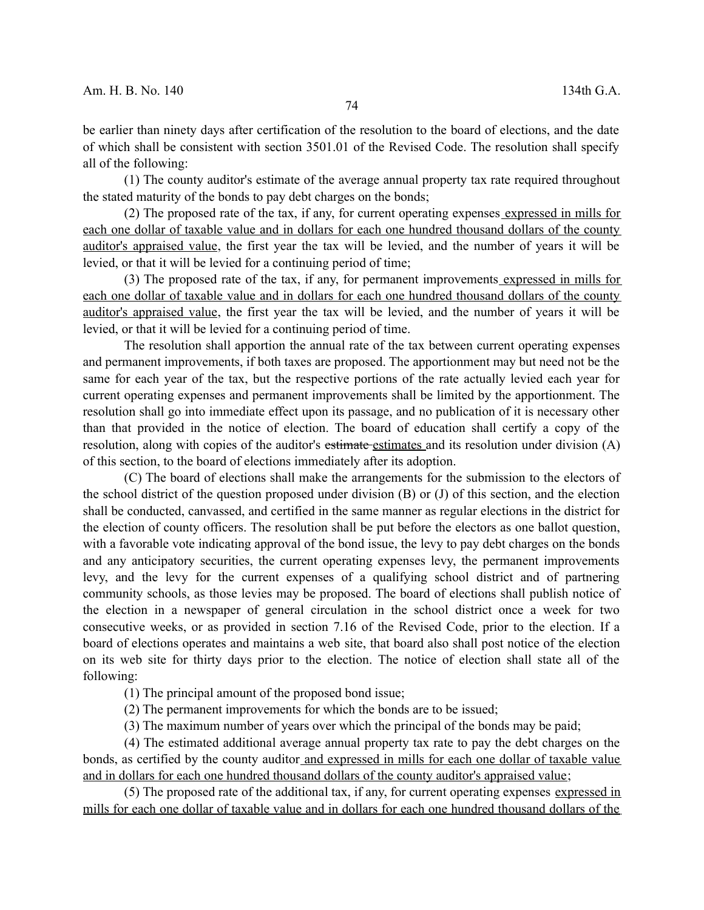be earlier than ninety days after certification of the resolution to the board of elections, and the date of which shall be consistent with section 3501.01 of the Revised Code. The resolution shall specify all of the following:

(1) The county auditor's estimate of the average annual property tax rate required throughout the stated maturity of the bonds to pay debt charges on the bonds;

(2) The proposed rate of the tax, if any, for current operating expenses expressed in mills for each one dollar of taxable value and in dollars for each one hundred thousand dollars of the county auditor's appraised value, the first year the tax will be levied, and the number of years it will be levied, or that it will be levied for a continuing period of time;

(3) The proposed rate of the tax, if any, for permanent improvements expressed in mills for each one dollar of taxable value and in dollars for each one hundred thousand dollars of the county auditor's appraised value, the first year the tax will be levied, and the number of years it will be levied, or that it will be levied for a continuing period of time.

The resolution shall apportion the annual rate of the tax between current operating expenses and permanent improvements, if both taxes are proposed. The apportionment may but need not be the same for each year of the tax, but the respective portions of the rate actually levied each year for current operating expenses and permanent improvements shall be limited by the apportionment. The resolution shall go into immediate effect upon its passage, and no publication of it is necessary other than that provided in the notice of election. The board of education shall certify a copy of the resolution, along with copies of the auditor's estimate estimates and its resolution under division (A) of this section, to the board of elections immediately after its adoption.

(C) The board of elections shall make the arrangements for the submission to the electors of the school district of the question proposed under division (B) or (J) of this section, and the election shall be conducted, canvassed, and certified in the same manner as regular elections in the district for the election of county officers. The resolution shall be put before the electors as one ballot question, with a favorable vote indicating approval of the bond issue, the levy to pay debt charges on the bonds and any anticipatory securities, the current operating expenses levy, the permanent improvements levy, and the levy for the current expenses of a qualifying school district and of partnering community schools, as those levies may be proposed. The board of elections shall publish notice of the election in a newspaper of general circulation in the school district once a week for two consecutive weeks, or as provided in section 7.16 of the Revised Code, prior to the election. If a board of elections operates and maintains a web site, that board also shall post notice of the election on its web site for thirty days prior to the election. The notice of election shall state all of the following:

(1) The principal amount of the proposed bond issue;

(2) The permanent improvements for which the bonds are to be issued;

(3) The maximum number of years over which the principal of the bonds may be paid;

(4) The estimated additional average annual property tax rate to pay the debt charges on the bonds, as certified by the county auditor and expressed in mills for each one dollar of taxable value and in dollars for each one hundred thousand dollars of the county auditor's appraised value;

(5) The proposed rate of the additional tax, if any, for current operating expenses expressed in mills for each one dollar of taxable value and in dollars for each one hundred thousand dollars of the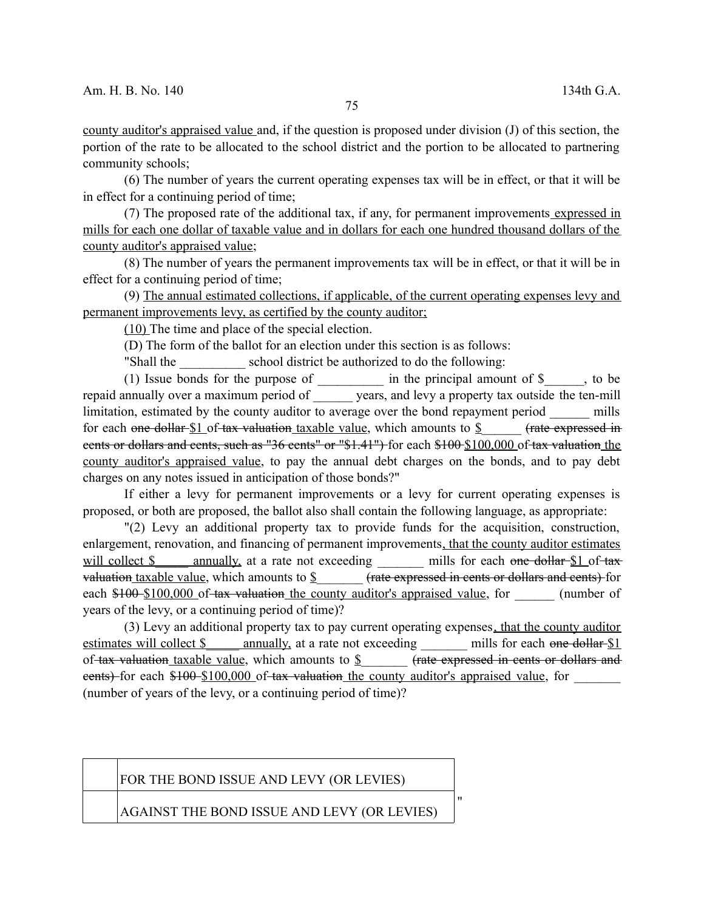county auditor's appraised value and, if the question is proposed under division (J) of this section, the portion of the rate to be allocated to the school district and the portion to be allocated to partnering community schools;

(6) The number of years the current operating expenses tax will be in effect, or that it will be in effect for a continuing period of time;

(7) The proposed rate of the additional tax, if any, for permanent improvements expressed in mills for each one dollar of taxable value and in dollars for each one hundred thousand dollars of the county auditor's appraised value;

(8) The number of years the permanent improvements tax will be in effect, or that it will be in effect for a continuing period of time;

(9) The annual estimated collections, if applicable, of the current operating expenses levy and permanent improvements levy, as certified by the county auditor;

(10) The time and place of the special election.

(D) The form of the ballot for an election under this section is as follows:

"Shall the school district be authorized to do the following:

(1) Issue bonds for the purpose of  $\frac{1}{\sqrt{1-\frac{1}{n}}}$  in the principal amount of  $\frac{1}{\sqrt{1-\frac{1}{n}}}$ , to be repaid annually over a maximum period of years, and levy a property tax outside the ten-mill limitation, estimated by the county auditor to average over the bond repayment period mills for each one dollar  $$1$  of tax valuation taxable value, which amounts to  $$$  (rate expressed in cents or dollars and cents, such as "36 cents" or "\$1.41") for each \$100 \$100,000 of tax valuation the county auditor's appraised value, to pay the annual debt charges on the bonds, and to pay debt charges on any notes issued in anticipation of those bonds?"

If either a levy for permanent improvements or a levy for current operating expenses is proposed, or both are proposed, the ballot also shall contain the following language, as appropriate:

"(2) Levy an additional property tax to provide funds for the acquisition, construction, enlargement, renovation, and financing of permanent improvements, that the county auditor estimates will collect \$ annually, at a rate not exceeding mills for each one dollar \$1 of tax valuation taxable value, which amounts to  $\frac{1}{2}$  (rate expressed in cents or dollars and cents) for each \$100 \$100,000 of tax valuation the county auditor's appraised value, for (number of years of the levy, or a continuing period of time)?

(3) Levy an additional property tax to pay current operating expenses, that the county auditor estimates will collect \$ annually, at a rate not exceeding mills for each one dollar \$1 of-tax valuation taxable value, which amounts to  $\S$  (rate expressed in cents or dollars and eents) for each \$100 \$100,000 of tax valuation the county auditor's appraised value, for (number of years of the levy, or a continuing period of time)?

"

#### FOR THE BOND ISSUE AND LEVY (OR LEVIES)

AGAINST THE BOND ISSUE AND LEVY (OR LEVIES)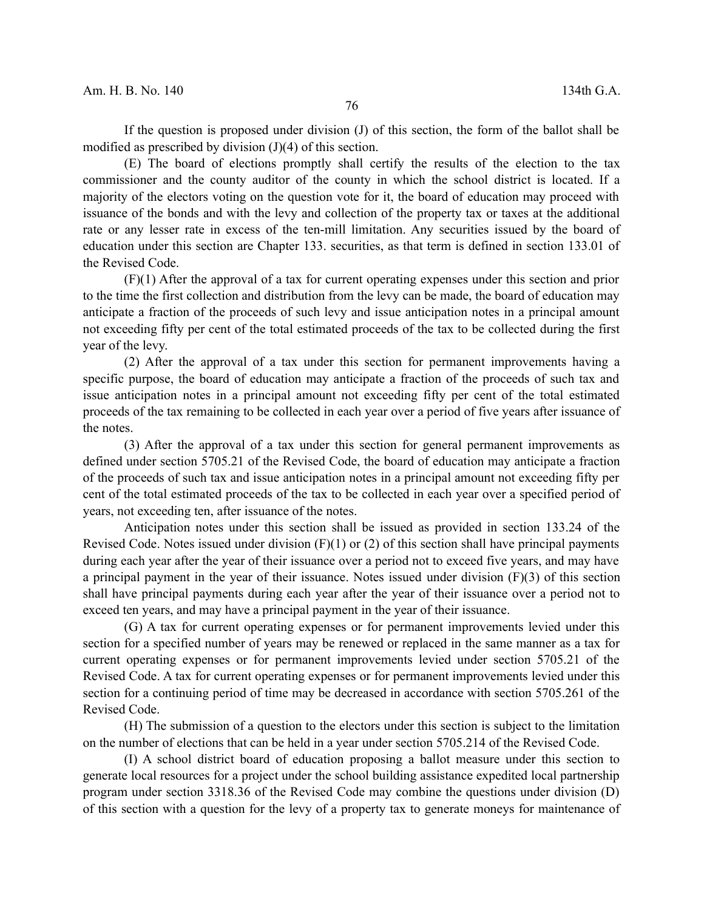If the question is proposed under division (J) of this section, the form of the ballot shall be modified as prescribed by division (J)(4) of this section.

(E) The board of elections promptly shall certify the results of the election to the tax commissioner and the county auditor of the county in which the school district is located. If a majority of the electors voting on the question vote for it, the board of education may proceed with issuance of the bonds and with the levy and collection of the property tax or taxes at the additional rate or any lesser rate in excess of the ten-mill limitation. Any securities issued by the board of education under this section are Chapter 133. securities, as that term is defined in section 133.01 of the Revised Code.

(F)(1) After the approval of a tax for current operating expenses under this section and prior to the time the first collection and distribution from the levy can be made, the board of education may anticipate a fraction of the proceeds of such levy and issue anticipation notes in a principal amount not exceeding fifty per cent of the total estimated proceeds of the tax to be collected during the first year of the levy.

(2) After the approval of a tax under this section for permanent improvements having a specific purpose, the board of education may anticipate a fraction of the proceeds of such tax and issue anticipation notes in a principal amount not exceeding fifty per cent of the total estimated proceeds of the tax remaining to be collected in each year over a period of five years after issuance of the notes.

(3) After the approval of a tax under this section for general permanent improvements as defined under section 5705.21 of the Revised Code, the board of education may anticipate a fraction of the proceeds of such tax and issue anticipation notes in a principal amount not exceeding fifty per cent of the total estimated proceeds of the tax to be collected in each year over a specified period of years, not exceeding ten, after issuance of the notes.

Anticipation notes under this section shall be issued as provided in section 133.24 of the Revised Code. Notes issued under division (F)(1) or (2) of this section shall have principal payments during each year after the year of their issuance over a period not to exceed five years, and may have a principal payment in the year of their issuance. Notes issued under division (F)(3) of this section shall have principal payments during each year after the year of their issuance over a period not to exceed ten years, and may have a principal payment in the year of their issuance.

(G) A tax for current operating expenses or for permanent improvements levied under this section for a specified number of years may be renewed or replaced in the same manner as a tax for current operating expenses or for permanent improvements levied under section 5705.21 of the Revised Code. A tax for current operating expenses or for permanent improvements levied under this section for a continuing period of time may be decreased in accordance with section 5705.261 of the Revised Code.

(H) The submission of a question to the electors under this section is subject to the limitation on the number of elections that can be held in a year under section 5705.214 of the Revised Code.

(I) A school district board of education proposing a ballot measure under this section to generate local resources for a project under the school building assistance expedited local partnership program under section 3318.36 of the Revised Code may combine the questions under division (D) of this section with a question for the levy of a property tax to generate moneys for maintenance of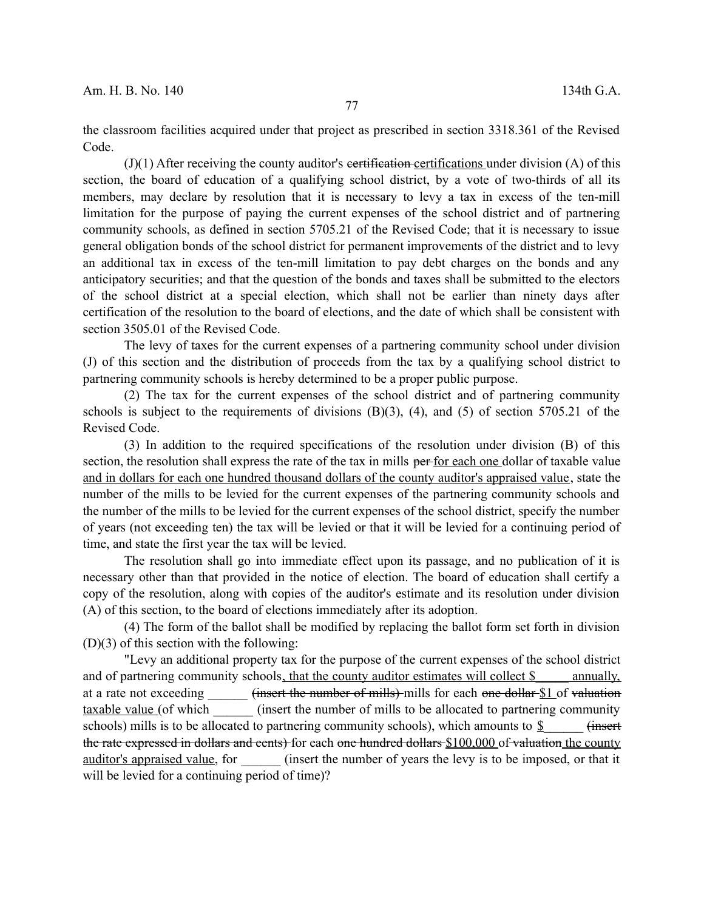the classroom facilities acquired under that project as prescribed in section 3318.361 of the Revised Code.

 $J(1)$  After receiving the county auditor's eertification-certifications under division (A) of this section, the board of education of a qualifying school district, by a vote of two-thirds of all its members, may declare by resolution that it is necessary to levy a tax in excess of the ten-mill limitation for the purpose of paying the current expenses of the school district and of partnering community schools, as defined in section 5705.21 of the Revised Code; that it is necessary to issue general obligation bonds of the school district for permanent improvements of the district and to levy an additional tax in excess of the ten-mill limitation to pay debt charges on the bonds and any anticipatory securities; and that the question of the bonds and taxes shall be submitted to the electors of the school district at a special election, which shall not be earlier than ninety days after certification of the resolution to the board of elections, and the date of which shall be consistent with section 3505.01 of the Revised Code.

The levy of taxes for the current expenses of a partnering community school under division (J) of this section and the distribution of proceeds from the tax by a qualifying school district to partnering community schools is hereby determined to be a proper public purpose.

(2) The tax for the current expenses of the school district and of partnering community schools is subject to the requirements of divisions  $(B)(3)$ ,  $(4)$ , and  $(5)$  of section 5705.21 of the Revised Code.

(3) In addition to the required specifications of the resolution under division (B) of this section, the resolution shall express the rate of the tax in mills per for each one dollar of taxable value and in dollars for each one hundred thousand dollars of the county auditor's appraised value, state the number of the mills to be levied for the current expenses of the partnering community schools and the number of the mills to be levied for the current expenses of the school district, specify the number of years (not exceeding ten) the tax will be levied or that it will be levied for a continuing period of time, and state the first year the tax will be levied.

The resolution shall go into immediate effect upon its passage, and no publication of it is necessary other than that provided in the notice of election. The board of education shall certify a copy of the resolution, along with copies of the auditor's estimate and its resolution under division (A) of this section, to the board of elections immediately after its adoption.

(4) The form of the ballot shall be modified by replacing the ballot form set forth in division (D)(3) of this section with the following:

"Levy an additional property tax for the purpose of the current expenses of the school district and of partnering community schools, that the county auditor estimates will collect \$ \_\_\_\_ annually, at a rate not exceeding (insert the number of mills) mills for each one dollar \$1 of valuation taxable value (of which  $(insert the number of mills to be allocated to partnership community)$ schools) mills is to be allocated to partnering community schools), which amounts to  $\frac{1}{2}$  (insert the rate expressed in dollars and cents) for each one hundred dollars \$100,000 of valuation the county auditor's appraised value, for (insert the number of years the levy is to be imposed, or that it will be levied for a continuing period of time)?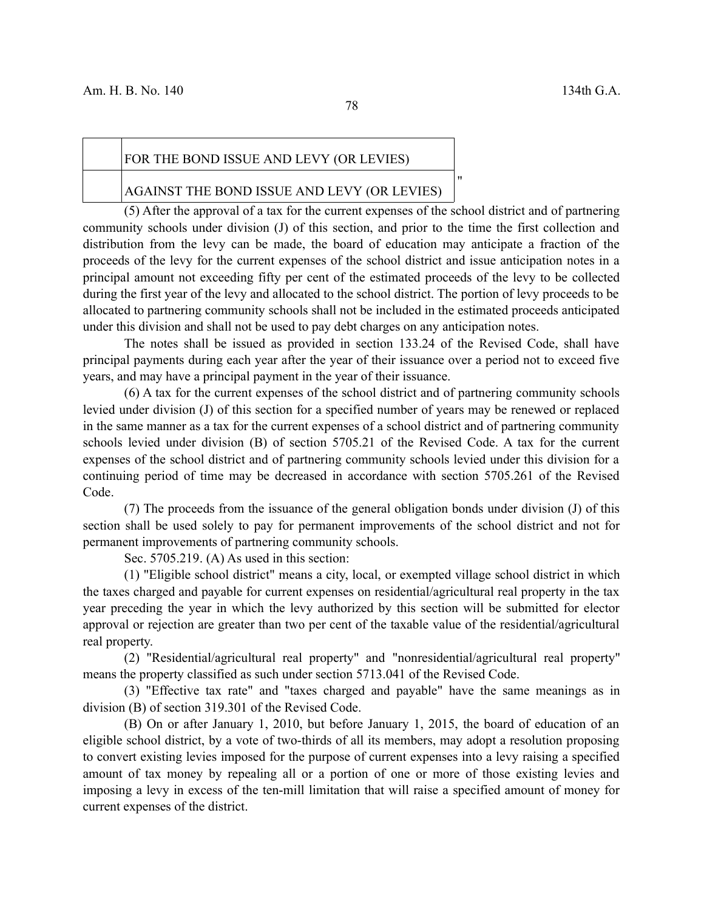#### FOR THE BOND ISSUE AND LEVY (OR LEVIES)

#### AGAINST THE BOND ISSUE AND LEVY (OR LEVIES)

(5) After the approval of a tax for the current expenses of the school district and of partnering community schools under division (J) of this section, and prior to the time the first collection and distribution from the levy can be made, the board of education may anticipate a fraction of the proceeds of the levy for the current expenses of the school district and issue anticipation notes in a principal amount not exceeding fifty per cent of the estimated proceeds of the levy to be collected during the first year of the levy and allocated to the school district. The portion of levy proceeds to be allocated to partnering community schools shall not be included in the estimated proceeds anticipated under this division and shall not be used to pay debt charges on any anticipation notes.

The notes shall be issued as provided in section 133.24 of the Revised Code, shall have principal payments during each year after the year of their issuance over a period not to exceed five years, and may have a principal payment in the year of their issuance.

(6) A tax for the current expenses of the school district and of partnering community schools levied under division (J) of this section for a specified number of years may be renewed or replaced in the same manner as a tax for the current expenses of a school district and of partnering community schools levied under division (B) of section 5705.21 of the Revised Code. A tax for the current expenses of the school district and of partnering community schools levied under this division for a continuing period of time may be decreased in accordance with section 5705.261 of the Revised Code.

(7) The proceeds from the issuance of the general obligation bonds under division (J) of this section shall be used solely to pay for permanent improvements of the school district and not for permanent improvements of partnering community schools.

Sec. 5705.219. (A) As used in this section:

(1) "Eligible school district" means a city, local, or exempted village school district in which the taxes charged and payable for current expenses on residential/agricultural real property in the tax year preceding the year in which the levy authorized by this section will be submitted for elector approval or rejection are greater than two per cent of the taxable value of the residential/agricultural real property.

(2) "Residential/agricultural real property" and "nonresidential/agricultural real property" means the property classified as such under section 5713.041 of the Revised Code.

(3) "Effective tax rate" and "taxes charged and payable" have the same meanings as in division (B) of section 319.301 of the Revised Code.

(B) On or after January 1, 2010, but before January 1, 2015, the board of education of an eligible school district, by a vote of two-thirds of all its members, may adopt a resolution proposing to convert existing levies imposed for the purpose of current expenses into a levy raising a specified amount of tax money by repealing all or a portion of one or more of those existing levies and imposing a levy in excess of the ten-mill limitation that will raise a specified amount of money for current expenses of the district.

"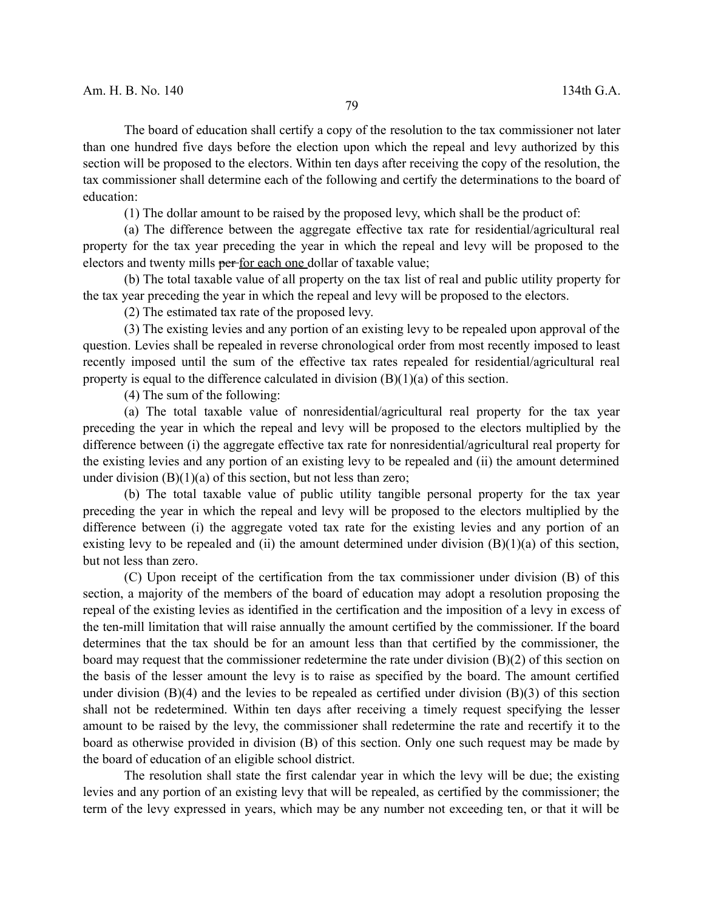The board of education shall certify a copy of the resolution to the tax commissioner not later than one hundred five days before the election upon which the repeal and levy authorized by this section will be proposed to the electors. Within ten days after receiving the copy of the resolution, the tax commissioner shall determine each of the following and certify the determinations to the board of education:

(1) The dollar amount to be raised by the proposed levy, which shall be the product of:

(a) The difference between the aggregate effective tax rate for residential/agricultural real property for the tax year preceding the year in which the repeal and levy will be proposed to the electors and twenty mills per for each one dollar of taxable value;

(b) The total taxable value of all property on the tax list of real and public utility property for the tax year preceding the year in which the repeal and levy will be proposed to the electors.

(2) The estimated tax rate of the proposed levy.

(3) The existing levies and any portion of an existing levy to be repealed upon approval of the question. Levies shall be repealed in reverse chronological order from most recently imposed to least recently imposed until the sum of the effective tax rates repealed for residential/agricultural real property is equal to the difference calculated in division  $(B)(1)(a)$  of this section.

(4) The sum of the following:

(a) The total taxable value of nonresidential/agricultural real property for the tax year preceding the year in which the repeal and levy will be proposed to the electors multiplied by the difference between (i) the aggregate effective tax rate for nonresidential/agricultural real property for the existing levies and any portion of an existing levy to be repealed and (ii) the amount determined under division  $(B)(1)(a)$  of this section, but not less than zero;

(b) The total taxable value of public utility tangible personal property for the tax year preceding the year in which the repeal and levy will be proposed to the electors multiplied by the difference between (i) the aggregate voted tax rate for the existing levies and any portion of an existing levy to be repealed and (ii) the amount determined under division  $(B)(1)(a)$  of this section, but not less than zero.

(C) Upon receipt of the certification from the tax commissioner under division (B) of this section, a majority of the members of the board of education may adopt a resolution proposing the repeal of the existing levies as identified in the certification and the imposition of a levy in excess of the ten-mill limitation that will raise annually the amount certified by the commissioner. If the board determines that the tax should be for an amount less than that certified by the commissioner, the board may request that the commissioner redetermine the rate under division (B)(2) of this section on the basis of the lesser amount the levy is to raise as specified by the board. The amount certified under division  $(B)(4)$  and the levies to be repealed as certified under division  $(B)(3)$  of this section shall not be redetermined. Within ten days after receiving a timely request specifying the lesser amount to be raised by the levy, the commissioner shall redetermine the rate and recertify it to the board as otherwise provided in division (B) of this section. Only one such request may be made by the board of education of an eligible school district.

The resolution shall state the first calendar year in which the levy will be due; the existing levies and any portion of an existing levy that will be repealed, as certified by the commissioner; the term of the levy expressed in years, which may be any number not exceeding ten, or that it will be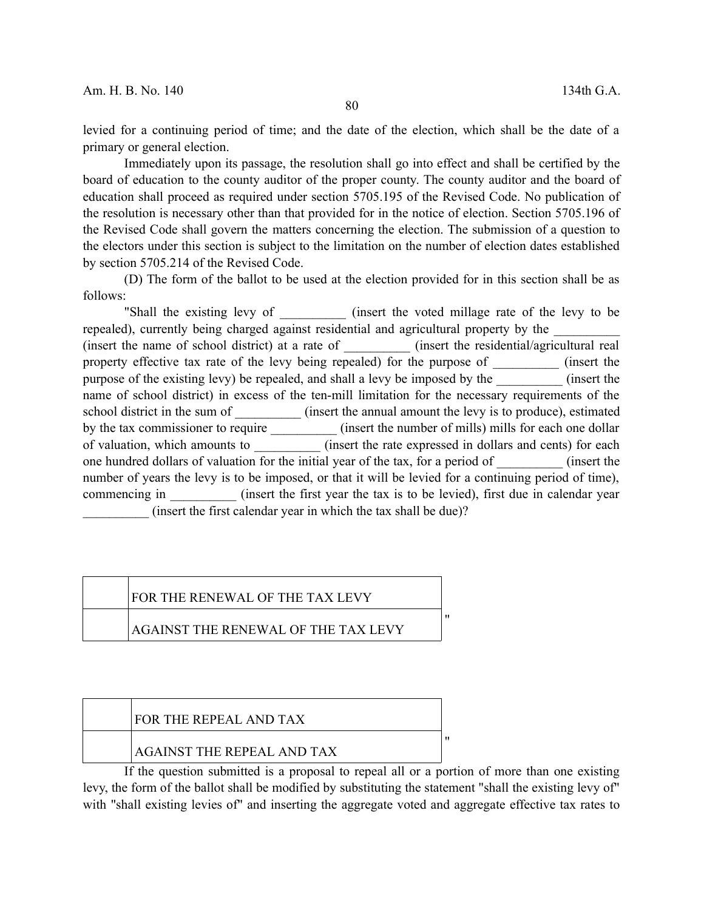levied for a continuing period of time; and the date of the election, which shall be the date of a primary or general election.

Immediately upon its passage, the resolution shall go into effect and shall be certified by the board of education to the county auditor of the proper county. The county auditor and the board of education shall proceed as required under section 5705.195 of the Revised Code. No publication of the resolution is necessary other than that provided for in the notice of election. Section 5705.196 of the Revised Code shall govern the matters concerning the election. The submission of a question to the electors under this section is subject to the limitation on the number of election dates established by section 5705.214 of the Revised Code.

(D) The form of the ballot to be used at the election provided for in this section shall be as follows:

"Shall the existing levy of (insert the voted millage rate of the levy to be repealed), currently being charged against residential and agricultural property by the (insert the name of school district) at a rate of \_\_\_\_\_\_\_\_\_\_ (insert the residential/agricultural real property effective tax rate of the levy being repealed) for the purpose of  $(insert the)$ purpose of the existing levy) be repealed, and shall a levy be imposed by the  $(insert the)$ name of school district) in excess of the ten-mill limitation for the necessary requirements of the school district in the sum of  $(insert the annual amount the levy is to produce), estimated$ by the tax commissioner to require \_\_\_\_\_\_\_\_\_\_\_ (insert the number of mills) mills for each one dollar of valuation, which amounts to  $($  insert the rate expressed in dollars and cents) for each one hundred dollars of valuation for the initial year of the tax, for a period of  $(insert the)$ number of years the levy is to be imposed, or that it will be levied for a continuing period of time), commencing in  $(insert the first year the tax is to be levied), first due in calendar year)$ (insert the first calendar year in which the tax shall be due)?

#### FOR THE RENEWAL OF THE TAX LEVY

#### AGAINST THE RENEWAL OF THE TAX LEVY

### FOR THE REPEAL AND TAX

#### AGAINST THE REPEAL AND TAX

If the question submitted is a proposal to repeal all or a portion of more than one existing levy, the form of the ballot shall be modified by substituting the statement "shall the existing levy of" with "shall existing levies of" and inserting the aggregate voted and aggregate effective tax rates to

"

 $"$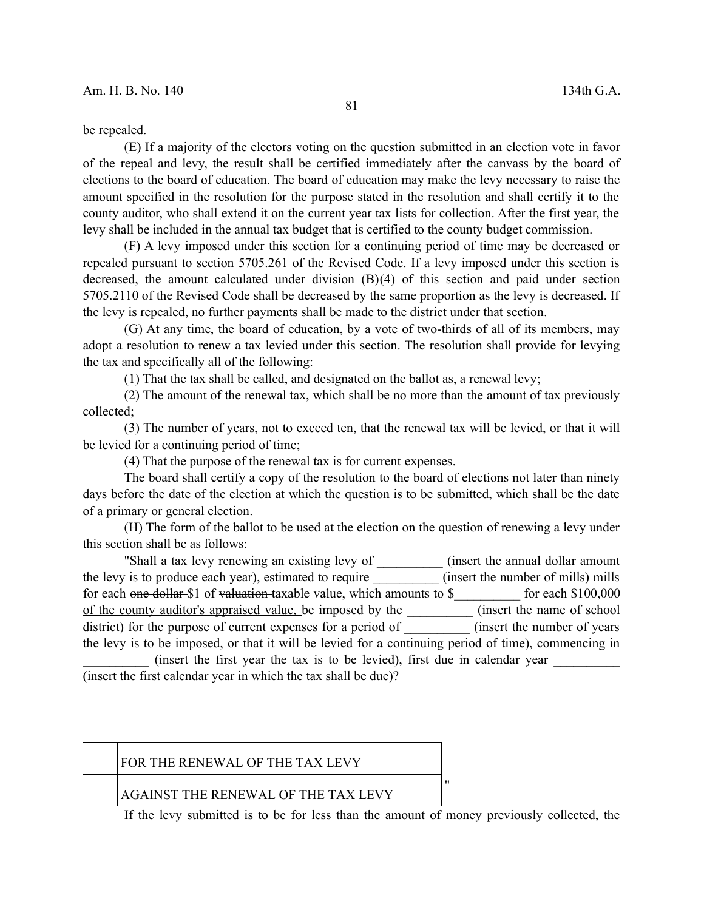be repealed.

(E) If a majority of the electors voting on the question submitted in an election vote in favor of the repeal and levy, the result shall be certified immediately after the canvass by the board of elections to the board of education. The board of education may make the levy necessary to raise the amount specified in the resolution for the purpose stated in the resolution and shall certify it to the county auditor, who shall extend it on the current year tax lists for collection. After the first year, the levy shall be included in the annual tax budget that is certified to the county budget commission.

(F) A levy imposed under this section for a continuing period of time may be decreased or repealed pursuant to section 5705.261 of the Revised Code. If a levy imposed under this section is decreased, the amount calculated under division (B)(4) of this section and paid under section 5705.2110 of the Revised Code shall be decreased by the same proportion as the levy is decreased. If the levy is repealed, no further payments shall be made to the district under that section.

(G) At any time, the board of education, by a vote of two-thirds of all of its members, may adopt a resolution to renew a tax levied under this section. The resolution shall provide for levying the tax and specifically all of the following:

(1) That the tax shall be called, and designated on the ballot as, a renewal levy;

(2) The amount of the renewal tax, which shall be no more than the amount of tax previously collected;

(3) The number of years, not to exceed ten, that the renewal tax will be levied, or that it will be levied for a continuing period of time;

(4) That the purpose of the renewal tax is for current expenses.

The board shall certify a copy of the resolution to the board of elections not later than ninety days before the date of the election at which the question is to be submitted, which shall be the date of a primary or general election.

(H) The form of the ballot to be used at the election on the question of renewing a levy under this section shall be as follows:

"Shall a tax levy renewing an existing levy of \_\_\_\_\_\_\_\_\_\_ (insert the annual dollar amount the levy is to produce each year), estimated to require (insert the number of mills) mills for each one dollar \$1 of valuation taxable value, which amounts to \$ \_\_\_\_\_\_\_\_ for each \$100,000 of the county auditor's appraised value, be imposed by the \_\_\_\_\_\_\_\_\_\_ (insert the name of school district) for the purpose of current expenses for a period of  $(insert the number of years)$ the levy is to be imposed, or that it will be levied for a continuing period of time), commencing in

(insert the first year the tax is to be levied), first due in calendar year (insert the first calendar year in which the tax shall be due)?

| FOR THE RENEWAL OF THE TAX LEVY     |  |
|-------------------------------------|--|
| AGAINST THE RENEWAL OF THE TAX LEVY |  |

If the levy submitted is to be for less than the amount of money previously collected, the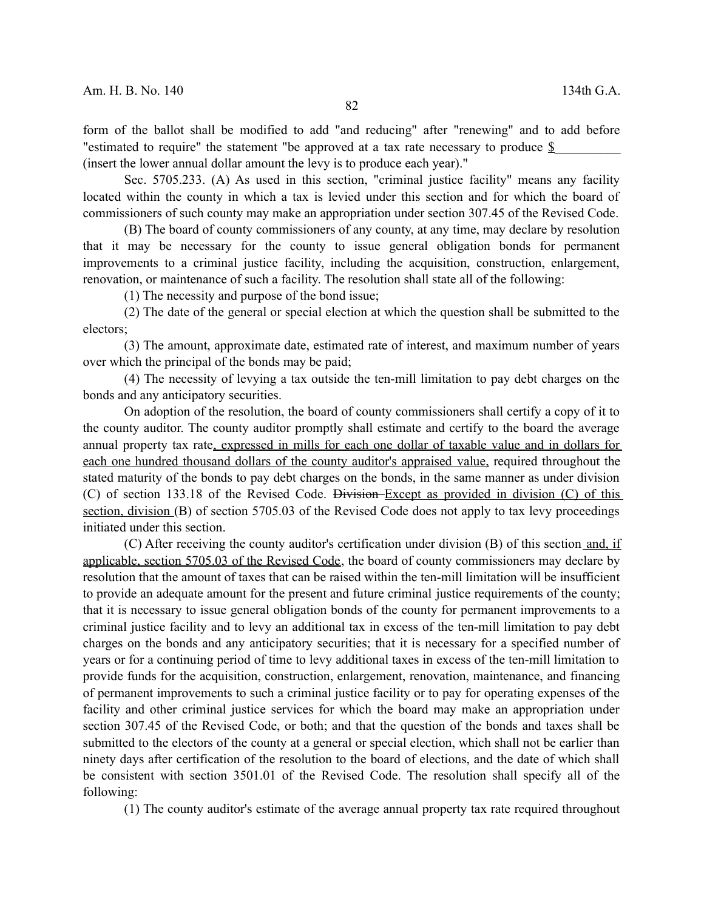form of the ballot shall be modified to add "and reducing" after "renewing" and to add before "estimated to require" the statement "be approved at a tax rate necessary to produce \$ (insert the lower annual dollar amount the levy is to produce each year)."

Sec. 5705.233. (A) As used in this section, "criminal justice facility" means any facility located within the county in which a tax is levied under this section and for which the board of commissioners of such county may make an appropriation under section 307.45 of the Revised Code.

(B) The board of county commissioners of any county, at any time, may declare by resolution that it may be necessary for the county to issue general obligation bonds for permanent improvements to a criminal justice facility, including the acquisition, construction, enlargement, renovation, or maintenance of such a facility. The resolution shall state all of the following:

(1) The necessity and purpose of the bond issue;

(2) The date of the general or special election at which the question shall be submitted to the electors;

(3) The amount, approximate date, estimated rate of interest, and maximum number of years over which the principal of the bonds may be paid;

(4) The necessity of levying a tax outside the ten-mill limitation to pay debt charges on the bonds and any anticipatory securities.

On adoption of the resolution, the board of county commissioners shall certify a copy of it to the county auditor. The county auditor promptly shall estimate and certify to the board the average annual property tax rate, expressed in mills for each one dollar of taxable value and in dollars for each one hundred thousand dollars of the county auditor's appraised value, required throughout the stated maturity of the bonds to pay debt charges on the bonds, in the same manner as under division (C) of section 133.18 of the Revised Code. Division Except as provided in division (C) of this section, division (B) of section 5705.03 of the Revised Code does not apply to tax levy proceedings initiated under this section.

(C) After receiving the county auditor's certification under division (B) of this section and, if applicable, section 5705.03 of the Revised Code, the board of county commissioners may declare by resolution that the amount of taxes that can be raised within the ten-mill limitation will be insufficient to provide an adequate amount for the present and future criminal justice requirements of the county; that it is necessary to issue general obligation bonds of the county for permanent improvements to a criminal justice facility and to levy an additional tax in excess of the ten-mill limitation to pay debt charges on the bonds and any anticipatory securities; that it is necessary for a specified number of years or for a continuing period of time to levy additional taxes in excess of the ten-mill limitation to provide funds for the acquisition, construction, enlargement, renovation, maintenance, and financing of permanent improvements to such a criminal justice facility or to pay for operating expenses of the facility and other criminal justice services for which the board may make an appropriation under section 307.45 of the Revised Code, or both; and that the question of the bonds and taxes shall be submitted to the electors of the county at a general or special election, which shall not be earlier than ninety days after certification of the resolution to the board of elections, and the date of which shall be consistent with section 3501.01 of the Revised Code. The resolution shall specify all of the following:

(1) The county auditor's estimate of the average annual property tax rate required throughout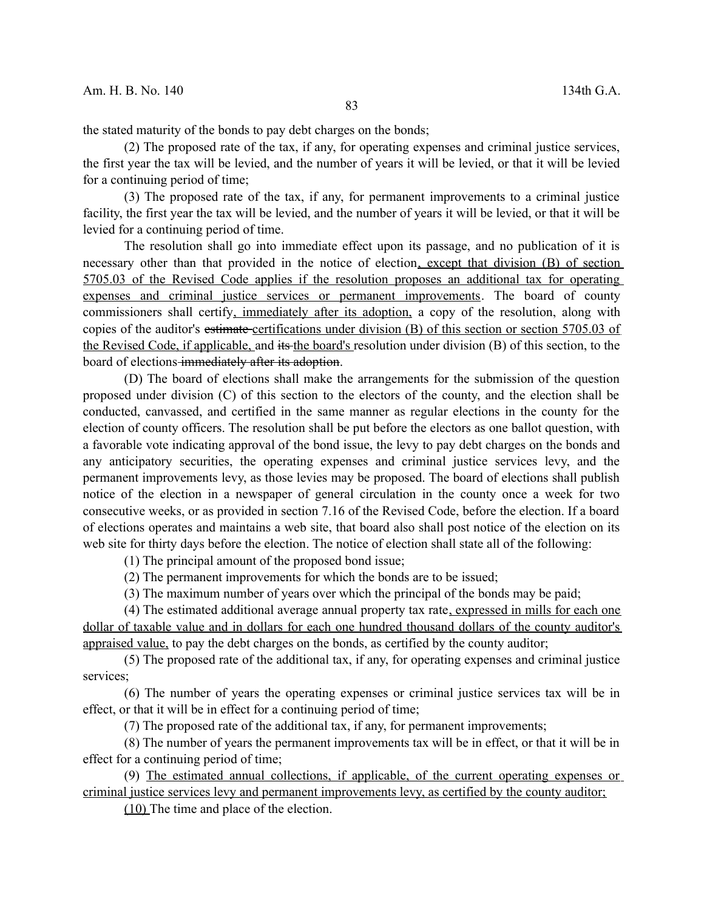the stated maturity of the bonds to pay debt charges on the bonds;

(2) The proposed rate of the tax, if any, for operating expenses and criminal justice services, the first year the tax will be levied, and the number of years it will be levied, or that it will be levied for a continuing period of time;

(3) The proposed rate of the tax, if any, for permanent improvements to a criminal justice facility, the first year the tax will be levied, and the number of years it will be levied, or that it will be levied for a continuing period of time.

The resolution shall go into immediate effect upon its passage, and no publication of it is necessary other than that provided in the notice of election, except that division (B) of section 5705.03 of the Revised Code applies if the resolution proposes an additional tax for operating expenses and criminal justice services or permanent improvements. The board of county commissioners shall certify, immediately after its adoption, a copy of the resolution, along with copies of the auditor's estimate certifications under division (B) of this section or section 5705.03 of the Revised Code, if applicable, and its the board's resolution under division (B) of this section, to the board of elections-immediately after its adoption.

(D) The board of elections shall make the arrangements for the submission of the question proposed under division (C) of this section to the electors of the county, and the election shall be conducted, canvassed, and certified in the same manner as regular elections in the county for the election of county officers. The resolution shall be put before the electors as one ballot question, with a favorable vote indicating approval of the bond issue, the levy to pay debt charges on the bonds and any anticipatory securities, the operating expenses and criminal justice services levy, and the permanent improvements levy, as those levies may be proposed. The board of elections shall publish notice of the election in a newspaper of general circulation in the county once a week for two consecutive weeks, or as provided in section 7.16 of the Revised Code, before the election. If a board of elections operates and maintains a web site, that board also shall post notice of the election on its web site for thirty days before the election. The notice of election shall state all of the following:

(1) The principal amount of the proposed bond issue;

(2) The permanent improvements for which the bonds are to be issued;

(3) The maximum number of years over which the principal of the bonds may be paid;

(4) The estimated additional average annual property tax rate, expressed in mills for each one dollar of taxable value and in dollars for each one hundred thousand dollars of the county auditor's appraised value, to pay the debt charges on the bonds, as certified by the county auditor;

(5) The proposed rate of the additional tax, if any, for operating expenses and criminal justice services;

(6) The number of years the operating expenses or criminal justice services tax will be in effect, or that it will be in effect for a continuing period of time;

(7) The proposed rate of the additional tax, if any, for permanent improvements;

(8) The number of years the permanent improvements tax will be in effect, or that it will be in effect for a continuing period of time;

(9) The estimated annual collections, if applicable, of the current operating expenses or criminal justice services levy and permanent improvements levy, as certified by the county auditor;

(10) The time and place of the election.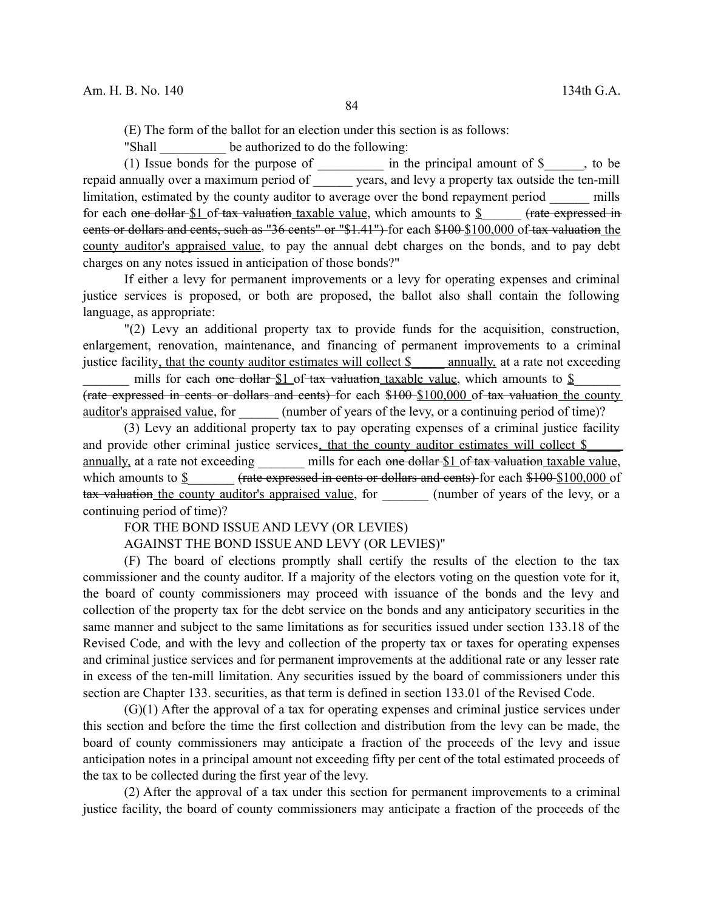(E) The form of the ballot for an election under this section is as follows:

"Shall be authorized to do the following:

(1) Issue bonds for the purpose of  $\frac{1}{\sqrt{1-\frac{1}{n}}}$  in the principal amount of  $\frac{1}{\sqrt{1-\frac{1}{n}}}$ , to be repaid annually over a maximum period of \_\_\_\_\_\_ years, and levy a property tax outside the ten-mill limitation, estimated by the county auditor to average over the bond repayment period mills for each one dollar  $$1$  of tax valuation taxable value, which amounts to  $$$  (rate expressed in cents or dollars and cents, such as "36 cents" or "\$1.41") for each \$100 \$100,000 of tax valuation the county auditor's appraised value, to pay the annual debt charges on the bonds, and to pay debt charges on any notes issued in anticipation of those bonds?"

If either a levy for permanent improvements or a levy for operating expenses and criminal justice services is proposed, or both are proposed, the ballot also shall contain the following language, as appropriate:

"(2) Levy an additional property tax to provide funds for the acquisition, construction, enlargement, renovation, maintenance, and financing of permanent improvements to a criminal justice facility, that the county auditor estimates will collect \$\_\_\_\_\_ annually, at a rate not exceeding

mills for each one dollar  $$1$  of tax valuation taxable value, which amounts to  $$$ (rate expressed in cents or dollars and cents) for each \$100 \$100,000 of tax valuation the county auditor's appraised value, for  $\qquad \qquad$  (number of years of the levy, or a continuing period of time)?

(3) Levy an additional property tax to pay operating expenses of a criminal justice facility and provide other criminal justice services, that the county auditor estimates will collect \$ annually, at a rate not exceeding mills for each one dollar \$1 of tax valuation taxable value, which amounts to \$  $\frac{(rate$  expressed in cents or dollars and cents) for each \$100 \$100,000 of tax valuation the county auditor's appraised value, for (number of years of the levy, or a continuing period of time)?

FOR THE BOND ISSUE AND LEVY (OR LEVIES)

AGAINST THE BOND ISSUE AND LEVY (OR LEVIES)"

(F) The board of elections promptly shall certify the results of the election to the tax commissioner and the county auditor. If a majority of the electors voting on the question vote for it, the board of county commissioners may proceed with issuance of the bonds and the levy and collection of the property tax for the debt service on the bonds and any anticipatory securities in the same manner and subject to the same limitations as for securities issued under section 133.18 of the Revised Code, and with the levy and collection of the property tax or taxes for operating expenses and criminal justice services and for permanent improvements at the additional rate or any lesser rate in excess of the ten-mill limitation. Any securities issued by the board of commissioners under this section are Chapter 133. securities, as that term is defined in section 133.01 of the Revised Code.

(G)(1) After the approval of a tax for operating expenses and criminal justice services under this section and before the time the first collection and distribution from the levy can be made, the board of county commissioners may anticipate a fraction of the proceeds of the levy and issue anticipation notes in a principal amount not exceeding fifty per cent of the total estimated proceeds of the tax to be collected during the first year of the levy.

(2) After the approval of a tax under this section for permanent improvements to a criminal justice facility, the board of county commissioners may anticipate a fraction of the proceeds of the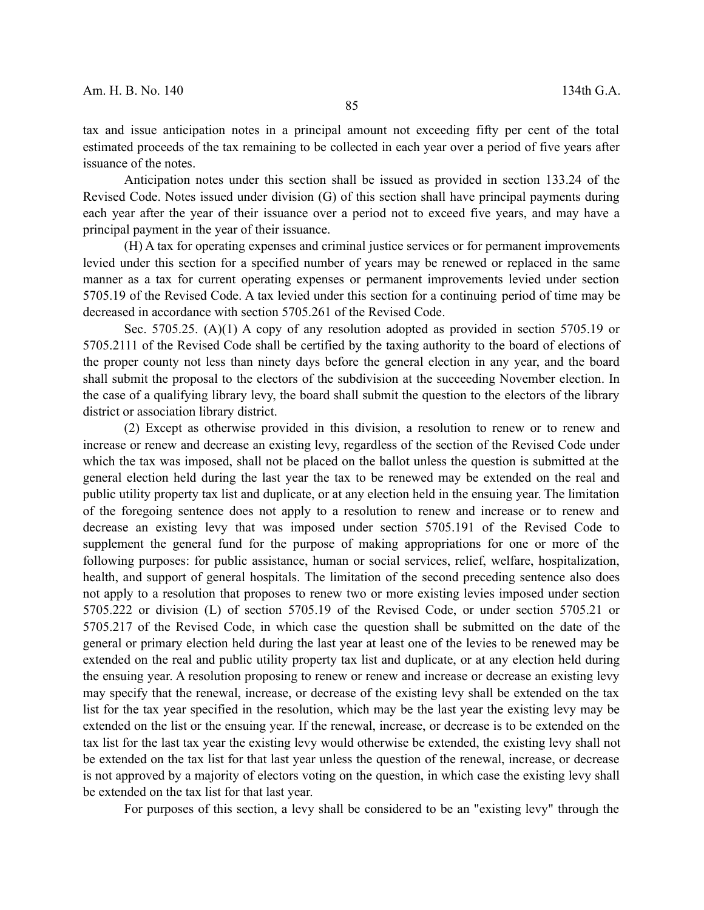tax and issue anticipation notes in a principal amount not exceeding fifty per cent of the total estimated proceeds of the tax remaining to be collected in each year over a period of five years after issuance of the notes.

Anticipation notes under this section shall be issued as provided in section 133.24 of the Revised Code. Notes issued under division (G) of this section shall have principal payments during each year after the year of their issuance over a period not to exceed five years, and may have a principal payment in the year of their issuance.

(H) A tax for operating expenses and criminal justice services or for permanent improvements levied under this section for a specified number of years may be renewed or replaced in the same manner as a tax for current operating expenses or permanent improvements levied under section 5705.19 of the Revised Code. A tax levied under this section for a continuing period of time may be decreased in accordance with section 5705.261 of the Revised Code.

Sec. 5705.25. (A)(1) A copy of any resolution adopted as provided in section 5705.19 or 5705.2111 of the Revised Code shall be certified by the taxing authority to the board of elections of the proper county not less than ninety days before the general election in any year, and the board shall submit the proposal to the electors of the subdivision at the succeeding November election. In the case of a qualifying library levy, the board shall submit the question to the electors of the library district or association library district.

(2) Except as otherwise provided in this division, a resolution to renew or to renew and increase or renew and decrease an existing levy, regardless of the section of the Revised Code under which the tax was imposed, shall not be placed on the ballot unless the question is submitted at the general election held during the last year the tax to be renewed may be extended on the real and public utility property tax list and duplicate, or at any election held in the ensuing year. The limitation of the foregoing sentence does not apply to a resolution to renew and increase or to renew and decrease an existing levy that was imposed under section 5705.191 of the Revised Code to supplement the general fund for the purpose of making appropriations for one or more of the following purposes: for public assistance, human or social services, relief, welfare, hospitalization, health, and support of general hospitals. The limitation of the second preceding sentence also does not apply to a resolution that proposes to renew two or more existing levies imposed under section 5705.222 or division (L) of section 5705.19 of the Revised Code, or under section 5705.21 or 5705.217 of the Revised Code, in which case the question shall be submitted on the date of the general or primary election held during the last year at least one of the levies to be renewed may be extended on the real and public utility property tax list and duplicate, or at any election held during the ensuing year. A resolution proposing to renew or renew and increase or decrease an existing levy may specify that the renewal, increase, or decrease of the existing levy shall be extended on the tax list for the tax year specified in the resolution, which may be the last year the existing levy may be extended on the list or the ensuing year. If the renewal, increase, or decrease is to be extended on the tax list for the last tax year the existing levy would otherwise be extended, the existing levy shall not be extended on the tax list for that last year unless the question of the renewal, increase, or decrease is not approved by a majority of electors voting on the question, in which case the existing levy shall be extended on the tax list for that last year.

For purposes of this section, a levy shall be considered to be an "existing levy" through the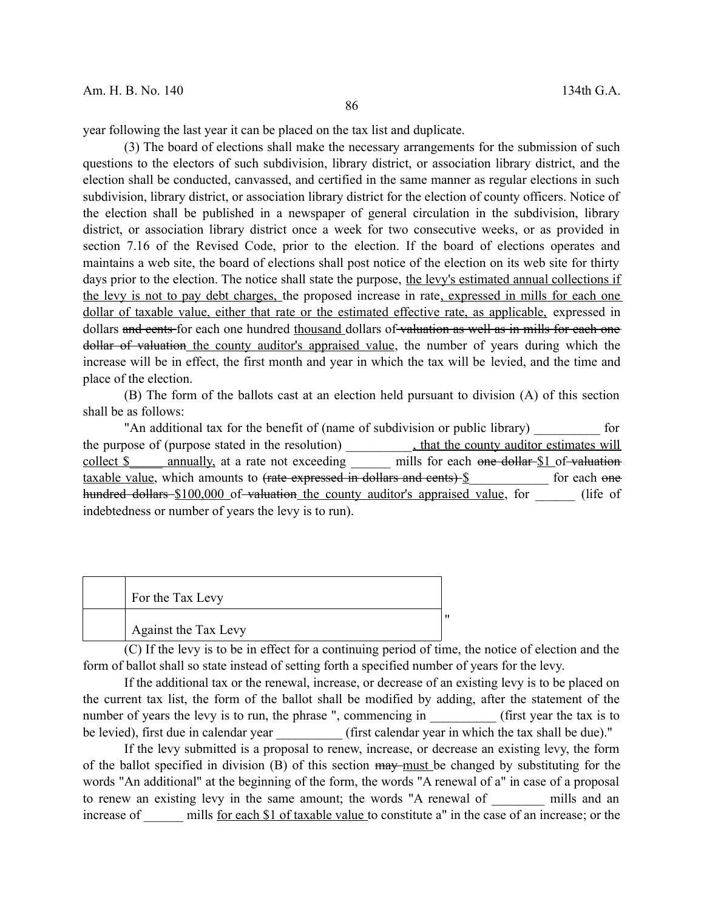year following the last year it can be placed on the tax list and duplicate.

(3) The board of elections shall make the necessary arrangements for the submission of such questions to the electors of such subdivision, library district, or association library district, and the election shall be conducted, canvassed, and certified in the same manner as regular elections in such subdivision, library district, or association library district for the election of county officers. Notice of the election shall be published in a newspaper of general circulation in the subdivision, library district, or association library district once a week for two consecutive weeks, or as provided in section 7.16 of the Revised Code, prior to the election. If the board of elections operates and maintains a web site, the board of elections shall post notice of the election on its web site for thirty days prior to the election. The notice shall state the purpose, the levy's estimated annual collections if the levy is not to pay debt charges, the proposed increase in rate, expressed in mills for each one dollar of taxable value, either that rate or the estimated effective rate, as applicable, expressed in dollars and cents for each one hundred thousand dollars of valuation as well as in mills for each one dollar of valuation the county auditor's appraised value, the number of years during which the increase will be in effect, the first month and year in which the tax will be levied, and the time and place of the election.

(B) The form of the ballots cast at an election held pursuant to division (A) of this section shall be as follows:

"An additional tax for the benefit of (name of subdivision or public library) for the purpose of (purpose stated in the resolution) \_\_\_\_\_\_\_\_\_\_, that the county auditor estimates will collect \$ annually, at a rate not exceeding mills for each one dollar \$1 of valuation taxable value, which amounts to <del>(rate expressed in dollars and cents)</del> for each one hundred dollars \$100,000 of valuation the county auditor's appraised value, for (life of indebtedness or number of years the levy is to run).

| For the Tax Levy     |  |
|----------------------|--|
| Against the Tax Levy |  |

(C) If the levy is to be in effect for a continuing period of time, the notice of election and the form of ballot shall so state instead of setting forth a specified number of years for the levy.

If the additional tax or the renewal, increase, or decrease of an existing levy is to be placed on the current tax list, the form of the ballot shall be modified by adding, after the statement of the number of years the levy is to run, the phrase ", commencing in (first year the tax is to be levied), first due in calendar year \_\_\_\_\_\_\_\_\_\_ (first calendar year in which the tax shall be due)."

If the levy submitted is a proposal to renew, increase, or decrease an existing levy, the form of the ballot specified in division  $(B)$  of this section  $\frac{m}{w}$  must be changed by substituting for the words "An additional" at the beginning of the form, the words "A renewal of a" in case of a proposal to renew an existing levy in the same amount; the words "A renewal of \_\_\_\_\_\_ mills and an increase of mills for each \$1 of taxable value to constitute a" in the case of an increase; or the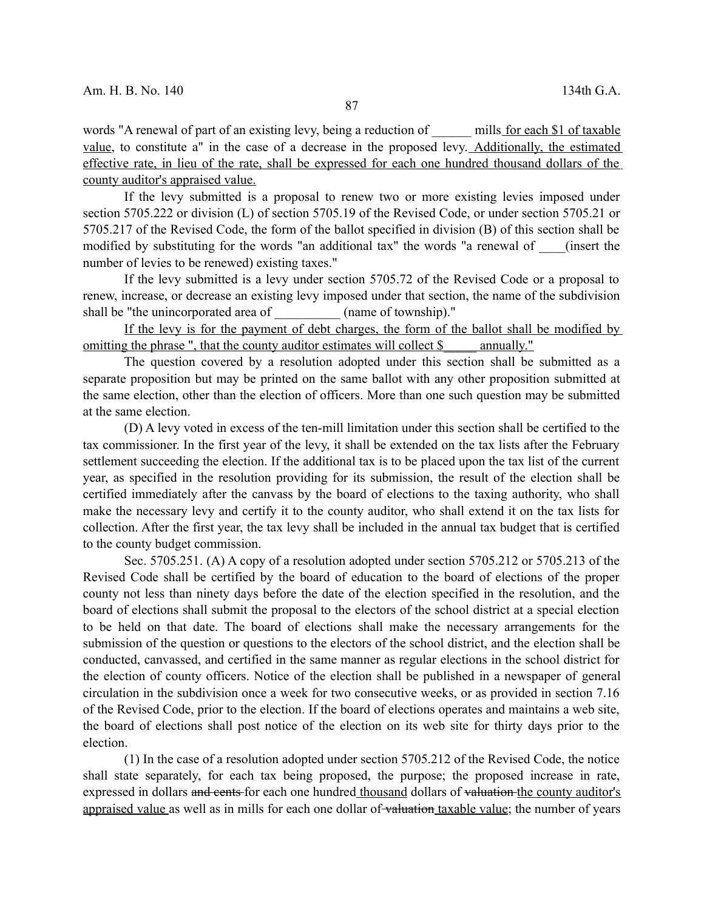words "A renewal of part of an existing levy, being a reduction of mills for each \$1 of taxable value, to constitute a" in the case of a decrease in the proposed levy. Additionally, the estimated effective rate, in lieu of the rate, shall be expressed for each one hundred thousand dollars of the county auditor's appraised value.

If the levy submitted is a proposal to renew two or more existing levies imposed under section 5705.222 or division (L) of section 5705.19 of the Revised Code, or under section 5705.21 or 5705.217 of the Revised Code, the form of the ballot specified in division (B) of this section shall be modified by substituting for the words "an additional tax" the words "a renewal of (insert the number of levies to be renewed) existing taxes."

If the levy submitted is a levy under section 5705.72 of the Revised Code or a proposal to renew, increase, or decrease an existing levy imposed under that section, the name of the subdivision shall be "the unincorporated area of  $\qquad \qquad$  (name of township)."

If the levy is for the payment of debt charges, the form of the ballot shall be modified by omitting the phrase ", that the county auditor estimates will collect \$ \_\_\_\_\_ annually."

The question covered by a resolution adopted under this section shall be submitted as a separate proposition but may be printed on the same ballot with any other proposition submitted at the same election, other than the election of officers. More than one such question may be submitted at the same election.

(D) A levy voted in excess of the ten-mill limitation under this section shall be certified to the tax commissioner. In the first year of the levy, it shall be extended on the tax lists after the February settlement succeeding the election. If the additional tax is to be placed upon the tax list of the current year, as specified in the resolution providing for its submission, the result of the election shall be certified immediately after the canvass by the board of elections to the taxing authority, who shall make the necessary levy and certify it to the county auditor, who shall extend it on the tax lists for collection. After the first year, the tax levy shall be included in the annual tax budget that is certified to the county budget commission.

Sec. 5705.251. (A) A copy of a resolution adopted under section 5705.212 or 5705.213 of the Revised Code shall be certified by the board of education to the board of elections of the proper county not less than ninety days before the date of the election specified in the resolution, and the board of elections shall submit the proposal to the electors of the school district at a special election to be held on that date. The board of elections shall make the necessary arrangements for the submission of the question or questions to the electors of the school district, and the election shall be conducted, canvassed, and certified in the same manner as regular elections in the school district for the election of county officers. Notice of the election shall be published in a newspaper of general circulation in the subdivision once a week for two consecutive weeks, or as provided in section 7.16 of the Revised Code, prior to the election. If the board of elections operates and maintains a web site, the board of elections shall post notice of the election on its web site for thirty days prior to the election.

(1) In the case of a resolution adopted under section 5705.212 of the Revised Code, the notice shall state separately, for each tax being proposed, the purpose; the proposed increase in rate, expressed in dollars and cents for each one hundred thousand dollars of valuation the county auditor's appraised value as well as in mills for each one dollar of valuation taxable value; the number of years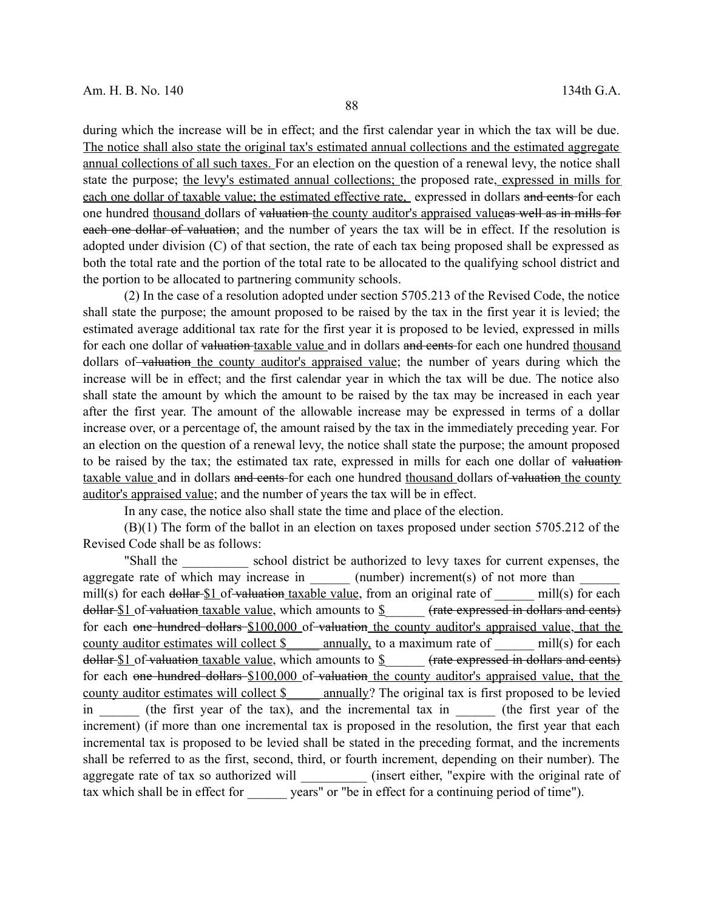during which the increase will be in effect; and the first calendar year in which the tax will be due. The notice shall also state the original tax's estimated annual collections and the estimated aggregate annual collections of all such taxes. For an election on the question of a renewal levy, the notice shall state the purpose; the levy's estimated annual collections; the proposed rate, expressed in mills for each one dollar of taxable value; the estimated effective rate, expressed in dollars and cents for each one hundred thousand dollars of valuation the county auditor's appraised valueas well as in mills for each one dollar of valuation; and the number of years the tax will be in effect. If the resolution is adopted under division (C) of that section, the rate of each tax being proposed shall be expressed as both the total rate and the portion of the total rate to be allocated to the qualifying school district and the portion to be allocated to partnering community schools.

(2) In the case of a resolution adopted under section 5705.213 of the Revised Code, the notice shall state the purpose; the amount proposed to be raised by the tax in the first year it is levied; the estimated average additional tax rate for the first year it is proposed to be levied, expressed in mills for each one dollar of valuation taxable value and in dollars and cents for each one hundred thousand dollars of valuation the county auditor's appraised value; the number of years during which the increase will be in effect; and the first calendar year in which the tax will be due. The notice also shall state the amount by which the amount to be raised by the tax may be increased in each year after the first year. The amount of the allowable increase may be expressed in terms of a dollar increase over, or a percentage of, the amount raised by the tax in the immediately preceding year. For an election on the question of a renewal levy, the notice shall state the purpose; the amount proposed to be raised by the tax; the estimated tax rate, expressed in mills for each one dollar of valuation taxable value and in dollars and cents for each one hundred thousand dollars of valuation the county auditor's appraised value; and the number of years the tax will be in effect.

In any case, the notice also shall state the time and place of the election.

(B)(1) The form of the ballot in an election on taxes proposed under section 5705.212 of the Revised Code shall be as follows:

"Shall the \_\_\_\_\_\_\_\_\_\_ school district be authorized to levy taxes for current expenses, the aggregate rate of which may increase in  $\_\_\_\_\_\$ (number) increment(s) of not more than mill(s) for each dollar  $$1$  of valuation taxable value, from an original rate of mill(s) for each dollar  $$1$  of valuation taxable value, which amounts to  $$$  (rate expressed in dollars and cents) for each one hundred dollars \$100,000 of valuation the county auditor's appraised value, that the county auditor estimates will collect  $\$\$  annually, to a maximum rate of  $\qquad$  mill(s) for each dollar \$1 of valuation taxable value, which amounts to \$\_\_\_\_\_\_ (rate expressed in dollars and cents) for each one hundred dollars \$100,000 of valuation the county auditor's appraised value, that the county auditor estimates will collect \$ \_\_\_\_ annually? The original tax is first proposed to be levied in the first year of the tax), and the incremental tax in (the first year of the increment) (if more than one incremental tax is proposed in the resolution, the first year that each incremental tax is proposed to be levied shall be stated in the preceding format, and the increments shall be referred to as the first, second, third, or fourth increment, depending on their number). The aggregate rate of tax so authorized will \_\_\_\_\_\_\_\_\_\_ (insert either, "expire with the original rate of tax which shall be in effect for years" or "be in effect for a continuing period of time").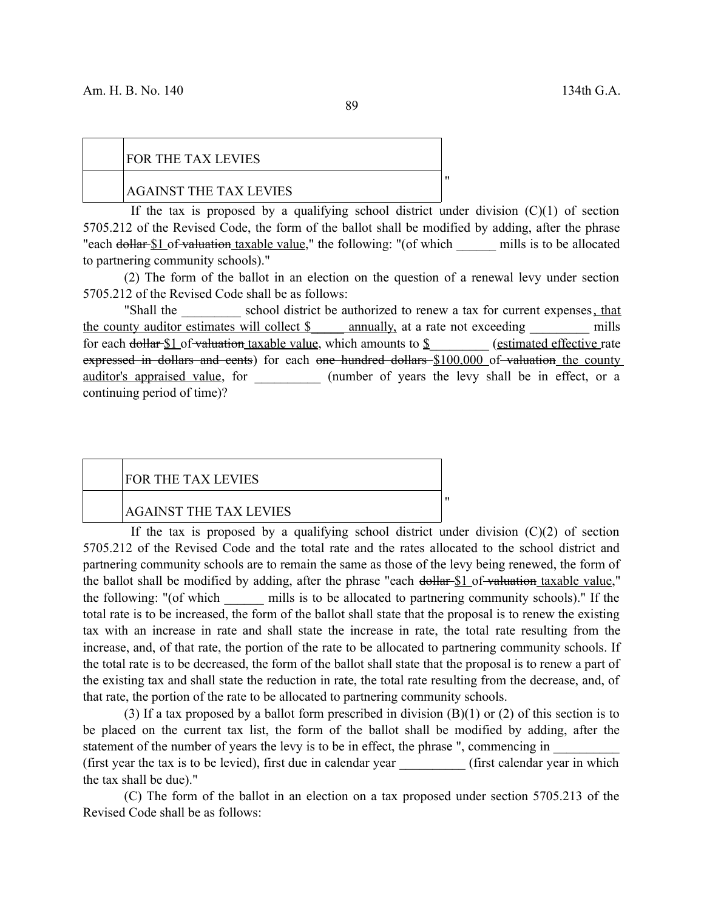89

## FOR THE TAX LEVIES AGAINST THE TAX LEVIES

If the tax is proposed by a qualifying school district under division  $(C)(1)$  of section 5705.212 of the Revised Code, the form of the ballot shall be modified by adding, after the phrase "each dollar \$1 of valuation taxable value," the following: "(of which mills is to be allocated to partnering community schools)."

"

"

(2) The form of the ballot in an election on the question of a renewal levy under section 5705.212 of the Revised Code shall be as follows:

"Shall the school district be authorized to renew a tax for current expenses, that the county auditor estimates will collect \$ annually, at a rate not exceeding mills for each dollar  $$1$  of valuation taxable value, which amounts to  $$$  (estimated effective rate expressed in dollars and cents) for each one hundred dollars \$100,000 of valuation the county auditor's appraised value, for  $\qquad \qquad$  (number of years the levy shall be in effect, or a continuing period of time)?

# FOR THE TAX LEVIES AGAINST THE TAX LEVIES

If the tax is proposed by a qualifying school district under division  $(C)(2)$  of section 5705.212 of the Revised Code and the total rate and the rates allocated to the school district and partnering community schools are to remain the same as those of the levy being renewed, the form of the ballot shall be modified by adding, after the phrase "each dollar \$1 of valuation taxable value," the following: "(of which \_\_\_\_\_\_ mills is to be allocated to partnering community schools)." If the total rate is to be increased, the form of the ballot shall state that the proposal is to renew the existing tax with an increase in rate and shall state the increase in rate, the total rate resulting from the increase, and, of that rate, the portion of the rate to be allocated to partnering community schools. If the total rate is to be decreased, the form of the ballot shall state that the proposal is to renew a part of the existing tax and shall state the reduction in rate, the total rate resulting from the decrease, and, of that rate, the portion of the rate to be allocated to partnering community schools.

(3) If a tax proposed by a ballot form prescribed in division  $(B)(1)$  or  $(2)$  of this section is to be placed on the current tax list, the form of the ballot shall be modified by adding, after the statement of the number of years the levy is to be in effect, the phrase ", commencing in (first year the tax is to be levied), first due in calendar year **the set of the set of the set of the set of the set of the set of the set of the set of the set of the set of the set of the set of the set of the set of th** the tax shall be due)."

(C) The form of the ballot in an election on a tax proposed under section 5705.213 of the Revised Code shall be as follows: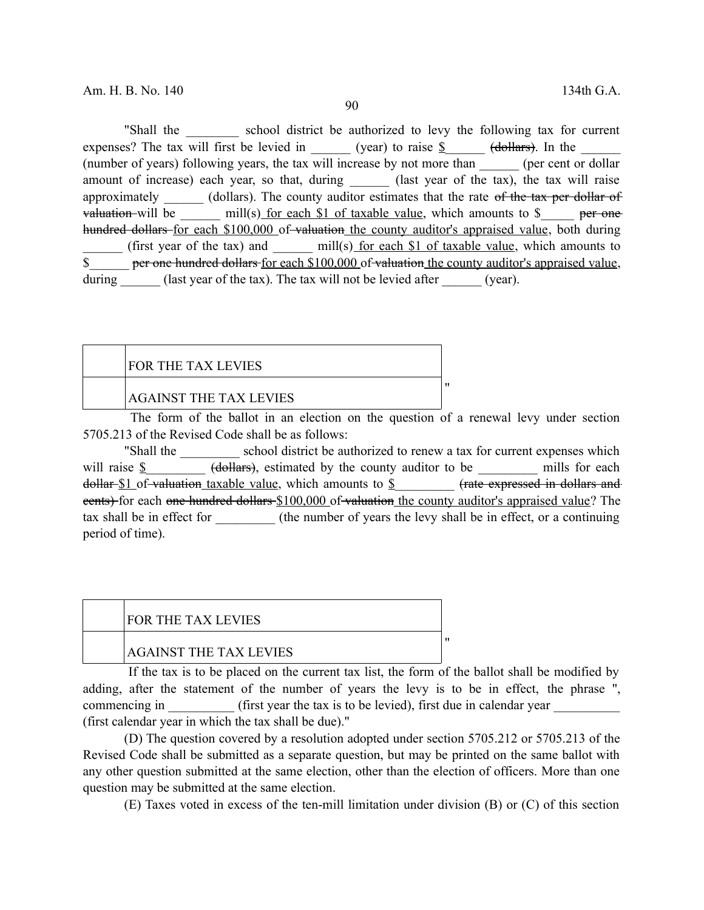90

"Shall the school district be authorized to levy the following tax for current expenses? The tax will first be levied in (year) to raise  $\frac{8}{2}$  (dollars). In the (number of years) following years, the tax will increase by not more than \_\_\_\_\_\_ (per cent or dollar amount of increase) each year, so that, during (last year of the tax), the tax will raise approximately \_\_\_\_\_\_ (dollars). The county auditor estimates that the rate of the tax per dollar of valuation will be  $\text{mill}(s)$  for each \$1 of taxable value, which amounts to \$  $\text{per one}$ hundred dollars for each \$100,000 of valuation the county auditor's appraised value, both during (first year of the tax) and  $_{\text{mill(s)}\text{ for each $1$ of taxable value, which amounts to}$ \$ per one hundred dollars for each \$100,000 of valuation the county auditor's appraised value, during (last year of the tax). The tax will not be levied after (year).

| <b>FOR THE TAX LEVIES</b>     |  |
|-------------------------------|--|
| <b>AGAINST THE TAX LEVIES</b> |  |

The form of the ballot in an election on the question of a renewal levy under section 5705.213 of the Revised Code shall be as follows:

"Shall the school district be authorized to renew a tax for current expenses which will raise  $\S$  (dollars), estimated by the county auditor to be mills for each dollar  $$1$  of valuation taxable value, which amounts to  $$$  (rate expressed in dollars and eents) for each one hundred dollars \$100,000 of valuation the county auditor's appraised value? The tax shall be in effect for \_\_\_\_\_\_\_\_\_ (the number of years the levy shall be in effect, or a continuing period of time).

| <b>FOR THE TAX LEVIES</b>     |  |
|-------------------------------|--|
| <b>AGAINST THE TAX LEVIES</b> |  |

If the tax is to be placed on the current tax list, the form of the ballot shall be modified by adding, after the statement of the number of years the levy is to be in effect, the phrase ", commencing in (first year the tax is to be levied), first due in calendar year (first calendar year in which the tax shall be due)."

(D) The question covered by a resolution adopted under section 5705.212 or 5705.213 of the Revised Code shall be submitted as a separate question, but may be printed on the same ballot with any other question submitted at the same election, other than the election of officers. More than one question may be submitted at the same election.

(E) Taxes voted in excess of the ten-mill limitation under division (B) or (C) of this section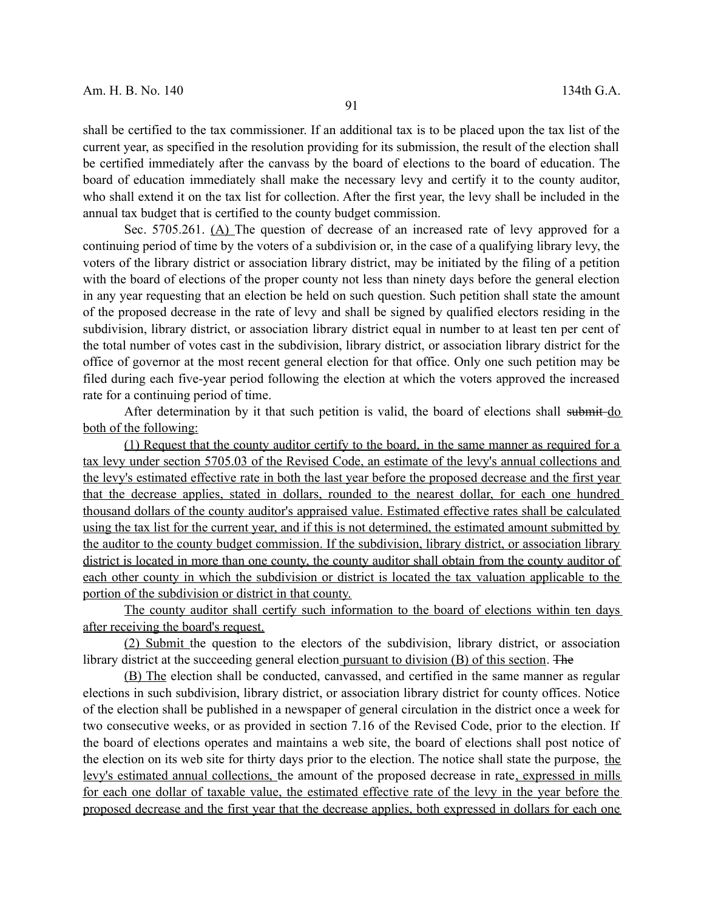shall be certified to the tax commissioner. If an additional tax is to be placed upon the tax list of the current year, as specified in the resolution providing for its submission, the result of the election shall be certified immediately after the canvass by the board of elections to the board of education. The board of education immediately shall make the necessary levy and certify it to the county auditor, who shall extend it on the tax list for collection. After the first year, the levy shall be included in the annual tax budget that is certified to the county budget commission.

Sec. 5705.261. (A) The question of decrease of an increased rate of levy approved for a continuing period of time by the voters of a subdivision or, in the case of a qualifying library levy, the voters of the library district or association library district, may be initiated by the filing of a petition with the board of elections of the proper county not less than ninety days before the general election in any year requesting that an election be held on such question. Such petition shall state the amount of the proposed decrease in the rate of levy and shall be signed by qualified electors residing in the subdivision, library district, or association library district equal in number to at least ten per cent of the total number of votes cast in the subdivision, library district, or association library district for the office of governor at the most recent general election for that office. Only one such petition may be filed during each five-year period following the election at which the voters approved the increased rate for a continuing period of time.

After determination by it that such petition is valid, the board of elections shall submit do both of the following:

(1) Request that the county auditor certify to the board, in the same manner as required for a tax levy under section 5705.03 of the Revised Code, an estimate of the levy's annual collections and the levy's estimated effective rate in both the last year before the proposed decrease and the first year that the decrease applies, stated in dollars, rounded to the nearest dollar, for each one hundred thousand dollars of the county auditor's appraised value. Estimated effective rates shall be calculated using the tax list for the current year, and if this is not determined, the estimated amount submitted by the auditor to the county budget commission. If the subdivision, library district, or association library district is located in more than one county, the county auditor shall obtain from the county auditor of each other county in which the subdivision or district is located the tax valuation applicable to the portion of the subdivision or district in that county.

The county auditor shall certify such information to the board of elections within ten days after receiving the board's request.

(2) Submit the question to the electors of the subdivision, library district, or association library district at the succeeding general election pursuant to division (B) of this section. The

(B) The election shall be conducted, canvassed, and certified in the same manner as regular elections in such subdivision, library district, or association library district for county offices. Notice of the election shall be published in a newspaper of general circulation in the district once a week for two consecutive weeks, or as provided in section 7.16 of the Revised Code, prior to the election. If the board of elections operates and maintains a web site, the board of elections shall post notice of the election on its web site for thirty days prior to the election. The notice shall state the purpose, the levy's estimated annual collections, the amount of the proposed decrease in rate, expressed in mills for each one dollar of taxable value, the estimated effective rate of the levy in the year before the proposed decrease and the first year that the decrease applies, both expressed in dollars for each one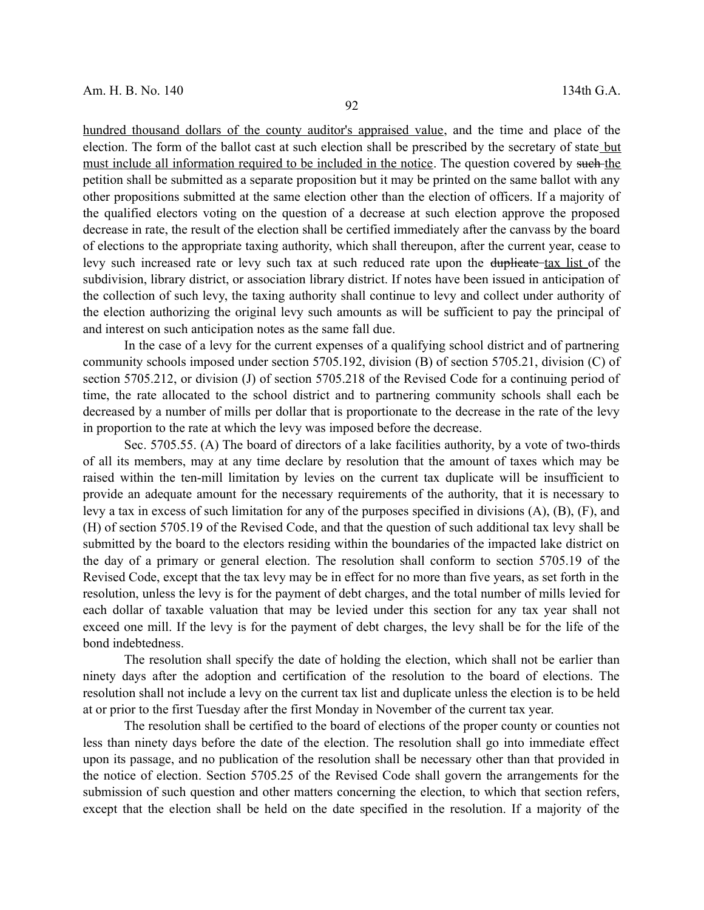hundred thousand dollars of the county auditor's appraised value, and the time and place of the election. The form of the ballot cast at such election shall be prescribed by the secretary of state but must include all information required to be included in the notice. The question covered by such the petition shall be submitted as a separate proposition but it may be printed on the same ballot with any other propositions submitted at the same election other than the election of officers. If a majority of the qualified electors voting on the question of a decrease at such election approve the proposed decrease in rate, the result of the election shall be certified immediately after the canvass by the board of elections to the appropriate taxing authority, which shall thereupon, after the current year, cease to levy such increased rate or levy such tax at such reduced rate upon the duplicate tax list of the subdivision, library district, or association library district. If notes have been issued in anticipation of the collection of such levy, the taxing authority shall continue to levy and collect under authority of the election authorizing the original levy such amounts as will be sufficient to pay the principal of and interest on such anticipation notes as the same fall due.

In the case of a levy for the current expenses of a qualifying school district and of partnering community schools imposed under section 5705.192, division (B) of section 5705.21, division (C) of section 5705.212, or division (J) of section 5705.218 of the Revised Code for a continuing period of time, the rate allocated to the school district and to partnering community schools shall each be decreased by a number of mills per dollar that is proportionate to the decrease in the rate of the levy in proportion to the rate at which the levy was imposed before the decrease.

Sec. 5705.55. (A) The board of directors of a lake facilities authority, by a vote of two-thirds of all its members, may at any time declare by resolution that the amount of taxes which may be raised within the ten-mill limitation by levies on the current tax duplicate will be insufficient to provide an adequate amount for the necessary requirements of the authority, that it is necessary to levy a tax in excess of such limitation for any of the purposes specified in divisions (A), (B), (F), and (H) of section 5705.19 of the Revised Code, and that the question of such additional tax levy shall be submitted by the board to the electors residing within the boundaries of the impacted lake district on the day of a primary or general election. The resolution shall conform to section 5705.19 of the Revised Code, except that the tax levy may be in effect for no more than five years, as set forth in the resolution, unless the levy is for the payment of debt charges, and the total number of mills levied for each dollar of taxable valuation that may be levied under this section for any tax year shall not exceed one mill. If the levy is for the payment of debt charges, the levy shall be for the life of the bond indebtedness.

The resolution shall specify the date of holding the election, which shall not be earlier than ninety days after the adoption and certification of the resolution to the board of elections. The resolution shall not include a levy on the current tax list and duplicate unless the election is to be held at or prior to the first Tuesday after the first Monday in November of the current tax year.

The resolution shall be certified to the board of elections of the proper county or counties not less than ninety days before the date of the election. The resolution shall go into immediate effect upon its passage, and no publication of the resolution shall be necessary other than that provided in the notice of election. Section 5705.25 of the Revised Code shall govern the arrangements for the submission of such question and other matters concerning the election, to which that section refers, except that the election shall be held on the date specified in the resolution. If a majority of the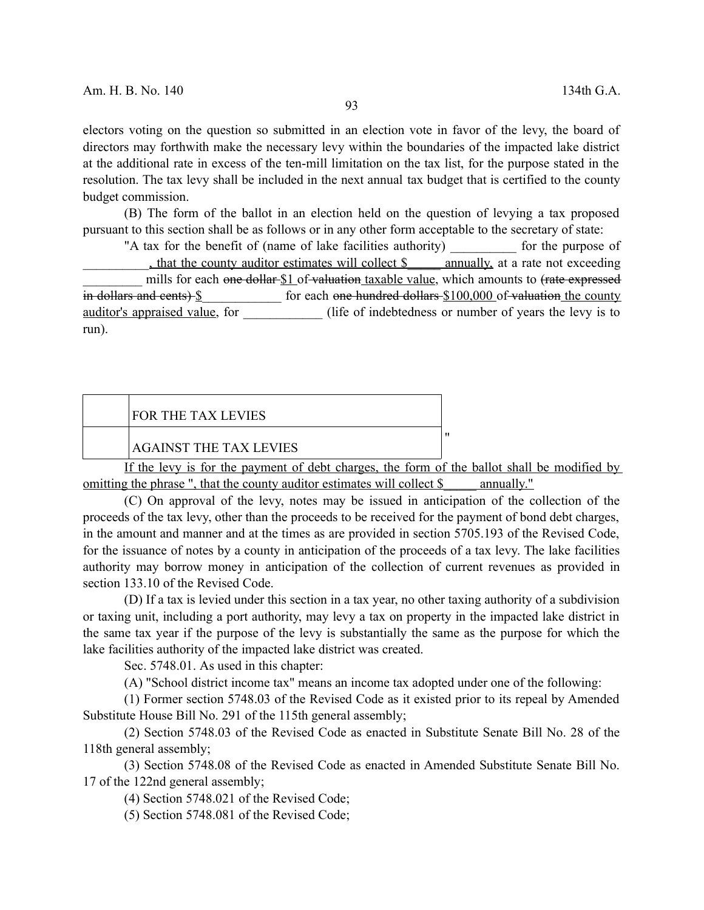electors voting on the question so submitted in an election vote in favor of the levy, the board of directors may forthwith make the necessary levy within the boundaries of the impacted lake district at the additional rate in excess of the ten-mill limitation on the tax list, for the purpose stated in the resolution. The tax levy shall be included in the next annual tax budget that is certified to the county budget commission.

(B) The form of the ballot in an election held on the question of levying a tax proposed pursuant to this section shall be as follows or in any other form acceptable to the secretary of state:

"A tax for the benefit of (name of lake facilities authority) \_\_\_\_\_\_\_\_\_\_ for the purpose of that the county auditor estimates will collect \$ annually, at a rate not exceeding mills for each one dollar \$1 of valuation taxable value, which amounts to (rate expressed in dollars and cents)  $\frac{1}{2}$  for each one hundred dollars  $\frac{100,000}{2}$  of valuation the county auditor's appraised value, for (life of indebtedness or number of years the levy is to run).

| <b>FOR THE TAX LEVIES</b>                                                                         |  |
|---------------------------------------------------------------------------------------------------|--|
|                                                                                                   |  |
|                                                                                                   |  |
| <b>AGAINST THE TAX LEVIES</b>                                                                     |  |
| $\mathbf{r} \cdot \mathbf{r}$ and $\mathbf{r} \cdot \mathbf{r}$ and $\mathbf{r} \cdot \mathbf{r}$ |  |

If the levy is for the payment of debt charges, the form of the ballot shall be modified by omitting the phrase ", that the county auditor estimates will collect \$ \_\_\_\_ annually."

(C) On approval of the levy, notes may be issued in anticipation of the collection of the proceeds of the tax levy, other than the proceeds to be received for the payment of bond debt charges, in the amount and manner and at the times as are provided in section 5705.193 of the Revised Code, for the issuance of notes by a county in anticipation of the proceeds of a tax levy. The lake facilities authority may borrow money in anticipation of the collection of current revenues as provided in section 133.10 of the Revised Code.

(D) If a tax is levied under this section in a tax year, no other taxing authority of a subdivision or taxing unit, including a port authority, may levy a tax on property in the impacted lake district in the same tax year if the purpose of the levy is substantially the same as the purpose for which the lake facilities authority of the impacted lake district was created.

Sec. 5748.01. As used in this chapter:

(A) "School district income tax" means an income tax adopted under one of the following:

(1) Former section 5748.03 of the Revised Code as it existed prior to its repeal by Amended Substitute House Bill No. 291 of the 115th general assembly;

(2) Section 5748.03 of the Revised Code as enacted in Substitute Senate Bill No. 28 of the 118th general assembly;

(3) Section 5748.08 of the Revised Code as enacted in Amended Substitute Senate Bill No. 17 of the 122nd general assembly;

(4) Section 5748.021 of the Revised Code;

(5) Section 5748.081 of the Revised Code;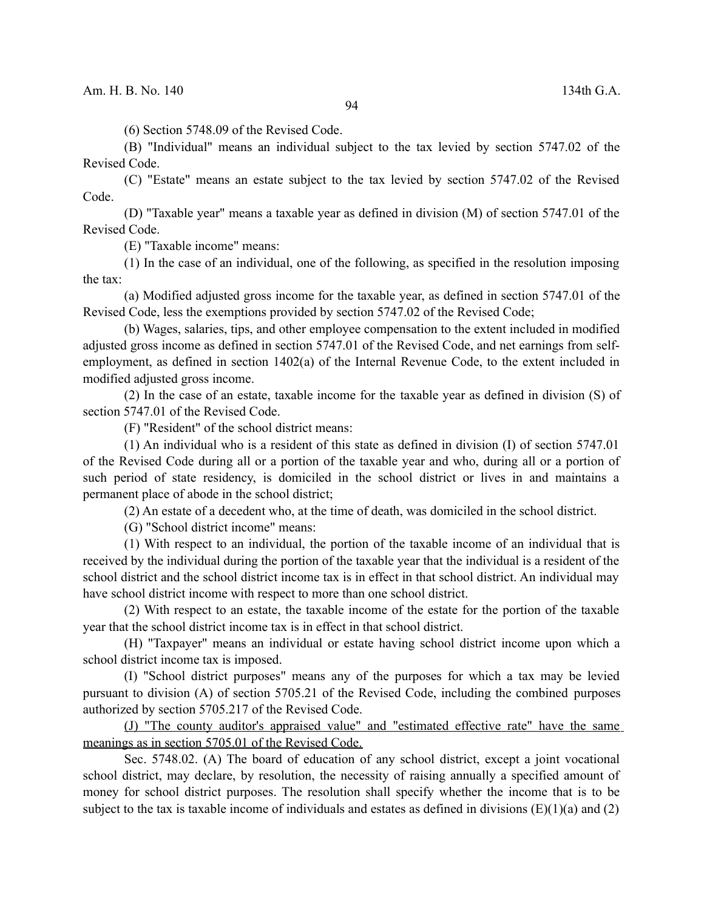(6) Section 5748.09 of the Revised Code.

(B) "Individual" means an individual subject to the tax levied by section 5747.02 of the Revised Code.

(C) "Estate" means an estate subject to the tax levied by section 5747.02 of the Revised Code.

(D) "Taxable year" means a taxable year as defined in division (M) of section 5747.01 of the Revised Code.

(E) "Taxable income" means:

(1) In the case of an individual, one of the following, as specified in the resolution imposing the tax:

(a) Modified adjusted gross income for the taxable year, as defined in section 5747.01 of the Revised Code, less the exemptions provided by section 5747.02 of the Revised Code;

(b) Wages, salaries, tips, and other employee compensation to the extent included in modified adjusted gross income as defined in section 5747.01 of the Revised Code, and net earnings from selfemployment, as defined in section 1402(a) of the Internal Revenue Code, to the extent included in modified adjusted gross income.

(2) In the case of an estate, taxable income for the taxable year as defined in division (S) of section 5747.01 of the Revised Code.

(F) "Resident" of the school district means:

(1) An individual who is a resident of this state as defined in division (I) of section 5747.01 of the Revised Code during all or a portion of the taxable year and who, during all or a portion of such period of state residency, is domiciled in the school district or lives in and maintains a permanent place of abode in the school district;

(2) An estate of a decedent who, at the time of death, was domiciled in the school district.

(G) "School district income" means:

(1) With respect to an individual, the portion of the taxable income of an individual that is received by the individual during the portion of the taxable year that the individual is a resident of the school district and the school district income tax is in effect in that school district. An individual may have school district income with respect to more than one school district.

(2) With respect to an estate, the taxable income of the estate for the portion of the taxable year that the school district income tax is in effect in that school district.

(H) "Taxpayer" means an individual or estate having school district income upon which a school district income tax is imposed.

(I) "School district purposes" means any of the purposes for which a tax may be levied pursuant to division (A) of section 5705.21 of the Revised Code, including the combined purposes authorized by section 5705.217 of the Revised Code.

(J) "The county auditor's appraised value" and "estimated effective rate" have the same meanings as in section 5705.01 of the Revised Code.

Sec. 5748.02. (A) The board of education of any school district, except a joint vocational school district, may declare, by resolution, the necessity of raising annually a specified amount of money for school district purposes. The resolution shall specify whether the income that is to be subject to the tax is taxable income of individuals and estates as defined in divisions  $(E)(1)(a)$  and  $(2)$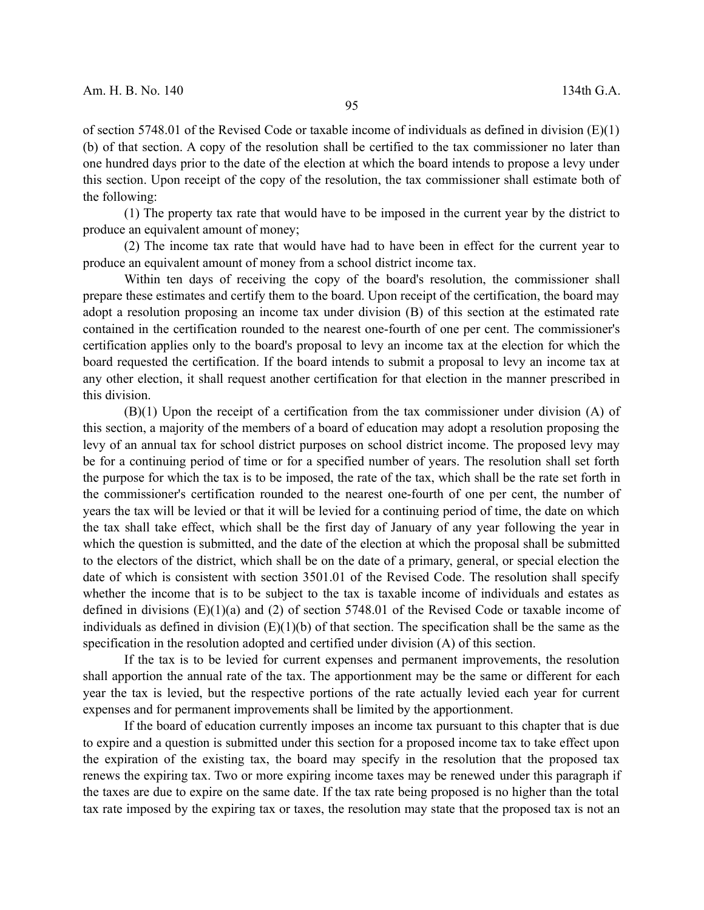of section 5748.01 of the Revised Code or taxable income of individuals as defined in division (E)(1) (b) of that section. A copy of the resolution shall be certified to the tax commissioner no later than one hundred days prior to the date of the election at which the board intends to propose a levy under this section. Upon receipt of the copy of the resolution, the tax commissioner shall estimate both of the following:

(1) The property tax rate that would have to be imposed in the current year by the district to produce an equivalent amount of money;

(2) The income tax rate that would have had to have been in effect for the current year to produce an equivalent amount of money from a school district income tax.

Within ten days of receiving the copy of the board's resolution, the commissioner shall prepare these estimates and certify them to the board. Upon receipt of the certification, the board may adopt a resolution proposing an income tax under division (B) of this section at the estimated rate contained in the certification rounded to the nearest one-fourth of one per cent. The commissioner's certification applies only to the board's proposal to levy an income tax at the election for which the board requested the certification. If the board intends to submit a proposal to levy an income tax at any other election, it shall request another certification for that election in the manner prescribed in this division.

(B)(1) Upon the receipt of a certification from the tax commissioner under division (A) of this section, a majority of the members of a board of education may adopt a resolution proposing the levy of an annual tax for school district purposes on school district income. The proposed levy may be for a continuing period of time or for a specified number of years. The resolution shall set forth the purpose for which the tax is to be imposed, the rate of the tax, which shall be the rate set forth in the commissioner's certification rounded to the nearest one-fourth of one per cent, the number of years the tax will be levied or that it will be levied for a continuing period of time, the date on which the tax shall take effect, which shall be the first day of January of any year following the year in which the question is submitted, and the date of the election at which the proposal shall be submitted to the electors of the district, which shall be on the date of a primary, general, or special election the date of which is consistent with section 3501.01 of the Revised Code. The resolution shall specify whether the income that is to be subject to the tax is taxable income of individuals and estates as defined in divisions  $(E)(1)(a)$  and  $(2)$  of section 5748.01 of the Revised Code or taxable income of individuals as defined in division  $(E)(1)(b)$  of that section. The specification shall be the same as the specification in the resolution adopted and certified under division (A) of this section.

If the tax is to be levied for current expenses and permanent improvements, the resolution shall apportion the annual rate of the tax. The apportionment may be the same or different for each year the tax is levied, but the respective portions of the rate actually levied each year for current expenses and for permanent improvements shall be limited by the apportionment.

If the board of education currently imposes an income tax pursuant to this chapter that is due to expire and a question is submitted under this section for a proposed income tax to take effect upon the expiration of the existing tax, the board may specify in the resolution that the proposed tax renews the expiring tax. Two or more expiring income taxes may be renewed under this paragraph if the taxes are due to expire on the same date. If the tax rate being proposed is no higher than the total tax rate imposed by the expiring tax or taxes, the resolution may state that the proposed tax is not an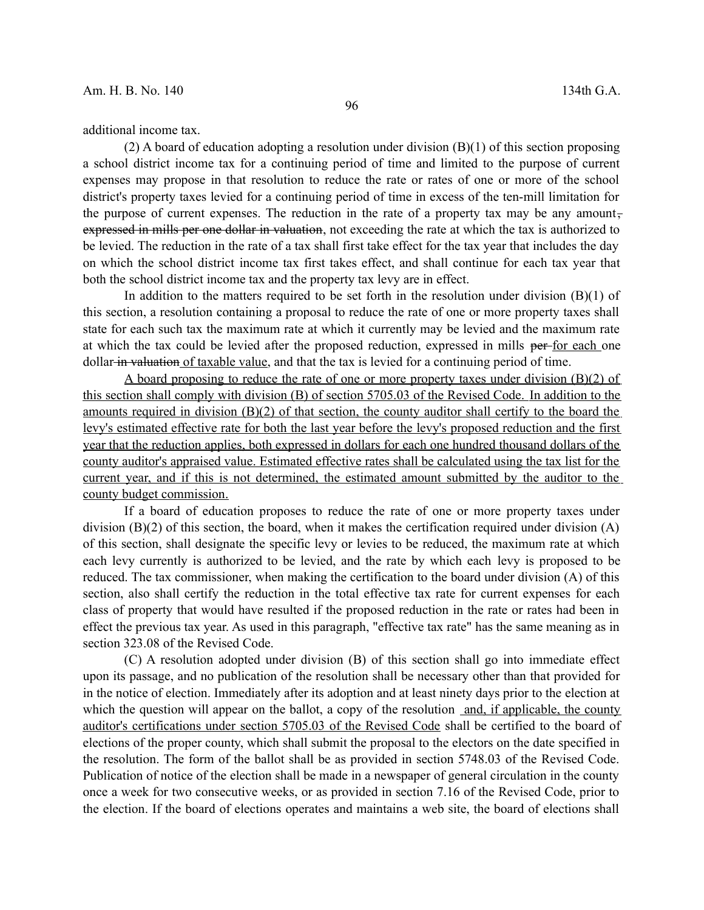additional income tax.

 $(2)$  A board of education adopting a resolution under division  $(B)(1)$  of this section proposing a school district income tax for a continuing period of time and limited to the purpose of current expenses may propose in that resolution to reduce the rate or rates of one or more of the school district's property taxes levied for a continuing period of time in excess of the ten-mill limitation for the purpose of current expenses. The reduction in the rate of a property tax may be any amountexpressed in mills per one dollar in valuation, not exceeding the rate at which the tax is authorized to be levied. The reduction in the rate of a tax shall first take effect for the tax year that includes the day on which the school district income tax first takes effect, and shall continue for each tax year that both the school district income tax and the property tax levy are in effect.

In addition to the matters required to be set forth in the resolution under division  $(B)(1)$  of this section, a resolution containing a proposal to reduce the rate of one or more property taxes shall state for each such tax the maximum rate at which it currently may be levied and the maximum rate at which the tax could be levied after the proposed reduction, expressed in mills per for each one dollar in valuation of taxable value, and that the tax is levied for a continuing period of time.

A board proposing to reduce the rate of one or more property taxes under division  $(B)(2)$  of this section shall comply with division (B) of section 5705.03 of the Revised Code. In addition to the amounts required in division (B)(2) of that section, the county auditor shall certify to the board the levy's estimated effective rate for both the last year before the levy's proposed reduction and the first year that the reduction applies, both expressed in dollars for each one hundred thousand dollars of the county auditor's appraised value. Estimated effective rates shall be calculated using the tax list for the current year, and if this is not determined, the estimated amount submitted by the auditor to the county budget commission.

If a board of education proposes to reduce the rate of one or more property taxes under division  $(B)(2)$  of this section, the board, when it makes the certification required under division  $(A)$ of this section, shall designate the specific levy or levies to be reduced, the maximum rate at which each levy currently is authorized to be levied, and the rate by which each levy is proposed to be reduced. The tax commissioner, when making the certification to the board under division (A) of this section, also shall certify the reduction in the total effective tax rate for current expenses for each class of property that would have resulted if the proposed reduction in the rate or rates had been in effect the previous tax year. As used in this paragraph, "effective tax rate" has the same meaning as in section 323.08 of the Revised Code.

(C) A resolution adopted under division (B) of this section shall go into immediate effect upon its passage, and no publication of the resolution shall be necessary other than that provided for in the notice of election. Immediately after its adoption and at least ninety days prior to the election at which the question will appear on the ballot, a copy of the resolution and, if applicable, the county auditor's certifications under section 5705.03 of the Revised Code shall be certified to the board of elections of the proper county, which shall submit the proposal to the electors on the date specified in the resolution. The form of the ballot shall be as provided in section 5748.03 of the Revised Code. Publication of notice of the election shall be made in a newspaper of general circulation in the county once a week for two consecutive weeks, or as provided in section 7.16 of the Revised Code, prior to the election. If the board of elections operates and maintains a web site, the board of elections shall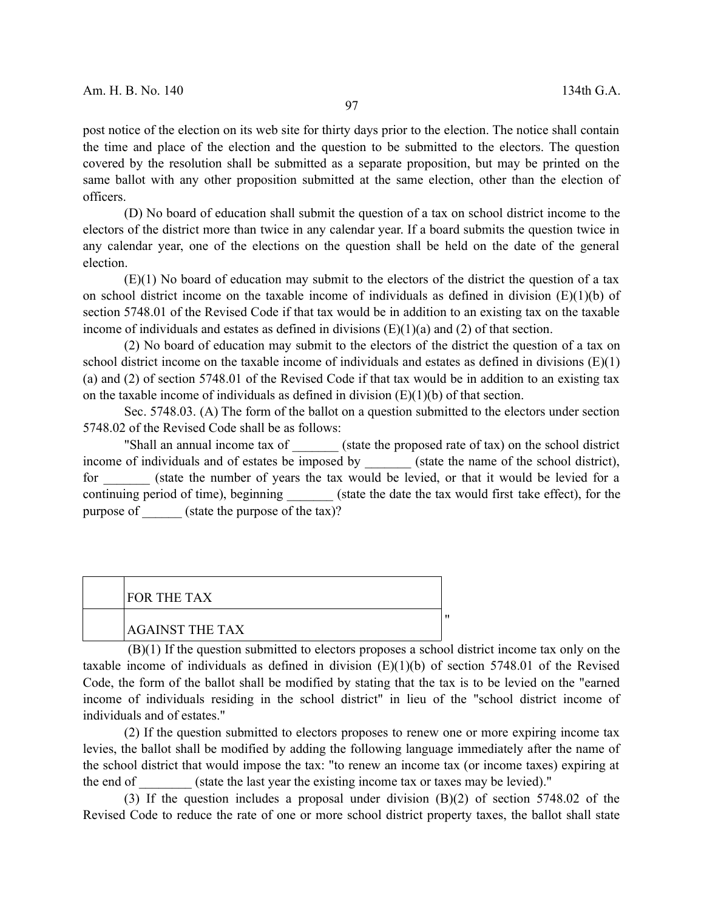post notice of the election on its web site for thirty days prior to the election. The notice shall contain the time and place of the election and the question to be submitted to the electors. The question covered by the resolution shall be submitted as a separate proposition, but may be printed on the same ballot with any other proposition submitted at the same election, other than the election of officers.

(D) No board of education shall submit the question of a tax on school district income to the electors of the district more than twice in any calendar year. If a board submits the question twice in any calendar year, one of the elections on the question shall be held on the date of the general election.

 $(E)(1)$  No board of education may submit to the electors of the district the question of a tax on school district income on the taxable income of individuals as defined in division  $(E)(1)(b)$  of section 5748.01 of the Revised Code if that tax would be in addition to an existing tax on the taxable income of individuals and estates as defined in divisions  $(E)(1)(a)$  and  $(2)$  of that section.

(2) No board of education may submit to the electors of the district the question of a tax on school district income on the taxable income of individuals and estates as defined in divisions  $(E)(1)$ (a) and (2) of section 5748.01 of the Revised Code if that tax would be in addition to an existing tax on the taxable income of individuals as defined in division  $(E)(1)(b)$  of that section.

Sec. 5748.03. (A) The form of the ballot on a question submitted to the electors under section 5748.02 of the Revised Code shall be as follows:

"Shall an annual income tax of  $\qquad$  (state the proposed rate of tax) on the school district income of individuals and of estates be imposed by (state the name of the school district), for (state the number of years the tax would be levied, or that it would be levied for a continuing period of time), beginning \_\_\_\_\_\_\_ (state the date the tax would first take effect), for the purpose of  $\qquad$  (state the purpose of the tax)?

| <b>FOR THE TAX</b>     |  |
|------------------------|--|
| <b>AGAINST THE TAX</b> |  |

(B)(1) If the question submitted to electors proposes a school district income tax only on the taxable income of individuals as defined in division  $(E)(1)(b)$  of section 5748.01 of the Revised Code, the form of the ballot shall be modified by stating that the tax is to be levied on the "earned income of individuals residing in the school district" in lieu of the "school district income of individuals and of estates."

(2) If the question submitted to electors proposes to renew one or more expiring income tax levies, the ballot shall be modified by adding the following language immediately after the name of the school district that would impose the tax: "to renew an income tax (or income taxes) expiring at the end of  $\qquad \qquad$  (state the last year the existing income tax or taxes may be levied)."

(3) If the question includes a proposal under division (B)(2) of section 5748.02 of the Revised Code to reduce the rate of one or more school district property taxes, the ballot shall state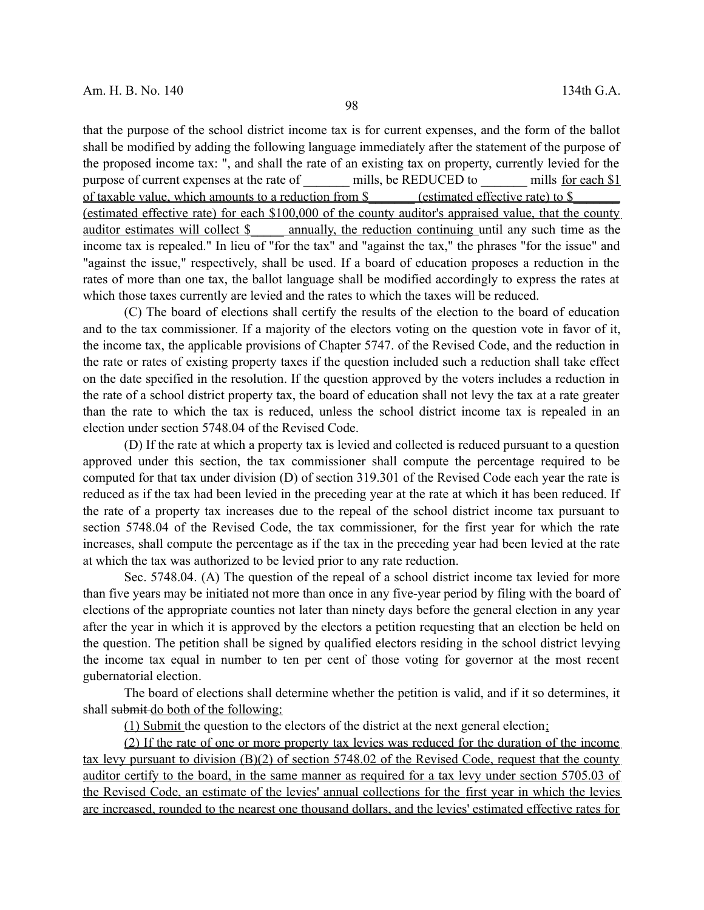that the purpose of the school district income tax is for current expenses, and the form of the ballot shall be modified by adding the following language immediately after the statement of the purpose of the proposed income tax: ", and shall the rate of an existing tax on property, currently levied for the purpose of current expenses at the rate of \_\_\_\_\_\_ mills, be REDUCED to \_\_\_\_\_ mills for each \$1 of taxable value, which amounts to a reduction from \$ (estimated effective rate) to \$ (estimated effective rate) for each \$100,000 of the county auditor's appraised value, that the county auditor estimates will collect \$\_\_\_\_\_ annually, the reduction continuing until any such time as the income tax is repealed." In lieu of "for the tax" and "against the tax," the phrases "for the issue" and "against the issue," respectively, shall be used. If a board of education proposes a reduction in the rates of more than one tax, the ballot language shall be modified accordingly to express the rates at which those taxes currently are levied and the rates to which the taxes will be reduced.

(C) The board of elections shall certify the results of the election to the board of education and to the tax commissioner. If a majority of the electors voting on the question vote in favor of it, the income tax, the applicable provisions of Chapter 5747. of the Revised Code, and the reduction in the rate or rates of existing property taxes if the question included such a reduction shall take effect on the date specified in the resolution. If the question approved by the voters includes a reduction in the rate of a school district property tax, the board of education shall not levy the tax at a rate greater than the rate to which the tax is reduced, unless the school district income tax is repealed in an election under section 5748.04 of the Revised Code.

(D) If the rate at which a property tax is levied and collected is reduced pursuant to a question approved under this section, the tax commissioner shall compute the percentage required to be computed for that tax under division (D) of section 319.301 of the Revised Code each year the rate is reduced as if the tax had been levied in the preceding year at the rate at which it has been reduced. If the rate of a property tax increases due to the repeal of the school district income tax pursuant to section 5748.04 of the Revised Code, the tax commissioner, for the first year for which the rate increases, shall compute the percentage as if the tax in the preceding year had been levied at the rate at which the tax was authorized to be levied prior to any rate reduction.

Sec. 5748.04. (A) The question of the repeal of a school district income tax levied for more than five years may be initiated not more than once in any five-year period by filing with the board of elections of the appropriate counties not later than ninety days before the general election in any year after the year in which it is approved by the electors a petition requesting that an election be held on the question. The petition shall be signed by qualified electors residing in the school district levying the income tax equal in number to ten per cent of those voting for governor at the most recent gubernatorial election.

The board of elections shall determine whether the petition is valid, and if it so determines, it shall submit do both of the following:

(1) Submit the question to the electors of the district at the next general election;

(2) If the rate of one or more property tax levies was reduced for the duration of the income tax levy pursuant to division (B)(2) of section 5748.02 of the Revised Code, request that the county auditor certify to the board, in the same manner as required for a tax levy under section 5705.03 of the Revised Code, an estimate of the levies' annual collections for the first year in which the levies are increased, rounded to the nearest one thousand dollars, and the levies' estimated effective rates for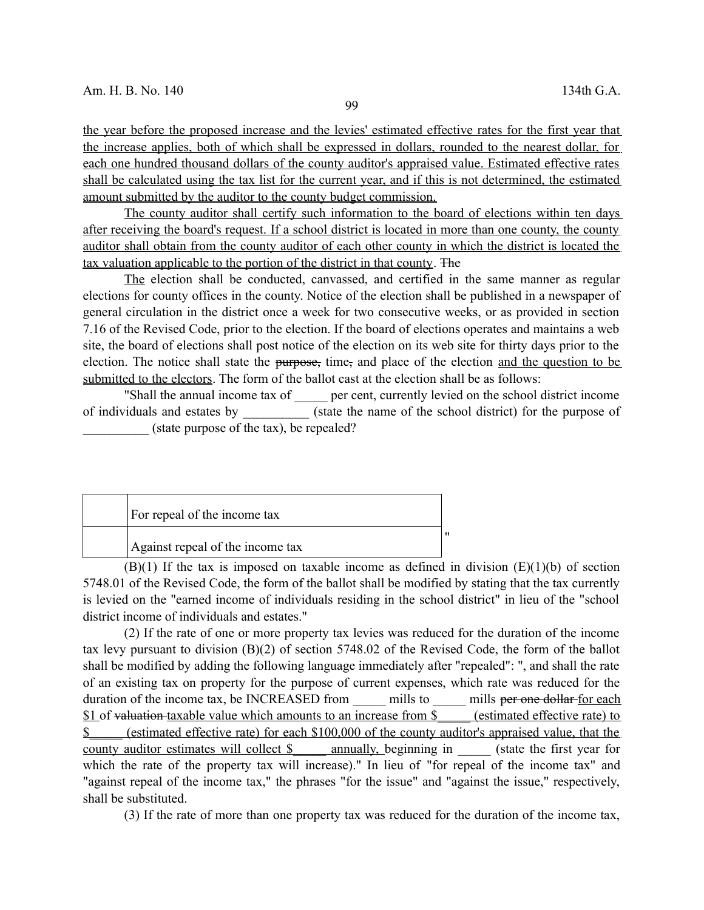the year before the proposed increase and the levies' estimated effective rates for the first year that the increase applies, both of which shall be expressed in dollars, rounded to the nearest dollar, for each one hundred thousand dollars of the county auditor's appraised value. Estimated effective rates shall be calculated using the tax list for the current year, and if this is not determined, the estimated amount submitted by the auditor to the county budget commission.

The county auditor shall certify such information to the board of elections within ten days after receiving the board's request. If a school district is located in more than one county, the county auditor shall obtain from the county auditor of each other county in which the district is located the tax valuation applicable to the portion of the district in that county. The

The election shall be conducted, canvassed, and certified in the same manner as regular elections for county offices in the county. Notice of the election shall be published in a newspaper of general circulation in the district once a week for two consecutive weeks, or as provided in section 7.16 of the Revised Code, prior to the election. If the board of elections operates and maintains a web site, the board of elections shall post notice of the election on its web site for thirty days prior to the election. The notice shall state the purpose, time, and place of the election and the question to be submitted to the electors. The form of the ballot cast at the election shall be as follows:

"Shall the annual income tax of error per cent, currently levied on the school district income of individuals and estates by  $(state the name of the school district) for the purpose of$ (state purpose of the tax), be repealed?

| For repeal of the income tax     |  |
|----------------------------------|--|
| Against repeal of the income tax |  |

 $(B)(1)$  If the tax is imposed on taxable income as defined in division  $(E)(1)(b)$  of section 5748.01 of the Revised Code, the form of the ballot shall be modified by stating that the tax currently is levied on the "earned income of individuals residing in the school district" in lieu of the "school district income of individuals and estates."

(2) If the rate of one or more property tax levies was reduced for the duration of the income tax levy pursuant to division (B)(2) of section 5748.02 of the Revised Code, the form of the ballot shall be modified by adding the following language immediately after "repealed": ", and shall the rate of an existing tax on property for the purpose of current expenses, which rate was reduced for the duration of the income tax, be INCREASED from \_\_\_\_\_\_ mills to \_\_\_\_\_\_ mills per one dollar for each \$1 of valuation taxable value which amounts to an increase from \$ (estimated effective rate) to \$\_\_\_\_\_ (estimated effective rate) for each \$100,000 of the county auditor's appraised value, that the county auditor estimates will collect \$ \_\_\_\_\_ annually, beginning in \_\_\_\_\_\_ (state the first year for which the rate of the property tax will increase)." In lieu of "for repeal of the income tax" and "against repeal of the income tax," the phrases "for the issue" and "against the issue," respectively, shall be substituted.

(3) If the rate of more than one property tax was reduced for the duration of the income tax,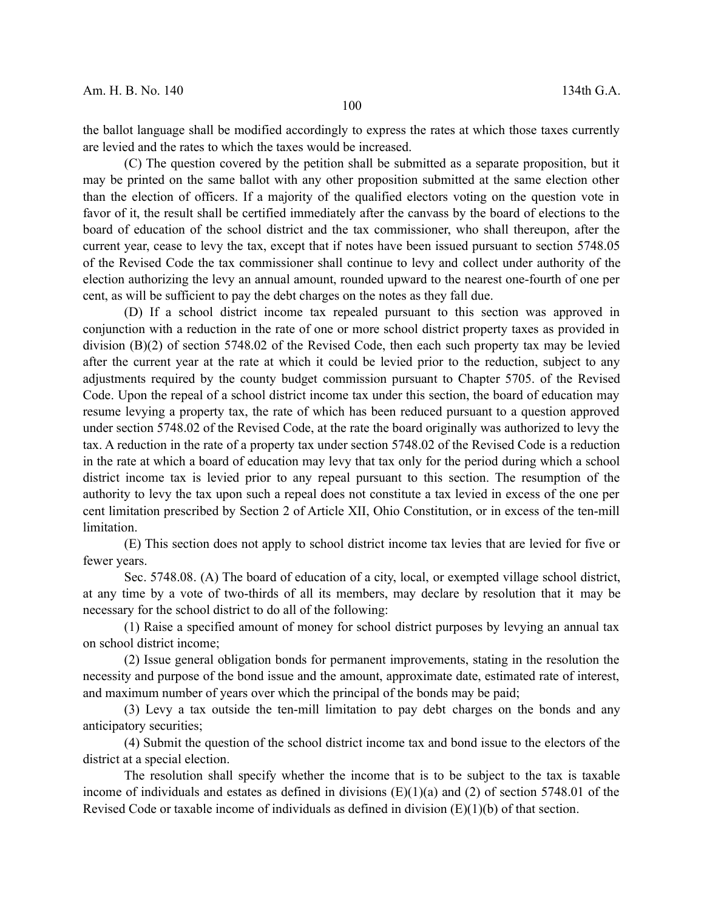the ballot language shall be modified accordingly to express the rates at which those taxes currently are levied and the rates to which the taxes would be increased.

(C) The question covered by the petition shall be submitted as a separate proposition, but it may be printed on the same ballot with any other proposition submitted at the same election other than the election of officers. If a majority of the qualified electors voting on the question vote in favor of it, the result shall be certified immediately after the canvass by the board of elections to the board of education of the school district and the tax commissioner, who shall thereupon, after the current year, cease to levy the tax, except that if notes have been issued pursuant to section 5748.05 of the Revised Code the tax commissioner shall continue to levy and collect under authority of the election authorizing the levy an annual amount, rounded upward to the nearest one-fourth of one per cent, as will be sufficient to pay the debt charges on the notes as they fall due.

(D) If a school district income tax repealed pursuant to this section was approved in conjunction with a reduction in the rate of one or more school district property taxes as provided in division (B)(2) of section 5748.02 of the Revised Code, then each such property tax may be levied after the current year at the rate at which it could be levied prior to the reduction, subject to any adjustments required by the county budget commission pursuant to Chapter 5705. of the Revised Code. Upon the repeal of a school district income tax under this section, the board of education may resume levying a property tax, the rate of which has been reduced pursuant to a question approved under section 5748.02 of the Revised Code, at the rate the board originally was authorized to levy the tax. A reduction in the rate of a property tax under section 5748.02 of the Revised Code is a reduction in the rate at which a board of education may levy that tax only for the period during which a school district income tax is levied prior to any repeal pursuant to this section. The resumption of the authority to levy the tax upon such a repeal does not constitute a tax levied in excess of the one per cent limitation prescribed by Section 2 of Article XII, Ohio Constitution, or in excess of the ten-mill limitation.

(E) This section does not apply to school district income tax levies that are levied for five or fewer years.

Sec. 5748.08. (A) The board of education of a city, local, or exempted village school district, at any time by a vote of two-thirds of all its members, may declare by resolution that it may be necessary for the school district to do all of the following:

(1) Raise a specified amount of money for school district purposes by levying an annual tax on school district income;

(2) Issue general obligation bonds for permanent improvements, stating in the resolution the necessity and purpose of the bond issue and the amount, approximate date, estimated rate of interest, and maximum number of years over which the principal of the bonds may be paid;

(3) Levy a tax outside the ten-mill limitation to pay debt charges on the bonds and any anticipatory securities;

(4) Submit the question of the school district income tax and bond issue to the electors of the district at a special election.

The resolution shall specify whether the income that is to be subject to the tax is taxable income of individuals and estates as defined in divisions  $(E)(1)(a)$  and  $(2)$  of section 5748.01 of the Revised Code or taxable income of individuals as defined in division (E)(1)(b) of that section.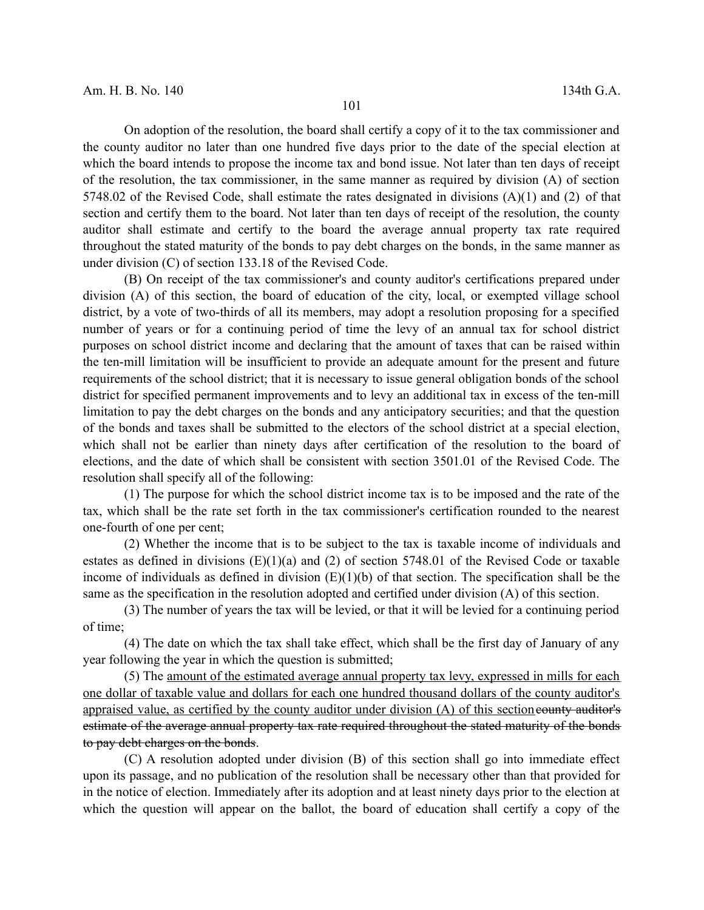On adoption of the resolution, the board shall certify a copy of it to the tax commissioner and the county auditor no later than one hundred five days prior to the date of the special election at which the board intends to propose the income tax and bond issue. Not later than ten days of receipt of the resolution, the tax commissioner, in the same manner as required by division (A) of section 5748.02 of the Revised Code, shall estimate the rates designated in divisions (A)(1) and (2) of that section and certify them to the board. Not later than ten days of receipt of the resolution, the county auditor shall estimate and certify to the board the average annual property tax rate required throughout the stated maturity of the bonds to pay debt charges on the bonds, in the same manner as under division (C) of section 133.18 of the Revised Code.

(B) On receipt of the tax commissioner's and county auditor's certifications prepared under division (A) of this section, the board of education of the city, local, or exempted village school district, by a vote of two-thirds of all its members, may adopt a resolution proposing for a specified number of years or for a continuing period of time the levy of an annual tax for school district purposes on school district income and declaring that the amount of taxes that can be raised within the ten-mill limitation will be insufficient to provide an adequate amount for the present and future requirements of the school district; that it is necessary to issue general obligation bonds of the school district for specified permanent improvements and to levy an additional tax in excess of the ten-mill limitation to pay the debt charges on the bonds and any anticipatory securities; and that the question of the bonds and taxes shall be submitted to the electors of the school district at a special election, which shall not be earlier than ninety days after certification of the resolution to the board of elections, and the date of which shall be consistent with section 3501.01 of the Revised Code. The resolution shall specify all of the following:

(1) The purpose for which the school district income tax is to be imposed and the rate of the tax, which shall be the rate set forth in the tax commissioner's certification rounded to the nearest one-fourth of one per cent;

(2) Whether the income that is to be subject to the tax is taxable income of individuals and estates as defined in divisions (E)(1)(a) and (2) of section 5748.01 of the Revised Code or taxable income of individuals as defined in division  $(E)(1)(b)$  of that section. The specification shall be the same as the specification in the resolution adopted and certified under division (A) of this section.

(3) The number of years the tax will be levied, or that it will be levied for a continuing period of time;

(4) The date on which the tax shall take effect, which shall be the first day of January of any year following the year in which the question is submitted;

(5) The amount of the estimated average annual property tax levy, expressed in mills for each one dollar of taxable value and dollars for each one hundred thousand dollars of the county auditor's appraised value, as certified by the county auditor under division  $(A)$  of this section county auditor's estimate of the average annual property tax rate required throughout the stated maturity of the bonds to pay debt charges on the bonds.

(C) A resolution adopted under division (B) of this section shall go into immediate effect upon its passage, and no publication of the resolution shall be necessary other than that provided for in the notice of election. Immediately after its adoption and at least ninety days prior to the election at which the question will appear on the ballot, the board of education shall certify a copy of the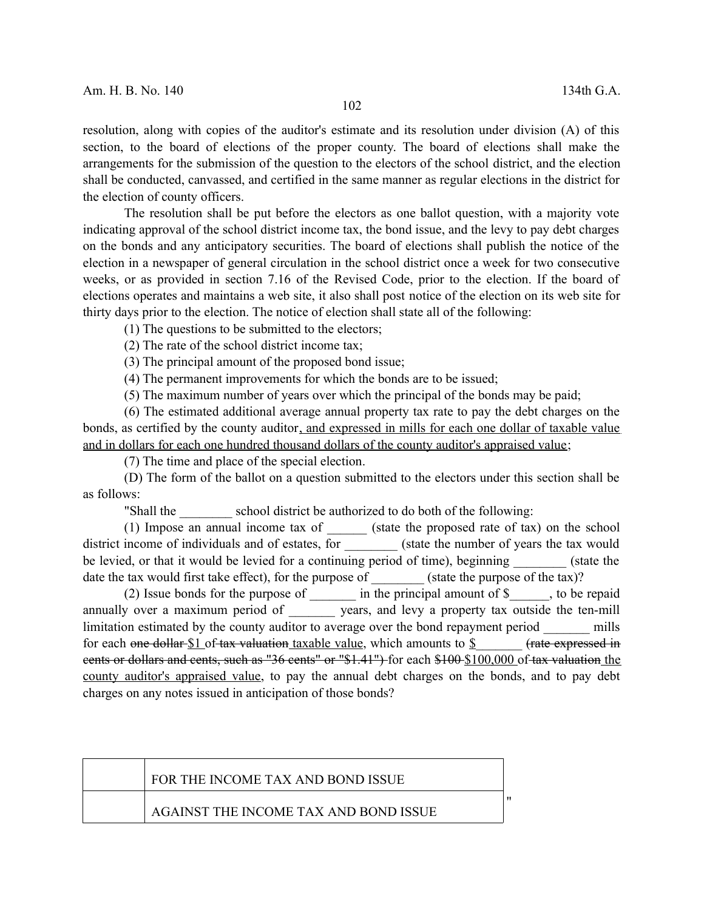resolution, along with copies of the auditor's estimate and its resolution under division (A) of this section, to the board of elections of the proper county. The board of elections shall make the arrangements for the submission of the question to the electors of the school district, and the election shall be conducted, canvassed, and certified in the same manner as regular elections in the district for the election of county officers.

The resolution shall be put before the electors as one ballot question, with a majority vote indicating approval of the school district income tax, the bond issue, and the levy to pay debt charges on the bonds and any anticipatory securities. The board of elections shall publish the notice of the election in a newspaper of general circulation in the school district once a week for two consecutive weeks, or as provided in section 7.16 of the Revised Code, prior to the election. If the board of elections operates and maintains a web site, it also shall post notice of the election on its web site for thirty days prior to the election. The notice of election shall state all of the following:

(1) The questions to be submitted to the electors;

(2) The rate of the school district income tax;

(3) The principal amount of the proposed bond issue;

(4) The permanent improvements for which the bonds are to be issued;

(5) The maximum number of years over which the principal of the bonds may be paid;

(6) The estimated additional average annual property tax rate to pay the debt charges on the bonds, as certified by the county auditor, and expressed in mills for each one dollar of taxable value and in dollars for each one hundred thousand dollars of the county auditor's appraised value;

(7) The time and place of the special election.

(D) The form of the ballot on a question submitted to the electors under this section shall be as follows:

"Shall the school district be authorized to do both of the following:

(1) Impose an annual income tax of \_\_\_\_\_\_ (state the proposed rate of tax) on the school district income of individuals and of estates, for (state the number of years the tax would be levied, or that it would be levied for a continuing period of time), beginning (state the date the tax would first take effect), for the purpose of  $\qquad$  (state the purpose of the tax)?

(2) Issue bonds for the purpose of  $\qquad$  in the principal amount of \$ $\qquad$ , to be repaid annually over a maximum period of \_\_\_\_\_\_\_ years, and levy a property tax outside the ten-mill limitation estimated by the county auditor to average over the bond repayment period mills for each one dollar  $$1$  of tax valuation taxable value, which amounts to  $$$  (rate expressed in cents or dollars and cents, such as "36 cents" or "\$1.41") for each \$100 \$100,000 of tax valuation the county auditor's appraised value, to pay the annual debt charges on the bonds, and to pay debt charges on any notes issued in anticipation of those bonds?

| FOR THE INCOME TAX AND BOND ISSUE     |  |
|---------------------------------------|--|
| AGAINST THE INCOME TAX AND BOND ISSUE |  |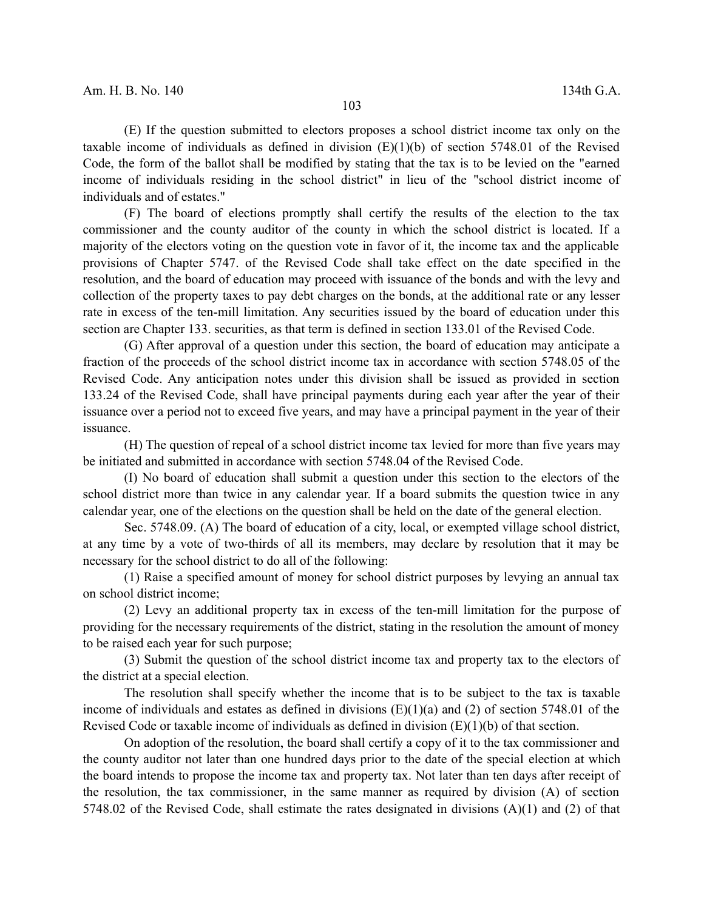(E) If the question submitted to electors proposes a school district income tax only on the taxable income of individuals as defined in division  $(E)(1)(b)$  of section 5748.01 of the Revised Code, the form of the ballot shall be modified by stating that the tax is to be levied on the "earned income of individuals residing in the school district" in lieu of the "school district income of individuals and of estates."

(F) The board of elections promptly shall certify the results of the election to the tax commissioner and the county auditor of the county in which the school district is located. If a majority of the electors voting on the question vote in favor of it, the income tax and the applicable provisions of Chapter 5747. of the Revised Code shall take effect on the date specified in the resolution, and the board of education may proceed with issuance of the bonds and with the levy and collection of the property taxes to pay debt charges on the bonds, at the additional rate or any lesser rate in excess of the ten-mill limitation. Any securities issued by the board of education under this section are Chapter 133. securities, as that term is defined in section 133.01 of the Revised Code.

(G) After approval of a question under this section, the board of education may anticipate a fraction of the proceeds of the school district income tax in accordance with section 5748.05 of the Revised Code. Any anticipation notes under this division shall be issued as provided in section 133.24 of the Revised Code, shall have principal payments during each year after the year of their issuance over a period not to exceed five years, and may have a principal payment in the year of their issuance.

(H) The question of repeal of a school district income tax levied for more than five years may be initiated and submitted in accordance with section 5748.04 of the Revised Code.

(I) No board of education shall submit a question under this section to the electors of the school district more than twice in any calendar year. If a board submits the question twice in any calendar year, one of the elections on the question shall be held on the date of the general election.

Sec. 5748.09. (A) The board of education of a city, local, or exempted village school district, at any time by a vote of two-thirds of all its members, may declare by resolution that it may be necessary for the school district to do all of the following:

(1) Raise a specified amount of money for school district purposes by levying an annual tax on school district income;

(2) Levy an additional property tax in excess of the ten-mill limitation for the purpose of providing for the necessary requirements of the district, stating in the resolution the amount of money to be raised each year for such purpose;

(3) Submit the question of the school district income tax and property tax to the electors of the district at a special election.

The resolution shall specify whether the income that is to be subject to the tax is taxable income of individuals and estates as defined in divisions  $(E)(1)(a)$  and  $(2)$  of section 5748.01 of the Revised Code or taxable income of individuals as defined in division (E)(1)(b) of that section.

On adoption of the resolution, the board shall certify a copy of it to the tax commissioner and the county auditor not later than one hundred days prior to the date of the special election at which the board intends to propose the income tax and property tax. Not later than ten days after receipt of the resolution, the tax commissioner, in the same manner as required by division (A) of section 5748.02 of the Revised Code, shall estimate the rates designated in divisions (A)(1) and (2) of that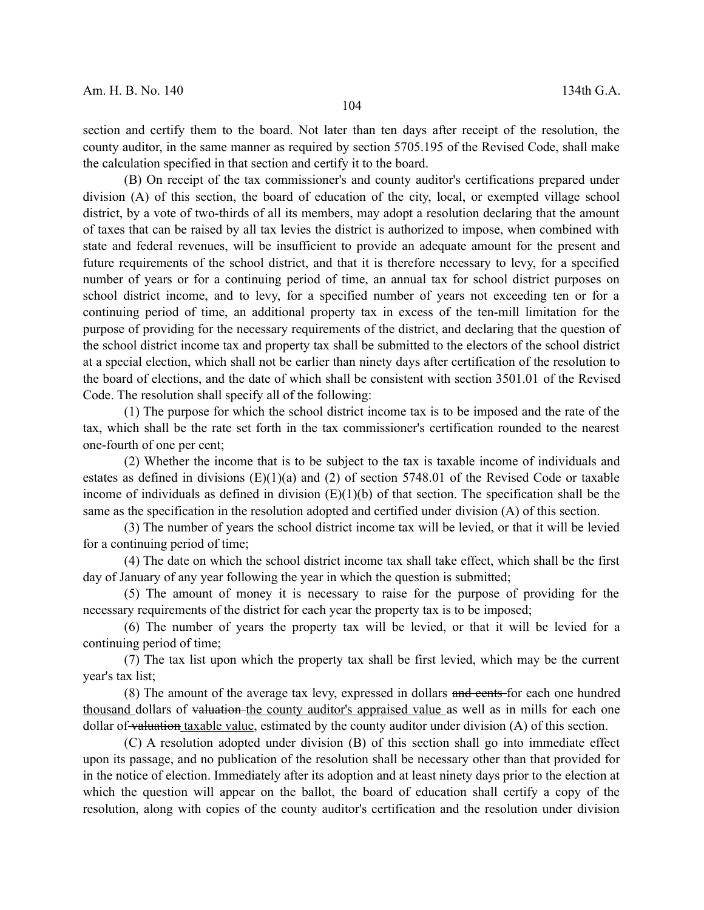section and certify them to the board. Not later than ten days after receipt of the resolution, the county auditor, in the same manner as required by section 5705.195 of the Revised Code, shall make the calculation specified in that section and certify it to the board.

(B) On receipt of the tax commissioner's and county auditor's certifications prepared under division (A) of this section, the board of education of the city, local, or exempted village school district, by a vote of two-thirds of all its members, may adopt a resolution declaring that the amount of taxes that can be raised by all tax levies the district is authorized to impose, when combined with state and federal revenues, will be insufficient to provide an adequate amount for the present and future requirements of the school district, and that it is therefore necessary to levy, for a specified number of years or for a continuing period of time, an annual tax for school district purposes on school district income, and to levy, for a specified number of years not exceeding ten or for a continuing period of time, an additional property tax in excess of the ten-mill limitation for the purpose of providing for the necessary requirements of the district, and declaring that the question of the school district income tax and property tax shall be submitted to the electors of the school district at a special election, which shall not be earlier than ninety days after certification of the resolution to the board of elections, and the date of which shall be consistent with section 3501.01 of the Revised Code. The resolution shall specify all of the following:

(1) The purpose for which the school district income tax is to be imposed and the rate of the tax, which shall be the rate set forth in the tax commissioner's certification rounded to the nearest one-fourth of one per cent;

(2) Whether the income that is to be subject to the tax is taxable income of individuals and estates as defined in divisions (E)(1)(a) and (2) of section 5748.01 of the Revised Code or taxable income of individuals as defined in division  $(E)(1)(b)$  of that section. The specification shall be the same as the specification in the resolution adopted and certified under division (A) of this section.

(3) The number of years the school district income tax will be levied, or that it will be levied for a continuing period of time;

(4) The date on which the school district income tax shall take effect, which shall be the first day of January of any year following the year in which the question is submitted;

(5) The amount of money it is necessary to raise for the purpose of providing for the necessary requirements of the district for each year the property tax is to be imposed;

(6) The number of years the property tax will be levied, or that it will be levied for a continuing period of time;

(7) The tax list upon which the property tax shall be first levied, which may be the current year's tax list;

(8) The amount of the average tax levy, expressed in dollars and cents for each one hundred thousand dollars of valuation the county auditor's appraised value as well as in mills for each one dollar of valuation taxable value, estimated by the county auditor under division (A) of this section.

(C) A resolution adopted under division (B) of this section shall go into immediate effect upon its passage, and no publication of the resolution shall be necessary other than that provided for in the notice of election. Immediately after its adoption and at least ninety days prior to the election at which the question will appear on the ballot, the board of education shall certify a copy of the resolution, along with copies of the county auditor's certification and the resolution under division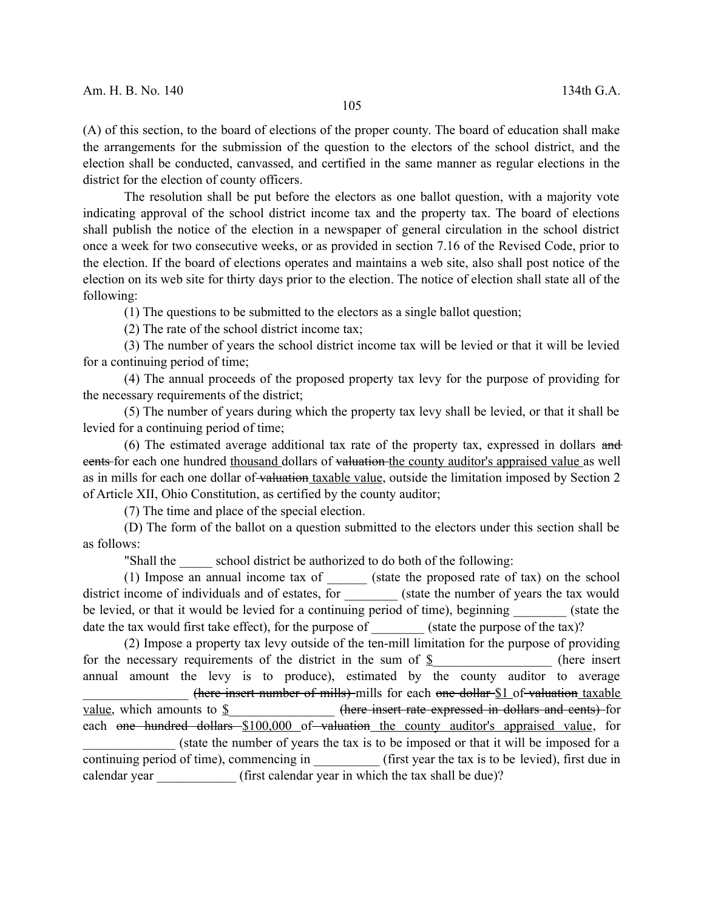(A) of this section, to the board of elections of the proper county. The board of education shall make the arrangements for the submission of the question to the electors of the school district, and the election shall be conducted, canvassed, and certified in the same manner as regular elections in the district for the election of county officers.

The resolution shall be put before the electors as one ballot question, with a majority vote indicating approval of the school district income tax and the property tax. The board of elections shall publish the notice of the election in a newspaper of general circulation in the school district once a week for two consecutive weeks, or as provided in section 7.16 of the Revised Code, prior to the election. If the board of elections operates and maintains a web site, also shall post notice of the election on its web site for thirty days prior to the election. The notice of election shall state all of the following:

(1) The questions to be submitted to the electors as a single ballot question;

(2) The rate of the school district income tax;

(3) The number of years the school district income tax will be levied or that it will be levied for a continuing period of time;

(4) The annual proceeds of the proposed property tax levy for the purpose of providing for the necessary requirements of the district;

(5) The number of years during which the property tax levy shall be levied, or that it shall be levied for a continuing period of time;

(6) The estimated average additional tax rate of the property tax, expressed in dollars and cents for each one hundred thousand dollars of valuation the county auditor's appraised value as well as in mills for each one dollar of valuation taxable value, outside the limitation imposed by Section 2 of Article XII, Ohio Constitution, as certified by the county auditor;

(7) The time and place of the special election.

(D) The form of the ballot on a question submitted to the electors under this section shall be as follows:

"Shall the school district be authorized to do both of the following:

(1) Impose an annual income tax of \_\_\_\_\_\_ (state the proposed rate of tax) on the school district income of individuals and of estates, for \_\_\_\_\_\_\_\_\_ (state the number of years the tax would be levied, or that it would be levied for a continuing period of time), beginning (state the date the tax would first take effect), for the purpose of  $\qquad$  (state the purpose of the tax)?

(2) Impose a property tax levy outside of the ten-mill limitation for the purpose of providing for the necessary requirements of the district in the sum of  $\S$  (here insert annual amount the levy is to produce), estimated by the county auditor to average (here insert number of mills) mills for each one dollar \$1 of valuation taxable value, which amounts to  $\underline{\S}$  (here insert rate expressed in dollars and cents) for each one hundred dollars \$100,000 of valuation the county auditor's appraised value, for (state the number of years the tax is to be imposed or that it will be imposed for a continuing period of time), commencing in (first year the tax is to be levied), first due in calendar year (first calendar year in which the tax shall be due)?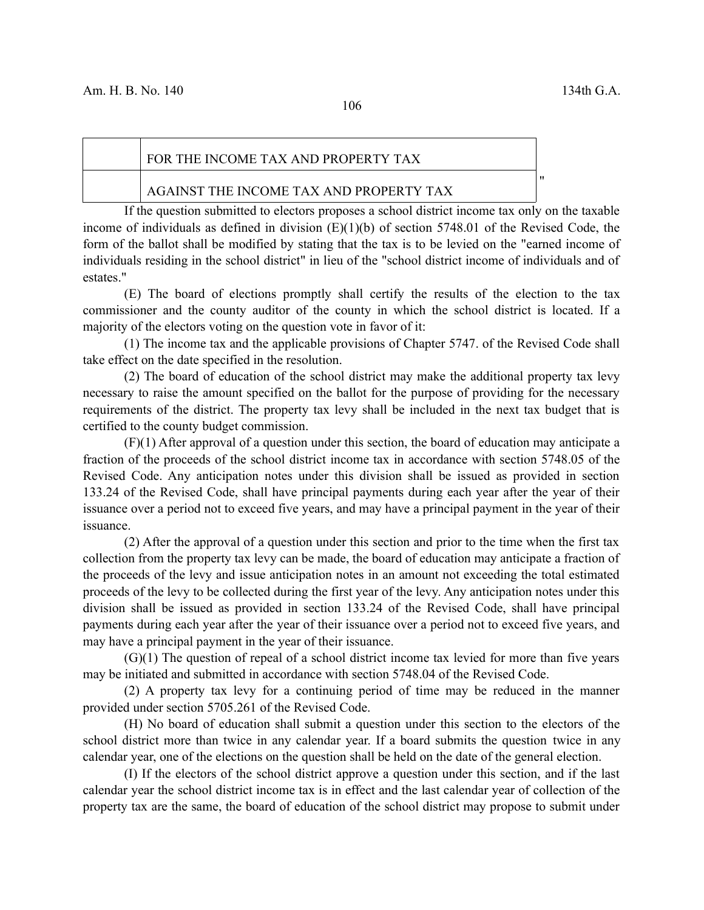"

#### FOR THE INCOME TAX AND PROPERTY TAX

#### AGAINST THE INCOME TAX AND PROPERTY TAX

If the question submitted to electors proposes a school district income tax only on the taxable income of individuals as defined in division (E)(1)(b) of section 5748.01 of the Revised Code, the form of the ballot shall be modified by stating that the tax is to be levied on the "earned income of individuals residing in the school district" in lieu of the "school district income of individuals and of estates."

(E) The board of elections promptly shall certify the results of the election to the tax commissioner and the county auditor of the county in which the school district is located. If a majority of the electors voting on the question vote in favor of it:

(1) The income tax and the applicable provisions of Chapter 5747. of the Revised Code shall take effect on the date specified in the resolution.

(2) The board of education of the school district may make the additional property tax levy necessary to raise the amount specified on the ballot for the purpose of providing for the necessary requirements of the district. The property tax levy shall be included in the next tax budget that is certified to the county budget commission.

(F)(1) After approval of a question under this section, the board of education may anticipate a fraction of the proceeds of the school district income tax in accordance with section 5748.05 of the Revised Code. Any anticipation notes under this division shall be issued as provided in section 133.24 of the Revised Code, shall have principal payments during each year after the year of their issuance over a period not to exceed five years, and may have a principal payment in the year of their issuance.

(2) After the approval of a question under this section and prior to the time when the first tax collection from the property tax levy can be made, the board of education may anticipate a fraction of the proceeds of the levy and issue anticipation notes in an amount not exceeding the total estimated proceeds of the levy to be collected during the first year of the levy. Any anticipation notes under this division shall be issued as provided in section 133.24 of the Revised Code, shall have principal payments during each year after the year of their issuance over a period not to exceed five years, and may have a principal payment in the year of their issuance.

 $(G)(1)$  The question of repeal of a school district income tax levied for more than five years may be initiated and submitted in accordance with section 5748.04 of the Revised Code.

(2) A property tax levy for a continuing period of time may be reduced in the manner provided under section 5705.261 of the Revised Code.

(H) No board of education shall submit a question under this section to the electors of the school district more than twice in any calendar year. If a board submits the question twice in any calendar year, one of the elections on the question shall be held on the date of the general election.

(I) If the electors of the school district approve a question under this section, and if the last calendar year the school district income tax is in effect and the last calendar year of collection of the property tax are the same, the board of education of the school district may propose to submit under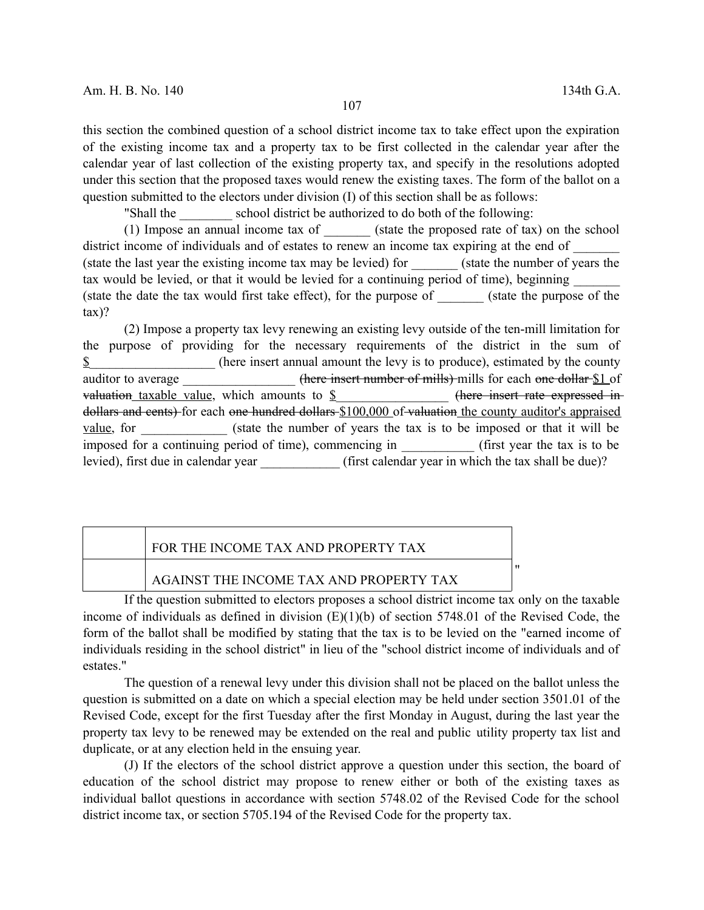this section the combined question of a school district income tax to take effect upon the expiration of the existing income tax and a property tax to be first collected in the calendar year after the calendar year of last collection of the existing property tax, and specify in the resolutions adopted under this section that the proposed taxes would renew the existing taxes. The form of the ballot on a question submitted to the electors under division (I) of this section shall be as follows:

"Shall the school district be authorized to do both of the following:

(1) Impose an annual income tax of  $\qquad$  (state the proposed rate of tax) on the school district income of individuals and of estates to renew an income tax expiring at the end of (state the last year the existing income tax may be levied) for \_\_\_\_\_\_\_ (state the number of years the tax would be levied, or that it would be levied for a continuing period of time), beginning (state the date the tax would first take effect), for the purpose of  $\qquad$  (state the purpose of the tax)?

(2) Impose a property tax levy renewing an existing levy outside of the ten-mill limitation for the purpose of providing for the necessary requirements of the district in the sum of  $\hat{\mathbf{\Sigma}}$  (here insert annual amount the levy is to produce), estimated by the county auditor to average  $\frac{1}{2}$  (here insert number of mills) mills for each one dollar \$1 of valuation taxable value, which amounts to  $\frac{1}{2}$  (here insert rate expressed indollars and cents) for each one hundred dollars \$100,000 of valuation the county auditor's appraised value, for (state the number of years the tax is to be imposed or that it will be imposed for a continuing period of time), commencing in  $\qquad$  (first year the tax is to be levied), first due in calendar year \_\_\_\_\_\_\_\_\_\_\_\_\_ (first calendar year in which the tax shall be due)?

| FOR THE INCOME TAX AND PROPERTY TAX     |  |
|-----------------------------------------|--|
| AGAINST THE INCOME TAX AND PROPERTY TAX |  |

If the question submitted to electors proposes a school district income tax only on the taxable income of individuals as defined in division (E)(1)(b) of section 5748.01 of the Revised Code, the form of the ballot shall be modified by stating that the tax is to be levied on the "earned income of individuals residing in the school district" in lieu of the "school district income of individuals and of estates."

The question of a renewal levy under this division shall not be placed on the ballot unless the question is submitted on a date on which a special election may be held under section 3501.01 of the Revised Code, except for the first Tuesday after the first Monday in August, during the last year the property tax levy to be renewed may be extended on the real and public utility property tax list and duplicate, or at any election held in the ensuing year.

(J) If the electors of the school district approve a question under this section, the board of education of the school district may propose to renew either or both of the existing taxes as individual ballot questions in accordance with section 5748.02 of the Revised Code for the school district income tax, or section 5705.194 of the Revised Code for the property tax.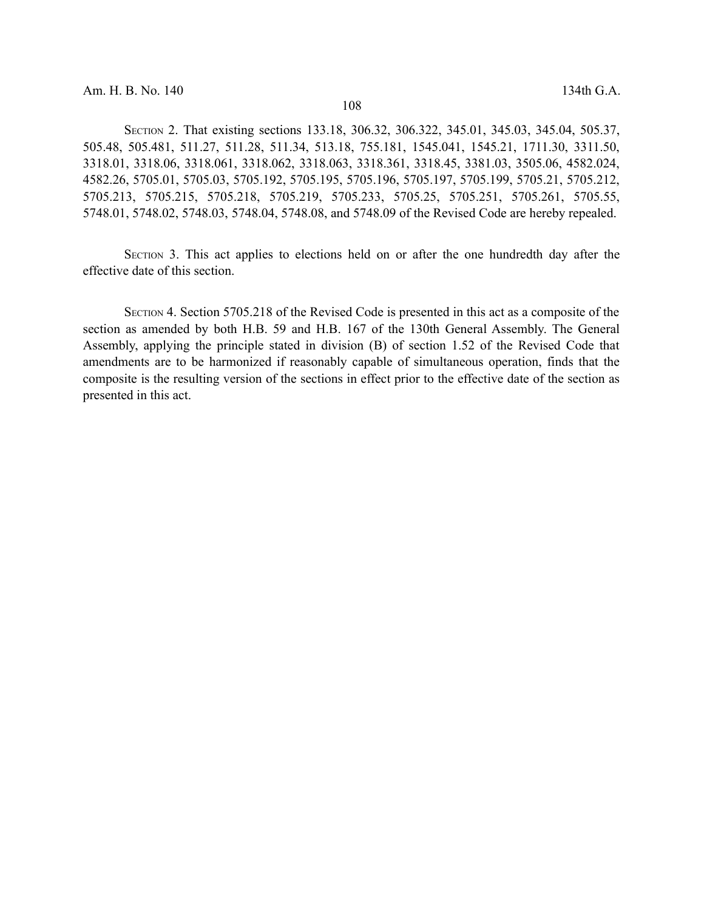SECTION 2. That existing sections 133.18, 306.32, 306.322, 345.01, 345.03, 345.04, 505.37, 505.48, 505.481, 511.27, 511.28, 511.34, 513.18, 755.181, 1545.041, 1545.21, 1711.30, 3311.50, 3318.01, 3318.06, 3318.061, 3318.062, 3318.063, 3318.361, 3318.45, 3381.03, 3505.06, 4582.024, 4582.26, 5705.01, 5705.03, 5705.192, 5705.195, 5705.196, 5705.197, 5705.199, 5705.21, 5705.212, 5705.213, 5705.215, 5705.218, 5705.219, 5705.233, 5705.25, 5705.251, 5705.261, 5705.55, 5748.01, 5748.02, 5748.03, 5748.04, 5748.08, and 5748.09 of the Revised Code are hereby repealed.

SECTION 3. This act applies to elections held on or after the one hundredth day after the effective date of this section.

SECTION 4. Section 5705.218 of the Revised Code is presented in this act as a composite of the section as amended by both H.B. 59 and H.B. 167 of the 130th General Assembly. The General Assembly, applying the principle stated in division (B) of section 1.52 of the Revised Code that amendments are to be harmonized if reasonably capable of simultaneous operation, finds that the composite is the resulting version of the sections in effect prior to the effective date of the section as presented in this act.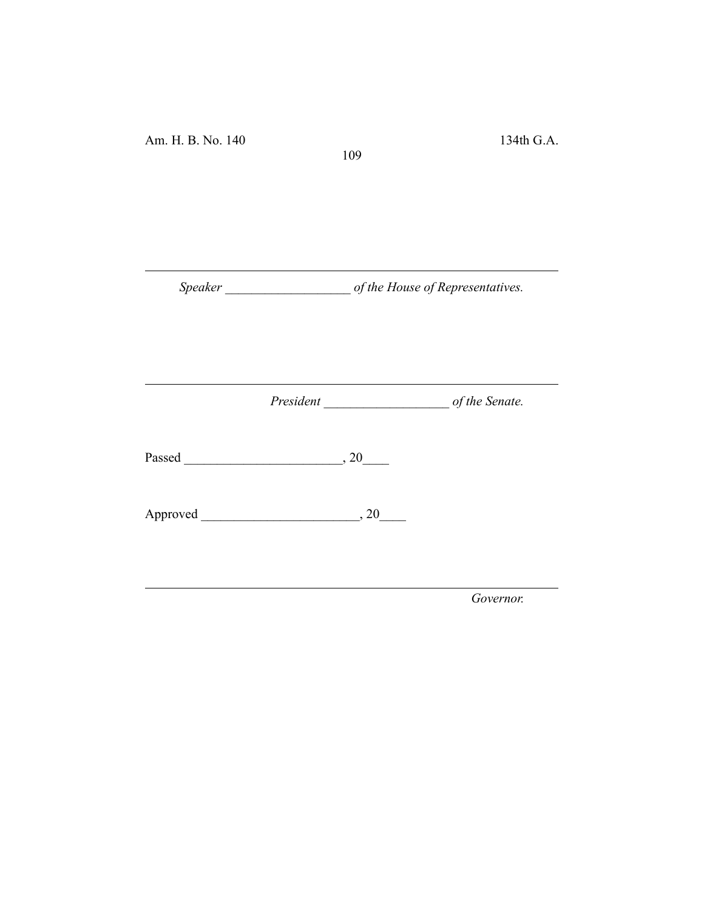Am. H. B. No. 140 134th G.A.

*Speaker \_\_\_\_\_\_\_\_\_\_\_\_\_\_\_\_\_\_\_ of the House of Representatives.*

109

*President \_\_\_\_\_\_\_\_\_\_\_\_\_\_\_\_\_\_\_ of the Senate.*

Passed \_\_\_\_\_\_\_\_\_\_\_\_\_\_\_\_\_\_\_\_\_\_\_\_, 20\_\_\_\_

Approved \_\_\_\_\_\_\_\_\_\_\_\_\_\_\_\_\_\_\_\_\_\_\_\_, 20\_\_\_\_

*Governor.*